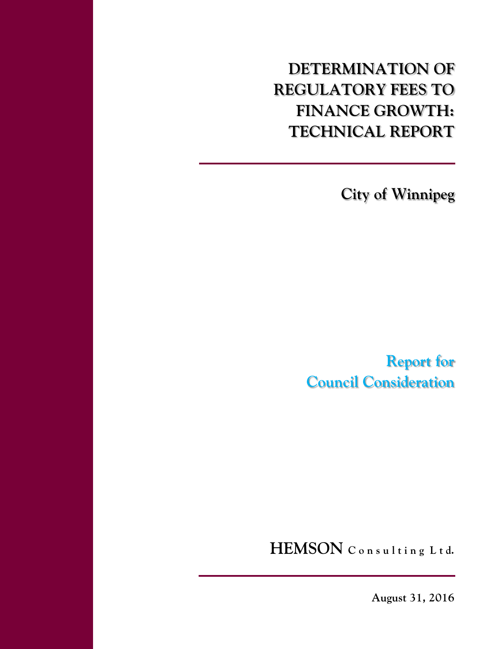**DETERMINATION OF REGULATORY FEES TO FINANCE GROWTH: TECHNICAL REPORT** 

**City of Winnipeg** 

**Report for Council Consideration** 

HEMSON Consulting Ltd.

**August 31, 2016**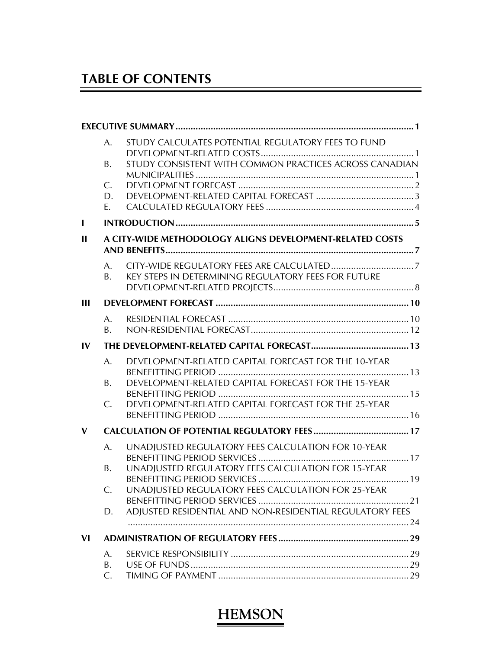## **TABLE OF CONTENTS**

|                | A.        | STUDY CALCULATES POTENTIAL REGULATORY FEES TO FUND       |  |
|----------------|-----------|----------------------------------------------------------|--|
|                | <b>B.</b> | STUDY CONSISTENT WITH COMMON PRACTICES ACROSS CANADIAN   |  |
|                | C.        |                                                          |  |
|                | D.        |                                                          |  |
|                | Ε.        |                                                          |  |
| $\blacksquare$ |           |                                                          |  |
| $\mathbf{H}$   |           | A CITY-WIDE METHODOLOGY ALIGNS DEVELOPMENT-RELATED COSTS |  |
|                | A.        |                                                          |  |
|                | B.        | KEY STEPS IN DETERMINING REGULATORY FEES FOR FUTURE      |  |
| Ш              |           |                                                          |  |
|                | A.        |                                                          |  |
|                | Β.        |                                                          |  |
| IV             |           |                                                          |  |
|                | A.        | DEVELOPMENT-RELATED CAPITAL FORECAST FOR THE 10-YEAR     |  |
|                | <b>B.</b> | DEVELOPMENT-RELATED CAPITAL FORECAST FOR THE 15-YEAR     |  |
|                | C.        | DEVELOPMENT-RELATED CAPITAL FORECAST FOR THE 25-YEAR     |  |
|                |           |                                                          |  |
| V              |           |                                                          |  |
|                | A.        | UNADIUSTED REGULATORY FEES CALCULATION FOR 10-YEAR       |  |
|                | B.        | UNADJUSTED REGULATORY FEES CALCULATION FOR 15-YEAR       |  |
|                | C.        | UNADJUSTED REGULATORY FEES CALCULATION FOR 25-YEAR       |  |
|                |           |                                                          |  |
|                | D.        | ADJUSTED RESIDENTIAL AND NON-RESIDENTIAL REGULATORY FEES |  |
| <b>VI</b>      |           |                                                          |  |
|                | A.        |                                                          |  |
|                | <b>B.</b> |                                                          |  |
|                | C.        |                                                          |  |

 $\overline{a}$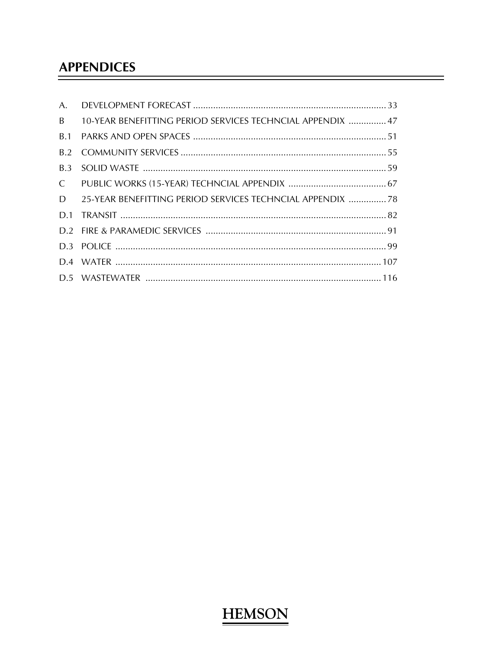## **APPENDICES**

| A.           |                                                            |  |
|--------------|------------------------------------------------------------|--|
| B.           | 10-YEAR BENEFITTING PERIOD SERVICES TECHNCIAL APPENDIX  47 |  |
| <b>B.1</b>   |                                                            |  |
| B.2          |                                                            |  |
| B.3          |                                                            |  |
| $\mathsf{C}$ |                                                            |  |
| D            | 25-YEAR BENEFITTING PERIOD SERVICES TECHNCIAL APPENDIX  78 |  |
|              |                                                            |  |
|              |                                                            |  |
|              |                                                            |  |
|              |                                                            |  |
|              |                                                            |  |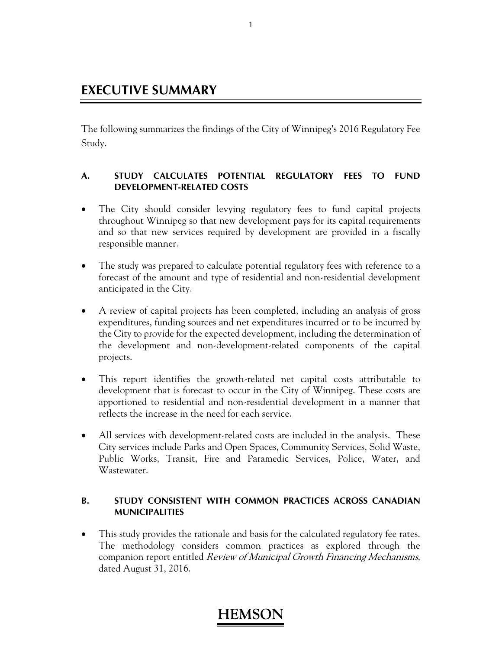## **EXECUTIVE SUMMARY**

The following summarizes the findings of the City of Winnipeg's 2016 Regulatory Fee Study.

### **A. STUDY CALCULATES POTENTIAL REGULATORY FEES TO FUND DEVELOPMENT-RELATED COSTS**

- The City should consider levying regulatory fees to fund capital projects throughout Winnipeg so that new development pays for its capital requirements and so that new services required by development are provided in a fiscally responsible manner.
- The study was prepared to calculate potential regulatory fees with reference to a forecast of the amount and type of residential and non-residential development anticipated in the City.
- A review of capital projects has been completed, including an analysis of gross expenditures, funding sources and net expenditures incurred or to be incurred by the City to provide for the expected development, including the determination of the development and non-development-related components of the capital projects.
- This report identifies the growth-related net capital costs attributable to development that is forecast to occur in the City of Winnipeg. These costs are apportioned to residential and non-residential development in a manner that reflects the increase in the need for each service.
- All services with development-related costs are included in the analysis. These City services include Parks and Open Spaces, Community Services, Solid Waste, Public Works, Transit, Fire and Paramedic Services, Police, Water, and Wastewater.

### **B. STUDY CONSISTENT WITH COMMON PRACTICES ACROSS CANADIAN MUNICIPALITIES**

• This study provides the rationale and basis for the calculated regulatory fee rates. The methodology considers common practices as explored through the companion report entitled Review of Municipal Growth Financing Mechanisms, dated August 31, 2016.

### 1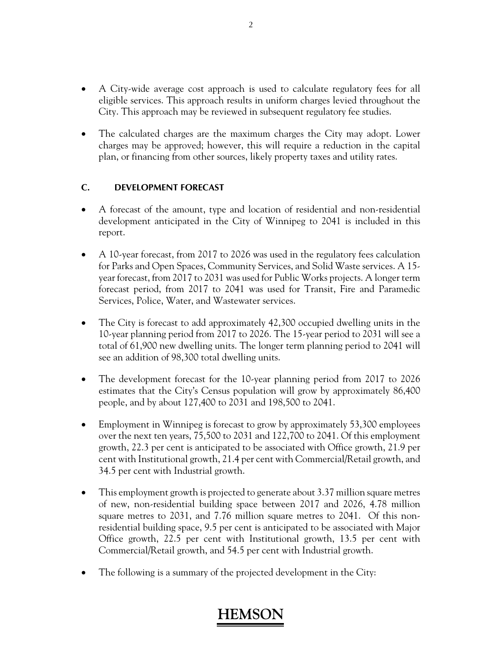- A City-wide average cost approach is used to calculate regulatory fees for all eligible services. This approach results in uniform charges levied throughout the City. This approach may be reviewed in subsequent regulatory fee studies.
- The calculated charges are the maximum charges the City may adopt. Lower charges may be approved; however, this will require a reduction in the capital plan, or financing from other sources, likely property taxes and utility rates.

## **C. DEVELOPMENT FORECAST**

- A forecast of the amount, type and location of residential and non-residential development anticipated in the City of Winnipeg to 2041 is included in this report.
- A 10-year forecast, from 2017 to 2026 was used in the regulatory fees calculation for Parks and Open Spaces, Community Services, and Solid Waste services. A 15 year forecast, from 2017 to 2031 was used for Public Works projects. A longer term forecast period, from 2017 to 2041 was used for Transit, Fire and Paramedic Services, Police, Water, and Wastewater services.
- The City is forecast to add approximately 42,300 occupied dwelling units in the 10-year planning period from 2017 to 2026. The 15-year period to 2031 will see a total of 61,900 new dwelling units. The longer term planning period to 2041 will see an addition of 98,300 total dwelling units.
- The development forecast for the 10-year planning period from 2017 to 2026 estimates that the City's Census population will grow by approximately 86,400 people, and by about 127,400 to 2031 and 198,500 to 2041.
- Employment in Winnipeg is forecast to grow by approximately 53,300 employees over the next ten years, 75,500 to 2031 and 122,700 to 2041. Of this employment growth, 22.3 per cent is anticipated to be associated with Office growth, 21.9 per cent with Institutional growth, 21.4 per cent with Commercial/Retail growth, and 34.5 per cent with Industrial growth.
- This employment growth is projected to generate about 3.37 million square metres of new, non-residential building space between 2017 and 2026, 4.78 million square metres to 2031, and 7.76 million square metres to 2041. Of this nonresidential building space, 9.5 per cent is anticipated to be associated with Major Office growth, 22.5 per cent with Institutional growth, 13.5 per cent with Commercial/Retail growth, and 54.5 per cent with Industrial growth.
- The following is a summary of the projected development in the City: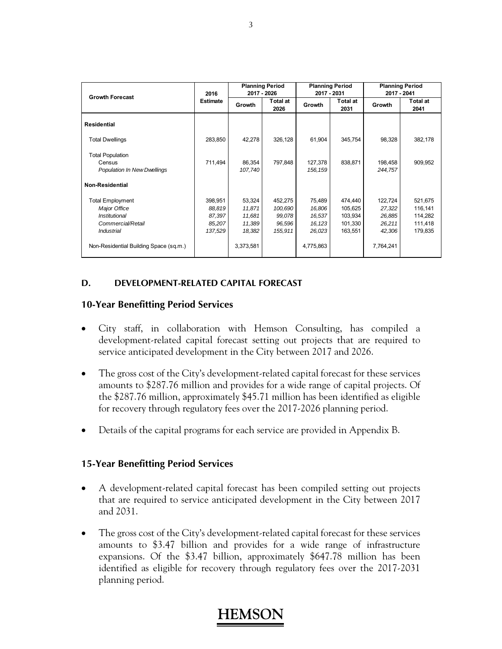| <b>Growth Forecast</b>                 | 2016            |           | <b>Planning Period</b><br>2017 - 2026 | 2017 - 2031 | <b>Planning Period</b>     | <b>Planning Period</b><br>2017 - 2041 |                  |  |
|----------------------------------------|-----------------|-----------|---------------------------------------|-------------|----------------------------|---------------------------------------|------------------|--|
|                                        | <b>Estimate</b> | Growth    | <b>Total at</b><br>2026               |             | Total at<br>Growth<br>2031 |                                       | Total at<br>2041 |  |
| <b>Residential</b>                     |                 |           |                                       |             |                            |                                       |                  |  |
| <b>Total Dwellings</b>                 | 283,850         | 42,278    | 326,128                               | 61,904      | 345,754                    | 98,328                                | 382,178          |  |
| <b>Total Population</b>                |                 |           |                                       |             |                            |                                       |                  |  |
| Census                                 | 711,494         | 86,354    | 797,848                               | 127,378     | 838,871                    | 198,458                               | 909,952          |  |
| <b>Population In New Dwellings</b>     |                 | 107,740   |                                       | 156, 159    |                            | 244,757                               |                  |  |
| <b>Non-Residential</b>                 |                 |           |                                       |             |                            |                                       |                  |  |
| <b>Total Employment</b>                | 398,951         | 53,324    | 452,275                               | 75,489      | 474,440                    | 122,724                               | 521,675          |  |
| <b>Major Office</b>                    | 88,819          | 11,871    | 100,690                               | 16,806      | 105,625                    | 27,322                                | 116,141          |  |
| Institutional                          | 87,397          | 11,681    | 99,078                                | 16,537      | 103,934                    | 26,885                                | 114,282          |  |
| Commercial/Retail                      | 85,207          | 11,389    | 96,596                                | 16,123      | 101,330                    | 26,211                                | 111,418          |  |
| Industrial                             | 137,529         | 18,382    | 155,911                               | 26,023      | 163,551                    | 42,306                                | 179,835          |  |
| Non-Residential Building Space (sq.m.) |                 | 3,373,581 |                                       | 4,775,863   |                            | 7,764,241                             |                  |  |

### **D. DEVELOPMENT-RELATED CAPITAL FORECAST**

### **10-Year Benefitting Period Services**

- City staff, in collaboration with Hemson Consulting, has compiled a development-related capital forecast setting out projects that are required to service anticipated development in the City between 2017 and 2026.
- The gross cost of the City's development-related capital forecast for these services amounts to \$287.76 million and provides for a wide range of capital projects. Of the \$287.76 million, approximately \$45.71 million has been identified as eligible for recovery through regulatory fees over the 2017-2026 planning period.
- Details of the capital programs for each service are provided in Appendix B.

### **15-Year Benefitting Period Services**

- A development-related capital forecast has been compiled setting out projects that are required to service anticipated development in the City between 2017 and 2031.
- The gross cost of the City's development-related capital forecast for these services amounts to \$3.47 billion and provides for a wide range of infrastructure expansions. Of the \$3.47 billion, approximately \$647.78 million has been identified as eligible for recovery through regulatory fees over the 2017-2031 planning period.

### 3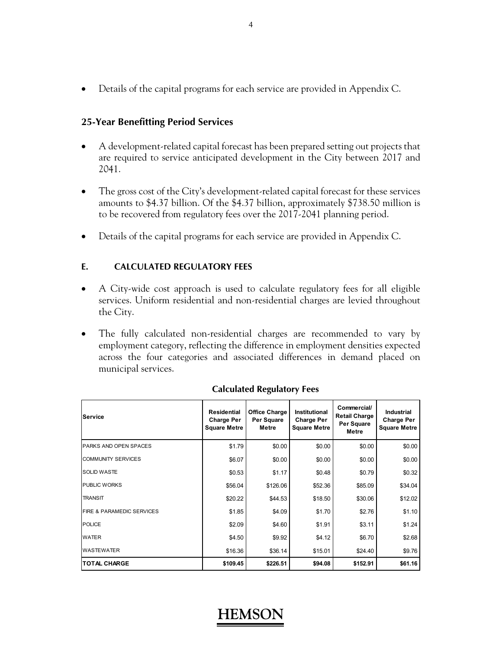Details of the capital programs for each service are provided in Appendix C.

### **25-Year Benefitting Period Services**

- A development-related capital forecast has been prepared setting out projects that are required to service anticipated development in the City between 2017 and 2041.
- The gross cost of the City's development-related capital forecast for these services amounts to \$4.37 billion. Of the \$4.37 billion, approximately \$738.50 million is to be recovered from regulatory fees over the 2017-2041 planning period.
- Details of the capital programs for each service are provided in Appendix C.

### **E. CALCULATED REGULATORY FEES**

- A City-wide cost approach is used to calculate regulatory fees for all eligible services. Uniform residential and non-residential charges are levied throughout the City.
- The fully calculated non-residential charges are recommended to vary by employment category, reflecting the difference in employment densities expected across the four categories and associated differences in demand placed on municipal services.

| <b>Service</b>                       | Residential<br><b>Charge Per</b><br><b>Square Metre</b> | <b>Office Charge</b><br>Per Square<br>Metre | Institutional<br><b>Charge Per</b><br><b>Square Metre</b> | Commercial/<br><b>Retail Charge</b><br>Per Square<br>Metre | <b>Industrial</b><br><b>Charge Per</b><br><b>Square Metre</b> |
|--------------------------------------|---------------------------------------------------------|---------------------------------------------|-----------------------------------------------------------|------------------------------------------------------------|---------------------------------------------------------------|
| PARKS AND OPEN SPACES                | \$1.79                                                  | \$0.00                                      | \$0.00                                                    | \$0.00                                                     | \$0.00                                                        |
| <b>COMMUNITY SERVICES</b>            | \$6.07                                                  | \$0.00                                      | \$0.00                                                    | \$0.00                                                     | \$0.00                                                        |
| <b>SOLID WASTE</b>                   | \$0.53                                                  | \$1.17                                      | \$0.48                                                    | \$0.79                                                     | \$0.32                                                        |
| <b>PUBLIC WORKS</b>                  | \$56.04                                                 | \$126.06                                    | \$52.36                                                   | \$85.09                                                    | \$34.04                                                       |
| <b>TRANSIT</b>                       | \$20.22                                                 | \$44.53                                     | \$18.50                                                   | \$30.06                                                    | \$12.02                                                       |
| <b>FIRE &amp; PARAMEDIC SERVICES</b> | \$1.85                                                  | \$4.09                                      | \$1.70                                                    | \$2.76                                                     | \$1.10                                                        |
| <b>POLICE</b>                        | \$2.09                                                  | \$4.60                                      | \$1.91                                                    | \$3.11                                                     | \$1.24                                                        |
| <b>WATER</b>                         | \$4.50                                                  | \$9.92                                      | \$4.12                                                    | \$6.70                                                     | \$2.68                                                        |
| <b>WASTEWATER</b>                    | \$16.36                                                 | \$36.14                                     | \$15.01                                                   | \$24.40                                                    | \$9.76                                                        |
| <b>ITOTAL CHARGE</b>                 | \$109.45                                                | \$226.51                                    | \$94.08                                                   | \$152.91                                                   | \$61.16                                                       |

### **Calculated Regulatory Fees**

## **HEMS**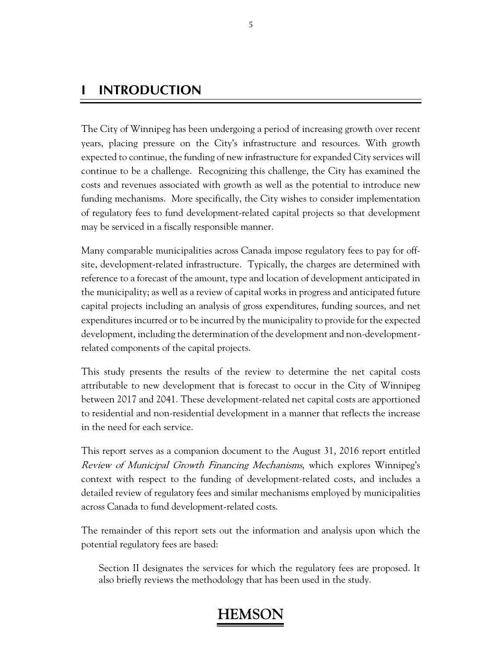## **I INTRODUCTION**

The City of Winnipeg has been undergoing a period of increasing growth over recent years, placing pressure on the City's infrastructure and resources. With growth expected to continue, the funding of new infrastructure for expanded City services will continue to be a challenge. Recognizing this challenge, the City has examined the costs and revenues associated with growth as well as the potential to introduce new funding mechanisms. More specifically, the City wishes to consider implementation of regulatory fees to fund development-related capital projects so that development may be serviced in a fiscally responsible manner.

Many comparable municipalities across Canada impose regulatory fees to pay for offsite, development-related infrastructure. Typically, the charges are determined with reference to a forecast of the amount, type and location of development anticipated in the municipality; as well as a review of capital works in progress and anticipated future capital projects including an analysis of gross expenditures, funding sources, and net expenditures incurred or to be incurred by the municipality to provide for the expected development, including the determination of the development and non-developmentrelated components of the capital projects.

This study presents the results of the review to determine the net capital costs attributable to new development that is forecast to occur in the City of Winnipeg between 2017 and 2041. These development-related net capital costs are apportioned to residential and non-residential development in a manner that reflects the increase in the need for each service.

This report serves as a companion document to the August 31, 2016 report entitled Review of Municipal Growth Financing Mechanisms, which explores Winnipeg's context with respect to the funding of development-related costs, and includes a detailed review of regulatory fees and similar mechanisms employed by municipalities across Canada to fund development-related costs.

The remainder of this report sets out the information and analysis upon which the potential regulatory fees are based:

Section II designates the services for which the regulatory fees are proposed. It also briefly reviews the methodology that has been used in the study.

### 5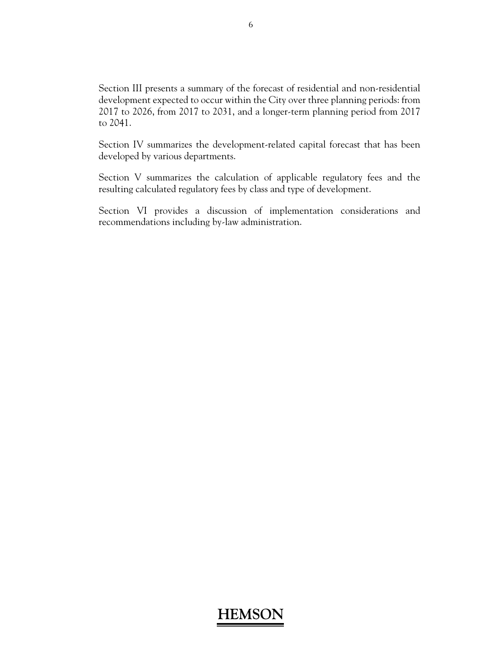Section III presents a summary of the forecast of residential and non-residential development expected to occur within the City over three planning periods: from 2017 to 2026, from 2017 to 2031, and a longer-term planning period from 2017 to 2041.

Section IV summarizes the development-related capital forecast that has been developed by various departments.

Section V summarizes the calculation of applicable regulatory fees and the resulting calculated regulatory fees by class and type of development.

Section VI provides a discussion of implementation considerations and recommendations including by-law administration.

### 6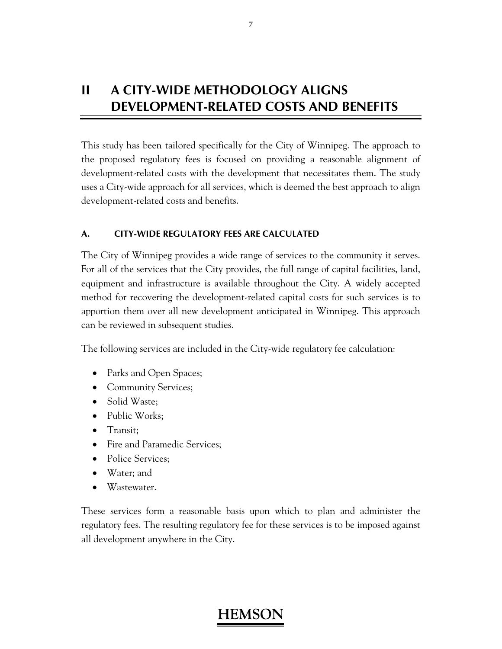## **II A CITY-WIDE METHODOLOGY ALIGNS DEVELOPMENT-RELATED COSTS AND BENEFITS**

This study has been tailored specifically for the City of Winnipeg. The approach to the proposed regulatory fees is focused on providing a reasonable alignment of development-related costs with the development that necessitates them. The study uses a City-wide approach for all services, which is deemed the best approach to align development-related costs and benefits.

### **A. CITY-WIDE REGULATORY FEES ARE CALCULATED**

The City of Winnipeg provides a wide range of services to the community it serves. For all of the services that the City provides, the full range of capital facilities, land, equipment and infrastructure is available throughout the City. A widely accepted method for recovering the development-related capital costs for such services is to apportion them over all new development anticipated in Winnipeg. This approach can be reviewed in subsequent studies.

The following services are included in the City-wide regulatory fee calculation:

- Parks and Open Spaces;
- Community Services;
- Solid Waste;
- Public Works;
- Transit:
- Fire and Paramedic Services:
- Police Services;
- Water; and
- Wastewater.

These services form a reasonable basis upon which to plan and administer the regulatory fees. The resulting regulatory fee for these services is to be imposed against all development anywhere in the City.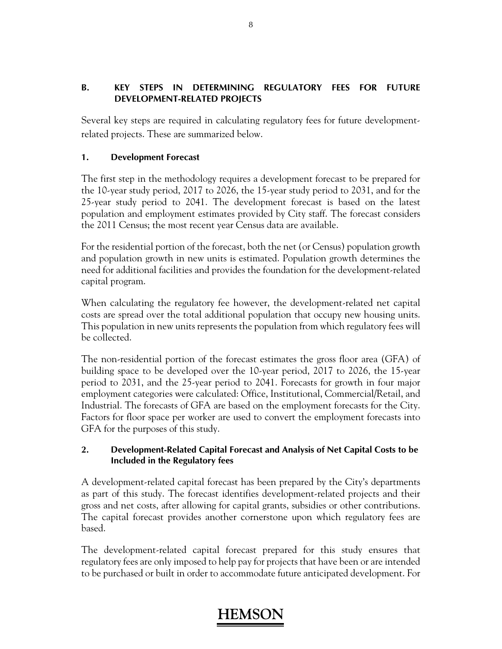## **B. KEY STEPS IN DETERMINING REGULATORY FEES FOR FUTURE DEVELOPMENT-RELATED PROJECTS**

Several key steps are required in calculating regulatory fees for future developmentrelated projects. These are summarized below.

## **1. Development Forecast**

The first step in the methodology requires a development forecast to be prepared for the 10-year study period, 2017 to 2026, the 15-year study period to 2031, and for the 25-year study period to 2041. The development forecast is based on the latest population and employment estimates provided by City staff. The forecast considers the 2011 Census; the most recent year Census data are available.

For the residential portion of the forecast, both the net (or Census) population growth and population growth in new units is estimated. Population growth determines the need for additional facilities and provides the foundation for the development-related capital program.

When calculating the regulatory fee however, the development-related net capital costs are spread over the total additional population that occupy new housing units. This population in new units represents the population from which regulatory fees will be collected.

The non-residential portion of the forecast estimates the gross floor area (GFA) of building space to be developed over the 10-year period, 2017 to 2026, the 15-year period to 2031, and the 25-year period to 2041. Forecasts for growth in four major employment categories were calculated: Office, Institutional, Commercial/Retail, and Industrial. The forecasts of GFA are based on the employment forecasts for the City. Factors for floor space per worker are used to convert the employment forecasts into GFA for the purposes of this study.

### **2. Development-Related Capital Forecast and Analysis of Net Capital Costs to be Included in the Regulatory fees**

A development-related capital forecast has been prepared by the City's departments as part of this study. The forecast identifies development-related projects and their gross and net costs, after allowing for capital grants, subsidies or other contributions. The capital forecast provides another cornerstone upon which regulatory fees are based.

The development-related capital forecast prepared for this study ensures that regulatory fees are only imposed to help pay for projects that have been or are intended to be purchased or built in order to accommodate future anticipated development. For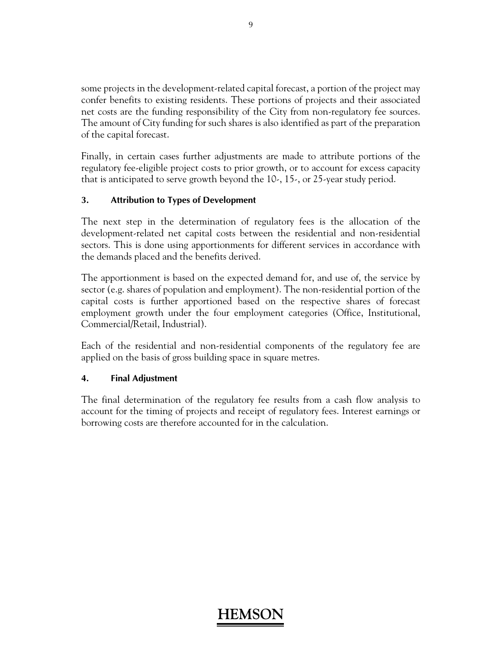some projects in the development-related capital forecast, a portion of the project may confer benefits to existing residents. These portions of projects and their associated net costs are the funding responsibility of the City from non-regulatory fee sources. The amount of City funding for such shares is also identified as part of the preparation of the capital forecast.

Finally, in certain cases further adjustments are made to attribute portions of the regulatory fee-eligible project costs to prior growth, or to account for excess capacity that is anticipated to serve growth beyond the 10-, 15-, or 25-year study period.

### **3. Attribution to Types of Development**

The next step in the determination of regulatory fees is the allocation of the development-related net capital costs between the residential and non-residential sectors. This is done using apportionments for different services in accordance with the demands placed and the benefits derived.

The apportionment is based on the expected demand for, and use of, the service by sector (e.g. shares of population and employment). The non-residential portion of the capital costs is further apportioned based on the respective shares of forecast employment growth under the four employment categories (Office, Institutional, Commercial/Retail, Industrial).

Each of the residential and non-residential components of the regulatory fee are applied on the basis of gross building space in square metres.

### **4. Final Adjustment**

The final determination of the regulatory fee results from a cash flow analysis to account for the timing of projects and receipt of regulatory fees. Interest earnings or borrowing costs are therefore accounted for in the calculation.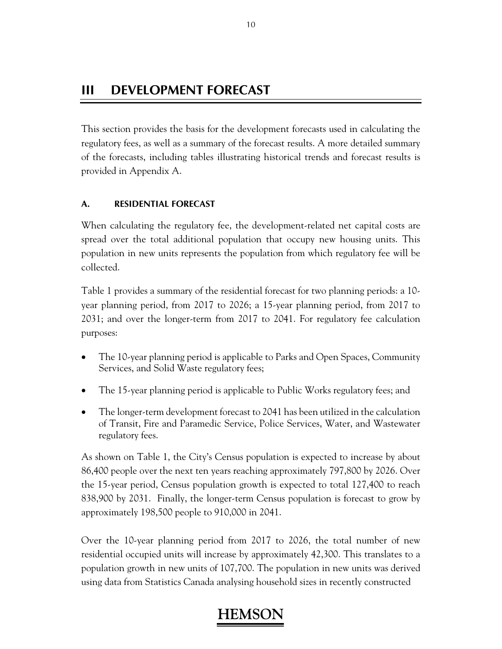## **III DEVELOPMENT FORECAST**

This section provides the basis for the development forecasts used in calculating the regulatory fees, as well as a summary of the forecast results. A more detailed summary of the forecasts, including tables illustrating historical trends and forecast results is provided in Appendix A.

## **A. RESIDENTIAL FORECAST**

When calculating the regulatory fee, the development-related net capital costs are spread over the total additional population that occupy new housing units. This population in new units represents the population from which regulatory fee will be collected.

Table 1 provides a summary of the residential forecast for two planning periods: a 10 year planning period, from 2017 to 2026; a 15-year planning period, from 2017 to 2031; and over the longer-term from 2017 to 2041. For regulatory fee calculation purposes:

- The 10-year planning period is applicable to Parks and Open Spaces, Community Services, and Solid Waste regulatory fees;
- The 15-year planning period is applicable to Public Works regulatory fees; and
- The longer-term development forecast to 2041 has been utilized in the calculation of Transit, Fire and Paramedic Service, Police Services, Water, and Wastewater regulatory fees.

As shown on Table 1, the City's Census population is expected to increase by about 86,400 people over the next ten years reaching approximately 797,800 by 2026. Over the 15-year period, Census population growth is expected to total 127,400 to reach 838,900 by 2031. Finally, the longer-term Census population is forecast to grow by approximately 198,500 people to 910,000 in 2041.

Over the 10-year planning period from 2017 to 2026, the total number of new residential occupied units will increase by approximately 42,300. This translates to a population growth in new units of 107,700. The population in new units was derived using data from Statistics Canada analysing household sizes in recently constructed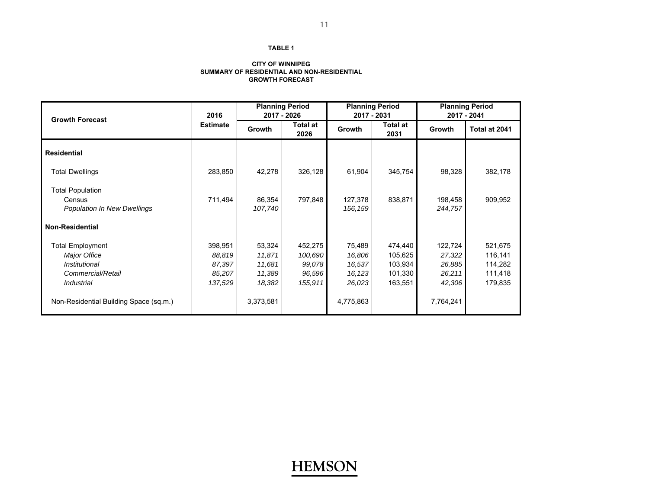#### **CITY OF WINNIPEG SUMMARY OF RESIDENTIAL AND NON-RESIDENTIAL GROWTH FORECAST**

| <b>Growth Forecast</b>                       | 2016            |                   | <b>Planning Period</b><br>2017 - 2026 | 2017 - 2031         | <b>Planning Period</b>  | <b>Planning Period</b><br>2017 - 2041 |               |  |
|----------------------------------------------|-----------------|-------------------|---------------------------------------|---------------------|-------------------------|---------------------------------------|---------------|--|
|                                              | <b>Estimate</b> | Growth            | Total at<br>2026                      | Growth              | <b>Total at</b><br>2031 | <b>Growth</b>                         | Total at 2041 |  |
| <b>Residential</b>                           |                 |                   |                                       |                     |                         |                                       |               |  |
| <b>Total Dwellings</b>                       | 283,850         | 42,278            | 326,128                               | 61,904              | 345,754                 | 98,328                                | 382,178       |  |
| <b>Total Population</b>                      |                 |                   |                                       |                     |                         |                                       |               |  |
| Census<br><b>Population In New Dwellings</b> | 711,494         | 86,354<br>107,740 | 797,848                               | 127,378<br>156, 159 | 838,871                 | 198,458<br>244,757                    | 909,952       |  |
| <b>Non-Residential</b>                       |                 |                   |                                       |                     |                         |                                       |               |  |
| <b>Total Employment</b>                      | 398,951         | 53,324            | 452,275                               | 75,489              | 474,440                 | 122,724                               | 521,675       |  |
| Major Office                                 | 88,819          | 11,871            | 100,690                               | 16,806              | 105,625                 | 27,322                                | 116,141       |  |
| Institutional                                | 87,397          | 11,681            | 99,078                                | 16,537              | 103,934                 | 26,885                                | 114,282       |  |
| Commercial/Retail                            | 85,207          | 11,389            | 96,596                                | 16,123              | 101,330                 | 26,211                                | 111,418       |  |
| Industrial                                   | 137,529         | 18,382            | 155,911                               | 26,023              | 163,551                 | 42,306                                | 179,835       |  |
| Non-Residential Building Space (sq.m.)       |                 | 3,373,581         |                                       | 4,775,863           |                         | 7,764,241                             |               |  |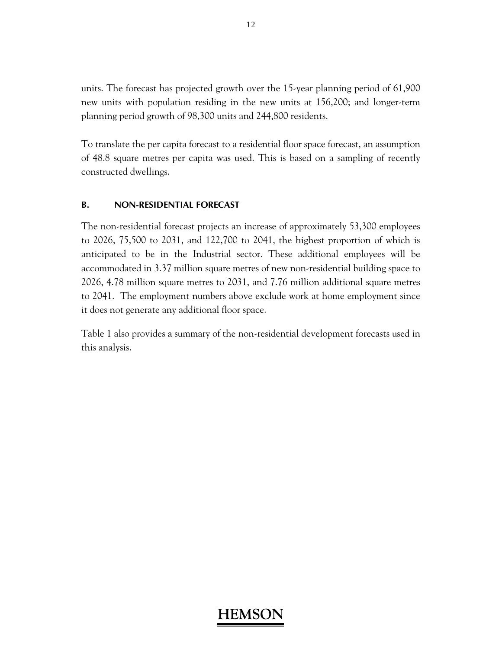units. The forecast has projected growth over the 15-year planning period of 61,900 new units with population residing in the new units at 156,200; and longer-term planning period growth of 98,300 units and 244,800 residents.

To translate the per capita forecast to a residential floor space forecast, an assumption of 48.8 square metres per capita was used. This is based on a sampling of recently constructed dwellings.

### **B. NON-RESIDENTIAL FORECAST**

The non-residential forecast projects an increase of approximately 53,300 employees to 2026, 75,500 to 2031, and 122,700 to 2041, the highest proportion of which is anticipated to be in the Industrial sector. These additional employees will be accommodated in 3.37 million square metres of new non-residential building space to 2026, 4.78 million square metres to 2031, and 7.76 million additional square metres to 2041. The employment numbers above exclude work at home employment since it does not generate any additional floor space.

Table 1 also provides a summary of the non-residential development forecasts used in this analysis.

## **HEMS**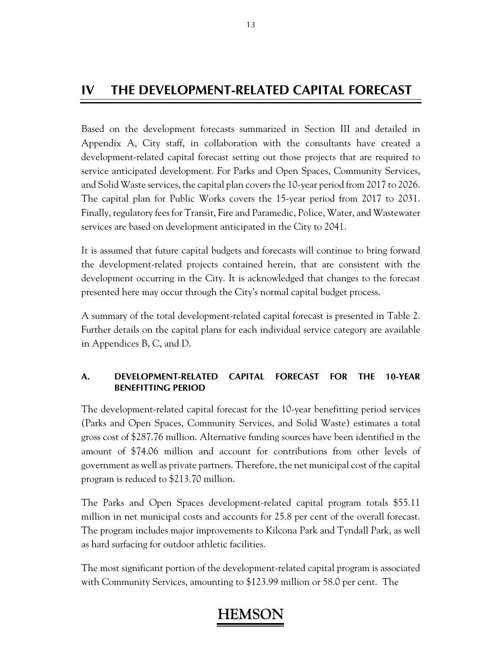## **IV THE DEVELOPMENT-RELATED CAPITAL FORECAST**

Based on the development forecasts summarized in Section III and detailed in Appendix A, City staff, in collaboration with the consultants have created a development-related capital forecast setting out those projects that are required to service anticipated development. For Parks and Open Spaces, Community Services, and Solid Waste services, the capital plan covers the 10-year period from 2017 to 2026. The capital plan for Public Works covers the 15-year period from 2017 to 2031. Finally, regulatory fees for Transit, Fire and Paramedic, Police, Water, and Wastewater services are based on development anticipated in the City to 2041.

It is assumed that future capital budgets and forecasts will continue to bring forward the development-related projects contained herein, that are consistent with the development occurring in the City. It is acknowledged that changes to the forecast presented here may occur through the City's normal capital budget process.

A summary of the total development-related capital forecast is presented in Table 2. Further details on the capital plans for each individual service category are available in Appendices B, C, and D.

## **A. DEVELOPMENT-RELATED CAPITAL FORECAST FOR THE 10-YEAR BENEFITTING PERIOD**

The development-related capital forecast for the 10-year benefitting period services (Parks and Open Spaces, Community Services, and Solid Waste) estimates a total gross cost of \$287.76 million. Alternative funding sources have been identified in the amount of \$74.06 million and account for contributions from other levels of government as well as private partners. Therefore, the net municipal cost of the capital program is reduced to \$213.70 million.

The Parks and Open Spaces development-related capital program totals \$55.11 million in net municipal costs and accounts for 25.8 per cent of the overall forecast. The program includes major improvements to Kilcona Park and Tyndall Park, as well as hard surfacing for outdoor athletic facilities.

The most significant portion of the development-related capital program is associated with Community Services, amounting to \$123.99 million or 58.0 per cent. The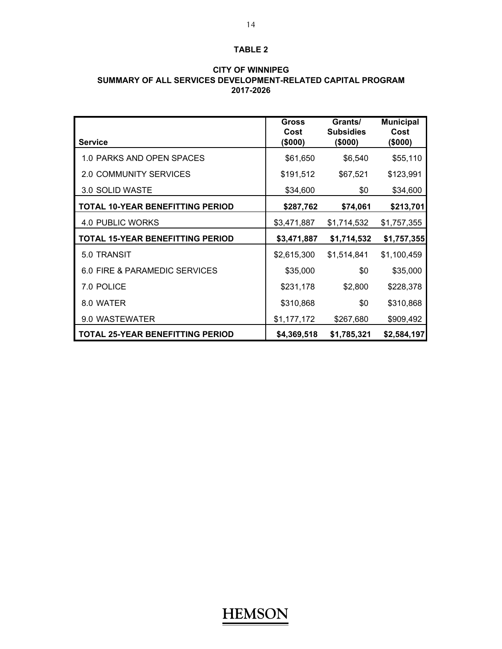| <b>CITY OF WINNIPEG</b>                                     |
|-------------------------------------------------------------|
| SUMMARY OF ALL SERVICES DEVELOPMENT-RELATED CAPITAL PROGRAM |
| 2017-2026                                                   |

|                                         | <b>Gross</b><br>Cost | Grants/<br><b>Subsidies</b> | <b>Municipal</b><br>Cost |
|-----------------------------------------|----------------------|-----------------------------|--------------------------|
| <b>Service</b>                          | (\$000)              | (\$000)                     | (\$000)                  |
| 1.0 PARKS AND OPEN SPACES               | \$61,650             | \$6,540                     | \$55,110                 |
| <b>2.0 COMMUNITY SERVICES</b>           | \$191,512            | \$67,521                    | \$123,991                |
| 3.0 SOLID WASTE                         | \$34,600             | \$0                         | \$34,600                 |
| <b>TOTAL 10-YEAR BENEFITTING PERIOD</b> | \$287,762            | \$74,061                    | \$213,701                |
| 4.0 PUBLIC WORKS                        | \$3,471,887          | \$1,714,532                 | \$1,757,355              |
| <b>TOTAL 15-YEAR BENEFITTING PERIOD</b> | \$3,471,887          | \$1,714,532                 | \$1,757,355              |
| 5.0 TRANSIT                             | \$2,615,300          | \$1,514,841                 | \$1,100,459              |
| 6.0 FIRE & PARAMEDIC SERVICES           | \$35,000             | \$0                         | \$35,000                 |
| 7.0 POLICE                              | \$231,178            | \$2,800                     | \$228,378                |
| 8.0 WATER                               | \$310,868            | \$0                         | \$310,868                |
| 9.0 WASTEWATER                          | \$1,177,172          | \$267,680                   | \$909,492                |
| <b>TOTAL 25-YEAR BENEFITTING PERIOD</b> | \$4,369,518          | \$1,785,321                 | \$2,584,197              |

# **CITY OF WINNIPEG**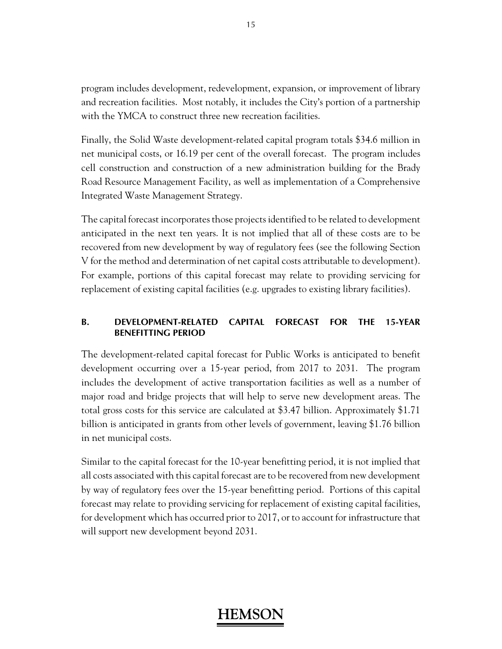program includes development, redevelopment, expansion, or improvement of library and recreation facilities. Most notably, it includes the City's portion of a partnership with the YMCA to construct three new recreation facilities.

Finally, the Solid Waste development-related capital program totals \$34.6 million in net municipal costs, or 16.19 per cent of the overall forecast. The program includes cell construction and construction of a new administration building for the Brady Road Resource Management Facility, as well as implementation of a Comprehensive Integrated Waste Management Strategy.

The capital forecast incorporates those projects identified to be related to development anticipated in the next ten years. It is not implied that all of these costs are to be recovered from new development by way of regulatory fees (see the following Section V for the method and determination of net capital costs attributable to development). For example, portions of this capital forecast may relate to providing servicing for replacement of existing capital facilities (e.g. upgrades to existing library facilities).

## **B. DEVELOPMENT-RELATED CAPITAL FORECAST FOR THE 15-YEAR BENEFITTING PERIOD**

The development-related capital forecast for Public Works is anticipated to benefit development occurring over a 15-year period, from 2017 to 2031. The program includes the development of active transportation facilities as well as a number of major road and bridge projects that will help to serve new development areas. The total gross costs for this service are calculated at \$3.47 billion. Approximately \$1.71 billion is anticipated in grants from other levels of government, leaving \$1.76 billion in net municipal costs.

Similar to the capital forecast for the 10-year benefitting period, it is not implied that all costs associated with this capital forecast are to be recovered from new development by way of regulatory fees over the 15-year benefitting period. Portions of this capital forecast may relate to providing servicing for replacement of existing capital facilities, for development which has occurred prior to 2017, or to account for infrastructure that will support new development beyond 2031.

## **HEMS**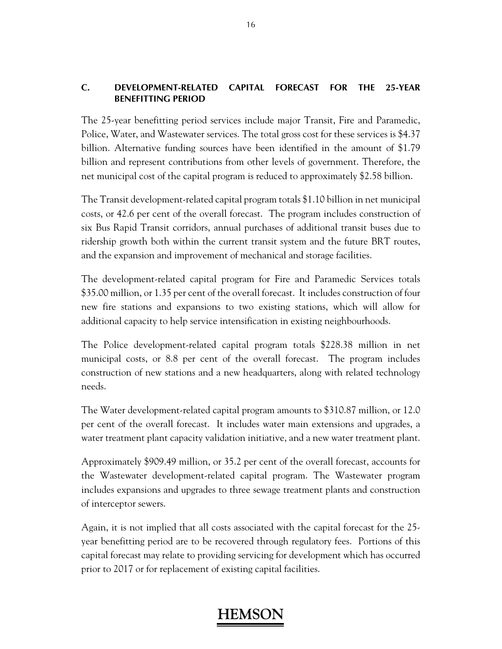### **C. DEVELOPMENT-RELATED CAPITAL FORECAST FOR THE 25-YEAR BENEFITTING PERIOD**

The 25-year benefitting period services include major Transit, Fire and Paramedic, Police, Water, and Wastewater services. The total gross cost for these services is \$4.37 billion. Alternative funding sources have been identified in the amount of \$1.79 billion and represent contributions from other levels of government. Therefore, the net municipal cost of the capital program is reduced to approximately \$2.58 billion.

The Transit development-related capital program totals \$1.10 billion in net municipal costs, or 42.6 per cent of the overall forecast. The program includes construction of six Bus Rapid Transit corridors, annual purchases of additional transit buses due to ridership growth both within the current transit system and the future BRT routes, and the expansion and improvement of mechanical and storage facilities.

The development-related capital program for Fire and Paramedic Services totals \$35.00 million, or 1.35 per cent of the overall forecast. It includes construction of four new fire stations and expansions to two existing stations, which will allow for additional capacity to help service intensification in existing neighbourhoods.

The Police development-related capital program totals \$228.38 million in net municipal costs, or 8.8 per cent of the overall forecast. The program includes construction of new stations and a new headquarters, along with related technology needs.

The Water development-related capital program amounts to \$310.87 million, or 12.0 per cent of the overall forecast. It includes water main extensions and upgrades, a water treatment plant capacity validation initiative, and a new water treatment plant.

Approximately \$909.49 million, or 35.2 per cent of the overall forecast, accounts for the Wastewater development-related capital program. The Wastewater program includes expansions and upgrades to three sewage treatment plants and construction of interceptor sewers.

Again, it is not implied that all costs associated with the capital forecast for the 25 year benefitting period are to be recovered through regulatory fees. Portions of this capital forecast may relate to providing servicing for development which has occurred prior to 2017 or for replacement of existing capital facilities.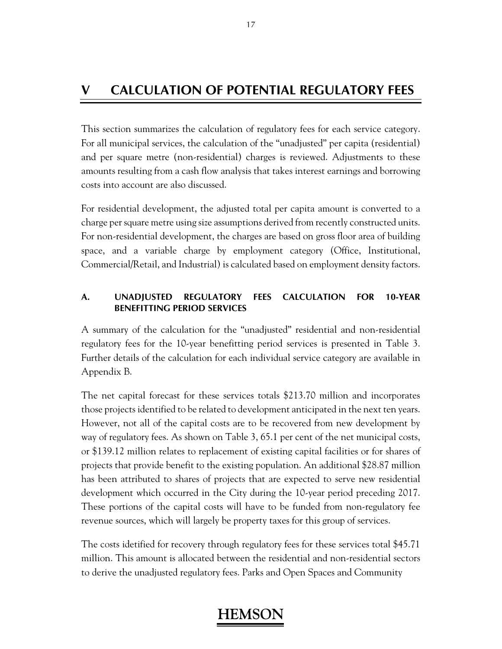## **V CALCULATION OF POTENTIAL REGULATORY FEES**

This section summarizes the calculation of regulatory fees for each service category. For all municipal services, the calculation of the "unadjusted" per capita (residential) and per square metre (non-residential) charges is reviewed. Adjustments to these amounts resulting from a cash flow analysis that takes interest earnings and borrowing costs into account are also discussed.

For residential development, the adjusted total per capita amount is converted to a charge per square metre using size assumptions derived from recently constructed units. For non-residential development, the charges are based on gross floor area of building space, and a variable charge by employment category (Office, Institutional, Commercial/Retail, and Industrial) is calculated based on employment density factors.

### **A. UNADJUSTED REGULATORY FEES CALCULATION FOR 10-YEAR BENEFITTING PERIOD SERVICES**

A summary of the calculation for the "unadjusted" residential and non-residential regulatory fees for the 10-year benefitting period services is presented in Table 3. Further details of the calculation for each individual service category are available in Appendix B.

The net capital forecast for these services totals \$213.70 million and incorporates those projects identified to be related to development anticipated in the next ten years. However, not all of the capital costs are to be recovered from new development by way of regulatory fees. As shown on Table 3, 65.1 per cent of the net municipal costs, or \$139.12 million relates to replacement of existing capital facilities or for shares of projects that provide benefit to the existing population. An additional \$28.87 million has been attributed to shares of projects that are expected to serve new residential development which occurred in the City during the 10-year period preceding 2017. These portions of the capital costs will have to be funded from non-regulatory fee revenue sources, which will largely be property taxes for this group of services.

The costs idetified for recovery through regulatory fees for these services total \$45.71 million. This amount is allocated between the residential and non-residential sectors to derive the unadjusted regulatory fees. Parks and Open Spaces and Community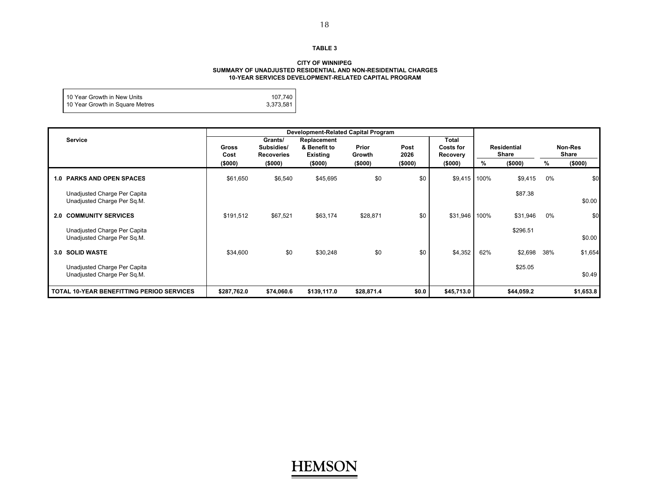#### **CITY OF WINNIPEG SUMMARY OF UNADJUSTED RESIDENTIAL AND NON-RESIDENTIAL CHARGES 10-YEAR SERVICES DEVELOPMENT-RELATED CAPITAL PROGRAM**

| 110 Year Growth in New Units    | 107.740   |
|---------------------------------|-----------|
| 10 Year Growth in Square Metres | 3,373,581 |
|                                 |           |

|                                                             | Development-Related Capital Program |                                            |                                         |                 |              |                                              |      |                             |       |                  |
|-------------------------------------------------------------|-------------------------------------|--------------------------------------------|-----------------------------------------|-----------------|--------------|----------------------------------------------|------|-----------------------------|-------|------------------|
| Service                                                     | Gross<br>Cost                       | Grants/<br>Subsidies/<br><b>Recoveries</b> | Replacement<br>& Benefit to<br>Existing | Prior<br>Growth | Post<br>2026 | <b>Total</b><br><b>Costs for</b><br>Recovery |      | Residential<br><b>Share</b> |       | Non-Res<br>Share |
|                                                             | (\$000)                             | (\$000)                                    | (5000)                                  | (\$000)         | (\$000)      | (\$000)                                      | %    | (\$000)                     | %     | (\$000)          |
| <b>1.0 PARKS AND OPEN SPACES</b>                            | \$61,650                            | \$6,540                                    | \$45,695                                | \$0             | \$0          | \$9,415                                      | 100% | \$9,415                     | $0\%$ | \$0              |
| Unadjusted Charge Per Capita<br>Unadjusted Charge Per Sq.M. |                                     |                                            |                                         |                 |              |                                              |      | \$87.38                     |       | \$0.00           |
| <b>2.0 COMMUNITY SERVICES</b>                               | \$191,512                           | \$67,521                                   | \$63,174                                | \$28,871        | \$0          | \$31,946                                     | 100% | \$31,946                    | $0\%$ | \$0              |
| Unadjusted Charge Per Capita<br>Unadjusted Charge Per Sq.M. |                                     |                                            |                                         |                 |              |                                              |      | \$296.51                    |       | \$0.00           |
| 3.0 SOLID WASTE                                             | \$34,600                            | \$0                                        | \$30,248                                | \$0             | \$0          | \$4,352                                      | 62%  | \$2,698                     | 38%   | \$1,654          |
| Unadjusted Charge Per Capita<br>Unadjusted Charge Per Sq.M. |                                     |                                            |                                         |                 |              |                                              |      | \$25.05                     |       | \$0.49           |
| <b>TOTAL 10-YEAR BENEFITTING PERIOD SERVICES</b>            | \$287,762.0                         | \$74,060.6                                 | \$139,117.0                             | \$28,871.4      | \$0.0        | \$45,713.0                                   |      | \$44,059.2                  |       | \$1,653.8        |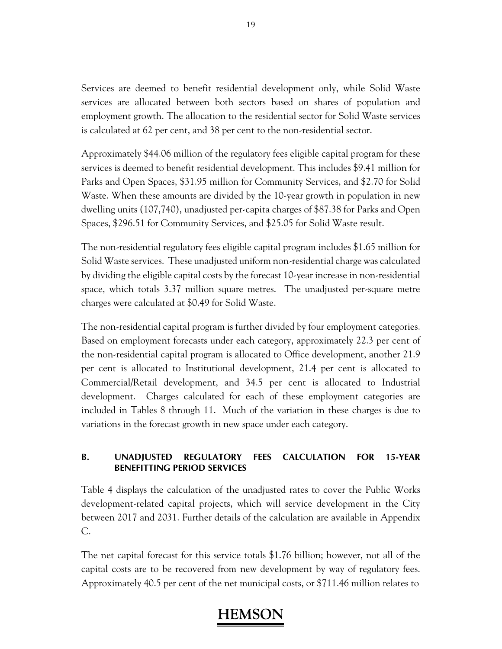Services are deemed to benefit residential development only, while Solid Waste services are allocated between both sectors based on shares of population and employment growth. The allocation to the residential sector for Solid Waste services is calculated at 62 per cent, and 38 per cent to the non-residential sector.

Approximately \$44.06 million of the regulatory fees eligible capital program for these services is deemed to benefit residential development. This includes \$9.41 million for Parks and Open Spaces, \$31.95 million for Community Services, and \$2.70 for Solid Waste. When these amounts are divided by the 10-year growth in population in new dwelling units (107,740), unadjusted per-capita charges of \$87.38 for Parks and Open Spaces, \$296.51 for Community Services, and \$25.05 for Solid Waste result.

The non-residential regulatory fees eligible capital program includes \$1.65 million for Solid Waste services. These unadjusted uniform non-residential charge was calculated by dividing the eligible capital costs by the forecast 10-year increase in non-residential space, which totals 3.37 million square metres. The unadjusted per-square metre charges were calculated at \$0.49 for Solid Waste.

The non-residential capital program is further divided by four employment categories. Based on employment forecasts under each category, approximately 22.3 per cent of the non-residential capital program is allocated to Office development, another 21.9 per cent is allocated to Institutional development, 21.4 per cent is allocated to Commercial/Retail development, and 34.5 per cent is allocated to Industrial development. Charges calculated for each of these employment categories are included in Tables 8 through 11. Much of the variation in these charges is due to variations in the forecast growth in new space under each category.

### **B. UNADJUSTED REGULATORY FEES CALCULATION FOR 15-YEAR BENEFITTING PERIOD SERVICES**

Table 4 displays the calculation of the unadjusted rates to cover the Public Works development-related capital projects, which will service development in the City between 2017 and 2031. Further details of the calculation are available in Appendix C.

The net capital forecast for this service totals \$1.76 billion; however, not all of the capital costs are to be recovered from new development by way of regulatory fees. Approximately 40.5 per cent of the net municipal costs, or \$711.46 million relates to

19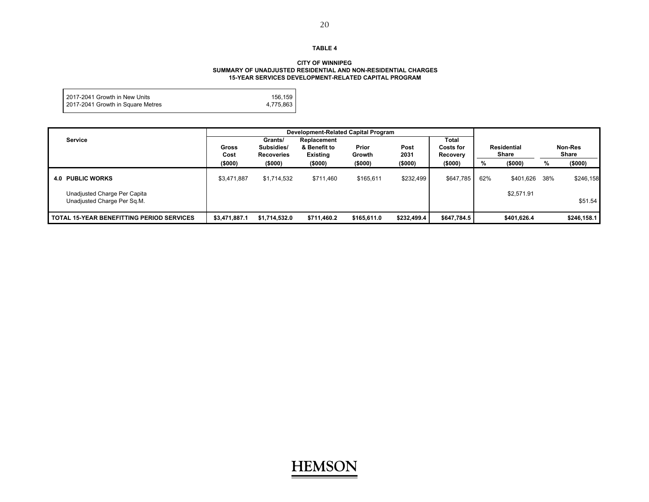#### **CITY OF WINNIPEG SUMMARY OF UNADJUSTED RESIDENTIAL AND NON-RESIDENTIAL CHARGES 15-YEAR SERVICES DEVELOPMENT-RELATED CAPITAL PROGRAM**

| 2017-2041 Growth in New Units     | 156,159   |
|-----------------------------------|-----------|
| 2017-2041 Growth in Square Metres | 4,775,863 |
|                                   |           |

|                                                             | Development-Related Capital Program                                |               |                                                            |             |                                                              |             |                             |             |                  |             |
|-------------------------------------------------------------|--------------------------------------------------------------------|---------------|------------------------------------------------------------|-------------|--------------------------------------------------------------|-------------|-----------------------------|-------------|------------------|-------------|
| <b>Service</b>                                              | Grants/<br>Subsidies/<br><b>Gross</b><br>Cost<br><b>Recoveries</b> |               | Replacement<br>Prior<br>& Benefit to<br>Existing<br>Growth |             | <b>Total</b><br>Post<br><b>Costs for</b><br>2031<br>Recovery |             | Residential<br><b>Share</b> |             | Non-Res<br>Share |             |
|                                                             | (\$000)                                                            | (\$000)       | (\$000)                                                    | (\$000)     | (\$000)                                                      | (\$000)     | %                           | (5000)      | %                | (\$000)     |
| <b>4.0 PUBLIC WORKS</b>                                     | \$3,471,887                                                        | \$1,714,532   | \$711,460                                                  | \$165,611   | \$232,499                                                    | \$647,785   | 62%                         | \$401,626   | 38%              | \$246,158   |
| Unadjusted Charge Per Capita<br>Unadjusted Charge Per Sq.M. |                                                                    |               |                                                            |             |                                                              |             |                             | \$2,571.91  |                  | \$51.54     |
| <b>TOTAL 15-YEAR BENEFITTING PERIOD SERVICES</b>            | \$3,471,887.1                                                      | \$1,714,532.0 | \$711,460.2                                                | \$165,611.0 | \$232,499.4                                                  | \$647,784.5 |                             | \$401,626.4 |                  | \$246,158.1 |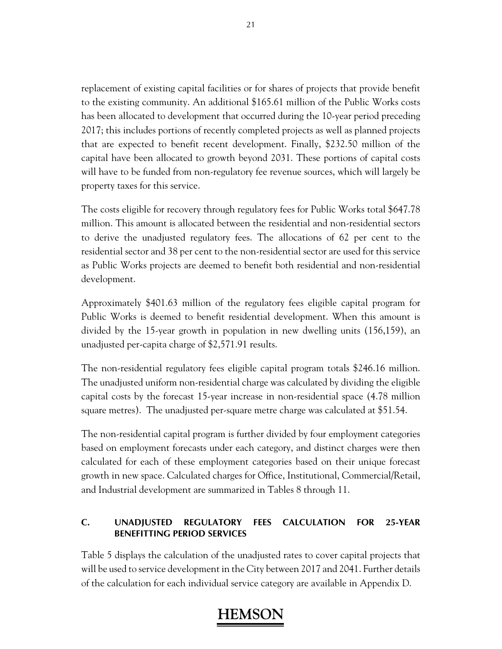replacement of existing capital facilities or for shares of projects that provide benefit to the existing community. An additional \$165.61 million of the Public Works costs has been allocated to development that occurred during the 10-year period preceding 2017; this includes portions of recently completed projects as well as planned projects that are expected to benefit recent development. Finally, \$232.50 million of the capital have been allocated to growth beyond 2031. These portions of capital costs will have to be funded from non-regulatory fee revenue sources, which will largely be property taxes for this service.

The costs eligible for recovery through regulatory fees for Public Works total \$647.78 million. This amount is allocated between the residential and non-residential sectors to derive the unadjusted regulatory fees. The allocations of 62 per cent to the residential sector and 38 per cent to the non-residential sector are used for this service as Public Works projects are deemed to benefit both residential and non-residential development.

Approximately \$401.63 million of the regulatory fees eligible capital program for Public Works is deemed to benefit residential development. When this amount is divided by the 15-year growth in population in new dwelling units (156,159), an unadjusted per-capita charge of \$2,571.91 results.

The non-residential regulatory fees eligible capital program totals \$246.16 million. The unadjusted uniform non-residential charge was calculated by dividing the eligible capital costs by the forecast 15-year increase in non-residential space (4.78 million square metres). The unadjusted per-square metre charge was calculated at \$51.54.

The non-residential capital program is further divided by four employment categories based on employment forecasts under each category, and distinct charges were then calculated for each of these employment categories based on their unique forecast growth in new space. Calculated charges for Office, Institutional, Commercial/Retail, and Industrial development are summarized in Tables 8 through 11.

### **C. UNADJUSTED REGULATORY FEES CALCULATION FOR 25-YEAR BENEFITTING PERIOD SERVICES**

Table 5 displays the calculation of the unadjusted rates to cover capital projects that will be used to service development in the City between 2017 and 2041. Further details of the calculation for each individual service category are available in Appendix D.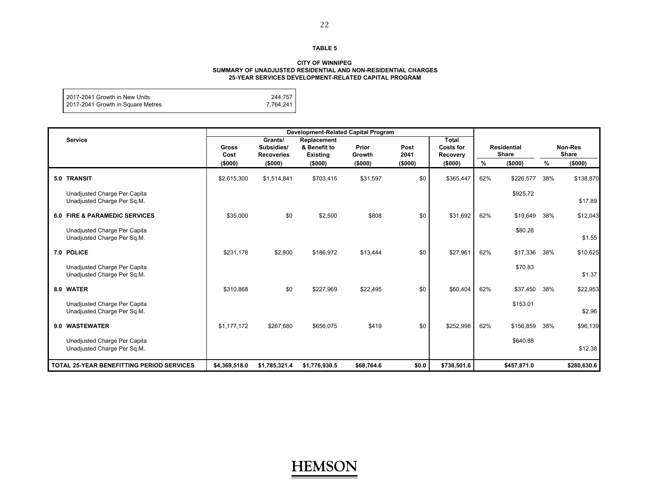#### **CITY OF WINNIPEG SUMMARY OF UNADJUSTED RESIDENTIAL AND NON-RESIDENTIAL CHARGES 25-YEAR SERVICES DEVELOPMENT-RELATED CAPITAL PROGRAM**

| I 2017-2041 Growth in New Units   | 244.757   |
|-----------------------------------|-----------|
| 2017-2041 Growth in Square Metres | 7,764,241 |
|                                   |           |

| <b>Service</b>                                              | <b>Gross</b><br>Cost | Grants/<br>Subsidies/<br><b>Recoveries</b> | Replacement<br>& Benefit to<br><b>Existing</b> | Prior<br>Growth |         | Total<br>Costs for<br><b>Recovery</b> | <b>Residential</b><br><b>Share</b> |             | Non-Res<br><b>Share</b> |             |
|-------------------------------------------------------------|----------------------|--------------------------------------------|------------------------------------------------|-----------------|---------|---------------------------------------|------------------------------------|-------------|-------------------------|-------------|
|                                                             | (\$000)              | (\$000)                                    | (\$000)                                        | (\$000)         | (\$000) | (\$000)                               | %                                  | (\$000)     | %                       | (\$000)     |
| 5.0 TRANSIT                                                 | \$2,615,300          | \$1,514,841                                | \$703,415                                      | \$31,597        | \$0     | \$365,447                             | 62%                                | \$226,577   | 38%                     | \$138,870   |
| Unadjusted Charge Per Capita<br>Unadjusted Charge Per Sq.M. |                      |                                            |                                                |                 |         |                                       |                                    | \$925.72    |                         | \$17.89     |
| <b>6.0 FIRE &amp; PARAMEDIC SERVICES</b>                    | \$35,000             | \$0                                        | \$2,500                                        | \$808           | \$0     | \$31,692                              | 62%                                | \$19,649    | 38%                     | \$12,043    |
| Unadjusted Charge Per Capita<br>Unadjusted Charge Per Sq.M. |                      |                                            |                                                |                 |         |                                       |                                    | \$80.28     |                         | \$1.55      |
| 7.0 POLICE                                                  | \$231.178            | \$2,800                                    | \$186,972                                      | \$13,444        | \$0     | \$27,961                              | 62%                                | \$17,336    | 38%                     | \$10,625    |
| Unadjusted Charge Per Capita<br>Unadjusted Charge Per Sq.M. |                      |                                            |                                                |                 |         |                                       |                                    | \$70.83     |                         | \$1.37      |
| 8.0 WATER                                                   | \$310.868            | \$0                                        | \$227,969                                      | \$22,495        | \$0     | \$60,404                              | 62%                                | \$37,450    | 38%                     | \$22,953    |
| Unadjusted Charge Per Capita<br>Unadjusted Charge Per Sq.M. |                      |                                            |                                                |                 |         |                                       |                                    | \$153.01    |                         | \$2.96      |
| 9.0 WASTEWATER                                              | \$1.177.172          | \$267.680                                  | \$656.075                                      | \$419           | \$0     | \$252,998                             | 62%                                | \$156.859   | 38%                     | \$96,139    |
| Unadjusted Charge Per Capita<br>Unadjusted Charge Per Sq.M. |                      |                                            |                                                |                 |         |                                       |                                    | \$640.88    |                         | \$12.38     |
| <b>TOTAL 25-YEAR BENEFITTING PERIOD SERVICES</b>            | \$4,369,518.0        | \$1,785,321.4                              | \$1,776,930.5                                  | \$68,764.6      | \$0.0   | \$738,501.6                           |                                    | \$457,871.0 |                         | \$280,630.6 |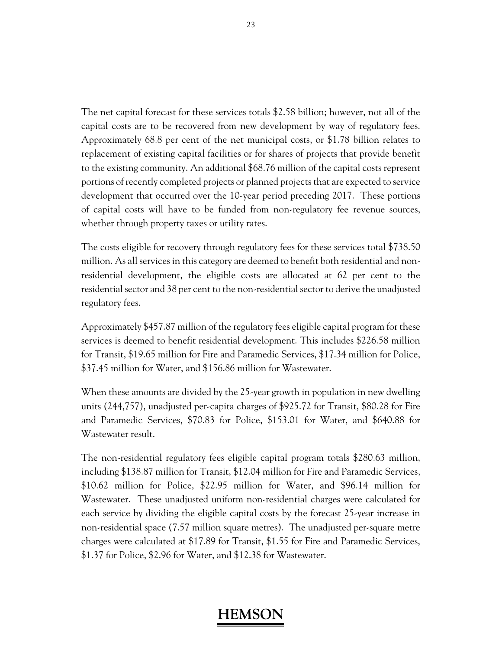The net capital forecast for these services totals \$2.58 billion; however, not all of the capital costs are to be recovered from new development by way of regulatory fees. Approximately 68.8 per cent of the net municipal costs, or \$1.78 billion relates to replacement of existing capital facilities or for shares of projects that provide benefit to the existing community. An additional \$68.76 million of the capital costs represent portions of recently completed projects or planned projects that are expected to service development that occurred over the 10-year period preceding 2017. These portions of capital costs will have to be funded from non-regulatory fee revenue sources, whether through property taxes or utility rates.

The costs eligible for recovery through regulatory fees for these services total \$738.50 million. As all services in this category are deemed to benefit both residential and nonresidential development, the eligible costs are allocated at 62 per cent to the residential sector and 38 per cent to the non-residential sector to derive the unadjusted regulatory fees.

Approximately \$457.87 million of the regulatory fees eligible capital program for these services is deemed to benefit residential development. This includes \$226.58 million for Transit, \$19.65 million for Fire and Paramedic Services, \$17.34 million for Police, \$37.45 million for Water, and \$156.86 million for Wastewater.

When these amounts are divided by the 25-year growth in population in new dwelling units (244,757), unadjusted per-capita charges of \$925.72 for Transit, \$80.28 for Fire and Paramedic Services, \$70.83 for Police, \$153.01 for Water, and \$640.88 for Wastewater result.

The non-residential regulatory fees eligible capital program totals \$280.63 million, including \$138.87 million for Transit, \$12.04 million for Fire and Paramedic Services, \$10.62 million for Police, \$22.95 million for Water, and \$96.14 million for Wastewater. These unadjusted uniform non-residential charges were calculated for each service by dividing the eligible capital costs by the forecast 25-year increase in non-residential space (7.57 million square metres). The unadjusted per-square metre charges were calculated at \$17.89 for Transit, \$1.55 for Fire and Paramedic Services, \$1.37 for Police, \$2.96 for Water, and \$12.38 for Wastewater.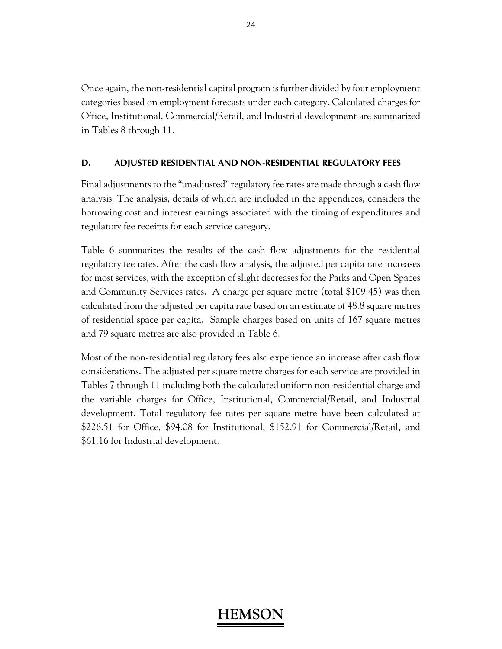Once again, the non-residential capital program is further divided by four employment categories based on employment forecasts under each category. Calculated charges for Office, Institutional, Commercial/Retail, and Industrial development are summarized in Tables 8 through 11.

## **D. ADJUSTED RESIDENTIAL AND NON-RESIDENTIAL REGULATORY FEES**

Final adjustments to the "unadjusted" regulatory fee rates are made through a cash flow analysis. The analysis, details of which are included in the appendices, considers the borrowing cost and interest earnings associated with the timing of expenditures and regulatory fee receipts for each service category.

Table 6 summarizes the results of the cash flow adjustments for the residential regulatory fee rates. After the cash flow analysis, the adjusted per capita rate increases for most services, with the exception of slight decreases for the Parks and Open Spaces and Community Services rates. A charge per square metre (total \$109.45) was then calculated from the adjusted per capita rate based on an estimate of 48.8 square metres of residential space per capita. Sample charges based on units of 167 square metres and 79 square metres are also provided in Table 6.

Most of the non-residential regulatory fees also experience an increase after cash flow considerations. The adjusted per square metre charges for each service are provided in Tables 7 through 11 including both the calculated uniform non-residential charge and the variable charges for Office, Institutional, Commercial/Retail, and Industrial development. Total regulatory fee rates per square metre have been calculated at \$226.51 for Office, \$94.08 for Institutional, \$152.91 for Commercial/Retail, and \$61.16 for Industrial development.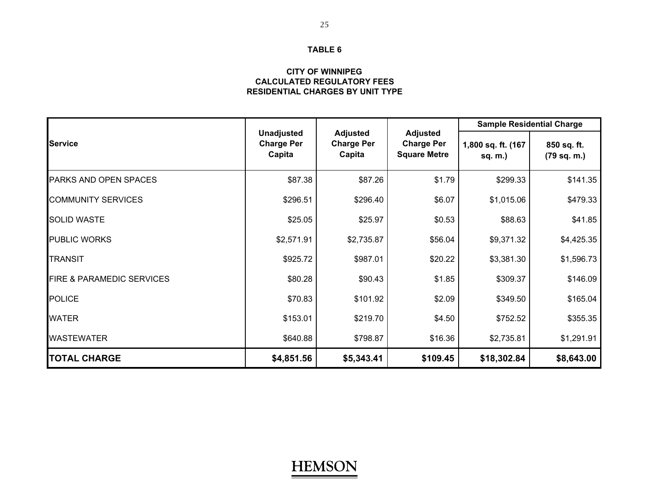### **CALCULATED REGULATORY FEES CITY OF WINNIPEGRESIDENTIAL CHARGES BY UNIT TYPE**

|                                      |                                                  |                                                |                                                             | <b>Sample Residential Charge</b> |                            |  |
|--------------------------------------|--------------------------------------------------|------------------------------------------------|-------------------------------------------------------------|----------------------------------|----------------------------|--|
| <b>Service</b>                       | <b>Unadjusted</b><br><b>Charge Per</b><br>Capita | <b>Adjusted</b><br><b>Charge Per</b><br>Capita | <b>Adjusted</b><br><b>Charge Per</b><br><b>Square Metre</b> | 1,800 sq. ft. (167<br>sq. m.)    | 850 sq. ft.<br>(79 sq. m.) |  |
| PARKS AND OPEN SPACES                | \$87.38                                          | \$87.26                                        | \$1.79                                                      | \$299.33                         | \$141.35                   |  |
| <b>COMMUNITY SERVICES</b>            | \$296.51                                         | \$296.40                                       | \$6.07                                                      | \$1,015.06                       | \$479.33                   |  |
| <b>SOLID WASTE</b>                   | \$25.05                                          | \$25.97                                        | \$0.53                                                      | \$88.63                          | \$41.85                    |  |
| <b>PUBLIC WORKS</b>                  | \$2,571.91                                       | \$2,735.87                                     | \$56.04                                                     | \$9,371.32                       | \$4,425.35                 |  |
| <b>TRANSIT</b>                       | \$925.72                                         | \$987.01                                       | \$20.22                                                     | \$3,381.30                       | \$1,596.73                 |  |
| <b>FIRE &amp; PARAMEDIC SERVICES</b> | \$80.28                                          | \$90.43                                        | \$1.85                                                      | \$309.37                         | \$146.09                   |  |
| <b>POLICE</b>                        | \$70.83                                          | \$101.92                                       | \$2.09                                                      | \$349.50                         | \$165.04                   |  |
| <b>WATER</b>                         | \$153.01                                         | \$219.70                                       | \$4.50                                                      | \$752.52                         | \$355.35                   |  |
| <b>WASTEWATER</b>                    | \$640.88                                         | \$798.87                                       | \$16.36                                                     | \$2,735.81                       | \$1,291.91                 |  |
| <b>TOTAL CHARGE</b>                  | \$4,851.56                                       | \$5,343.41                                     | \$109.45                                                    | \$18,302.84                      | \$8,643.00                 |  |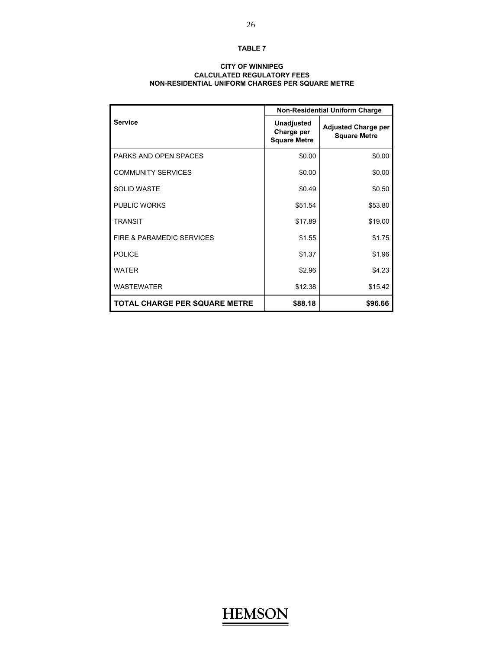### **CALCULATED REGULATORY FEES NON-RESIDENTIAL UNIFORM CHARGES PER SQUARE METRE CITY OF WINNIPEG**

|                                      | <b>Non-Residential Uniform Charge</b>                  |                                                   |  |  |
|--------------------------------------|--------------------------------------------------------|---------------------------------------------------|--|--|
| <b>Service</b>                       | <b>Unadjusted</b><br>Charge per<br><b>Square Metre</b> | <b>Adjusted Charge per</b><br><b>Square Metre</b> |  |  |
| PARKS AND OPEN SPACES                | \$0.00                                                 | \$0.00                                            |  |  |
| <b>COMMUNITY SERVICES</b>            | \$0.00                                                 | \$0.00                                            |  |  |
| SOLID WASTE                          | \$0.49                                                 | \$0.50                                            |  |  |
| <b>PUBLIC WORKS</b>                  | \$51.54                                                | \$53.80                                           |  |  |
| <b>TRANSIT</b>                       | \$17.89                                                | \$19.00                                           |  |  |
| FIRE & PARAMEDIC SERVICES            | \$1.55                                                 | \$1.75                                            |  |  |
| <b>POLICE</b>                        | \$1.37                                                 | \$1.96                                            |  |  |
| <b>WATER</b>                         | \$2.96                                                 | \$4.23                                            |  |  |
| <b>WASTEWATER</b>                    | \$12.38                                                | \$15.42                                           |  |  |
| <b>TOTAL CHARGE PER SQUARE METRE</b> | \$88.18                                                | \$96.66                                           |  |  |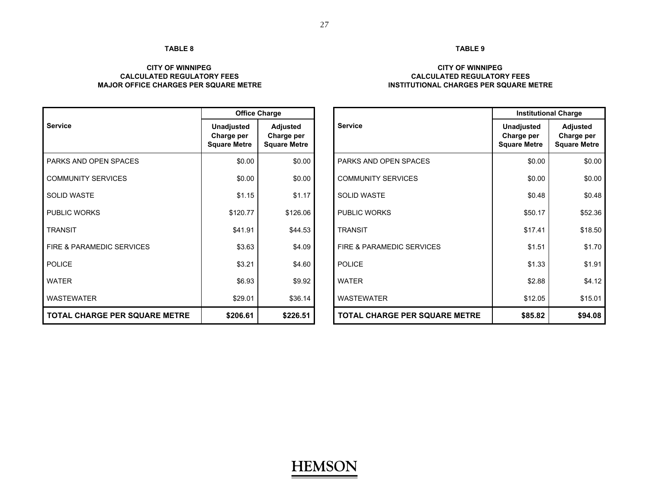### **CITY OF WINNIPEG CALCULATED REGULATORY FEESMAJOR OFFICE CHARGES PER SQUARE METRE**

|                                      | <b>Office Charge</b>                                   |                                                      |                               | <b>Institutional Charge</b>                            |                                               |  |
|--------------------------------------|--------------------------------------------------------|------------------------------------------------------|-------------------------------|--------------------------------------------------------|-----------------------------------------------|--|
| <b>Service</b>                       | <b>Unadjusted</b><br>Charge per<br><b>Square Metre</b> | <b>Adjusted</b><br>Charge per<br><b>Square Metre</b> | <b>Service</b>                | <b>Unadjusted</b><br>Charge per<br><b>Square Metre</b> | Adjusted<br>Charge per<br><b>Square Metre</b> |  |
| PARKS AND OPEN SPACES                | \$0.00                                                 | \$0.00                                               | <b>PARKS AND OPEN SPACES</b>  | \$0.00                                                 | \$0.00                                        |  |
| <b>COMMUNITY SERVICES</b>            | \$0.00                                                 | \$0.00                                               | <b>COMMUNITY SERVICES</b>     | \$0.00                                                 | \$0.00                                        |  |
| <b>SOLID WASTE</b>                   | \$1.15                                                 | \$1.17                                               | <b>SOLID WASTE</b>            | \$0.48                                                 | \$0.48                                        |  |
| <b>PUBLIC WORKS</b>                  | \$120.77                                               | \$126.06                                             | <b>PUBLIC WORKS</b>           | \$50.17                                                | \$52.36                                       |  |
| <b>TRANSIT</b>                       | \$41.91                                                | \$44.53                                              | <b>TRANSIT</b>                | \$17.41                                                | \$18.50                                       |  |
| FIRE & PARAMEDIC SERVICES            | \$3.63                                                 | \$4.09                                               | FIRE & PARAMEDIC SERVICES     | \$1.51                                                 | \$1.70                                        |  |
| <b>POLICE</b>                        | \$3.21                                                 | \$4.60                                               | <b>POLICE</b>                 | \$1.33                                                 | \$1.91                                        |  |
| <b>WATER</b>                         | \$6.93                                                 | \$9.92                                               | <b>WATER</b>                  | \$2.88                                                 | \$4.12                                        |  |
| <b>WASTEWATER</b>                    | \$29.01                                                | \$36.14                                              | <b>WASTEWATER</b>             | \$12.05                                                | \$15.01                                       |  |
| <b>TOTAL CHARGE PER SQUARE METRE</b> | \$206.61                                               | \$226.51                                             | TOTAL CHARGE PER SQUARE METRE | \$85.82                                                | \$94.08                                       |  |

## **TABLE 9**

### **CITY OF WINNIPEG CALCULATED REGULATORY FEESINSTITUTIONAL CHARGES PER SQUARE METRE**

|                                  | <b>Office Charge</b>                            |                                                      |                               | <b>Institutional Charge</b>                            |                                                      |  |
|----------------------------------|-------------------------------------------------|------------------------------------------------------|-------------------------------|--------------------------------------------------------|------------------------------------------------------|--|
| е                                | Unadjusted<br>Charge per<br><b>Square Metre</b> | <b>Adjusted</b><br>Charge per<br><b>Square Metre</b> | <b>Service</b>                | <b>Unadjusted</b><br>Charge per<br><b>Square Metre</b> | <b>Adjusted</b><br>Charge per<br><b>Square Metre</b> |  |
| S AND OPEN SPACES                | \$0.00                                          | \$0.00                                               | PARKS AND OPEN SPACES         | \$0.00                                                 | \$0.00                                               |  |
| <b>IUNITY SERVICES</b>           | \$0.00                                          | \$0.00                                               | <b>COMMUNITY SERVICES</b>     | \$0.00                                                 | \$0.00                                               |  |
| WASTE                            | \$1.15                                          | \$1.17                                               | <b>SOLID WASTE</b>            | \$0.48                                                 | \$0.48                                               |  |
| C WORKS                          | \$120.77                                        | \$126.06                                             | <b>PUBLIC WORKS</b>           | \$50.17                                                | \$52.36                                              |  |
| SIT                              | \$41.91                                         | \$44.53                                              | <b>TRANSIT</b>                | \$17.41                                                | \$18.50                                              |  |
| <b>PARAMEDIC SERVICES</b>        | \$3.63                                          | \$4.09                                               | FIRE & PARAMEDIC SERVICES     | \$1.51                                                 | \$1.70                                               |  |
| Ε                                | \$3.21                                          | \$4.60                                               | <b>POLICE</b>                 | \$1.33                                                 | \$1.91                                               |  |
| R                                | \$6.93                                          | \$9.92                                               | <b>WATER</b>                  | \$2.88                                                 | \$4.12                                               |  |
| EWATER                           | \$29.01                                         | \$36.14                                              | <b>WASTEWATER</b>             | \$12.05                                                | \$15.01                                              |  |
| <b>L CHARGE PER SQUARE METRE</b> | \$206.61                                        | \$226.51                                             | TOTAL CHARGE PER SQUARE METRE | \$85.82                                                | \$94.08                                              |  |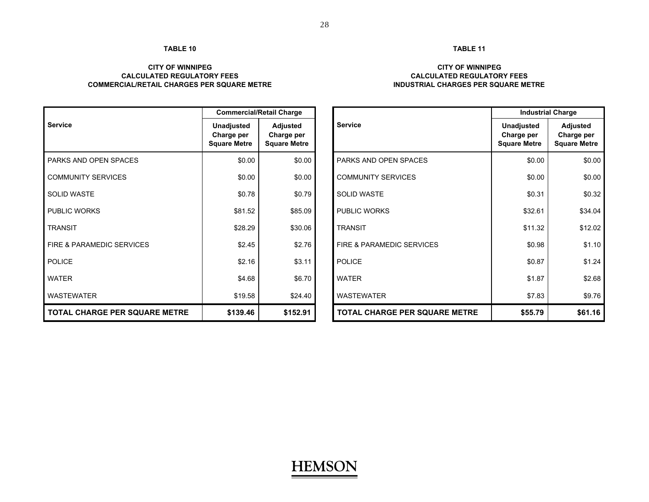### **CITY OF WINNIPEGCALCULATED REGULATORY FEESCOMMERCIAL/RETAIL CHARGES PER SQUARE METRE**

| <b>CITY OF WINNIPEG</b>             |
|-------------------------------------|
| <b>CALCULATED REGULATORY FEES</b>   |
| INDUSTRIAL CHARGES PER SQUARE METRE |

|                                      | <b>Commercial/Retail Charge</b>                        |                                                      |                                      | <b>Industrial Charge</b>                               |                                                      |  |
|--------------------------------------|--------------------------------------------------------|------------------------------------------------------|--------------------------------------|--------------------------------------------------------|------------------------------------------------------|--|
| <b>Service</b>                       | <b>Unadjusted</b><br>Charge per<br><b>Square Metre</b> | <b>Adjusted</b><br>Charge per<br><b>Square Metre</b> | <b>Service</b>                       | <b>Unadjusted</b><br>Charge per<br><b>Square Metre</b> | <b>Adjusted</b><br>Charge per<br><b>Square Metre</b> |  |
| <b>PARKS AND OPEN SPACES</b>         | \$0.00                                                 | \$0.00                                               | PARKS AND OPEN SPACES                | \$0.00                                                 | \$0.00                                               |  |
| <b>COMMUNITY SERVICES</b>            | \$0.00                                                 | \$0.00                                               | <b>COMMUNITY SERVICES</b>            | \$0.00                                                 | \$0.00                                               |  |
| <b>SOLID WASTE</b>                   | \$0.78                                                 | \$0.79                                               | <b>SOLID WASTE</b>                   | \$0.31                                                 | \$0.32                                               |  |
| <b>PUBLIC WORKS</b>                  | \$81.52                                                | \$85.09                                              | <b>PUBLIC WORKS</b>                  | \$32.61                                                | \$34.04                                              |  |
| <b>TRANSIT</b>                       | \$28.29                                                | \$30.06                                              | <b>TRANSIT</b>                       | \$11.32                                                | \$12.02                                              |  |
| FIRE & PARAMEDIC SERVICES            | \$2.45                                                 | \$2.76                                               | FIRE & PARAMEDIC SERVICES            | \$0.98                                                 | \$1.10                                               |  |
| <b>POLICE</b>                        | \$2.16                                                 | \$3.11                                               | <b>POLICE</b>                        | \$0.87                                                 | \$1.24                                               |  |
| <b>WATER</b>                         | \$4.68                                                 | \$6.70                                               | <b>WATER</b>                         | \$1.87                                                 | \$2.68                                               |  |
| <b>WASTEWATER</b>                    | \$19.58                                                | \$24.40                                              | <b>WASTEWATER</b>                    | \$7.83                                                 | \$9.76                                               |  |
| <b>TOTAL CHARGE PER SQUARE METRE</b> | \$139.46                                               | \$152.91                                             | <b>TOTAL CHARGE PER SQUARE METRE</b> | \$55.79                                                | \$61.16                                              |  |

|                                  | <b>Commercial/Retail Charge</b>                        |                                                      |                               | <b>Industrial Charge</b>                               |                                               |  |
|----------------------------------|--------------------------------------------------------|------------------------------------------------------|-------------------------------|--------------------------------------------------------|-----------------------------------------------|--|
| e                                | <b>Unadjusted</b><br>Charge per<br><b>Square Metre</b> | <b>Adjusted</b><br>Charge per<br><b>Square Metre</b> | <b>Service</b>                | <b>Unadjusted</b><br>Charge per<br><b>Square Metre</b> | Adjusted<br>Charge per<br><b>Square Metre</b> |  |
| S AND OPEN SPACES                | \$0.00                                                 | \$0.00                                               | PARKS AND OPEN SPACES         | \$0.00                                                 | \$0.00                                        |  |
| <b>IUNITY SERVICES</b>           | \$0.00                                                 | \$0.00                                               | <b>COMMUNITY SERVICES</b>     | \$0.00                                                 | \$0.00                                        |  |
| <b>WASTE</b>                     | \$0.78                                                 | \$0.79                                               | <b>SOLID WASTE</b>            | \$0.31                                                 | \$0.32                                        |  |
| C WORKS                          | \$81.52                                                | \$85.09                                              | <b>PUBLIC WORKS</b>           | \$32.61                                                | \$34.04                                       |  |
| SIT                              | \$28.29                                                | \$30.06                                              | <b>TRANSIT</b>                | \$11.32                                                | \$12.02                                       |  |
| <b>PARAMEDIC SERVICES</b>        | \$2.45                                                 | \$2.76                                               | FIRE & PARAMEDIC SERVICES     | \$0.98                                                 | \$1.10                                        |  |
| E.                               | \$2.16                                                 | \$3.11                                               | <b>POLICE</b>                 | \$0.87                                                 | \$1.24                                        |  |
| R.                               | \$4.68                                                 | \$6.70                                               | <b>WATER</b>                  | \$1.87                                                 | \$2.68                                        |  |
| <b>EWATER</b>                    | \$19.58                                                | \$24.40                                              | <b>WASTEWATER</b>             | \$7.83                                                 | \$9.76                                        |  |
| <b>L CHARGE PER SQUARE METRE</b> | \$139.46                                               | \$152.91                                             | TOTAL CHARGE PER SQUARE METRE | \$55.79                                                | \$61.16                                       |  |

### **TABLE 11**

## **HEMSON**

28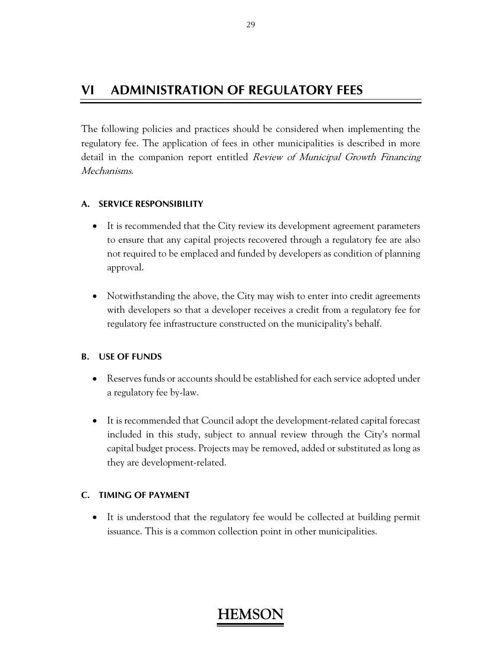## **VI ADMINISTRATION OF REGULATORY FEES**

The following policies and practices should be considered when implementing the regulatory fee. The application of fees in other municipalities is described in more detail in the companion report entitled Review of Municipal Growth Financing Mechanisms.

### **A. SERVICE RESPONSIBILITY**

- It is recommended that the City review its development agreement parameters to ensure that any capital projects recovered through a regulatory fee are also not required to be emplaced and funded by developers as condition of planning approval.
- Notwithstanding the above, the City may wish to enter into credit agreements with developers so that a developer receives a credit from a regulatory fee for regulatory fee infrastructure constructed on the municipality's behalf.

### **B. USE OF FUNDS**

- Reserves funds or accounts should be established for each service adopted under a regulatory fee by-law.
- It is recommended that Council adopt the development-related capital forecast included in this study, subject to annual review through the City's normal capital budget process. Projects may be removed, added or substituted as long as they are development-related.

### **C. TIMING OF PAYMENT**

 It is understood that the regulatory fee would be collected at building permit issuance. This is a common collection point in other municipalities.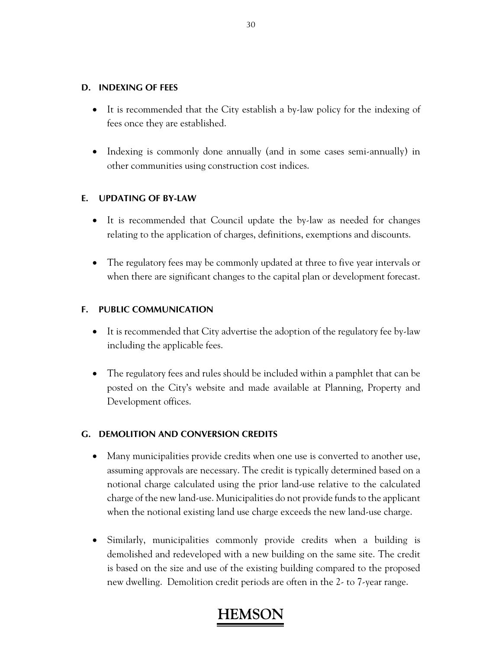### **D. INDEXING OF FEES**

- It is recommended that the City establish a by-law policy for the indexing of fees once they are established.
- Indexing is commonly done annually (and in some cases semi-annually) in other communities using construction cost indices.

### **E. UPDATING OF BY-LAW**

- It is recommended that Council update the by-law as needed for changes relating to the application of charges, definitions, exemptions and discounts.
- The regulatory fees may be commonly updated at three to five year intervals or when there are significant changes to the capital plan or development forecast.

### **F. PUBLIC COMMUNICATION**

- It is recommended that City advertise the adoption of the regulatory fee by-law including the applicable fees.
- The regulatory fees and rules should be included within a pamphlet that can be posted on the City's website and made available at Planning, Property and Development offices.

### **G. DEMOLITION AND CONVERSION CREDITS**

- Many municipalities provide credits when one use is converted to another use, assuming approvals are necessary. The credit is typically determined based on a notional charge calculated using the prior land-use relative to the calculated charge of the new land-use. Municipalities do not provide funds to the applicant when the notional existing land use charge exceeds the new land-use charge.
- Similarly, municipalities commonly provide credits when a building is demolished and redeveloped with a new building on the same site. The credit is based on the size and use of the existing building compared to the proposed new dwelling. Demolition credit periods are often in the 2- to 7-year range.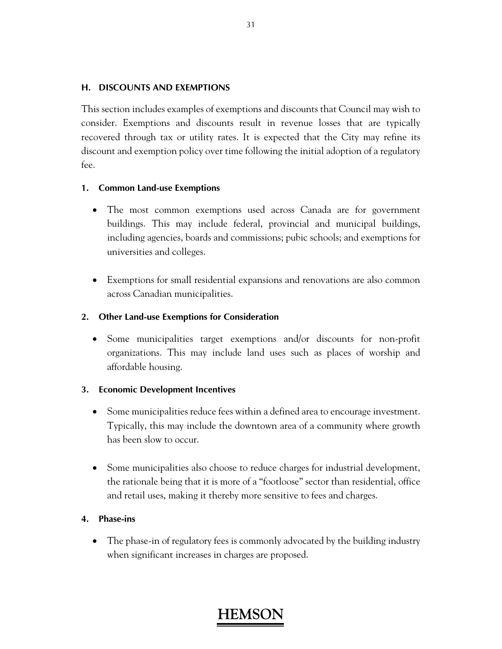### **H. DISCOUNTS AND EXEMPTIONS**

This section includes examples of exemptions and discounts that Council may wish to consider. Exemptions and discounts result in revenue losses that are typically recovered through tax or utility rates. It is expected that the City may refine its discount and exemption policy over time following the initial adoption of a regulatory fee.

### **1. Common Land-use Exemptions**

- The most common exemptions used across Canada are for government buildings. This may include federal, provincial and municipal buildings, including agencies, boards and commissions; pubic schools; and exemptions for universities and colleges.
- Exemptions for small residential expansions and renovations are also common across Canadian municipalities.

### **2. Other Land-use Exemptions for Consideration**

 Some municipalities target exemptions and/or discounts for non-profit organizations. This may include land uses such as places of worship and affordable housing.

### **3. Economic Development Incentives**

- Some municipalities reduce fees within a defined area to encourage investment. Typically, this may include the downtown area of a community where growth has been slow to occur.
- Some municipalities also choose to reduce charges for industrial development, the rationale being that it is more of a "footloose" sector than residential, office and retail uses, making it thereby more sensitive to fees and charges.

### **4. Phase-ins**

• The phase-in of regulatory fees is commonly advocated by the building industry when significant increases in charges are proposed.

## **HEMS**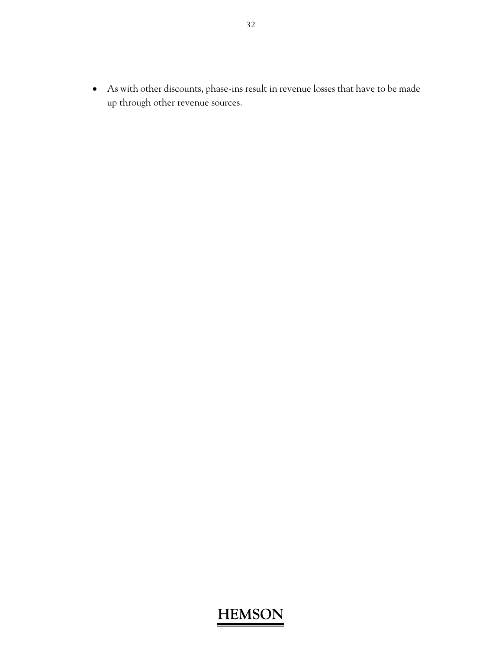As with other discounts, phase-ins result in revenue losses that have to be made up through other revenue sources.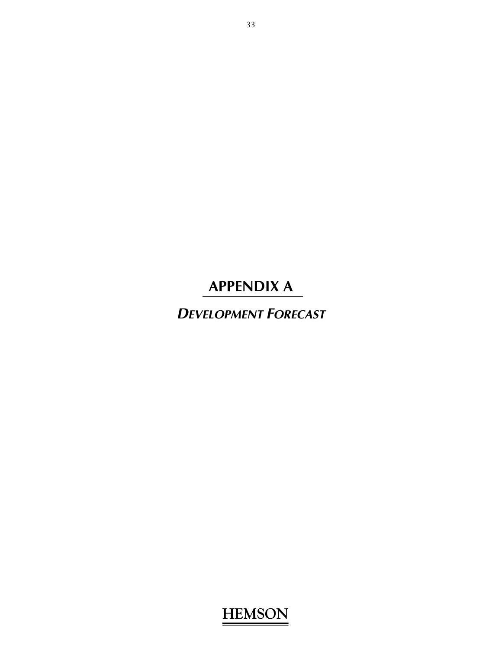*DEVELOPMENT FORECAST*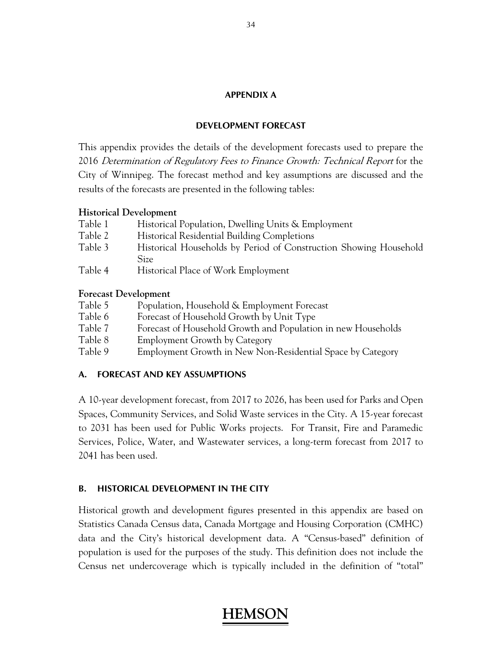### **DEVELOPMENT FORECAST**

This appendix provides the details of the development forecasts used to prepare the 2016 Determination of Regulatory Fees to Finance Growth: Technical Report for the City of Winnipeg. The forecast method and key assumptions are discussed and the results of the forecasts are presented in the following tables:

### **Historical Development**

| Table 1 | Historical Population, Dwelling Units & Employment                        |
|---------|---------------------------------------------------------------------------|
| Table 2 | <b>Historical Residential Building Completions</b>                        |
| Table 3 | Historical Households by Period of Construction Showing Household<br>Size |
| Table 4 | Historical Place of Work Employment                                       |

### **Forecast Development**

| Table 5 | Population, Household & Employment Forecast                   |
|---------|---------------------------------------------------------------|
| Table 6 | Forecast of Household Growth by Unit Type                     |
| Table 7 | Forecast of Household Growth and Population in new Households |
| Table 8 | Employment Growth by Category                                 |
| Table 9 | Employment Growth in New Non-Residential Space by Category    |

### **A. FORECAST AND KEY ASSUMPTIONS**

A 10-year development forecast, from 2017 to 2026, has been used for Parks and Open Spaces, Community Services, and Solid Waste services in the City. A 15-year forecast to 2031 has been used for Public Works projects. For Transit, Fire and Paramedic Services, Police, Water, and Wastewater services, a long-term forecast from 2017 to 2041 has been used.

### **B. HISTORICAL DEVELOPMENT IN THE CITY**

Historical growth and development figures presented in this appendix are based on Statistics Canada Census data, Canada Mortgage and Housing Corporation (CMHC) data and the City's historical development data. A "Census-based" definition of population is used for the purposes of the study. This definition does not include the Census net undercoverage which is typically included in the definition of "total"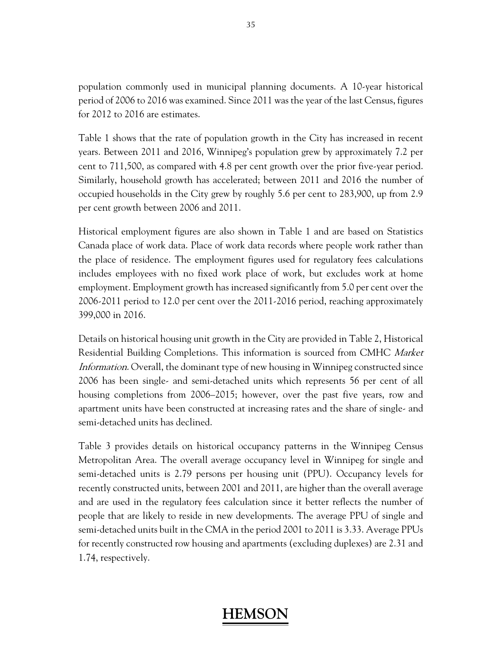population commonly used in municipal planning documents. A 10-year historical period of 2006 to 2016 was examined. Since 2011 was the year of the last Census, figures for 2012 to 2016 are estimates.

Table 1 shows that the rate of population growth in the City has increased in recent years. Between 2011 and 2016, Winnipeg's population grew by approximately 7.2 per cent to 711,500, as compared with 4.8 per cent growth over the prior five-year period. Similarly, household growth has accelerated; between 2011 and 2016 the number of occupied households in the City grew by roughly 5.6 per cent to 283,900, up from 2.9 per cent growth between 2006 and 2011.

Historical employment figures are also shown in Table 1 and are based on Statistics Canada place of work data. Place of work data records where people work rather than the place of residence. The employment figures used for regulatory fees calculations includes employees with no fixed work place of work, but excludes work at home employment. Employment growth has increased significantly from 5.0 per cent over the 2006-2011 period to 12.0 per cent over the 2011-2016 period, reaching approximately 399,000 in 2016.

Details on historical housing unit growth in the City are provided in Table 2, Historical Residential Building Completions. This information is sourced from CMHC Market Information. Overall, the dominant type of new housing in Winnipeg constructed since 2006 has been single- and semi-detached units which represents 56 per cent of all housing completions from 2006–2015; however, over the past five years, row and apartment units have been constructed at increasing rates and the share of single- and semi-detached units has declined.

Table 3 provides details on historical occupancy patterns in the Winnipeg Census Metropolitan Area. The overall average occupancy level in Winnipeg for single and semi-detached units is 2.79 persons per housing unit (PPU). Occupancy levels for recently constructed units, between 2001 and 2011, are higher than the overall average and are used in the regulatory fees calculation since it better reflects the number of people that are likely to reside in new developments. The average PPU of single and semi-detached units built in the CMA in the period 2001 to 2011 is 3.33. Average PPUs for recently constructed row housing and apartments (excluding duplexes) are 2.31 and 1.74, respectively.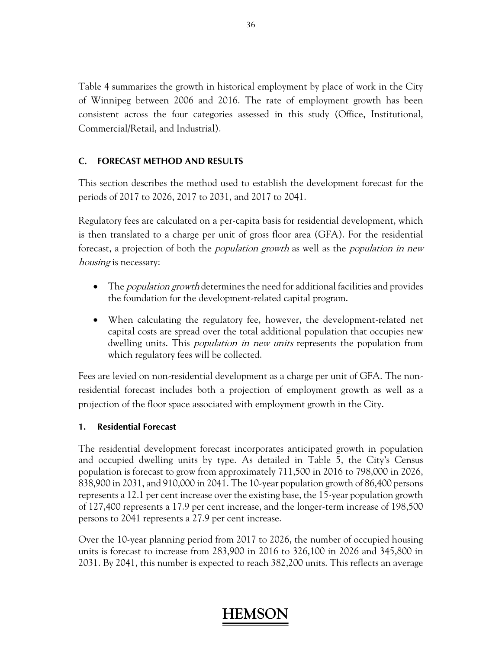Table 4 summarizes the growth in historical employment by place of work in the City of Winnipeg between 2006 and 2016. The rate of employment growth has been consistent across the four categories assessed in this study (Office, Institutional, Commercial/Retail, and Industrial).

### **C. FORECAST METHOD AND RESULTS**

This section describes the method used to establish the development forecast for the periods of 2017 to 2026, 2017 to 2031, and 2017 to 2041.

Regulatory fees are calculated on a per-capita basis for residential development, which is then translated to a charge per unit of gross floor area (GFA). For the residential forecast, a projection of both the *population growth* as well as the *population in new* housing is necessary:

- The *population growth* determines the need for additional facilities and provides the foundation for the development-related capital program.
- When calculating the regulatory fee, however, the development-related net capital costs are spread over the total additional population that occupies new dwelling units. This *population in new units* represents the population from which regulatory fees will be collected.

Fees are levied on non-residential development as a charge per unit of GFA. The nonresidential forecast includes both a projection of employment growth as well as a projection of the floor space associated with employment growth in the City.

### **1. Residential Forecast**

The residential development forecast incorporates anticipated growth in population and occupied dwelling units by type. As detailed in Table 5, the City's Census population is forecast to grow from approximately 711,500 in 2016 to 798,000 in 2026, 838,900 in 2031, and 910,000 in 2041. The 10-year population growth of 86,400 persons represents a 12.1 per cent increase over the existing base, the 15-year population growth of 127,400 represents a 17.9 per cent increase, and the longer-term increase of 198,500 persons to 2041 represents a 27.9 per cent increase.

Over the 10-year planning period from 2017 to 2026, the number of occupied housing units is forecast to increase from 283,900 in 2016 to 326,100 in 2026 and 345,800 in 2031. By 2041, this number is expected to reach 382,200 units. This reflects an average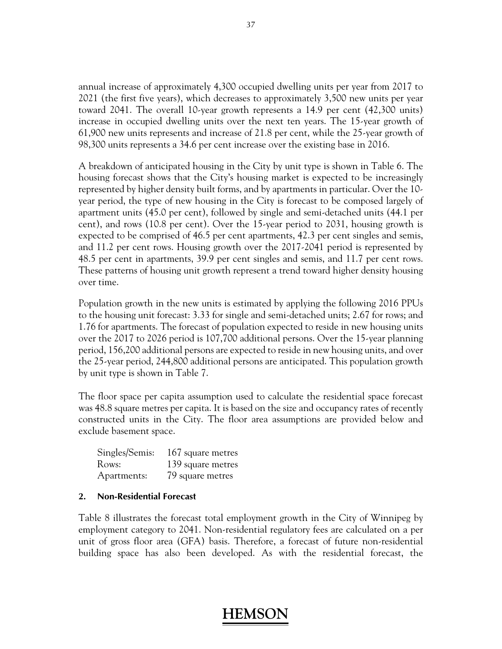annual increase of approximately 4,300 occupied dwelling units per year from 2017 to 2021 (the first five years), which decreases to approximately 3,500 new units per year toward 2041. The overall 10-year growth represents a 14.9 per cent (42,300 units) increase in occupied dwelling units over the next ten years. The 15-year growth of 61,900 new units represents and increase of 21.8 per cent, while the 25-year growth of 98,300 units represents a 34.6 per cent increase over the existing base in 2016.

A breakdown of anticipated housing in the City by unit type is shown in Table 6. The housing forecast shows that the City's housing market is expected to be increasingly represented by higher density built forms, and by apartments in particular. Over the 10 year period, the type of new housing in the City is forecast to be composed largely of apartment units (45.0 per cent), followed by single and semi-detached units (44.1 per cent), and rows (10.8 per cent). Over the 15-year period to 2031, housing growth is expected to be comprised of 46.5 per cent apartments, 42.3 per cent singles and semis, and 11.2 per cent rows. Housing growth over the 2017-2041 period is represented by 48.5 per cent in apartments, 39.9 per cent singles and semis, and 11.7 per cent rows. These patterns of housing unit growth represent a trend toward higher density housing over time.

Population growth in the new units is estimated by applying the following 2016 PPUs to the housing unit forecast: 3.33 for single and semi-detached units; 2.67 for rows; and 1.76 for apartments. The forecast of population expected to reside in new housing units over the 2017 to 2026 period is 107,700 additional persons. Over the 15-year planning period, 156,200 additional persons are expected to reside in new housing units, and over the 25-year period, 244,800 additional persons are anticipated. This population growth by unit type is shown in Table 7.

The floor space per capita assumption used to calculate the residential space forecast was 48.8 square metres per capita. It is based on the size and occupancy rates of recently constructed units in the City. The floor area assumptions are provided below and exclude basement space.

| Singles/Semis: | 167 square metres |
|----------------|-------------------|
| Rows:          | 139 square metres |
| Apartments:    | 79 square metres  |

### **2. Non-Residential Forecast**

Table 8 illustrates the forecast total employment growth in the City of Winnipeg by employment category to 2041. Non-residential regulatory fees are calculated on a per unit of gross floor area (GFA) basis. Therefore, a forecast of future non-residential building space has also been developed. As with the residential forecast, the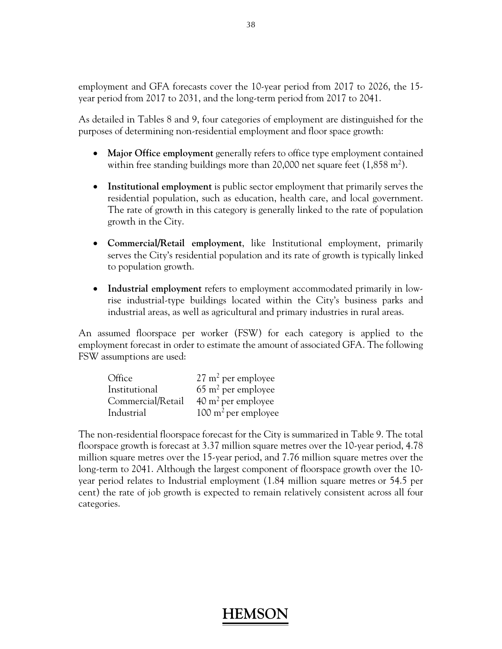employment and GFA forecasts cover the 10-year period from 2017 to 2026, the 15 year period from 2017 to 2031, and the long-term period from 2017 to 2041.

As detailed in Tables 8 and 9, four categories of employment are distinguished for the purposes of determining non-residential employment and floor space growth:

- **Major Office employment** generally refers to office type employment contained within free standing buildings more than 20,000 net square feet  $(1,858 \text{ m}^2)$ .
- **Institutional employment** is public sector employment that primarily serves the residential population, such as education, health care, and local government. The rate of growth in this category is generally linked to the rate of population growth in the City.
- **Commercial/Retail employment**, like Institutional employment, primarily serves the City's residential population and its rate of growth is typically linked to population growth.
- **Industrial employment** refers to employment accommodated primarily in lowrise industrial-type buildings located within the City's business parks and industrial areas, as well as agricultural and primary industries in rural areas.

An assumed floorspace per worker (FSW) for each category is applied to the employment forecast in order to estimate the amount of associated GFA. The following FSW assumptions are used:

| Office            | $27 \text{ m}^2$ per employee  |
|-------------------|--------------------------------|
| Institutional     | $65 \text{ m}^2$ per employee  |
| Commercial/Retail | $40 \text{ m}^2$ per employee  |
| Industrial        | $100 \text{ m}^2$ per employee |

The non-residential floorspace forecast for the City is summarized in Table 9. The total floorspace growth is forecast at 3.37 million square metres over the 10-year period, 4.78 million square metres over the 15-year period, and 7.76 million square metres over the long-term to 2041. Although the largest component of floorspace growth over the 10year period relates to Industrial employment (1.84 million square metres or 54.5 per cent) the rate of job growth is expected to remain relatively consistent across all four categories.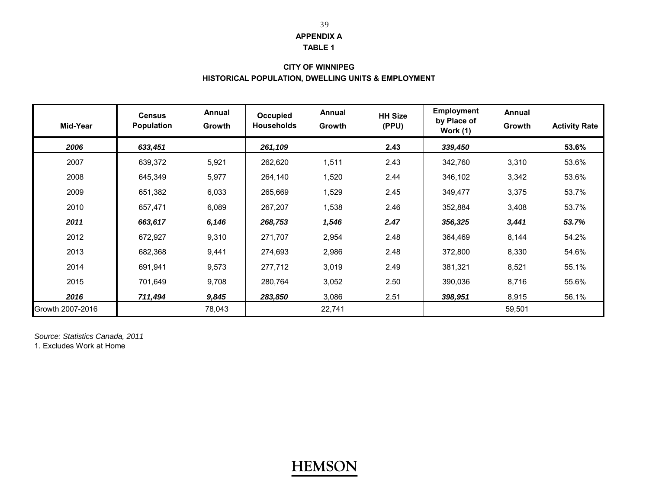#### **TABLE 1**

### **CITY OF WINNIPEG HISTORICAL POPULATION, DWELLING UNITS & EMPLOYMENT**

| Mid-Year         | <b>Census</b><br><b>Population</b> | Annual<br>Growth | Occupied<br><b>Households</b> | Annual<br>Growth | <b>HH Size</b><br>(PPU) | <b>Employment</b><br>by Place of<br>Work (1) | <b>Annual</b><br>Growth | <b>Activity Rate</b> |
|------------------|------------------------------------|------------------|-------------------------------|------------------|-------------------------|----------------------------------------------|-------------------------|----------------------|
| 2006             | 633,451                            |                  | 261,109                       |                  | 2.43                    | 339,450                                      |                         | 53.6%                |
| 2007             | 639,372                            | 5,921            | 262,620                       | 1,511            | 2.43                    | 342,760                                      | 3,310                   | 53.6%                |
| 2008             | 645,349                            | 5,977            | 264,140                       | 1,520            | 2.44                    | 346,102                                      | 3,342                   | 53.6%                |
| 2009             | 651,382                            | 6,033            | 265,669                       | 1,529            | 2.45                    | 349,477                                      | 3,375                   | 53.7%                |
| 2010             | 657,471                            | 6,089            | 267,207                       | 1,538            | 2.46                    | 352,884                                      | 3,408                   | 53.7%                |
| 2011             | 663,617                            | 6,146            | 268,753                       | 1,546            | 2.47                    | 356,325                                      | 3,441                   | 53.7%                |
| 2012             | 672,927                            | 9,310            | 271,707                       | 2,954            | 2.48                    | 364,469                                      | 8,144                   | 54.2%                |
| 2013             | 682,368                            | 9,441            | 274,693                       | 2,986            | 2.48                    | 372,800                                      | 8,330                   | 54.6%                |
| 2014             | 691,941                            | 9,573            | 277,712                       | 3,019            | 2.49                    | 381,321                                      | 8,521                   | 55.1%                |
| 2015             | 701,649                            | 9,708            | 280,764                       | 3,052            | 2.50                    | 390,036                                      | 8,716                   | 55.6%                |
| 2016             | 711,494                            | 9,845            | 283,850                       | 3,086            | 2.51                    | 398,951                                      | 8,915                   | 56.1%                |
| Growth 2007-2016 |                                    | 78,043           |                               | 22,741           |                         |                                              | 59,501                  |                      |

*Source: Statistics Canada, 2011*

1. Excludes Work at Home

#### 39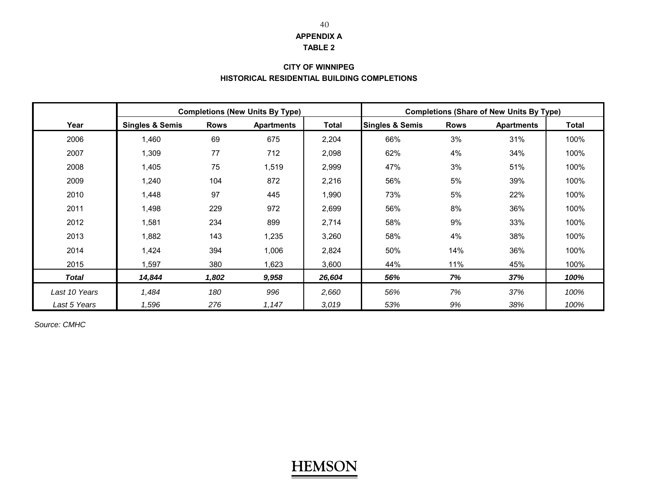#### **TABLE 2**

### **CITY OF WINNIPEG HISTORICAL RESIDENTIAL BUILDING COMPLETIONS**

|               |                            |             | <b>Completions (New Units By Type)</b> |              | <b>Completions (Share of New Units By Type)</b> |             |                   |       |  |  |  |
|---------------|----------------------------|-------------|----------------------------------------|--------------|-------------------------------------------------|-------------|-------------------|-------|--|--|--|
| Year          | <b>Singles &amp; Semis</b> | <b>Rows</b> | <b>Apartments</b>                      | <b>Total</b> | <b>Singles &amp; Semis</b>                      | <b>Rows</b> | <b>Apartments</b> | Total |  |  |  |
| 2006          | 1,460                      | 69          | 675                                    | 2,204        | 66%                                             | 3%          | 31%               | 100%  |  |  |  |
| 2007          | 1,309                      | 77          | 712                                    | 2,098        | 62%                                             | 4%          | 34%               | 100%  |  |  |  |
| 2008          | 1,405                      | 75          | 1,519                                  | 2,999        | 47%                                             | 3%          | 51%               | 100%  |  |  |  |
| 2009          | 1,240                      | 104         | 872                                    | 2,216        | 56%                                             | 5%          | 39%               | 100%  |  |  |  |
| 2010          | 1,448                      | 97          | 445                                    | 1,990        | 5%<br>73%                                       |             | 22%               | 100%  |  |  |  |
| 2011          | 1.498                      | 229         | 972                                    | 2,699        | 56%                                             | 8%          | 36%               | 100%  |  |  |  |
| 2012          | 1,581                      | 234         | 899                                    | 2,714        | 58%                                             | 9%          | 33%               | 100%  |  |  |  |
| 2013          | 1,882                      | 143         | 1,235                                  | 3,260        | 58%                                             | 4%          | 38%               | 100%  |  |  |  |
| 2014          | 1,424                      | 394         | 1,006                                  | 2,824        | 50%                                             | 14%         | 36%               | 100%  |  |  |  |
| 2015          | 1.597                      | 380         | 1,623                                  | 3,600        | 44%                                             | 11%         | 45%               | 100%  |  |  |  |
| <b>Total</b>  | 14,844                     | 1,802       | 9,958                                  | 26,604       | 56%                                             | 7%          | 37%               | 100%  |  |  |  |
| Last 10 Years | 1,484                      | 180         | 996                                    | 2,660        | 56%                                             | 7%          | 37%               | 100%  |  |  |  |
| Last 5 Years  | 1,596                      | 276         | 1,147                                  | 3,019        | 53%                                             | 9%          | 38%               | 100%  |  |  |  |

*Source: CMHC*

## **HEMSON**

40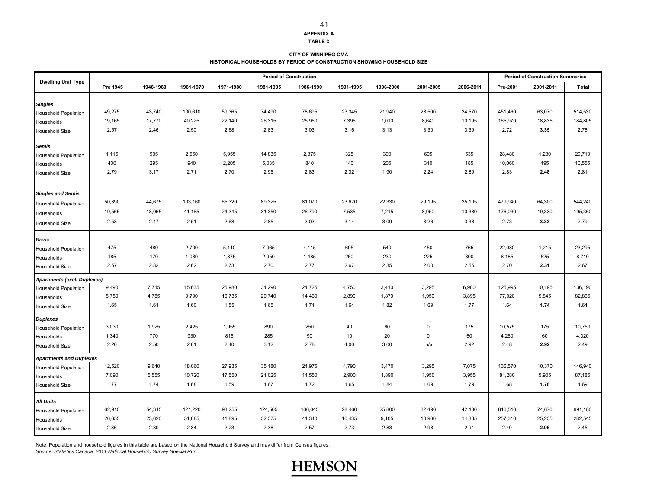**TABLE 3**

#### **CITY OF WINNIPEG CMA HISTORICAL HOUSEHOLDS BY PERIOD OF CONSTRUCTION SHOWING HOUSEHOLD SIZE**

|                                | <b>Period of Construction</b> |           |           |           |           |           |           |           |           |           |          | <b>Period of Construction Summaries</b> |         |
|--------------------------------|-------------------------------|-----------|-----------|-----------|-----------|-----------|-----------|-----------|-----------|-----------|----------|-----------------------------------------|---------|
| <b>Dwelling Unit Type</b>      | Pre 1945                      | 1946-1960 | 1961-1970 | 1971-1980 | 1981-1985 | 1986-1990 | 1991-1995 | 1996-2000 | 2001-2005 | 2006-2011 | Pre-2001 | 2001-2011                               | Total   |
| <b>Singles</b>                 |                               |           |           |           |           |           |           |           |           |           |          |                                         |         |
| <b>Household Population</b>    | 49,275                        | 43,740    | 100,610   | 59,365    | 74,490    | 78,695    | 23,345    | 21,940    | 28,500    | 34,570    | 451,460  | 63,070                                  | 514,530 |
| Households                     | 19,165                        | 17,770    | 40,225    | 22,140    | 26,315    | 25,950    | 7,395     | 7,010     | 8,640     | 10,195    | 165,970  | 18,835                                  | 184,805 |
| <b>Household Size</b>          | 2.57                          | 2.46      | 2.50      | 2.68      | 2.83      | 3.03      | 3.16      | 3.13      | 3.30      | 3.39      | 2.72     | 3.35                                    | 2.78    |
| <b>Semis</b>                   |                               |           |           |           |           |           |           |           |           |           |          |                                         |         |
| <b>Household Population</b>    | 1,115                         | 935       | 2,550     | 5,955     | 14,835    | 2,375     | 325       | 390       | 695       | 535       | 28,480   | 1,230                                   | 29,710  |
| Households                     | 400                           | 295       | 940       | 2,205     | 5,035     | 840       | 140       | 205       | 310       | 185       | 10,060   | 495                                     | 10,555  |
| <b>Household Size</b>          | 2.79                          | 3.17      | 2.71      | 2.70      | 2.95      | 2.83      | 2.32      | 1.90      | 2.24      | 2.89      | 2.83     | 2.48                                    | 2.81    |
| <b>Singles and Semis</b>       |                               |           |           |           |           |           |           |           |           |           |          |                                         |         |
| <b>Household Population</b>    | 50,390                        | 44,675    | 103,160   | 65,320    | 89,325    | 81,070    | 23,670    | 22,330    | 29,195    | 35,105    | 479,940  | 64,300                                  | 544,240 |
| Households                     | 19,565                        | 18,065    | 41,165    | 24,345    | 31,350    | 26,790    | 7,535     | 7,215     | 8,950     | 10,380    | 176,030  | 19,330                                  | 195,360 |
| <b>Household Size</b>          | 2.58                          | 2.47      | 2.51      | 2.68      | 2.85      | 3.03      | 3.14      | 3.09      | 3.26      | 3.38      | 2.73     | 3.33                                    | 2.79    |
|                                |                               |           |           |           |           |           |           |           |           |           |          |                                         |         |
| <b>Rows</b>                    |                               |           |           |           |           |           |           |           |           |           |          |                                         |         |
| <b>Household Population</b>    | 475                           | 480       | 2,700     | 5,110     | 7,965     | 4,115     | 695       | 540       | 450       | 765       | 22,080   | 1,215                                   | 23,295  |
| Households                     | 185                           | 170       | 1,030     | 1,875     | 2,950     | 1,485     | 260       | 230       | 225       | 300       | 8,185    | 525                                     | 8,710   |
| <b>Household Size</b>          | 2.57                          | 2.82      | 2.62      | 2.73      | 2.70      | 2.77      | 2.67      | 2.35      | 2.00      | 2.55      | 2.70     | 2.31                                    | 2.67    |
| Apartments (excl. Duplexes)    |                               |           |           |           |           |           |           |           |           |           |          |                                         |         |
| <b>Household Population</b>    | 9,490                         | 7,715     | 15,635    | 25,980    | 34,290    | 24,725    | 4,750     | 3,410     | 3,295     | 6,900     | 125,995  | 10,195                                  | 136,190 |
| Households                     | 5,750                         | 4,785     | 9,790     | 16,735    | 20,740    | 14,460    | 2,890     | 1,870     | 1,950     | 3,895     | 77,020   | 5,845                                   | 82,865  |
| <b>Household Size</b>          | 1.65                          | 1.61      | 1.60      | 1.55      | 1.65      | 1.71      | 1.64      | 1.82      | 1.69      | 1.77      | 1.64     | 1.74                                    | 1.64    |
| <b>Duplexes</b>                |                               |           |           |           |           |           |           |           |           |           |          |                                         |         |
| <b>Household Population</b>    | 3,030                         | 1,925     | 2,425     | 1,955     | 890       | 250       | 40        | 60        | 0         | 175       | 10,575   | 175                                     | 10,750  |
| Households                     | 1,340                         | 770       | 930       | 815       | 285       | 90        | 10        | 20        | 0         | 60        | 4,260    | 60                                      | 4,320   |
| <b>Household Size</b>          | 2.26                          | 2.50      | 2.61      | 2.40      | 3.12      | 2.78      | 4.00      | 3.00      | n/a       | 2.92      | 2.48     | 2.92                                    | 2.49    |
| <b>Apartments and Duplexes</b> |                               |           |           |           |           |           |           |           |           |           |          |                                         |         |
| <b>Household Population</b>    | 12,520                        | 9,640     | 18,060    | 27,935    | 35,180    | 24,975    | 4,790     | 3,470     | 3,295     | 7,075     | 136,570  | 10,370                                  | 146,940 |
| Households                     | 7,090                         | 5,555     | 10,720    | 17,550    | 21,025    | 14,550    | 2,900     | 1,890     | 1,950     | 3,955     | 81,280   | 5,905                                   | 87,185  |
| <b>Household Size</b>          | 1.77                          | 1.74      | 1.68      | 1.59      | 1.67      | 1.72      | 1.65      | 1.84      | 1.69      | 1.79      | 1.68     | 1.76                                    | 1.69    |
| <b>All Units</b>               |                               |           |           |           |           |           |           |           |           |           |          |                                         |         |
| <b>Household Population</b>    | 62,910                        | 54,315    | 121,220   | 93,255    | 124,505   | 106,045   | 28,460    | 25,800    | 32,490    | 42,180    | 616,510  | 74,670                                  | 691,180 |
| Households                     | 26,655                        | 23,620    | 51,885    | 41,895    | 52,375    | 41,340    | 10,435    | 9,105     | 10,900    | 14,335    | 257,310  | 25,235                                  | 282,545 |
| <b>Household Size</b>          | 2.36                          | 2.30      | 2.34      | 2.23      | 2.38      | 2.57      | 2.73      | 2.83      | 2.98      | 2.94      | 2.40     | 2.96                                    | 2.45    |

Note: Population and household figures in this table are based on the National Household Survey and may differ from Census figures.

*Source: Statistics Canada, 2011 National Household Survey Special Run.*

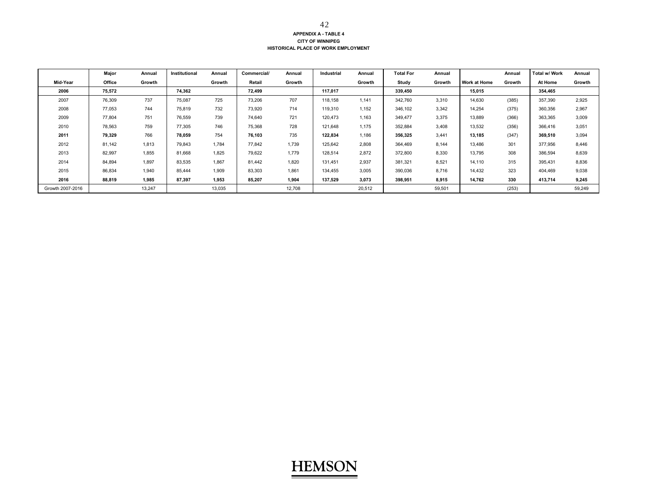#### **APPENDIX A - TABLE 4 CITY OF WINNIPEG HISTORICAL PLACE OF WORK EMPLOYMENT**

|                  | Major  | Annual | Institutional | Annual | Commercial/ | Annual | Industrial | Annual | <b>Total For</b> | Annual |                     | Annual | <b>Total w/ Work</b> | Annual |
|------------------|--------|--------|---------------|--------|-------------|--------|------------|--------|------------------|--------|---------------------|--------|----------------------|--------|
| Mid-Year         | Office | Growth |               | Growth | Retail      | Growth |            | Growth | Study            | Growth | <b>Work at Home</b> | Growth | At Home              | Growth |
| 2006             | 75,572 |        | 74.362        |        | 72,499      |        | 117,017    |        | 339,450          |        | 15,015              |        | 354,465              |        |
| 2007             | 76,309 | 737    | 75,087        | 725    | 73,206      | 707    | 118,158    | 1,141  | 342,760          | 3,310  | 14,630              | (385)  | 357,390              | 2,925  |
| 2008             | 77,053 | 744    | 75,819        | 732    | 73,920      | 714    | 119,310    | 1,152  | 346,102          | 3,342  | 14,254              | (375)  | 360,356              | 2,967  |
| 2009             | 77,804 | 751    | 76,559        | 739    | 74,640      | 721    | 120,473    | 1,163  | 349,477          | 3,375  | 13,889              | (366)  | 363,365              | 3,009  |
| 2010             | 78,563 | 759    | 77,305        | 746    | 75,368      | 728    | 121,648    | 1,175  | 352,884          | 3,408  | 13,532              | (356)  | 366,416              | 3,051  |
| 2011             | 79,329 | 766    | 78.059        | 754    | 76.103      | 735    | 122.834    | 1,186  | 356,325          | 3.441  | 13,185              | (347)  | 369.510              | 3,094  |
| 2012             | 81,142 | 1,813  | 79,843        | 1.784  | 77,842      | 1,739  | 125,642    | 2,808  | 364,469          | 8,144  | 13,486              | 301    | 377,956              | 8,446  |
| 2013             | 82,997 | 1,855  | 81,668        | 1,825  | 79,622      | 1,779  | 128,514    | 2,872  | 372,800          | 8,330  | 13,795              | 308    | 386,594              | 8,639  |
| 2014             | 84,894 | 1.897  | 83,535        | 1.867  | 81.442      | 1.820  | 131.451    | 2,937  | 381,321          | 8,521  | 14,110              | 315    | 395,431              | 8,836  |
| 2015             | 86,834 | 1,940  | 85,444        | 1,909  | 83,303      | 1,861  | 134,455    | 3,005  | 390,036          | 8,716  | 14,432              | 323    | 404,469              | 9,038  |
| 2016             | 88,819 | 1.985  | 87,397        | 1.953  | 85.207      | 1,904  | 137.529    | 3,073  | 398,951          | 8,915  | 14,762              | 330    | 413,714              | 9,245  |
| Growth 2007-2016 |        | 13.247 |               | 13,035 |             | 12,708 |            | 20,512 |                  | 59,501 |                     | (253)  |                      | 59,249 |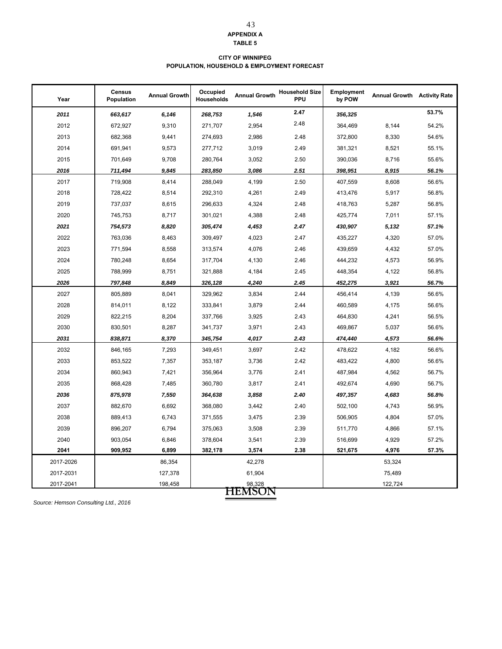## 43

**APPENDIX A TABLE 5**

#### **CITY OF WINNIPEG POPULATION, HOUSEHOLD & EMPLOYMENT FORECAST**

| Year      | <b>Census</b><br>Population | <b>Annual Growth</b> | Occupied<br><b>Households</b> | <b>Annual Growth</b> | <b>Household Size</b><br><b>PPU</b> | <b>Employment</b><br>by POW | <b>Annual Growth Activity Rate</b> |       |
|-----------|-----------------------------|----------------------|-------------------------------|----------------------|-------------------------------------|-----------------------------|------------------------------------|-------|
| 2011      | 663,617                     | 6,146                | 268,753                       | 1,546                | 2.47                                | 356,325                     |                                    | 53.7% |
| 2012      | 672,927                     | 9,310                | 271,707                       | 2,954                | 2.48                                | 364,469                     | 8,144                              | 54.2% |
| 2013      | 682,368                     | 9,441                | 274,693                       | 2,986                | 2.48                                | 372,800                     | 8,330                              | 54.6% |
| 2014      | 691,941                     | 9,573                | 277,712                       | 3,019                | 2.49                                | 381,321                     | 8,521                              | 55.1% |
| 2015      | 701,649                     | 9,708                | 280,764                       | 3,052                | 2.50                                | 390,036                     | 8,716                              | 55.6% |
| 2016      | 711,494                     | 9,845                | 283,850                       | 3,086                | 2.51                                | 398,951                     | 8,915                              | 56.1% |
| 2017      | 719,908                     | 8,414                | 288,049                       | 4,199                | 2.50                                | 407,559                     | 8,608                              | 56.6% |
| 2018      | 728,422                     | 8,514                | 292,310                       | 4,261                | 2.49                                | 413,476                     | 5,917                              | 56.8% |
| 2019      | 737,037                     | 8,615                | 296,633                       | 4,324                | 2.48                                | 418,763                     | 5,287                              | 56.8% |
| 2020      | 745,753                     | 8,717                | 301,021                       | 4,388                | 2.48                                | 425,774                     | 7,011                              | 57.1% |
| 2021      | 754,573                     | 8,820                | 305,474                       | 4,453                | 2.47                                | 430,907                     | 5,132                              | 57.1% |
| 2022      | 763,036                     | 8,463                | 309,497                       | 4,023                | 2.47                                | 435,227                     | 4,320                              | 57.0% |
| 2023      | 771,594                     | 8,558                | 313,574                       | 4,076                | 2.46                                | 439,659                     | 4,432                              | 57.0% |
| 2024      | 780,248                     | 8,654                | 317,704                       | 4,130                | 2.46                                | 444,232                     | 4,573                              | 56.9% |
| 2025      | 788,999                     | 8,751                | 321,888                       | 4,184                | 2.45                                | 448,354                     | 4,122                              | 56.8% |
| 2026      | 797,848                     | 8,849                | 326,128                       | 4,240                | 2.45                                | 452,275                     | 3,921                              | 56.7% |
| 2027      | 805,889                     | 8,041                | 329,962                       | 3,834                | 2.44                                | 456,414                     | 4,139                              | 56.6% |
| 2028      | 814,011                     | 8,122                | 333,841                       | 3,879                | 2.44                                | 460,589                     | 4,175                              | 56.6% |
| 2029      | 822,215                     | 8,204                | 337,766                       | 3,925                | 2.43                                | 464,830                     | 4,241                              | 56.5% |
| 2030      | 830,501                     | 8,287                | 341,737                       | 3,971                | 2.43                                | 469,867                     | 5,037                              | 56.6% |
| 2031      | 838,871                     | 8,370                | 345,754                       | 4,017                | 2.43                                | 474,440                     | 4,573                              | 56.6% |
| 2032      | 846,165                     | 7,293                | 349,451                       | 3,697                | 2.42                                | 478,622                     | 4,182                              | 56.6% |
| 2033      | 853,522                     | 7,357                | 353,187                       | 3,736                | 2.42                                | 483,422                     | 4,800                              | 56.6% |
| 2034      | 860,943                     | 7,421                | 356,964                       | 3,776                | 2.41                                | 487,984                     | 4,562                              | 56.7% |
| 2035      | 868,428                     | 7,485                | 360,780                       | 3,817                | 2.41                                | 492,674                     | 4,690                              | 56.7% |
| 2036      | 875,978                     | 7,550                | 364,638                       | 3,858                | 2.40                                | 497,357                     | 4,683                              | 56.8% |
| 2037      | 882,670                     | 6,692                | 368,080                       | 3,442                | 2.40                                | 502,100                     | 4,743                              | 56.9% |
| 2038      | 889,413                     | 6,743                | 371,555                       | 3,475                | 2.39                                | 506,905                     | 4,804                              | 57.0% |
| 2039      | 896,207                     | 6,794                | 375,063                       | 3,508                | 2.39                                | 511,770                     | 4,866                              | 57.1% |
| 2040      | 903,054                     | 6,846                | 378,604                       | 3,541                | 2.39                                | 516,699                     | 4,929                              | 57.2% |
| 2041      | 909,952                     | 6,899                | 382,178                       | 3,574                | 2.38                                | 521,675                     | 4,976                              | 57.3% |
| 2017-2026 |                             | 86,354               |                               | 42,278               |                                     |                             | 53,324                             |       |
| 2017-2031 |                             | 127,378              |                               | 61,904               |                                     |                             | 75,489                             |       |
| 2017-2041 |                             | 198,458              |                               | 98,328               |                                     |                             | 122,724                            |       |
|           |                             |                      |                               | <b>HEMSON</b>        |                                     |                             |                                    |       |

*Source: Hemson Consulting Ltd., 2016*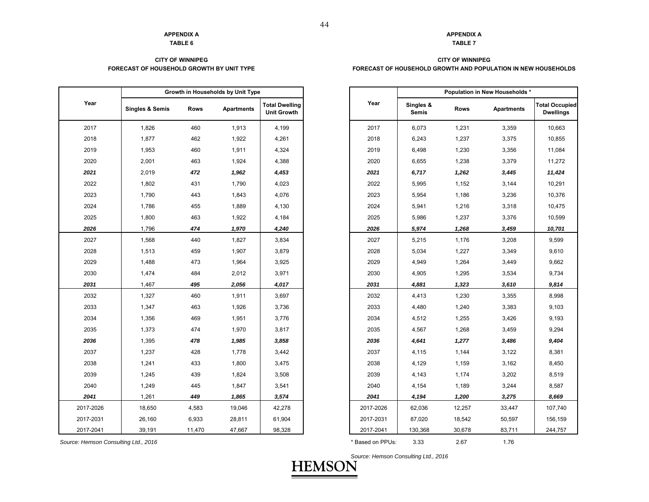## **TABLE 6**

#### **FORECAST OF HOUSEHOLD GROWTH BY UNIT TYPECITY OF WINNIPEG**

|           |                            |        | Growth in Households by Unit Type |                                             |
|-----------|----------------------------|--------|-----------------------------------|---------------------------------------------|
| Year      | <b>Singles &amp; Semis</b> | Rows   | <b>Apartments</b>                 | <b>Total Dwelling</b><br><b>Unit Growth</b> |
| 2017      | 1,826                      | 460    | 1,913                             | 4,199                                       |
| 2018      | 1,877                      | 462    | 1,922                             | 4,261                                       |
| 2019      | 1,953                      | 460    | 1,911                             | 4,324                                       |
| 2020      | 2,001                      | 463    | 1,924                             | 4,388                                       |
| 2021      | 2,019                      | 472    | 1,962                             | 4,453                                       |
| 2022      | 1,802                      | 431    | 1,790                             | 4,023                                       |
| 2023      | 1,790                      | 443    | 1,843                             | 4,076                                       |
| 2024      | 1,786                      | 455    | 1,889                             | 4,130                                       |
| 2025      | 1,800                      | 463    | 1,922                             | 4,184                                       |
| 2026      | 1,796                      | 474    | 1,970                             | 4,240                                       |
| 2027      | 1,568                      | 440    | 1,827                             | 3,834                                       |
| 2028      | 1,513                      | 459    | 1,907                             | 3,879                                       |
| 2029      | 1,488                      | 473    | 1,964                             | 3,925                                       |
| 2030      | 1,474                      | 484    | 2,012                             | 3,971                                       |
| 2031      | 1,467                      | 495    | 2,056                             | 4,017                                       |
| 2032      | 1,327                      | 460    | 1,911                             | 3,697                                       |
| 2033      | 1,347                      | 463    | 1,926                             | 3,736                                       |
| 2034      | 1,356                      | 469    | 1,951                             | 3,776                                       |
| 2035      | 1,373                      | 474    | 1,970                             | 3,817                                       |
| 2036      | 1,395                      | 478    | 1,985                             | 3,858                                       |
| 2037      | 1,237                      | 428    | 1,778                             | 3,442                                       |
| 2038      | 1,241                      | 433    | 1,800                             | 3,475                                       |
| 2039      | 1,245                      | 439    | 1,824                             | 3,508                                       |
| 2040      | 1,249                      | 445    | 1,847                             | 3,541                                       |
| 2041      | 1,261                      | 449    | 1,865                             | 3,574                                       |
| 2017-2026 | 18,650                     | 4,583  | 19,046                            | 42,278                                      |
| 2017-2031 | 26,160                     | 6,933  | 28,811                            | 61,904                                      |
| 2017-2041 | 39,191                     | 11,470 | 47,667                            | 98,328                                      |

#### **APPENDIX A**

### **TABLE 7**

#### **FORECAST OF HOUSEHOLD GROWTH AND POPULATION IN NEW HOUSEHOLDS CITY OF WINNIPEG**

|              | Growth in Households by Unit Type |             |            |                                             |
|--------------|-----------------------------------|-------------|------------|---------------------------------------------|
|              | <b>Singles &amp; Semis</b>        | <b>Rows</b> | Apartments | <b>Total Dwelling</b><br><b>Unit Growth</b> |
|              | 1,826                             | 460         | 1,913      | 4,199                                       |
|              | 1,877                             | 462         | 1,922      | 4,261                                       |
|              | 1,953                             | 460         | 1,911      | 4,324                                       |
|              | 2,001                             | 463         | 1,924      | 4,388                                       |
|              | 2,019                             | 472         | 1,962      | 4,453                                       |
|              | 1,802                             | 431         | 1,790      | 4,023                                       |
|              | 1,790                             | 443         | 1,843      | 4,076                                       |
|              | 1,786                             | 455         | 1,889      | 4,130                                       |
|              | 1,800                             | 463         | 1,922      | 4,184                                       |
|              | 1,796                             | 474         | 1,970      | 4,240                                       |
|              | 1,568                             | 440         | 1,827      | 3,834                                       |
|              | 1,513                             | 459         | 1,907      | 3,879                                       |
|              | 1,488                             | 473         | 1,964      | 3,925                                       |
| 0            | 1,474                             | 484         | 2,012      | 3,971                                       |
|              | 1,467                             | 495         | 2,056      | 4,017                                       |
|              | 1,327                             | 460         | 1,911      | 3,697                                       |
| ı3           | 1,347                             | 463         | 1,926      | 3,736                                       |
|              | 1,356                             | 469         | 1,951      | 3,776                                       |
| 5            | 1,373                             | 474         | 1,970      | 3,817                                       |
| 6            | 1,395                             | 478         | 1,985      | 3,858                                       |
| 7            | 1,237                             | 428         | 1,778      | 3,442                                       |
| 8            | 1,241                             | 433         | 1,800      | 3,475                                       |
| 9            | 1,245                             | 439         | 1,824      | 3,508                                       |
| 0            | 1,249                             | 445         | 1,847      | 3,541                                       |
| $\mathbf{1}$ | 1,261                             | 449         | 1,865      | 3,574                                       |
| 2026         | 18,650                            | 4,583       | 19,046     | 42,278                                      |
| 2031         | 26,160                            | 6,933       | 28,811     | 61,904                                      |
| 2041         | 39,191                            | 11,470      | 47,667     | 98,328                                      |

*Source: Hemson Consulting Ltd., 2016* \* Based on PPUs: 3.33 2.67 1.76

*Source: Hemson Consulting Ltd., 2016*

**HEMSC** 

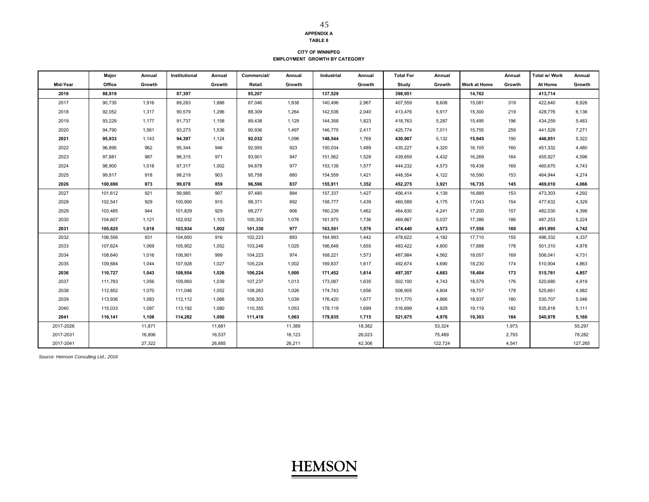#### **TABLE 8 CITY OF WINNIPEG**

**EMPLOYMENT GROWTH BY CATEGORY**

|           | Major   | Annual | Institutional | Annual | Commercial/ | Annual | Industrial | Annual | <b>Total For</b> | Annual  |              | Annual | Total w/ Work | Annual  |
|-----------|---------|--------|---------------|--------|-------------|--------|------------|--------|------------------|---------|--------------|--------|---------------|---------|
| Mid-Year  | Office  | Growth |               | Growth | Retail      | Growth |            | Growth | Study            | Growth  | Work at Home | Growth | At Home       | Growth  |
| 2016      | 88.819  |        | 87.397        |        | 85.207      |        | 137.529    |        | 398.951          |         | 14,762       |        | 413.714       |         |
| 2017      | 90,735  | 1,916  | 89,283        | 1,886  | 87,046      | 1,838  | 140,496    | 2,967  | 407,559          | 8,608   | 15,081       | 319    | 422,640       | 8,926   |
| 2018      | 92,052  | 1,317  | 90,579        | 1,296  | 88,309      | 1,264  | 142,536    | 2,040  | 413,476          | 5,917   | 15,300       | 219    | 428,776       | 6,136   |
| 2019      | 93,229  | 1,177  | 91,737        | 1,158  | 89,438      | 1,129  | 144,358    | 1,823  | 418,763          | 5,287   | 15,495       | 196    | 434,259       | 5,483   |
| 2020      | 94,790  | 1,561  | 93,273        | 1,536  | 90,936      | 1,497  | 146,775    | 2,417  | 425,774          | 7,011   | 15,755       | 259    | 441,529       | 7,271   |
| 2021      | 95,933  | 1.143  | 94,397        | 1,124  | 92,032      | 1,096  | 148,544    | 1,769  | 430,907          | 5,132   | 15,945       | 190    | 446.851       | 5,322   |
| 2022      | 96,895  | 962    | 95,344        | 946    | 92,955      | 923    | 150,034    | 1,489  | 435,227          | 4,320   | 16,105       | 160    | 451,332       | 4,480   |
| 2023      | 97,881  | 987    | 96,315        | 971    | 93,901      | 947    | 151,562    | 1,528  | 439,659          | 4,432   | 16,269       | 164    | 455,927       | 4,596   |
| 2024      | 98,900  | 1,018  | 97,317        | 1,002  | 94,878      | 977    | 153,138    | 1,577  | 444,232          | 4,573   | 16,438       | 169    | 460,670       | 4,743   |
| 2025      | 99,817  | 918    | 98,219        | 903    | 95,758      | 880    | 154,559    | 1,421  | 448,354          | 4,122   | 16,590       | 153    | 464,944       | 4,274   |
| 2026      | 100,690 | 873    | 99,078        | 859    | 96,596      | 837    | 155,911    | 1,352  | 452,275          | 3,921   | 16,735       | 145    | 469,010       | 4,066   |
| 2027      | 101,612 | 921    | 99,985        | 907    | 97,480      | 884    | 157,337    | 1,427  | 456,414          | 4,139   | 16,889       | 153    | 473,303       | 4,292   |
| 2028      | 102,541 | 929    | 100,900       | 915    | 98,371      | 892    | 158,777    | 1,439  | 460,589          | 4,175   | 17,043       | 154    | 477,632       | 4,329   |
| 2029      | 103,485 | 944    | 101,829       | 929    | 99,277      | 906    | 160,239    | 1,462  | 464,830          | 4,241   | 17,200       | 157    | 482,030       | 4,398   |
| 2030      | 104,607 | 1,121  | 102,932       | 1,103  | 100,353     | 1,076  | 161,975    | 1,736  | 469,867          | 5,037   | 17,386       | 186    | 487,253       | 5,224   |
| 2031      | 105,625 | 1,018  | 103,934       | 1,002  | 101,330     | 977    | 163,551    | 1,576  | 474,440          | 4,573   | 17,556       | 169    | 491,995       | 4,742   |
| 2032      | 106,556 | 931    | 104,850       | 916    | 102,223     | 893    | 164,993    | 1,442  | 478,622          | 4,182   | 17,710       | 155    | 496,332       | 4,337   |
| 2033      | 107,624 | 1,069  | 105,902       | 1,052  | 103,248     | 1,025  | 166,648    | 1,655  | 483,422          | 4,800   | 17,888       | 178    | 501,310       | 4,978   |
| 2034      | 108,640 | 1,016  | 106,901       | 999    | 104,223     | 974    | 168,221    | 1,573  | 487,984          | 4,562   | 18,057       | 169    | 506,041       | 4,731   |
| 2035      | 109,684 | 1,044  | 107,928       | 1,027  | 105,224     | 1,002  | 169,837    | 1,617  | 492,674          | 4,690   | 18,230       | 174    | 510,904       | 4,863   |
| 2036      | 110,727 | 1,043  | 108,954       | 1,026  | 106,224     | 1,000  | 171,452    | 1,614  | 497,357          | 4,683   | 18,404       | 173    | 515,761       | 4,857   |
| 2037      | 111,783 | 1,056  | 109,993       | 1,039  | 107,237     | 1,013  | 173,087    | 1,635  | 502,100          | 4,743   | 18,579       | 176    | 520,680       | 4,919   |
| 2038      | 112,852 | 1,070  | 111,046       | 1,052  | 108,263     | 1,026  | 174,743    | 1,656  | 506,905          | 4,804   | 18,757       | 178    | 525,661       | 4,982   |
| 2039      | 113,936 | 1,083  | 112,112       | 1,066  | 109,303     | 1,039  | 176,420    | 1,677  | 511,770          | 4,866   | 18,937       | 180    | 530,707       | 5,046   |
| 2040      | 115,033 | 1,097  | 113,192       | 1,080  | 110,355     | 1,053  | 178,119    | 1,699  | 516,699          | 4,929   | 19,119       | 182    | 535,818       | 5,111   |
| 2041      | 116.141 | 1.108  | 114.282       | 1.090  | 111,418     | 1.063  | 179.835    | 1.715  | 521,675          | 4.976   | 19,303       | 184    | 540,978       | 5,160   |
| 2017-2026 |         | 11,871 |               | 11,681 |             | 11,389 |            | 18,382 |                  | 53,324  |              | 1,973  |               | 55,297  |
| 2017-2031 |         | 16,806 |               | 16,537 |             | 16,123 |            | 26,023 |                  | 75,489  |              | 2,793  |               | 78,282  |
| 2017-2041 |         | 27,322 |               | 26,885 |             | 26,211 |            | 42,306 |                  | 122,724 |              | 4,541  |               | 127,265 |

*Source: Hemson Consulting Ltd., 2016*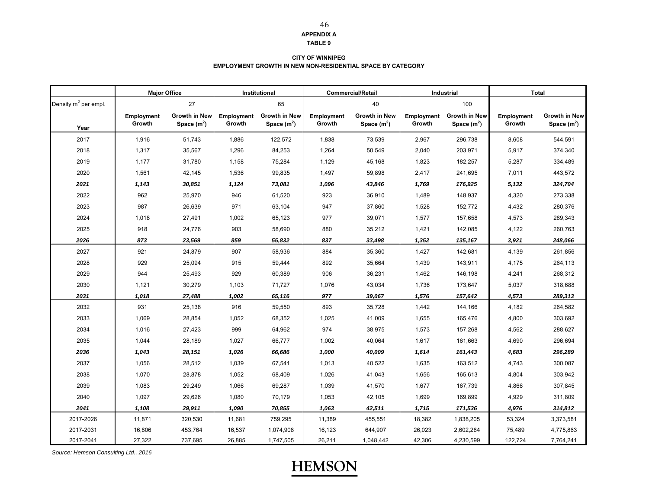#### **TABLE 9**

46

#### **CITY OF WINNIPEG EMPLOYMENT GROWTH IN NEW NON-RESIDENTIAL SPACE BY CATEGORY**

|                                  | <b>Major Office</b> |                      | Institutional |                      |            | <b>Commercial/Retail</b> |            | Industrial           | <b>Total</b>      |                      |
|----------------------------------|---------------------|----------------------|---------------|----------------------|------------|--------------------------|------------|----------------------|-------------------|----------------------|
| Density m <sup>2</sup> per empl. |                     | 27                   |               | 65                   |            | 40                       |            | 100                  |                   |                      |
|                                  | Employment          | <b>Growth in New</b> | Employment    | <b>Growth in New</b> | Employment | <b>Growth in New</b>     | Employment | <b>Growth in New</b> | <b>Employment</b> | <b>Growth in New</b> |
| Year                             | Growth              | Space $(m2)$         | Growth        | Space $(m2)$         | Growth     | Space $(m2)$             | Growth     | Space $(m2)$         | Growth            | Space $(m^2)$        |
| 2017                             | 1,916               | 51,743               | 1,886         | 122,572              | 1,838      | 73,539                   | 2,967      | 296,738              | 8,608             | 544,591              |
| 2018                             | 1,317               | 35,567               | 1,296         | 84,253               | 1,264      | 50,549                   | 2,040      | 203,971              | 5,917             | 374,340              |
| 2019                             | 1,177               | 31,780               | 1,158         | 75,284               | 1,129      | 45,168                   | 1,823      | 182,257              | 5,287             | 334,489              |
| 2020                             | 1,561               | 42,145               | 1,536         | 99,835               | 1,497      | 59,898                   | 2,417      | 241,695              | 7,011             | 443,572              |
| 2021                             | 1,143               | 30,851               | 1,124         | 73,081               | 1,096      | 43,846                   | 1,769      | 176,925              | 5,132             | 324,704              |
| 2022                             | 962                 | 25,970               | 946           | 61,520               | 923        | 36,910                   | 1,489      | 148,937              | 4,320             | 273,338              |
| 2023                             | 987                 | 26,639               | 971           | 63,104               | 947        | 37,860                   | 1,528      | 152,772              | 4,432             | 280,376              |
| 2024                             | 1,018               | 27,491               | 1,002         | 65,123               | 977        | 39,071                   | 1,577      | 157,658              | 4,573             | 289,343              |
| 2025                             | 918                 | 24,776               | 903           | 58,690               | 880        | 35,212                   | 1,421      | 142,085              | 4,122             | 260,763              |
| 2026                             | 873                 | 23,569               | 859           | 55,832               | 837        | 33,498                   | 1,352      | 135,167              | 3,921             | 248,066              |
| 2027                             | 921                 | 24,879               | 907           | 58,936               | 884        | 35,360                   | 1,427      | 142,681              | 4,139             | 261,856              |
| 2028                             | 929                 | 25,094               | 915           | 59,444               | 892        | 35,664                   | 1,439      | 143,911              | 4,175             | 264,113              |
| 2029                             | 944                 | 25,493               | 929           | 60,389               | 906        | 36,231                   | 1,462      | 146,198              | 4,241             | 268,312              |
| 2030                             | 1,121               | 30,279               | 1,103         | 71,727               | 1,076      | 43,034                   | 1,736      | 173,647              | 5,037             | 318,688              |
| 2031                             | 1,018               | 27,488               | 1,002         | 65,116               | 977        | 39,067                   | 1,576      | 157,642              | 4,573             | 289,313              |
| 2032                             | 931                 | 25,138               | 916           | 59,550               | 893        | 35,728                   | 1,442      | 144,166              | 4,182             | 264,582              |
| 2033                             | 1,069               | 28,854               | 1,052         | 68,352               | 1,025      | 41,009                   | 1,655      | 165,476              | 4,800             | 303,692              |
| 2034                             | 1,016               | 27,423               | 999           | 64,962               | 974        | 38,975                   | 1,573      | 157,268              | 4,562             | 288,627              |
| 2035                             | 1,044               | 28,189               | 1,027         | 66,777               | 1,002      | 40,064                   | 1,617      | 161,663              | 4,690             | 296,694              |
| 2036                             | 1,043               | 28,151               | 1,026         | 66,686               | 1,000      | 40,009                   | 1,614      | 161,443              | 4,683             | 296,289              |
| 2037                             | 1,056               | 28,512               | 1,039         | 67,541               | 1,013      | 40,522                   | 1,635      | 163,512              | 4,743             | 300,087              |
| 2038                             | 1,070               | 28,878               | 1,052         | 68,409               | 1,026      | 41,043                   | 1,656      | 165,613              | 4,804             | 303,942              |
| 2039                             | 1,083               | 29,249               | 1,066         | 69,287               | 1,039      | 41,570                   | 1,677      | 167,739              | 4,866             | 307,845              |
| 2040                             | 1,097               | 29,626               | 1,080         | 70,179               | 1,053      | 42,105                   | 1,699      | 169,899              | 4,929             | 311,809              |
| 2041                             | 1,108               | 29,911               | 1,090         | 70,855               | 1,063      | 42,511                   | 1,715      | 171,536              | 4,976             | 314,812              |
| 2017-2026                        | 11,871              | 320,530              | 11,681        | 759,295              | 11,389     | 455,551                  | 18,382     | 1,838,205            | 53,324            | 3,373,581            |
| 2017-2031                        | 16,806              | 453,764              | 16,537        | 1,074,908            | 16,123     | 644,907                  | 26,023     | 2,602,284            | 75,489            | 4,775,863            |
| 2017-2041                        | 27,322              | 737,695              | 26,885        | 1,747,505            | 26,211     | 1,048,442                | 42,306     | 4,230,599            | 122,724           | 7,764,241            |

*Source: Hemson Consulting Ltd., 2016*

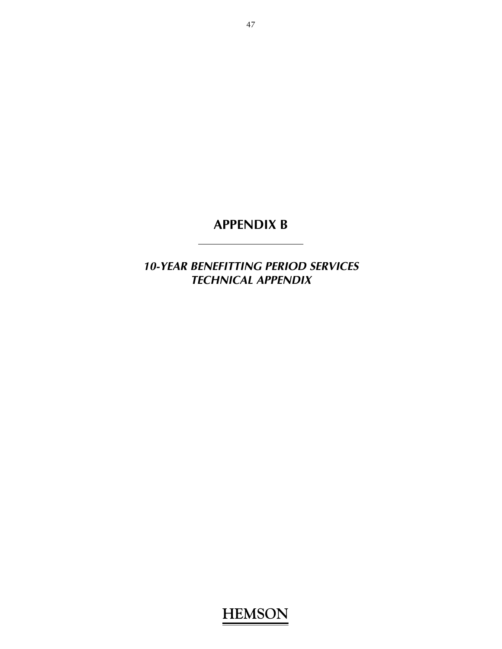*10-YEAR BENEFITTING PERIOD SERVICES TECHNICAL APPENDIX*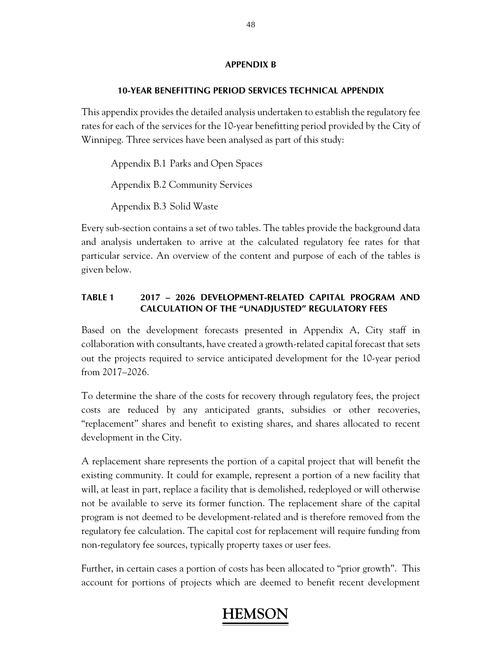### **10-YEAR BENEFITTING PERIOD SERVICES TECHNICAL APPENDIX**

This appendix provides the detailed analysis undertaken to establish the regulatory fee rates for each of the services for the 10-year benefitting period provided by the City of Winnipeg. Three services have been analysed as part of this study:

 Appendix B.1 Parks and Open Spaces Appendix B.2 Community Services Appendix B.3 Solid Waste

Every sub-section contains a set of two tables. The tables provide the background data and analysis undertaken to arrive at the calculated regulatory fee rates for that particular service. An overview of the content and purpose of each of the tables is given below.

### **TABLE 1 2017 – 2026 DEVELOPMENT-RELATED CAPITAL PROGRAM AND CALCULATION OF THE "UNADJUSTED" REGULATORY FEES**

Based on the development forecasts presented in Appendix A, City staff in collaboration with consultants, have created a growth-related capital forecast that sets out the projects required to service anticipated development for the 10-year period from 2017–2026.

To determine the share of the costs for recovery through regulatory fees, the project costs are reduced by any anticipated grants, subsidies or other recoveries, "replacement" shares and benefit to existing shares, and shares allocated to recent development in the City.

A replacement share represents the portion of a capital project that will benefit the existing community. It could for example, represent a portion of a new facility that will, at least in part, replace a facility that is demolished, redeployed or will otherwise not be available to serve its former function. The replacement share of the capital program is not deemed to be development-related and is therefore removed from the regulatory fee calculation. The capital cost for replacement will require funding from non-regulatory fee sources, typically property taxes or user fees.

Further, in certain cases a portion of costs has been allocated to "prior growth". This account for portions of projects which are deemed to benefit recent development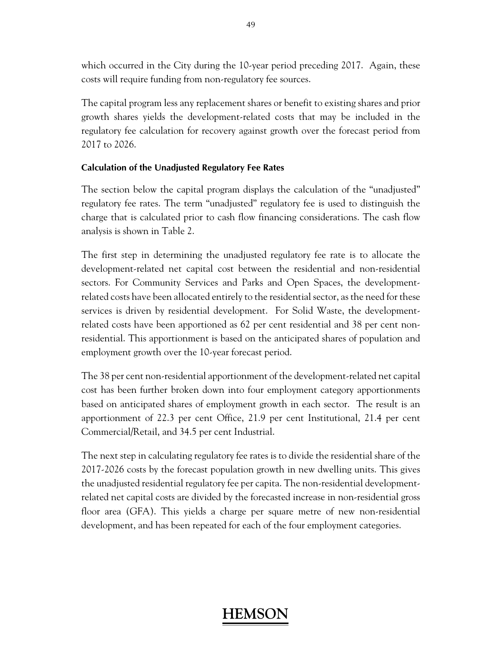which occurred in the City during the 10-year period preceding 2017. Again, these costs will require funding from non-regulatory fee sources.

The capital program less any replacement shares or benefit to existing shares and prior growth shares yields the development-related costs that may be included in the regulatory fee calculation for recovery against growth over the forecast period from 2017 to 2026.

### **Calculation of the Unadjusted Regulatory Fee Rates**

The section below the capital program displays the calculation of the "unadjusted" regulatory fee rates. The term "unadjusted" regulatory fee is used to distinguish the charge that is calculated prior to cash flow financing considerations. The cash flow analysis is shown in Table 2.

The first step in determining the unadjusted regulatory fee rate is to allocate the development-related net capital cost between the residential and non-residential sectors. For Community Services and Parks and Open Spaces, the developmentrelated costs have been allocated entirely to the residential sector, as the need for these services is driven by residential development. For Solid Waste, the developmentrelated costs have been apportioned as 62 per cent residential and 38 per cent nonresidential. This apportionment is based on the anticipated shares of population and employment growth over the 10-year forecast period.

The 38 per cent non-residential apportionment of the development-related net capital cost has been further broken down into four employment category apportionments based on anticipated shares of employment growth in each sector. The result is an apportionment of 22.3 per cent Office, 21.9 per cent Institutional, 21.4 per cent Commercial/Retail, and 34.5 per cent Industrial.

The next step in calculating regulatory fee rates is to divide the residential share of the 2017-2026 costs by the forecast population growth in new dwelling units. This gives the unadjusted residential regulatory fee per capita. The non-residential developmentrelated net capital costs are divided by the forecasted increase in non-residential gross floor area (GFA). This yields a charge per square metre of new non-residential development, and has been repeated for each of the four employment categories.

## **HEMS**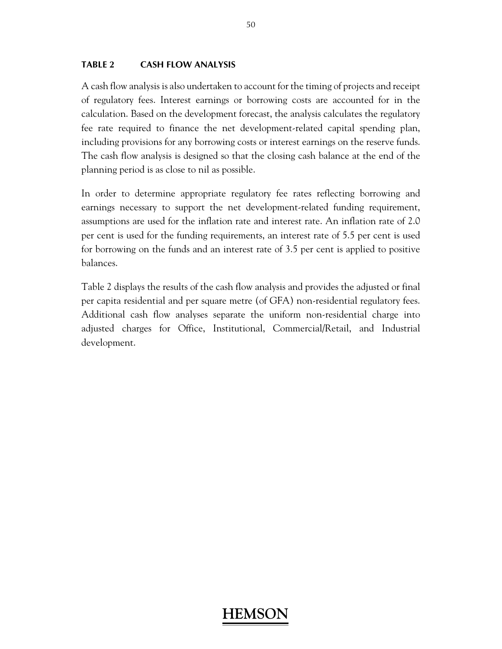### **TABLE 2 CASH FLOW ANALYSIS**

A cash flow analysis is also undertaken to account for the timing of projects and receipt of regulatory fees. Interest earnings or borrowing costs are accounted for in the calculation. Based on the development forecast, the analysis calculates the regulatory fee rate required to finance the net development-related capital spending plan, including provisions for any borrowing costs or interest earnings on the reserve funds. The cash flow analysis is designed so that the closing cash balance at the end of the planning period is as close to nil as possible.

In order to determine appropriate regulatory fee rates reflecting borrowing and earnings necessary to support the net development-related funding requirement, assumptions are used for the inflation rate and interest rate. An inflation rate of 2.0 per cent is used for the funding requirements, an interest rate of 5.5 per cent is used for borrowing on the funds and an interest rate of 3.5 per cent is applied to positive balances.

Table 2 displays the results of the cash flow analysis and provides the adjusted or final per capita residential and per square metre (of GFA) non-residential regulatory fees. Additional cash flow analyses separate the uniform non-residential charge into adjusted charges for Office, Institutional, Commercial/Retail, and Industrial development.

## **HEMS**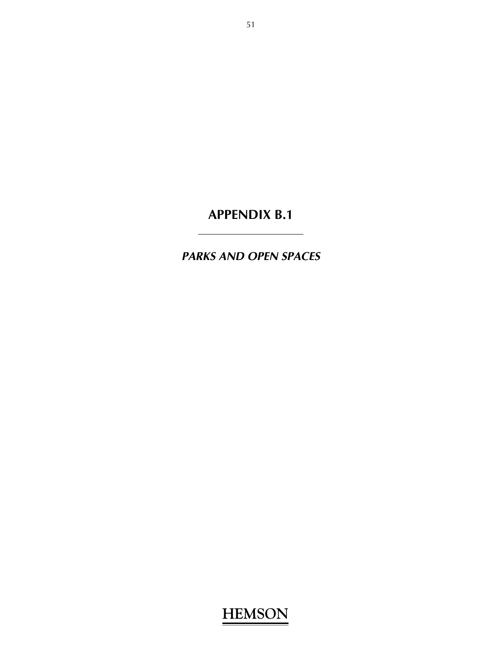*PARKS AND OPEN SPACES*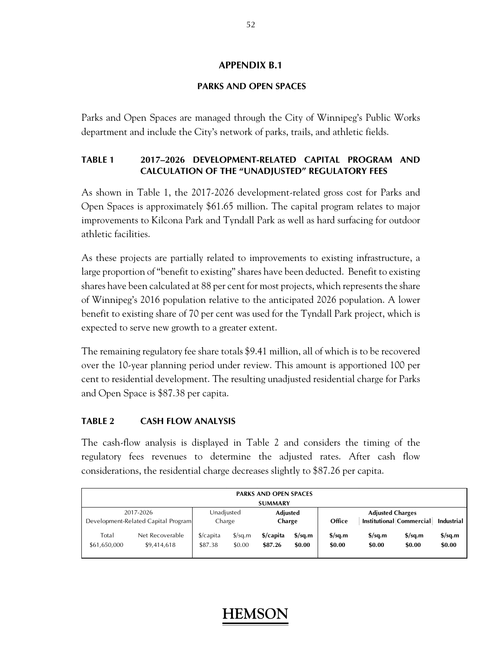### **PARKS AND OPEN SPACES**

Parks and Open Spaces are managed through the City of Winnipeg's Public Works department and include the City's network of parks, trails, and athletic fields.

### **TABLE 1 2017–2026 DEVELOPMENT-RELATED CAPITAL PROGRAM AND CALCULATION OF THE "UNADJUSTED" REGULATORY FEES**

As shown in Table 1, the 2017-2026 development-related gross cost for Parks and Open Spaces is approximately \$61.65 million. The capital program relates to major improvements to Kilcona Park and Tyndall Park as well as hard surfacing for outdoor athletic facilities.

As these projects are partially related to improvements to existing infrastructure, a large proportion of "benefit to existing" shares have been deducted. Benefit to existing shares have been calculated at 88 per cent for most projects, which represents the share of Winnipeg's 2016 population relative to the anticipated 2026 population. A lower benefit to existing share of 70 per cent was used for the Tyndall Park project, which is expected to serve new growth to a greater extent.

The remaining regulatory fee share totals \$9.41 million, all of which is to be recovered over the 10-year planning period under review. This amount is apportioned 100 per cent to residential development. The resulting unadjusted residential charge for Parks and Open Space is \$87.38 per capita.

## **TABLE 2 CASH FLOW ANALYSIS**

The cash-flow analysis is displayed in Table 2 and considers the timing of the regulatory fees revenues to determine the adjusted rates. After cash flow considerations, the residential charge decreases slightly to \$87.26 per capita.

|                                                  | <b>PARKS AND OPEN SPACES</b><br><b>SUMMARY</b> |                                 |                                |                           |                                   |                                                               |                                   |                                            |                                            |
|--------------------------------------------------|------------------------------------------------|---------------------------------|--------------------------------|---------------------------|-----------------------------------|---------------------------------------------------------------|-----------------------------------|--------------------------------------------|--------------------------------------------|
| 2017-2026<br>Development-Related Capital Program |                                                | Unadjusted<br>Charge            |                                | <b>Adjusted</b><br>Charge |                                   | <b>Adjusted Charges</b><br>Institutional Commercial<br>Office |                                   |                                            | <b>Industrial</b>                          |
| Total<br>\$61,650,000                            | Net Recoverable<br>\$9,414,618                 | $\frac{1}{2}$ capita<br>\$87.38 | $\frac{\sqrt{2}}{2}$<br>\$0.00 | \$/capita<br>\$87.26      | $\frac{\sigma}{2}$ sq.m<br>\$0.00 | $\frac{\text{S}}{\text{S}}$ sq.m<br>\$0.00                    | $\frac{\sigma}{2}$ sq.m<br>\$0.00 | $\frac{\text{S}}{\text{S}}$ sq.m<br>\$0.00 | $\frac{\text{S}}{\text{S}}$ sq.m<br>\$0.00 |

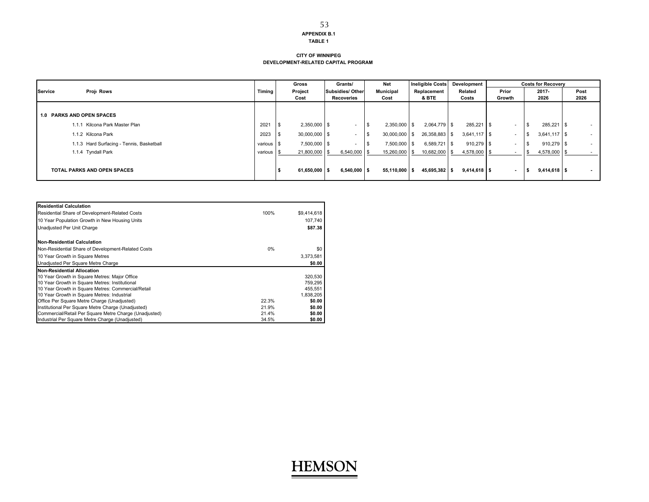#### **TABLE 1**

#### **CITY OF WINNIPEGDEVELOPMENT-RELATED CAPITAL PROGRAM**

|                                           |            | Gross                   | Grants/                  | <b>Net</b>       | <b>Ineligible Costs</b> | Development    |        | <b>Costs for Recoverv</b> |        |
|-------------------------------------------|------------|-------------------------|--------------------------|------------------|-------------------------|----------------|--------|---------------------------|--------|
| Proj: Rows<br>Service                     | Timing     | Project                 | <b>Subsidies/ Other</b>  | <b>Municipal</b> | Replacement             | Related        | Prior  | 2017-                     | Post   |
|                                           |            | Cost                    | Recoveries               | Cost             | & BTE                   | Costs          | Growth | 2026                      | 2026   |
|                                           |            |                         |                          |                  |                         |                |        |                           |        |
| <b>1.0 PARKS AND OPEN SPACES</b>          |            |                         |                          |                  |                         |                |        |                           |        |
| Kilcona Park Master Plan<br>1.1.1         | 2021       | $2,350,000$ \$<br>- 31  | $\overline{\phantom{a}}$ | 2,350,000 \$     | 2,064,779 \$            | 285,221 \$     | . .    | 285,221 \$                | $\sim$ |
| 1.1.2 Kilcona Park                        | 2023       | $30,000,000$ \$<br>- 21 | $\overline{\phantom{a}}$ | 30,000,000       | 26,358,883 \$           | $3,641,117$ \$ | . .    | $3,641,117$ \$            | $\sim$ |
| 1.1.3 Hard Surfacing - Tennis, Basketball | various \$ | 7,500,000 \$            | $\sim$                   | 7,500,000 \$     | 6,589,721 \$            | 910,279 \$     | . .    | 910,279 \$                | $\sim$ |
| 1.1.4 Tyndall Park                        | various \$ | 21,800,000 \$           | $6,540,000$ \ \$         | 15,260,000       | 10,682,000 \$           | 4,578,000      |        | 4,578,000 \$              |        |
| <b>TOTAL PARKS AND OPEN SPACES</b>        |            | $61,650,000$ \$         | $6,540,000$ \$           | 55,110,000       | 45,695,382 \$           | $9,414,618$ \$ |        | $9,414,618$ \$            | $\sim$ |

| <b>Residential Calculation</b>                         |       |             |
|--------------------------------------------------------|-------|-------------|
| Residential Share of Development-Related Costs         | 100%  | \$9,414,618 |
| 10 Year Population Growth in New Housing Units         |       | 107,740     |
| Unadjusted Per Unit Charge                             |       | \$87.38     |
| <b>Non-Residential Calculation</b>                     |       |             |
| Non-Residential Share of Development-Related Costs     | $0\%$ | \$0         |
| 10 Year Growth in Square Metres                        |       | 3,373,581   |
| Unadjusted Per Square Metre Charge                     |       | \$0.00      |
| Non-Residential Allocation                             |       |             |
| 10 Year Growth in Square Metres: Major Office          |       | 320.530     |
| 10 Year Growth in Square Metres: Institutional         |       | 759.295     |
| 10 Year Growth in Square Metres: Commercial/Retail     |       | 455.551     |
| 10 Year Growth in Square Metres: Industrial            |       | 1,838,205   |
| Office Per Square Metre Charge (Unadjusted)            | 22.3% | \$0.00      |
| Institutional Per Square Metre Charge (Unadjusted)     | 21.9% | \$0.00      |
| Commercial/Retail Per Square Metre Charge (Unadjusted) | 21.4% | \$0.00      |
| Industrial Per Square Metre Charge (Unadjusted)        | 34.5% | \$0.00      |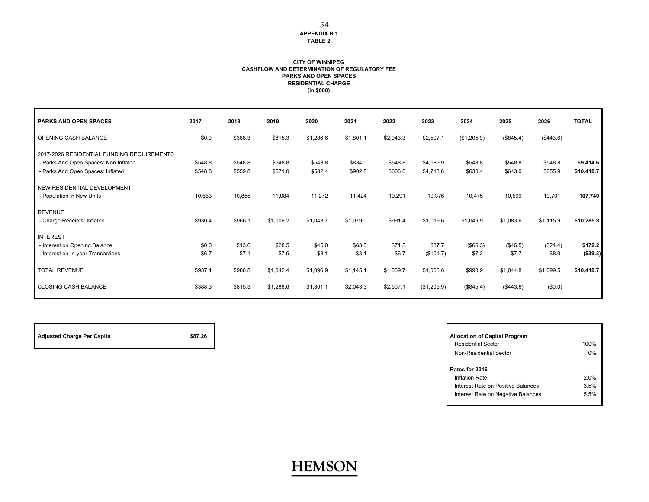#### **APPENDIX B.1TABLE 2**

54

#### **CITY OF WINNIPEG CASHFLOW AND DETERMINATION OF REGULATORY FEE PARKS AND OPEN SPACES RESIDENTIAL CHARGE (in \$000)**

| <b>PARKS AND OPEN SPACES</b>               | 2017    | 2018    | 2019      | 2020      | 2021      | 2022      | 2023        | 2024              | 2025              | 2026      | <b>TOTAL</b> |
|--------------------------------------------|---------|---------|-----------|-----------|-----------|-----------|-------------|-------------------|-------------------|-----------|--------------|
| OPENING CASH BALANCE                       | \$0.0   | \$388.3 | \$815.3   | \$1,286.6 | \$1,801.1 | \$2,043.3 | \$2,507.1   | (\$1,205.9)       | (\$845.4)         | (\$443.6) |              |
| 2017-2026 RESIDENTIAL FUNDING REQUIREMENTS |         |         |           |           |           |           |             |                   |                   |           |              |
| - Parks And Open Spaces: Non Inflated      | \$548.8 | \$548.8 | \$548.8   | \$548.8   | \$834.0   | \$548.8   | \$4,189.9   | \$548.8           | \$548.8           | \$548.8   | \$9,414.6    |
| - Parks And Open Spaces: Inflated          | \$548.8 | \$559.8 | \$571.0   | \$582.4   | \$902.8   | \$606.0   | \$4,718.6   | \$630.4           | \$643.0           | \$655.9   | \$10,418.7   |
| NEW RESIDENTIAL DEVELOPMENT                |         |         |           |           |           |           |             |                   |                   |           |              |
| - Population in New Units                  | 10,663  | 10,855  | 11,084    | 11,272    | 11,424    | 10,291    | 10,376      | 10,475            | 10,599            | 10,701    | 107,740      |
|                                            |         |         |           |           |           |           |             |                   |                   |           |              |
| <b>REVENUE</b>                             |         |         |           |           |           |           |             |                   |                   |           |              |
| - Charge Receipts: Inflated                | \$930.4 | \$966.1 | \$1,006.2 | \$1,043.7 | \$1,079.0 | \$991.4   | \$1,019.6   | \$1,049.9         | \$1,083.6         | \$1,115.9 | \$10,285.8   |
| <b>INTEREST</b>                            |         |         |           |           |           |           |             |                   |                   |           |              |
| - Interest on Opening Balance              | \$0.0   | \$13.6  | \$28.5    | \$45.0    | \$63.0    | \$71.5    | \$87.7      |                   |                   | (\$24.4)  | \$172.2      |
| - Interest on In-year Transactions         | \$6.7   | \$7.1   | \$7.6     | \$8.1     | \$3.1     | \$6.7     | (\$101.7)   | (\$66.3)<br>\$7.3 | (\$46.5)<br>\$7.7 | \$8.0     | (\$39.3)     |
|                                            |         |         |           |           |           |           |             |                   |                   |           |              |
| <b>TOTAL REVENUE</b>                       | \$937.1 | \$986.8 | \$1,042.4 | \$1,096.9 | \$1,145.1 | \$1,069.7 | \$1,005.6   | \$990.9           | \$1,044.8         | \$1,099.5 | \$10,418.7   |
|                                            |         |         |           |           |           |           |             |                   |                   |           |              |
| <b>CLOSING CASH BALANCE</b>                | \$388.3 | \$815.3 | \$1,286.6 | \$1,801.1 | \$2,043.3 | \$2,507.1 | (\$1,205.9) | (\$845.4)         | (\$443.6)         | (\$0.0)   |              |
|                                            |         |         |           |           |           |           |             |                   |                   |           |              |

| <b>Adjusted Charge Per Capita</b> | \$87.26 | <b>Allocation of Capital Program</b> |
|-----------------------------------|---------|--------------------------------------|
|                                   |         | <b>Residential Sector</b>            |

| <b>Allocation of Capital Program</b> |      |
|--------------------------------------|------|
| <b>Residential Sector</b>            | 100% |
| Non-Residential Sector               | በ%   |
|                                      |      |
| Rates for 2016                       |      |
| Inflation Rate                       | 2 በ% |
| Interest Rate on Positive Balances   | 3.5% |
| Interest Rate on Negative Balances   | 5.5% |
|                                      |      |

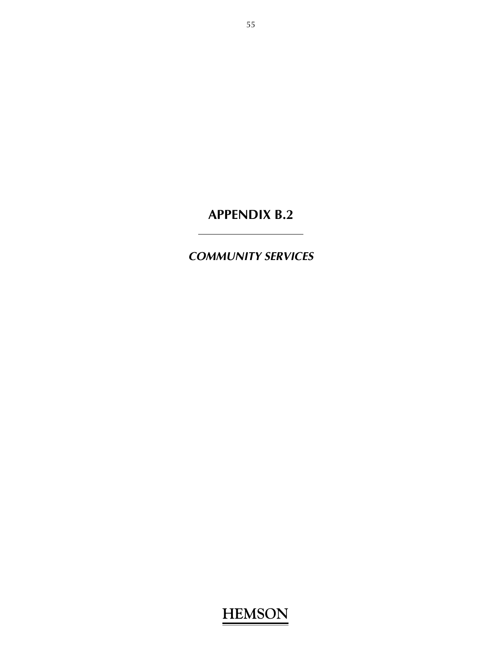*COMMUNITY SERVICES*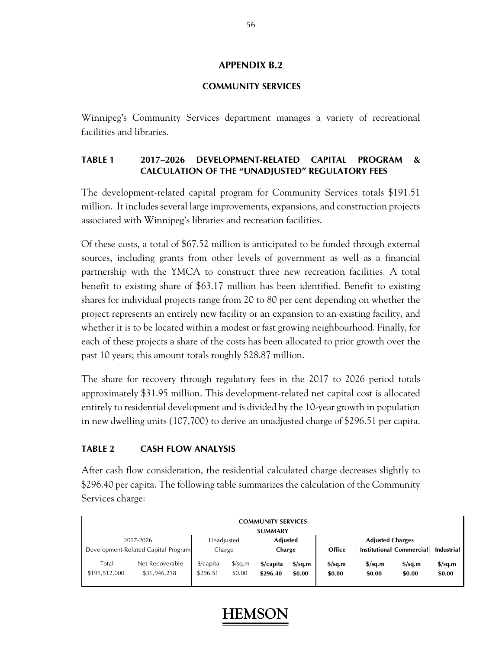### **COMMUNITY SERVICES**

Winnipeg's Community Services department manages a variety of recreational facilities and libraries.

### **TABLE 1 2017–2026 DEVELOPMENT-RELATED CAPITAL PROGRAM & CALCULATION OF THE "UNADJUSTED" REGULATORY FEES**

The development-related capital program for Community Services totals \$191.51 million. It includes several large improvements, expansions, and construction projects associated with Winnipeg's libraries and recreation facilities.

Of these costs, a total of \$67.52 million is anticipated to be funded through external sources, including grants from other levels of government as well as a financial partnership with the YMCA to construct three new recreation facilities. A total benefit to existing share of \$63.17 million has been identified. Benefit to existing shares for individual projects range from 20 to 80 per cent depending on whether the project represents an entirely new facility or an expansion to an existing facility, and whether it is to be located within a modest or fast growing neighbourhood. Finally, for each of these projects a share of the costs has been allocated to prior growth over the past 10 years; this amount totals roughly \$28.87 million.

The share for recovery through regulatory fees in the 2017 to 2026 period totals approximately \$31.95 million. This development-related net capital cost is allocated entirely to residential development and is divided by the 10-year growth in population in new dwelling units (107,700) to derive an unadjusted charge of \$296.51 per capita.

### **TABLE 2 CASH FLOW ANALYSIS**

After cash flow consideration, the residential calculated charge decreases slightly to \$296.40 per capita. The following table summarizes the calculation of the Community Services charge:

|           |                        |                                     |                                  |                                | <b>COMMUNITY SERVICES</b> |                                   |                                            |                                            |                                            |                                   |
|-----------|------------------------|-------------------------------------|----------------------------------|--------------------------------|---------------------------|-----------------------------------|--------------------------------------------|--------------------------------------------|--------------------------------------------|-----------------------------------|
|           |                        |                                     |                                  |                                | <b>SUMMARY</b>            |                                   |                                            |                                            |                                            |                                   |
| 2017-2026 |                        | Unadjusted                          |                                  | <b>Adjusted</b>                |                           | <b>Adjusted Charges</b>           |                                            |                                            |                                            |                                   |
|           |                        | Development-Related Capital Program |                                  | Charge                         |                           | Charge                            |                                            |                                            | <b>Institutional Commercial</b>            | <b>Industrial</b>                 |
|           | Total<br>\$191,512,000 | Net Recoverable<br>\$31,946,218     | $\frac{1}{2}$ capita<br>\$296.51 | $\frac{\sqrt{2}}{2}$<br>\$0.00 | \$/capita<br>\$296.40     | $\frac{\sigma}{2}$ sq.m<br>\$0.00 | $\frac{\text{S}}{\text{S}}$ sq.m<br>\$0.00 | $\frac{\text{S}}{\text{S}}$ sq.m<br>\$0.00 | $\frac{\text{S}}{\text{S}}$ sq.m<br>\$0.00 | $\frac{\sigma}{2}$ sq.m<br>\$0.00 |

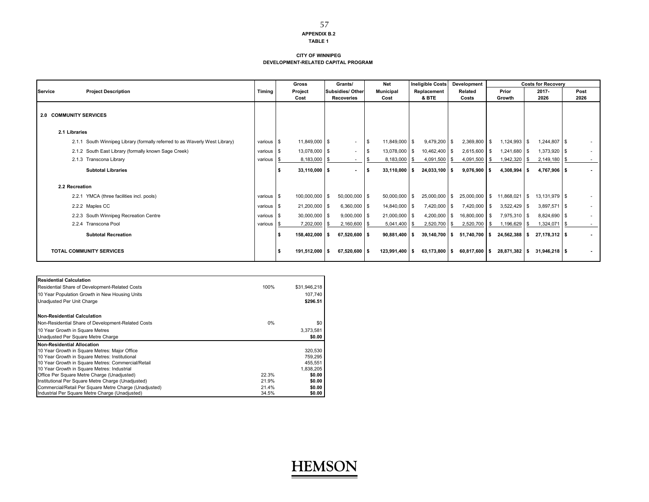#### **TABLE 1**

57

#### **CITY OF WINNIPEGDEVELOPMENT-RELATED CAPITAL PROGRAM**

|                                                                             |            | Gross           | Grants/                  | Net                  | <b>Ineligible Costs</b> | Development       |                | <b>Costs for Recoverv</b> |        |
|-----------------------------------------------------------------------------|------------|-----------------|--------------------------|----------------------|-------------------------|-------------------|----------------|---------------------------|--------|
| <b>Project Description</b><br>Service                                       | Timing     | Project         | Subsidies/Other          | <b>Municipal</b>     | Replacement             | Related           | Prior          | $2017 -$                  | Post   |
|                                                                             |            | Cost            | <b>Recoveries</b>        | Cost                 | & BTE                   | Costs             | Growth         | 2026                      | 2026   |
| <b>2.0 COMMUNITY SERVICES</b>                                               |            |                 |                          |                      |                         |                   |                |                           |        |
| 2.1 Libraries                                                               |            |                 |                          |                      |                         |                   |                |                           |        |
| 2.1.1 South Winnipeg Library (formally referred to as Waverly West Library) | various \$ | 11,849,000 \$   | $\overline{\phantom{a}}$ | 11,849,000 \$<br>IS. | $9,479,200$ \$          | 2,369,800 \$      | $1,124,993$ \$ | $1,244,807$ \$            | $\sim$ |
| 2.1.2 South East Library (formally known Sage Creek)                        | various \$ | 13,078,000 \$   | ٠                        | 13,078,000 \$<br>l S | 10,462,400 \$           | 2,615,600         | 1,241,680 \$   | 1,373,920 \$              | $\sim$ |
| 2.1.3 Transcona Library                                                     | various \$ | 8,183,000 \$    | ٠                        | 8,183,000            | 4,091,500               | 4,091,500         | 1,942,320      | $2,149,180$ \$<br>l S     | $\sim$ |
| <b>Subtotal Libraries</b>                                                   |            | $33,110,000$ \$ | $\blacksquare$           | $33,110,000$ \$      | 24,033,100 \$           | 9,076,900         | 4,308,994 \$   | 4,767,906 \$              | $\sim$ |
| 2.2 Recreation                                                              |            |                 |                          |                      |                         |                   |                |                           |        |
| 2.2.1 YMCA (three facilities incl. pools)                                   | various \$ | 100,000,000 \$  | 50,000,000 \$            | 50,000,000 \$        | 25,000,000 \$           | 25,000,000 \$     | 11,868,021 \$  | 13,131,979 \$             |        |
| 2.2.2 Maples CC                                                             | various \$ | 21,200,000 \$   | $6,360,000$ \$           | 14,840,000 \$        | 7,420,000 \$            | 7,420,000 \$      | $3,522,429$ \$ | $3,897,571$ \$            | $\sim$ |
| 2.2.3 South Winnipeg Recreation Centre                                      | various \$ | $30,000,000$ \$ | $9,000,000$ \$           | 21,000,000 \$        | $4,200,000$ \$          | 16,800,000 \$     | 7,975,310 \$   | 8,824,690 \$              | $\sim$ |
| 2.2.4 Transcona Pool                                                        | various    | 7,202,000       | $2,160,600$ \$           | 5,041,400            | 2,520,700               | 2,520,700<br>∣\$S | 1,196,629      | 1,324,071                 | $\sim$ |
| <b>Subtotal Recreation</b>                                                  |            | 158,402,000 \$  | 67,520,600 \$            | $90,881,400$ \$      | $39,140,700$ \$         | 51,740,700 \$     | 24,562,388 \$  | 27,178,312 \$             | $\sim$ |
| <b>TOTAL COMMUNITY SERVICES</b>                                             |            | 191,512,000 \$  | 67,520,600 \$            | 123.991.400 \$       | $63,173,800$ \$         | 60.817.600 \$     | 28.871.382 \$  | 31.946.218 \$             |        |

| <b>Residential Calculation</b>                         |       |              |
|--------------------------------------------------------|-------|--------------|
| Residential Share of Development-Related Costs         | 100%  | \$31.946.218 |
| 10 Year Population Growth in New Housing Units         |       | 107.740      |
| Unadjusted Per Unit Charge                             |       | \$296.51     |
| <b>Non-Residential Calculation</b>                     |       |              |
| Non-Residential Share of Development-Related Costs     | 0%    | \$0          |
| 10 Year Growth in Square Metres                        |       | 3,373,581    |
| Unadjusted Per Square Metre Charge                     |       | \$0.00       |
| Non-Residential Allocation                             |       |              |
| 10 Year Growth in Square Metres: Major Office          |       | 320,530      |
| 10 Year Growth in Square Metres: Institutional         |       | 759.295      |
| 10 Year Growth in Square Metres: Commercial/Retail     |       | 455.551      |
| 10 Year Growth in Square Metres: Industrial            |       | 1.838.205    |
| Office Per Square Metre Charge (Unadjusted)            | 22.3% | \$0.00       |
| Institutional Per Square Metre Charge (Unadjusted)     | 21.9% | \$0.00       |
| Commercial/Retail Per Square Metre Charge (Unadjusted) | 21.4% | \$0.00       |
| Industrial Per Square Metre Charge (Unadjusted)        | 34.5% | \$0.00       |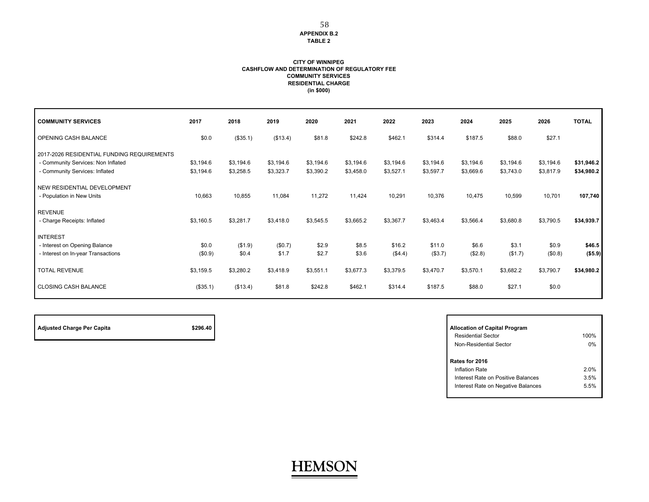#### **APPENDIX B.2TABLE 2**

#### **CASHFLOW AND DETERMINATION OF REGULATORY FEE COMMUNITY SERVICES RESIDENTIAL CHARGE (in \$000) CITY OF WINNIPEG**

| <b>COMMUNITY SERVICES</b>                  | 2017      | 2018      | 2019      | 2020      | 2021      | 2022      | 2023      | 2024      | 2025      | 2026      | <b>TOTAL</b> |
|--------------------------------------------|-----------|-----------|-----------|-----------|-----------|-----------|-----------|-----------|-----------|-----------|--------------|
| OPENING CASH BALANCE                       | \$0.0     | (\$35.1)  | (\$13.4)  | \$81.8    | \$242.8   | \$462.1   | \$314.4   | \$187.5   | \$88.0    | \$27.1    |              |
| 2017-2026 RESIDENTIAL FUNDING REQUIREMENTS |           |           |           |           |           |           |           |           |           |           |              |
| - Community Services: Non Inflated         | \$3,194.6 | \$3,194.6 | \$3,194.6 | \$3,194.6 | \$3,194.6 | \$3,194.6 | \$3,194.6 | \$3,194.6 | \$3,194.6 | \$3,194.6 | \$31,946.2   |
| - Community Services: Inflated             | \$3,194.6 | \$3,258.5 | \$3,323.7 | \$3,390.2 | \$3,458.0 | \$3,527.1 | \$3,597.7 | \$3,669.6 | \$3,743.0 | \$3,817.9 | \$34,980.2   |
| NEW RESIDENTIAL DEVELOPMENT                |           |           |           |           |           |           |           |           |           |           |              |
| - Population in New Units                  | 10,663    | 10,855    | 11,084    | 11,272    | 11,424    | 10,291    | 10,376    | 10,475    | 10,599    | 10,701    | 107,740      |
| <b>REVENUE</b>                             |           |           |           |           |           |           |           |           |           |           |              |
| - Charge Receipts: Inflated                | \$3,160.5 | \$3,281.7 | \$3,418.0 | \$3,545.5 | \$3,665.2 | \$3,367.7 | \$3,463.4 | \$3,566.4 | \$3,680.8 | \$3,790.5 | \$34,939.7   |
| <b>INTEREST</b>                            |           |           |           |           |           |           |           |           |           |           |              |
| - Interest on Opening Balance              | \$0.0     | (\$1.9)   | (\$0.7)   | \$2.9     | \$8.5     | \$16.2    | \$11.0    | \$6.6     | \$3.1     | \$0.9     | \$46.5       |
| - Interest on In-year Transactions         | (\$0.9)   | \$0.4     | \$1.7     | \$2.7     | \$3.6     | (\$4.4)   | (\$3.7)   | (\$2.8)   | (\$1.7)   | (\$0.8)   | (\$5.9)      |
| <b>TOTAL REVENUE</b>                       | \$3,159.5 | \$3,280.2 | \$3,418.9 | \$3,551.1 | \$3,677.3 | \$3,379.5 | \$3,470.7 | \$3,570.1 | \$3,682.2 | \$3,790.7 | \$34,980.2   |
| <b>CLOSING CASH BALANCE</b>                | (\$35.1)  | (\$13.4)  | \$81.8    | \$242.8   | \$462.1   | \$314.4   | \$187.5   | \$88.0    | \$27.1    | \$0.0     |              |

| <b>Adjusted Charge Per Capita</b> | \$296.40 | <b>Allocation of Capital Program</b> |
|-----------------------------------|----------|--------------------------------------|
|                                   |          | Residential Sector                   |

| <b>Allocation of Capital Program</b> |      |
|--------------------------------------|------|
| <b>Residential Sector</b>            | 100% |
| Non-Residential Sector               | 0%   |
|                                      |      |
| Rates for 2016                       |      |
| Inflation Rate                       | 2 በ% |
| Interest Rate on Positive Balances   | 3.5% |
| Interest Rate on Negative Balances   | 5.5% |
|                                      |      |

## **HEMSON**

58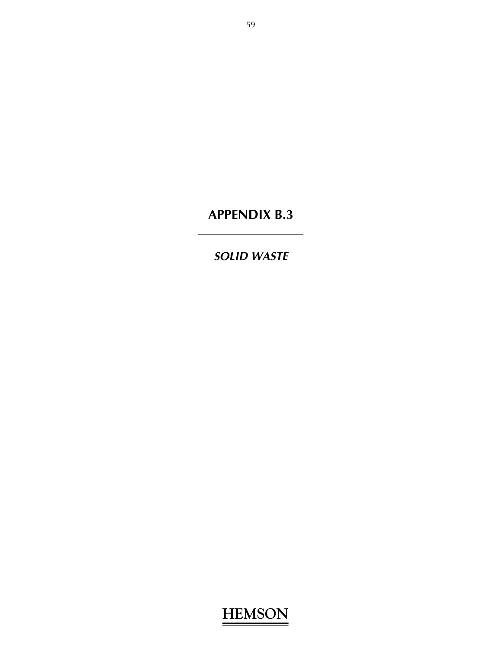*SOLID WASTE*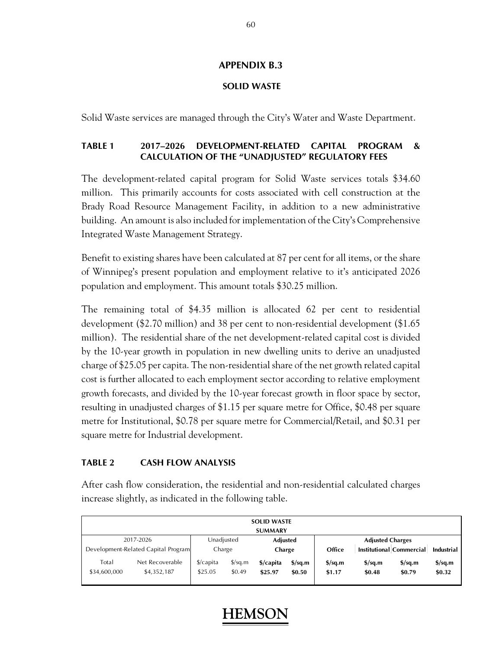### **SOLID WASTE**

Solid Waste services are managed through the City's Water and Waste Department.

### **TABLE 1 2017–2026 DEVELOPMENT-RELATED CAPITAL PROGRAM & CALCULATION OF THE "UNADJUSTED" REGULATORY FEES**

The development-related capital program for Solid Waste services totals \$34.60 million. This primarily accounts for costs associated with cell construction at the Brady Road Resource Management Facility, in addition to a new administrative building. An amount is also included for implementation of the City's Comprehensive Integrated Waste Management Strategy.

Benefit to existing shares have been calculated at 87 per cent for all items, or the share of Winnipeg's present population and employment relative to it's anticipated 2026 population and employment. This amount totals \$30.25 million.

The remaining total of \$4.35 million is allocated 62 per cent to residential development (\$2.70 million) and 38 per cent to non-residential development (\$1.65 million). The residential share of the net development-related capital cost is divided by the 10-year growth in population in new dwelling units to derive an unadjusted charge of \$25.05 per capita. The non-residential share of the net growth related capital cost is further allocated to each employment sector according to relative employment growth forecasts, and divided by the 10-year forecast growth in floor space by sector, resulting in unadjusted charges of \$1.15 per square metre for Office, \$0.48 per square metre for Institutional, \$0.78 per square metre for Commercial/Retail, and \$0.31 per square metre for Industrial development.

### **TABLE 2 CASH FLOW ANALYSIS**

After cash flow consideration, the residential and non-residential calculated charges increase slightly, as indicated in the following table.

| <b>SOLID WASTE</b>    |                                     |                                 |                                |                      |                                   |                                            |                                            |                                    |                                   |  |  |  |
|-----------------------|-------------------------------------|---------------------------------|--------------------------------|----------------------|-----------------------------------|--------------------------------------------|--------------------------------------------|------------------------------------|-----------------------------------|--|--|--|
| <b>SUMMARY</b>        |                                     |                                 |                                |                      |                                   |                                            |                                            |                                    |                                   |  |  |  |
|                       | 2017-2026                           | Unadjusted                      |                                | Adjusted             |                                   | <b>Adjusted Charges</b>                    |                                            |                                    |                                   |  |  |  |
|                       | Development-Related Capital Program |                                 | Charge<br>Charge               |                      |                                   | Office                                     |                                            | Institutional Commercial           | <b>Industrial</b>                 |  |  |  |
| Total<br>\$34,600,000 | Net Recoverable<br>\$4,352,187      | $\frac{1}{2}$ capita<br>\$25.05 | $\frac{\sqrt{2}}{2}$<br>\$0.49 | \$/capita<br>\$25.97 | $\frac{\sigma}{2}$ sq.m<br>\$0.50 | $\frac{\text{S}}{\text{S}}$ sq.m<br>\$1.17 | $\frac{\text{S}}{\text{S}}$ sq.m<br>\$0.48 | $\frac{\sigma}{2}$ /sq.m<br>\$0.79 | $\frac{\sigma}{2}$ sq.m<br>\$0.32 |  |  |  |

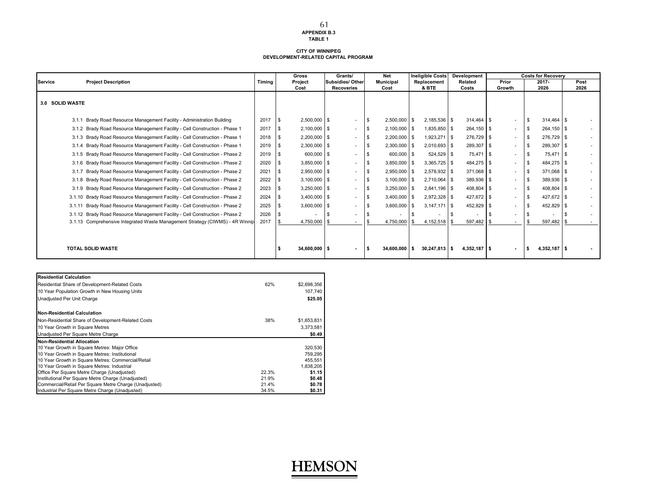#### **TABLE 1 DEVELOPMENT-RELATED CAPITAL PROGRAM CITY OF WINNIPEG**

|                 |                                                                               |        | <b>Gross</b>   | Grants/                  |     | <b>Net</b>       | <b>Ineligible Costs</b> | Development         |                          | <b>Costs for Recoverv</b> |        |
|-----------------|-------------------------------------------------------------------------------|--------|----------------|--------------------------|-----|------------------|-------------------------|---------------------|--------------------------|---------------------------|--------|
| <b>Service</b>  | <b>Project Description</b>                                                    | Timina | Project        | Subsidies/Other          |     | <b>Municipal</b> | Replacement             | Related             | Prior                    | 2017-                     | Post   |
|                 |                                                                               |        | Cost           | <b>Recoveries</b>        |     | Cost             | & BTE                   | Costs               | Growth                   | 2026                      | 2026   |
| 3.0 SOLID WASTE |                                                                               |        |                |                          |     |                  |                         |                     |                          |                           |        |
|                 | Brady Road Resource Management Facility - Administration Building<br>3.1.1    | 2017   | 2,500,000 \$   | $\sim$                   | S.  | $2,500,000$ \$   | 2,185,536               | $314.464$ S<br>l \$ | $\sim$                   | $314.464$ \$<br>-9        |        |
|                 | 3.1.2 Brady Road Resource Management Facility - Cell Construction - Phase 1   | 2017   | $2,100,000$ \$ | $\sim$                   | \$  | $2,100,000$ \$   | 1,835,850 \$            | 264,150 \$          | $\overline{\phantom{a}}$ | 264,150 \$<br>- \$        | $\sim$ |
|                 | 3.1.3 Brady Road Resource Management Facility - Cell Construction - Phase 1   | 2018   | $2,200,000$ \$ | $\overline{\phantom{a}}$ |     | $2,200,000$ \$   | 1,923,271               | 276,729 \$<br>l \$  |                          | 276,729 \$                |        |
|                 | 3.1.4 Brady Road Resource Management Facility - Cell Construction - Phase 1   | 2019   | 2,300,000 \$   | $\overline{\phantom{a}}$ |     | $2,300,000$ \$   | 2,010,693               | 289,307 \$<br>l S   |                          | 289,307 \$<br>- \$        |        |
|                 | 3.1.5 Brady Road Resource Management Facility - Cell Construction - Phase 2   | 2019   | 600,000 \$     | $\overline{\phantom{a}}$ |     | 600,000 \$       | 524,529 \$              | 75,471 \$           |                          | 75,471 \$                 | $\sim$ |
|                 | 3.1.6 Brady Road Resource Management Facility - Cell Construction - Phase 2   | 2020   | $3.850.000$ \$ | ٠                        | \$. | 3.850.000 \$     | 3.365.725 \$            | 484.275 \$          |                          | 484.275 \$                | $\sim$ |
|                 | 3.1.7 Brady Road Resource Management Facility - Cell Construction - Phase 2   | 2021   | $2,950,000$ \$ | $\sim$                   | \$  | 2,950,000 \$     | 2,578,932 \$            | 371,068 \$          |                          | 371,068 \$                |        |
|                 | 3.1.8 Brady Road Resource Management Facility - Cell Construction - Phase 2   | 2022   | $3,100,000$ \$ | $\sim$                   |     | $3,100,000$ \$   | 2,710,064 \$            | 389,936 \$          | $\sim$                   | 389,936 \$                |        |
|                 | 3.1.9 Brady Road Resource Management Facility - Cell Construction - Phase 2   | 2023   | 3,250,000 \$   | $\sim$                   |     | $3,250,000$ \$   | 2,841,196               | 408,804 \$<br>l \$  |                          | 408,804 \$                | $\sim$ |
|                 | 3.1.10 Brady Road Resource Management Facility - Cell Construction - Phase 2  | 2024   | $3,400,000$ \$ | $\overline{\phantom{a}}$ |     | $3,400,000$ \$   | $2,972,328$ \$          | 427,672 \$          |                          | 427,672 \$<br>-95         |        |
|                 | Brady Road Resource Management Facility - Cell Construction - Phase 2         | 2025   | $3,600,000$ \$ | $\sim$                   |     | $3,600,000$ \$   | 3.147.171               | 452,829 \$<br>l \$  |                          | 452,829 \$                |        |
|                 | 3.1.12 Brady Road Resource Management Facility - Cell Construction - Phase 2  | 2026   |                | $\sim$                   |     |                  |                         |                     |                          |                           | $\sim$ |
|                 | 3.1.13 Comprehensive Integrated Waste Management Strategy (CIWMS) - 4R Winnip | 2017   | 4,750,000      | $\overline{\phantom{a}}$ |     | 4,750,000        | 4,152,518               | 597,482             |                          | 597,482                   |        |
|                 |                                                                               |        |                |                          |     |                  |                         |                     |                          |                           |        |
|                 | <b>TOTAL SOLID WASTE</b>                                                      |        | 34.600.000 \$  | $\blacksquare$           |     | 34.600.000 S     | $30.247.813$ \$         | $4.352.187$ S       | $\overline{\phantom{a}}$ | 4,352,187 \$              |        |

| <b>Residential Calculation</b>                         |       |             |
|--------------------------------------------------------|-------|-------------|
| Residential Share of Development-Related Costs         | 62%   | \$2,698,356 |
| 10 Year Population Growth in New Housing Units         |       | 107.740     |
| Unadjusted Per Unit Charge                             |       | \$25.05     |
| Non-Residential Calculation                            |       |             |
| Non-Residential Share of Development-Related Costs     | 38%   | \$1,653,831 |
| 10 Year Growth in Square Metres                        |       | 3,373,581   |
| Unadjusted Per Square Metre Charge                     |       | \$0.49      |
| Non-Residential Allocation                             |       |             |
| 10 Year Growth in Square Metres: Major Office          |       | 320,530     |
| 10 Year Growth in Square Metres: Institutional         |       | 759,295     |
| 10 Year Growth in Square Metres: Commercial/Retail     |       | 455,551     |
| 10 Year Growth in Square Metres: Industrial            |       | 1,838,205   |
| Office Per Square Metre Charge (Unadjusted)            | 22.3% | \$1.15      |
| Institutional Per Square Metre Charge (Unadjusted)     | 21.9% | \$0.48      |
| Commercial/Retail Per Square Metre Charge (Unadjusted) | 21.4% | \$0.78      |
| Industrial Per Square Metre Charge (Unadjusted)        | 34.5% | \$0.31      |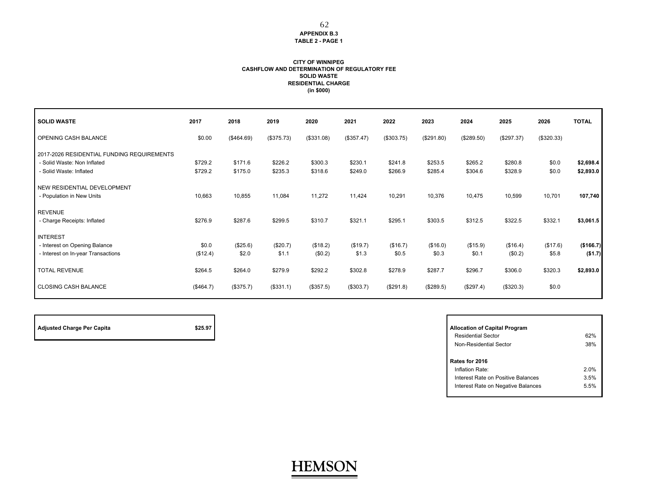#### **CASHFLOW AND DETERMINATION OF REGULATORY FEE SOLID WASTE RESIDENTIAL CHARGE CITY OF WINNIPEG(in \$000)**

| <b>SOLID WASTE</b>                         | 2017      | 2018       | 2019       | 2020       | 2021       | 2022       | 2023       | 2024       | 2025       | 2026       | <b>TOTAL</b> |
|--------------------------------------------|-----------|------------|------------|------------|------------|------------|------------|------------|------------|------------|--------------|
| OPENING CASH BALANCE                       | \$0.00    | (\$464.69) | (\$375.73) | (\$331.08) | (\$357.47) | (\$303.75) | (\$291.80) | (\$289.50) | (\$297.37) | (\$320.33) |              |
| 2017-2026 RESIDENTIAL FUNDING REQUIREMENTS |           |            |            |            |            |            |            |            |            |            |              |
| - Solid Waste: Non Inflated                | \$729.2   | \$171.6    | \$226.2    | \$300.3    | \$230.1    | \$241.8    | \$253.5    | \$265.2    | \$280.8    | \$0.0      | \$2,698.4    |
| - Solid Waste: Inflated                    | \$729.2   | \$175.0    | \$235.3    | \$318.6    | \$249.0    | \$266.9    | \$285.4    | \$304.6    | \$328.9    | \$0.0      | \$2,893.0    |
| NEW RESIDENTIAL DEVELOPMENT                |           |            |            |            |            |            |            |            |            |            |              |
| - Population in New Units                  | 10,663    | 10,855     | 11,084     | 11,272     | 11,424     | 10,291     | 10,376     | 10,475     | 10,599     | 10,701     | 107,740      |
| <b>REVENUE</b>                             |           |            |            |            |            |            |            |            |            |            |              |
| - Charge Receipts: Inflated                | \$276.9   | \$287.6    | \$299.5    | \$310.7    | \$321.1    | \$295.1    | \$303.5    | \$312.5    | \$322.5    | \$332.1    | \$3,061.5    |
| <b>INTEREST</b>                            |           |            |            |            |            |            |            |            |            |            |              |
| - Interest on Opening Balance              | \$0.0     | (\$25.6)   | (\$20.7)   | (\$18.2)   | (\$19.7)   | (\$16.7)   | (\$16.0)   | (\$15.9)   | (\$16.4)   | (\$17.6)   | (\$166.7)    |
| - Interest on In-year Transactions         | (\$12.4)  | \$2.0      | \$1.1      | (\$0.2)    | \$1.3      | \$0.5      | \$0.3      | \$0.1      | (\$0.2)    | \$5.8      | (\$1.7)      |
| <b>TOTAL REVENUE</b>                       | \$264.5   | \$264.0    | \$279.9    | \$292.2    | \$302.8    | \$278.9    | \$287.7    | \$296.7    | \$306.0    | \$320.3    | \$2,893.0    |
| <b>CLOSING CASH BALANCE</b>                | (\$464.7) | (\$375.7)  | (\$331.1)  | (\$357.5)  | (\$303.7)  | (\$291.8)  | (\$289.5)  | (\$297.4)  | (\$320.3)  | \$0.0      |              |

| <b>Adjusted Charge Per Capita</b> | \$25.97 | <b>Allocation of Capital Program</b> |
|-----------------------------------|---------|--------------------------------------|
|                                   |         | Residential Sector                   |

| <b>Allocation of Capital Program</b> |      |
|--------------------------------------|------|
| <b>Residential Sector</b>            | 62%  |
| Non-Residential Sector               | 38%  |
| Rates for 2016<br>Inflation Rate:    | 2.0% |
| Interest Rate on Positive Balances   | 3.5% |
| Interest Rate on Negative Balances   | 5.5% |
|                                      |      |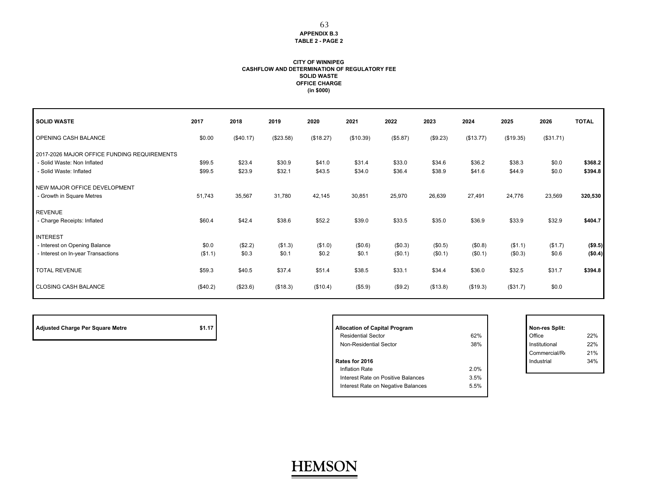#### **CITY OF WINNIPEG CASHFLOW AND DETERMINATION OF REGULATORY FEE SOLID WASTE OFFICE CHARGE (in \$000)**

| <b>SOLID WASTE</b>                                                                                    | 2017             | 2018             | 2019             | 2020             | 2021             | 2022               | 2023               | 2024               | 2025               | 2026             | <b>TOTAL</b>        |
|-------------------------------------------------------------------------------------------------------|------------------|------------------|------------------|------------------|------------------|--------------------|--------------------|--------------------|--------------------|------------------|---------------------|
| OPENING CASH BALANCE                                                                                  | \$0.00           | (\$40.17)        | (\$23.58)        | (\$18.27)        | (\$10.39)        | (\$5.87)           | (\$9.23)           | (\$13.77)          | (\$19.35)          | (\$31.71)        |                     |
| 2017-2026 MAJOR OFFICE FUNDING REQUIREMENTS<br>- Solid Waste: Non Inflated<br>- Solid Waste: Inflated | \$99.5<br>\$99.5 | \$23.4<br>\$23.9 | \$30.9<br>\$32.1 | \$41.0<br>\$43.5 | \$31.4<br>\$34.0 | \$33.0<br>\$36.4   | \$34.6<br>\$38.9   | \$36.2<br>\$41.6   | \$38.3<br>\$44.9   | \$0.0<br>\$0.0   | \$368.2<br>\$394.8  |
| NEW MAJOR OFFICE DEVELOPMENT<br>- Growth in Square Metres                                             | 51,743           | 35,567           | 31,780           | 42,145           | 30,851           | 25,970             | 26,639             | 27,491             | 24,776             | 23,569           | 320,530             |
| <b>REVENUE</b><br>- Charge Receipts: Inflated                                                         | \$60.4           | \$42.4           | \$38.6           | \$52.2           | \$39.0           | \$33.5             | \$35.0             | \$36.9             | \$33.9             | \$32.9           | \$404.7             |
| <b>INTEREST</b><br>- Interest on Opening Balance<br>- Interest on In-year Transactions                | \$0.0<br>(\$1.1) | (\$2.2)<br>\$0.3 | (\$1.3)<br>\$0.1 | (\$1.0)<br>\$0.2 | (\$0.6)<br>\$0.1 | (\$0.3)<br>(\$0.1) | (\$0.5)<br>(\$0.1) | (\$0.8)<br>(\$0.1) | (\$1.1)<br>(\$0.3) | (\$1.7)<br>\$0.6 | ( \$9.5)<br>(\$0.4) |
| <b>TOTAL REVENUE</b>                                                                                  | \$59.3           | \$40.5           | \$37.4           | \$51.4           | \$38.5           | \$33.1             | \$34.4             | \$36.0             | \$32.5             | \$31.7           | \$394.8             |
| <b>CLOSING CASH BALANCE</b>                                                                           | (\$40.2)         | (\$23.6)         | (\$18.3)         | (\$10.4)         | (\$5.9)          | (\$9.2)            | (\$13.8)           | (\$19.3)           | (\$31.7)           | \$0.0            |                     |

**HEMSON**

Г

|                                  | \$1.17 | <b>Allocation of Capital Program</b> | Non-res Split: |               |     |
|----------------------------------|--------|--------------------------------------|----------------|---------------|-----|
| Adjusted Charge Per Square Metre |        | <b>Residential Sector</b>            | 62%            | Office        | 22% |
|                                  |        | Non-Residential Sector               | 38%            | Institutional | 22% |
|                                  |        |                                      |                | Commercial/Re | 21% |
|                                  |        | Rates for 2016                       |                | Industrial    | 34% |
|                                  |        | Inflation Rate                       | 2.0%           |               |     |
|                                  |        | Interest Rate on Positive Balances   | 3.5%           |               |     |
|                                  |        | Interest Rate on Negative Balances   | 5.5%           |               |     |
|                                  |        |                                      |                |               |     |

|   | Non-res Split: |     |
|---|----------------|-----|
| % | Office         | 22% |
| % | Institutional  | 22% |
|   | Commercial/Re  | 21% |
|   | Industrial     | 34% |
| % |                |     |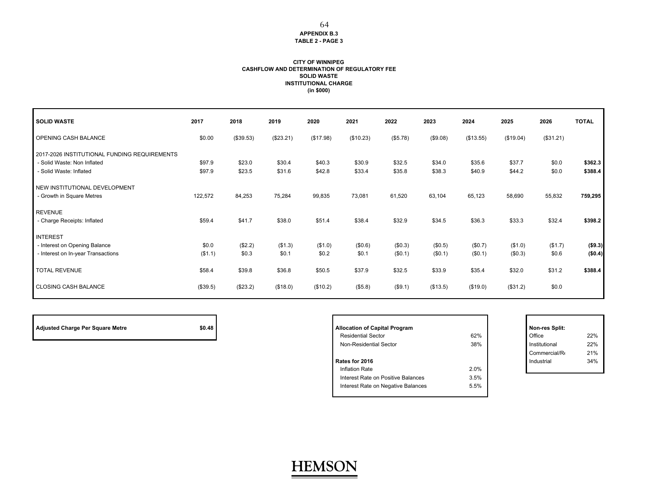#### **CITY OF WINNIPEG CASHFLOW AND DETERMINATION OF REGULATORY FEE SOLID WASTE INSTITUTIONAL CHARGE (in \$000)**

| <b>SOLID WASTE</b>                           | 2017     | 2018      | 2019      | 2020      | 2021      | 2022     | 2023     | 2024      | 2025      | 2026      | <b>TOTAL</b> |
|----------------------------------------------|----------|-----------|-----------|-----------|-----------|----------|----------|-----------|-----------|-----------|--------------|
| OPENING CASH BALANCE                         | \$0.00   | (\$39.53) | (\$23.21) | (\$17.98) | (\$10.23) | (\$5.78) | (\$9.08) | (\$13.55) | (\$19.04) | (\$31.21) |              |
| 2017-2026 INSTITUTIONAL FUNDING REQUIREMENTS |          |           |           |           |           |          |          |           |           |           |              |
| - Solid Waste: Non Inflated                  | \$97.9   | \$23.0    | \$30.4    | \$40.3    | \$30.9    | \$32.5   | \$34.0   | \$35.6    | \$37.7    | \$0.0     | \$362.3      |
| - Solid Waste: Inflated                      | \$97.9   | \$23.5    | \$31.6    | \$42.8    | \$33.4    | \$35.8   | \$38.3   | \$40.9    | \$44.2    | \$0.0     | \$388.4      |
| NEW INSTITUTIONAL DEVELOPMENT                |          |           |           |           |           |          |          |           |           |           |              |
| - Growth in Square Metres                    | 122,572  | 84,253    | 75,284    | 99,835    | 73,081    | 61,520   | 63,104   | 65,123    | 58,690    | 55,832    | 759,295      |
| <b>REVENUE</b>                               |          |           |           |           |           |          |          |           |           |           |              |
| - Charge Receipts: Inflated                  | \$59.4   | \$41.7    | \$38.0    | \$51.4    | \$38.4    | \$32.9   | \$34.5   | \$36.3    | \$33.3    | \$32.4    | \$398.2      |
| <b>INTEREST</b>                              |          |           |           |           |           |          |          |           |           |           |              |
| - Interest on Opening Balance                | \$0.0    | (\$2.2)   | (\$1.3)   | (\$1.0)   | (\$0.6)   | (\$0.3)  | (\$0.5)  | (\$0.7)   | (\$1.0)   | (\$1.7)   | ( \$9.3)     |
| - Interest on In-year Transactions           | (\$1.1)  | \$0.3     | \$0.1     | \$0.2     | \$0.1     | (\$0.1)  | (\$0.1)  | (\$0.1)   | (\$0.3)   | \$0.6     | (\$0.4)      |
| <b>TOTAL REVENUE</b>                         | \$58.4   | \$39.8    | \$36.8    | \$50.5    | \$37.9    | \$32.5   | \$33.9   | \$35.4    | \$32.0    | \$31.2    | \$388.4      |
| <b>CLOSING CASH BALANCE</b>                  | (\$39.5) | (\$23.2)  | (\$18.0)  | (\$10.2)  | (\$5.8)   | (\$9.1)  | (\$13.5) | (\$19.0)  | (\$31.2)  | \$0.0     |              |

| Adjusted Charge Per Square Metre | \$0 |
|----------------------------------|-----|
|                                  |     |

П

| <b>Adjusted Charge Per Square Metre</b> | \$0.48 | <b>Allocation of Capital Program</b> |      | Non-res Split: |     |
|-----------------------------------------|--------|--------------------------------------|------|----------------|-----|
|                                         |        | <b>Residential Sector</b>            | 62%  | Office         | 22% |
|                                         |        | Non-Residential Sector               | 38%  | Institutional  | 22% |
|                                         |        |                                      |      | Commercial/R   | 21% |
|                                         |        | Rates for 2016                       |      | Industrial     | 34% |
|                                         |        | Inflation Rate                       | 2.0% |                |     |
|                                         |        | Interest Rate on Positive Balances   | 3.5% |                |     |
|                                         |        | Interest Rate on Negative Balances   | 5.5% |                |     |
|                                         |        |                                      |      |                |     |

|     | Non-res Split: |     |
|-----|----------------|-----|
| %   | Office         | 22% |
| %   | Institutional  | 22% |
|     | Commercial/Re  | 21% |
|     | Industrial     | 34% |
| 0/2 |                |     |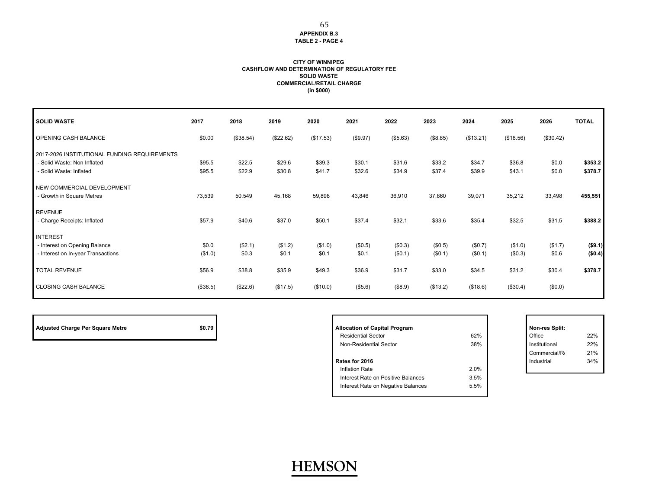#### **CITY OF WINNIPEG CASHFLOW AND DETERMINATION OF REGULATORY FEE SOLID WASTE COMMERCIAL/RETAIL CHARGE (in \$000)**

| <b>SOLID WASTE</b>                                                                                     | 2017             | 2018             | 2019             | 2020             | 2021             | 2022               | 2023               | 2024               | 2025               | 2026             | <b>TOTAL</b>       |
|--------------------------------------------------------------------------------------------------------|------------------|------------------|------------------|------------------|------------------|--------------------|--------------------|--------------------|--------------------|------------------|--------------------|
| OPENING CASH BALANCE                                                                                   | \$0.00           | (\$38.54)        | (\$22.62)        | (\$17.53)        | (\$9.97)         | (\$5.63)           | (\$8.85)           | (\$13.21)          | (\$18.56)          | (\$30.42)        |                    |
| 2017-2026 INSTITUTIONAL FUNDING REQUIREMENTS<br>- Solid Waste: Non Inflated<br>- Solid Waste: Inflated | \$95.5<br>\$95.5 | \$22.5<br>\$22.9 | \$29.6<br>\$30.8 | \$39.3<br>\$41.7 | \$30.1<br>\$32.6 | \$31.6<br>\$34.9   | \$33.2<br>\$37.4   | \$34.7<br>\$39.9   | \$36.8<br>\$43.1   | \$0.0<br>\$0.0   | \$353.2<br>\$378.7 |
| NEW COMMERCIAL DEVELOPMENT<br>- Growth in Square Metres                                                | 73,539           | 50,549           | 45,168           | 59,898           | 43,846           | 36,910             | 37,860             | 39,071             | 35,212             | 33,498           | 455,551            |
| <b>REVENUE</b><br>- Charge Receipts: Inflated                                                          | \$57.9           | \$40.6           | \$37.0           | \$50.1           | \$37.4           | \$32.1             | \$33.6             | \$35.4             | \$32.5             | \$31.5           | \$388.2            |
| <b>INTEREST</b>                                                                                        |                  |                  |                  |                  |                  |                    |                    |                    |                    |                  |                    |
| - Interest on Opening Balance<br>- Interest on In-year Transactions                                    | \$0.0<br>(\$1.0) | (\$2.1)<br>\$0.3 | (\$1.2)<br>\$0.1 | (\$1.0)<br>\$0.1 | (\$0.5)<br>\$0.1 | (\$0.3)<br>(\$0.1) | (\$0.5)<br>(\$0.1) | (\$0.7)<br>(\$0.1) | (\$1.0)<br>(\$0.3) | (\$1.7)<br>\$0.6 | (\$9.1)<br>(\$0.4) |
| <b>TOTAL REVENUE</b>                                                                                   | \$56.9           | \$38.8           | \$35.9           | \$49.3           | \$36.9           | \$31.7             | \$33.0             | \$34.5             | \$31.2             | \$30.4           | \$378.7            |
| <b>CLOSING CASH BALANCE</b>                                                                            | (\$38.5)         | (\$22.6)         | (\$17.5)         | (\$10.0)         | (\$5.6)          | (\$8.9)            | (\$13.2)           | (\$18.6)           | (\$30.4)           | (\$0.0)          |                    |

**HEMSON**

| Adjusted Charge Per Square Metre |  |
|----------------------------------|--|
|----------------------------------|--|

П

| <b>Adjusted Charge Per Square Metre</b> | \$0.79 | <b>Allocation of Capital Program</b> |      |        | Non-res Split: |     |
|-----------------------------------------|--------|--------------------------------------|------|--------|----------------|-----|
|                                         |        | <b>Residential Sector</b>            | 62%  | Office |                | 22% |
|                                         |        | Non-Residential Sector               | 38%  |        | Institutional  | 22% |
|                                         |        |                                      |      |        | Commercial/Re  | 21% |
|                                         |        | Rates for 2016                       |      |        | Industrial     | 34% |
|                                         |        | Inflation Rate                       | 2.0% |        |                |     |
|                                         |        | Interest Rate on Positive Balances   | 3.5% |        |                |     |
|                                         |        | Interest Rate on Negative Balances   | 5.5% |        |                |     |
|                                         |        |                                      |      |        |                |     |

|     | Non-res Split: |     |
|-----|----------------|-----|
| %   | Office         | 22% |
| %   | Institutional  | 22% |
|     | Commercial/Re  | 21% |
|     | Industrial     | 34% |
| 0/2 |                |     |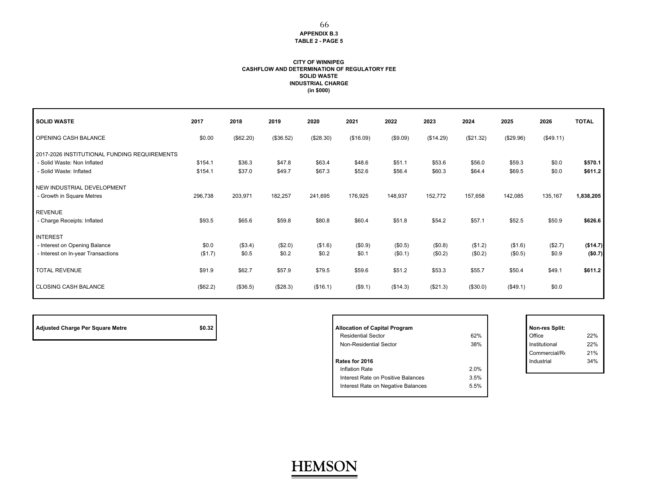#### **CITY OF WINNIPEG CASHFLOW AND DETERMINATION OF REGULATORY FEE SOLID WASTE INDUSTRIAL CHARGE (in \$000)**

| <b>SOLID WASTE</b>                                                                                     | 2017               | 2018             | 2019             | 2020             | 2021             | 2022               | 2023               | 2024               | 2025               | 2026             | <b>TOTAL</b>        |
|--------------------------------------------------------------------------------------------------------|--------------------|------------------|------------------|------------------|------------------|--------------------|--------------------|--------------------|--------------------|------------------|---------------------|
| OPENING CASH BALANCE                                                                                   | \$0.00             | (\$62.20)        | (\$36.52)        | (\$28.30)        | (\$16.09)        | (\$9.09)           | (\$14.29)          | (\$21.32)          | (\$29.96)          | (\$49.11)        |                     |
| 2017-2026 INSTITUTIONAL FUNDING REQUIREMENTS<br>- Solid Waste: Non Inflated<br>- Solid Waste: Inflated | \$154.1<br>\$154.1 | \$36.3<br>\$37.0 | \$47.8<br>\$49.7 | \$63.4<br>\$67.3 | \$48.6<br>\$52.6 | \$51.1<br>\$56.4   | \$53.6<br>\$60.3   | \$56.0<br>\$64.4   | \$59.3<br>\$69.5   | \$0.0<br>\$0.0   | \$570.1<br>\$611.2  |
| NEW INDUSTRIAL DEVELOPMENT<br>- Growth in Square Metres                                                | 296,738            | 203,971          | 182,257          | 241,695          | 176,925          | 148,937            | 152,772            | 157,658            | 142,085            | 135,167          | 1,838,205           |
| <b>REVENUE</b><br>- Charge Receipts: Inflated                                                          | \$93.5             | \$65.6           | \$59.8           | \$80.8           | \$60.4           | \$51.8             | \$54.2             | \$57.1             | \$52.5             | \$50.9           | \$626.6             |
| <b>INTEREST</b><br>- Interest on Opening Balance<br>- Interest on In-year Transactions                 | \$0.0<br>(\$1.7)   | (\$3.4)<br>\$0.5 | (\$2.0)<br>\$0.2 | (\$1.6)<br>\$0.2 | (\$0.9)<br>\$0.1 | (\$0.5)<br>(\$0.1) | (\$0.8)<br>(\$0.2) | (\$1.2)<br>(\$0.2) | (\$1.6)<br>(\$0.5) | (\$2.7)<br>\$0.9 | (\$14.7)<br>(\$0.7) |
| <b>TOTAL REVENUE</b>                                                                                   | \$91.9             | \$62.7           | \$57.9           | \$79.5           | \$59.6           | \$51.2             | \$53.3             | \$55.7             | \$50.4             | \$49.1           | \$611.2             |
| <b>CLOSING CASH BALANCE</b>                                                                            | (\$62.2)           | (\$36.5)         | (\$28.3)         | (\$16.1)         | (\$9.1)          | (\$14.3)           | (\$21.3)           | (\$30.0)           | (\$49.1)           | \$0.0            |                     |

| Adjusted Charge Per Square Metre | \$0.32 | <b>Allocation of Capital Program</b>    | I Non-res Split: |
|----------------------------------|--------|-----------------------------------------|------------------|
|                                  |        | $\sim$ $\sim$ $\sim$<br>- - - - - - - - | $\sim$ $\sim$    |

| <b>Allocation of Capital Program</b> |      | Non-res Split: |     |
|--------------------------------------|------|----------------|-----|
| <b>Residential Sector</b>            | 62%  | Office         | 22% |
| Non-Residential Sector               | 38%  | Institutional  | 22% |
|                                      |      | Commercial/Re  | 21% |
| Rates for 2016                       |      | Industrial     | 34% |
| <b>Inflation Rate</b>                | 2.0% |                |     |
| Interest Rate on Positive Balances   | 3.5% |                |     |
| Interest Rate on Negative Balances   | 5.5% |                |     |
|                                      |      |                |     |

|   | Non-res Split: |     |
|---|----------------|-----|
| % | Office         | 22% |
| % | Institutional  | 22% |
|   | Commercial/Re  | 21% |
|   | Industrial     | 34% |
| % |                |     |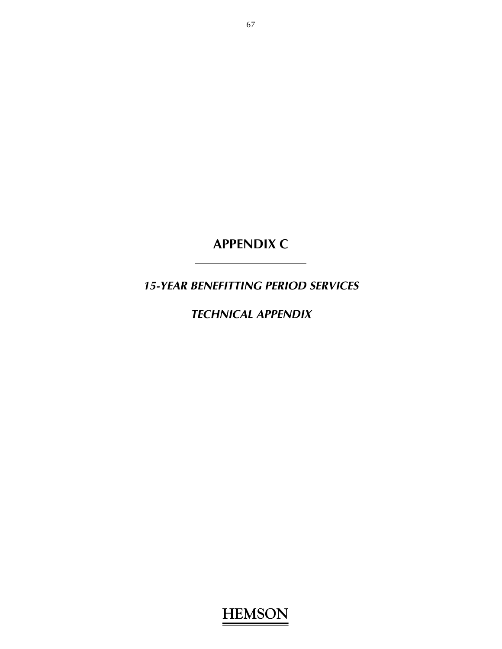**APPENDIX C** 

*15-YEAR BENEFITTING PERIOD SERVICES* 

*TECHNICAL APPENDIX*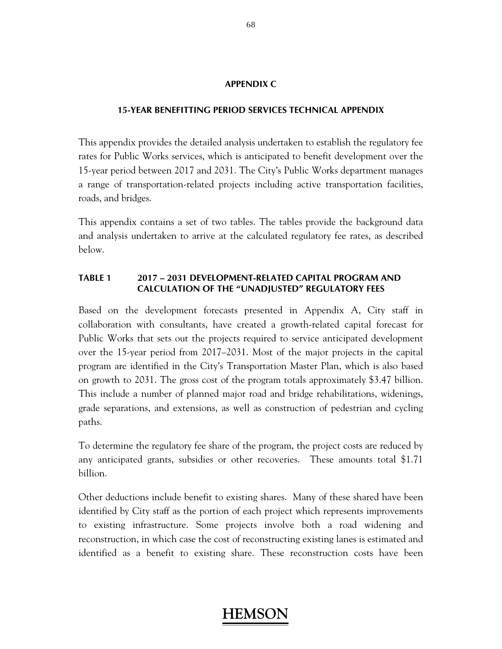### **APPENDIX C**

### **15-YEAR BENEFITTING PERIOD SERVICES TECHNICAL APPENDIX**

This appendix provides the detailed analysis undertaken to establish the regulatory fee rates for Public Works services, which is anticipated to benefit development over the 15-year period between 2017 and 2031. The City's Public Works department manages a range of transportation-related projects including active transportation facilities, roads, and bridges.

This appendix contains a set of two tables. The tables provide the background data and analysis undertaken to arrive at the calculated regulatory fee rates, as described below.

### **TABLE 1 2017 – 2031 DEVELOPMENT-RELATED CAPITAL PROGRAM AND CALCULATION OF THE "UNADJUSTED" REGULATORY FEES**

Based on the development forecasts presented in Appendix A, City staff in collaboration with consultants, have created a growth-related capital forecast for Public Works that sets out the projects required to service anticipated development over the 15-year period from 2017–2031. Most of the major projects in the capital program are identified in the City's Transportation Master Plan, which is also based on growth to 2031. The gross cost of the program totals approximately \$3.47 billion. This include a number of planned major road and bridge rehabilitations, widenings, grade separations, and extensions, as well as construction of pedestrian and cycling paths.

To determine the regulatory fee share of the program, the project costs are reduced by any anticipated grants, subsidies or other recoveries. These amounts total \$1.71 billion.

Other deductions include benefit to existing shares. Many of these shared have been identified by City staff as the portion of each project which represents improvements to existing infrastructure. Some projects involve both a road widening and reconstruction, in which case the cost of reconstructing existing lanes is estimated and identified as a benefit to existing share. These reconstruction costs have been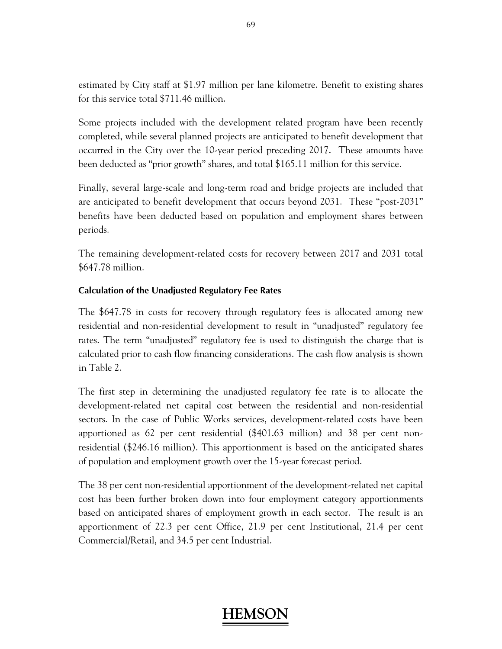estimated by City staff at \$1.97 million per lane kilometre. Benefit to existing shares for this service total \$711.46 million.

Some projects included with the development related program have been recently completed, while several planned projects are anticipated to benefit development that occurred in the City over the 10-year period preceding 2017. These amounts have been deducted as "prior growth" shares, and total \$165.11 million for this service.

Finally, several large-scale and long-term road and bridge projects are included that are anticipated to benefit development that occurs beyond 2031. These "post-2031" benefits have been deducted based on population and employment shares between periods.

The remaining development-related costs for recovery between 2017 and 2031 total \$647.78 million.

### **Calculation of the Unadjusted Regulatory Fee Rates**

The \$647.78 in costs for recovery through regulatory fees is allocated among new residential and non-residential development to result in "unadjusted" regulatory fee rates. The term "unadjusted" regulatory fee is used to distinguish the charge that is calculated prior to cash flow financing considerations. The cash flow analysis is shown in Table 2.

The first step in determining the unadjusted regulatory fee rate is to allocate the development-related net capital cost between the residential and non-residential sectors. In the case of Public Works services, development-related costs have been apportioned as 62 per cent residential (\$401.63 million) and 38 per cent nonresidential (\$246.16 million). This apportionment is based on the anticipated shares of population and employment growth over the 15-year forecast period.

The 38 per cent non-residential apportionment of the development-related net capital cost has been further broken down into four employment category apportionments based on anticipated shares of employment growth in each sector. The result is an apportionment of 22.3 per cent Office, 21.9 per cent Institutional, 21.4 per cent Commercial/Retail, and 34.5 per cent Industrial.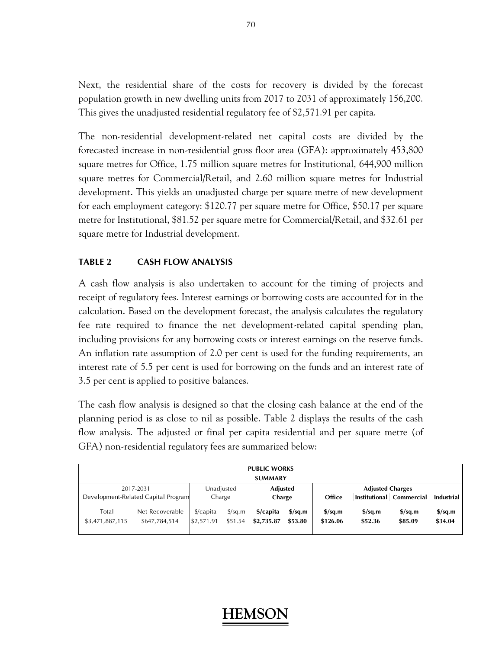Next, the residential share of the costs for recovery is divided by the forecast population growth in new dwelling units from 2017 to 2031 of approximately 156,200. This gives the unadjusted residential regulatory fee of \$2,571.91 per capita.

The non-residential development-related net capital costs are divided by the forecasted increase in non-residential gross floor area (GFA): approximately 453,800 square metres for Office, 1.75 million square metres for Institutional, 644,900 million square metres for Commercial/Retail, and 2.60 million square metres for Industrial development. This yields an unadjusted charge per square metre of new development for each employment category: \$120.77 per square metre for Office, \$50.17 per square metre for Institutional, \$81.52 per square metre for Commercial/Retail, and \$32.61 per square metre for Industrial development.

#### **TABLE 2 CASH FLOW ANALYSIS**

A cash flow analysis is also undertaken to account for the timing of projects and receipt of regulatory fees. Interest earnings or borrowing costs are accounted for in the calculation. Based on the development forecast, the analysis calculates the regulatory fee rate required to finance the net development-related capital spending plan, including provisions for any borrowing costs or interest earnings on the reserve funds. An inflation rate assumption of 2.0 per cent is used for the funding requirements, an interest rate of 5.5 per cent is used for borrowing on the funds and an interest rate of 3.5 per cent is applied to positive balances.

The cash flow analysis is designed so that the closing cash balance at the end of the planning period is as close to nil as possible. Table 2 displays the results of the cash flow analysis. The adjusted or final per capita residential and per square metre (of GFA) non-residential regulatory fees are summarized below:

|                                     |                                  |                                     |                                    | <b>PUBLIC WORKS</b>     |                             |                                     |                                             |                                             |                                    |
|-------------------------------------|----------------------------------|-------------------------------------|------------------------------------|-------------------------|-----------------------------|-------------------------------------|---------------------------------------------|---------------------------------------------|------------------------------------|
|                                     |                                  |                                     |                                    | <b>SUMMARY</b>          |                             |                                     |                                             |                                             |                                    |
|                                     | 2017-2031                        | Unadjusted                          | <b>Adjusted</b>                    |                         | <b>Adjusted Charges</b>     |                                     |                                             |                                             |                                    |
| Development-Related Capital Program |                                  | Charge                              |                                    | Charge                  |                             | Office                              |                                             | Institutional Commercial                    | Industrial                         |
| Total<br>\$3,471,887,115            | Net Recoverable<br>\$647,784,514 | $\frac{2}{2}$ /capita<br>\$2,571.91 | $\frac{\sigma}{2}$ sq.m<br>\$51.54 | \$/capita<br>\$2,735.87 | $\frac{s}{sa.m}$<br>\$53.80 | $\frac{\sigma}{2}$ sq.m<br>\$126.06 | $\frac{\text{S}}{\text{S}}$ sq.m<br>\$52.36 | $\frac{\text{S}}{\text{S}}$ sq.m<br>\$85.09 | $\frac{\sigma}{2}$ sq.m<br>\$34.04 |

#### 70

## **HEMS**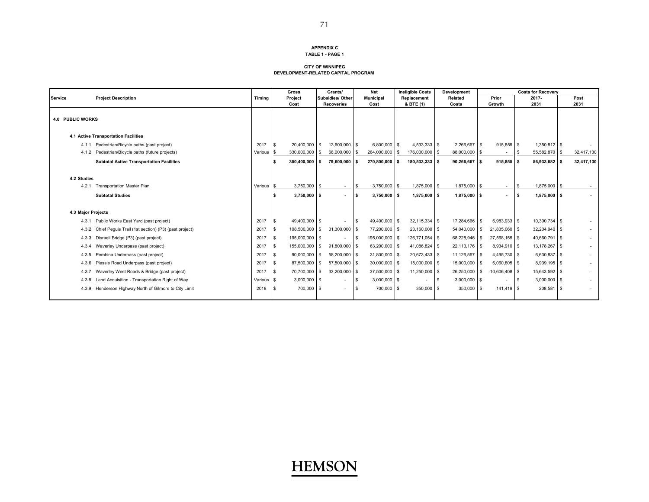#### **APPENDIX CTABLE 1 - PAGE 1**

#### **CITY OF WINNIPEGDEVELOPMENT-RELATED CAPITAL PROGRAM**

|                    |                                                        |            | Gross                  | Grants/                  |     | <b>Net</b>       |     | <b>Ineligible Costs</b> |             | <b>Development</b> |      |                          | <b>Costs for Recovery</b> |    |            |
|--------------------|--------------------------------------------------------|------------|------------------------|--------------------------|-----|------------------|-----|-------------------------|-------------|--------------------|------|--------------------------|---------------------------|----|------------|
| <b>Service</b>     | <b>Project Description</b>                             | Timing     | Project                | <b>Subsidies/ Other</b>  |     | <b>Municipal</b> |     | Replacement             |             | Related            |      | Prior                    | $2017 -$                  |    | Post       |
|                    |                                                        |            | Cost                   | <b>Recoveries</b>        |     | Cost             |     | & BTE (1)               |             | Costs              |      | Growth                   | 2031                      |    | 2031       |
|                    |                                                        |            |                        |                          |     |                  |     |                         |             |                    |      |                          |                           |    |            |
| 4.0 PUBLIC WORKS   |                                                        |            |                        |                          |     |                  |     |                         |             |                    |      |                          |                           |    |            |
|                    |                                                        |            |                        |                          |     |                  |     |                         |             |                    |      |                          |                           |    |            |
|                    | 4.1 Active Transportation Facilities                   |            |                        |                          |     |                  |     |                         |             |                    |      |                          |                           |    |            |
| 4.1.1              | Pedestrian/Bicycle paths (past project)                | 2017       | 20,400,000 \$<br>- \$  | 13,600,000 \$            |     | $6,800,000$ \$   |     | $4,533,333$ \$          |             | 2,266,667          | l S  | $915,855$ \$             | $1,350,812$ \$            |    |            |
| 4.1.2              | Pedestrian/Bicycle paths (future projects)             | Various    | 330,000,000<br>l \$    | 66,000,000               |     | 264,000,000      | \$  | 176,000,000             | -S          | 88,000,000         | -S   | $\overline{\phantom{a}}$ | 55,582,870                | s  | 32,417,130 |
|                    | <b>Subtotal Active Transportation Facilities</b>       |            | 350,400,000 \$<br>ŝ.   | 79,600,000 \$            |     | 270,800,000      | l S | 180,533,333 \$          |             | 90,266,667         | - \$ | $915.855$ \$             | 56,933,682                | ŝ  | 32,417,130 |
|                    |                                                        |            |                        |                          |     |                  |     |                         |             |                    |      |                          |                           |    |            |
| 4.2 Studies        |                                                        |            |                        |                          |     |                  |     |                         |             |                    |      |                          |                           |    |            |
| 4.2.1              | <b>Transportation Master Plan</b>                      | Various \$ | 3,750,000              | $\sim$                   |     | 3,750,000        | \$  | 1,875,000               | $\mathbf s$ | 1,875,000          |      | $\sim$                   | 1,875,000                 | \$ |            |
|                    | <b>Subtotal Studies</b>                                |            | $3,750,000$ \$         | $\sim$                   | -S  | $3,750,000$ \$   |     | $1,875,000$ \$          |             | $1,875,000$ \$     |      |                          | $1,875,000$ \$<br>∣\$.    |    |            |
|                    |                                                        |            |                        |                          |     |                  |     |                         |             |                    |      |                          |                           |    |            |
|                    |                                                        |            |                        |                          |     |                  |     |                         |             |                    |      |                          |                           |    |            |
| 4.3 Major Projects |                                                        |            |                        |                          |     |                  |     |                         |             |                    |      |                          |                           |    |            |
| 4.3.1              | Public Works East Yard (past project)                  | 2017       | 49,400,000 \$<br>\$    | $\sim$                   | l S | 49,400,000 \$    |     | $32,115,334$ \$         |             | 17,284,666 \$      |      | $6,983,933$ \$           | 10,300,734 \$             |    |            |
| 4.3.2              | Chief Peguis Trail (1st section) (P3) (past project)   | 2017       | 108,500,000 \$<br>- \$ | 31,300,000 \$            |     | 77,200,000 \$    |     | 23,160,000 \$           |             | 54,040,000         | - \$ | 21,835,060 \$            | 32,204,940 \$             |    |            |
| 4.3.3              | Disraeli Bridge (P3) (past project)                    | 2017       | 195,000,000 \$<br>- \$ |                          | l S | 195,000,000 \$   |     | 126,771,054 \$          |             | 68,228,946 \$      |      | 27,568,155 \$            | 40,660,791 \$             |    |            |
| 4.3.4              | Waverley Underpass (past project)                      | 2017       | 155,000,000 \$<br>- \$ | 91.800.000 \$            |     | 63,200,000 \$    |     | 41,086,824 \$           |             | 22,113,176 \$      |      | 8,934,910 \$             | 13.178.267 \$             |    |            |
| 4.3.5              | Pembina Underpass (past project)                       | 2017       | 90,000,000 \$<br>- \$  | 58,200,000 \$            |     | 31,800,000 \$    |     | 20,673,433 \$           |             | 11,126,567         | - \$ | 4,495,730 \$             | $6,630,837$ \$            |    |            |
| 4.3.6              | Plessis Road Underpass (past project)                  | 2017       | 87,500,000 \$<br>- \$  | 57,500,000 \$            |     | 30,000,000 \$    |     | 15,000,000 \$           |             | 15,000,000         | - \$ | $6.060.805$ \$           | 8,939,195 \$              |    |            |
| 4.3.7              | Waverley West Roads & Bridge (past project)            | 2017       | 70,700,000 \$<br>- \$  | 33,200,000 \$            |     | 37,500,000 \$    |     | 11,250,000 \$           |             | 26,250,000         | - \$ | 10,606,408 \$            | 15,643,592 \$             |    |            |
| 4.3.8              | Land Acquisition - Transportation Right of Way         | Various \$ | $3,000,000$ \$         | $\overline{\phantom{a}}$ |     | $3,000,000$ \$   |     |                         | -S          | $3,000,000$ \$     |      | ٠                        | $3,000,000$ \$            |    |            |
|                    | 4.3.9 Henderson Highway North of Gilmore to City Limit | 2018       | 700,000 \$<br>l \$     | $\sim$                   | ΙS  | 700,000 \$       |     | 350,000 \$              |             | 350,000            | - \$ | 141,419 \$               | 208,581                   | -S |            |
|                    |                                                        |            |                        |                          |     |                  |     |                         |             |                    |      |                          |                           |    |            |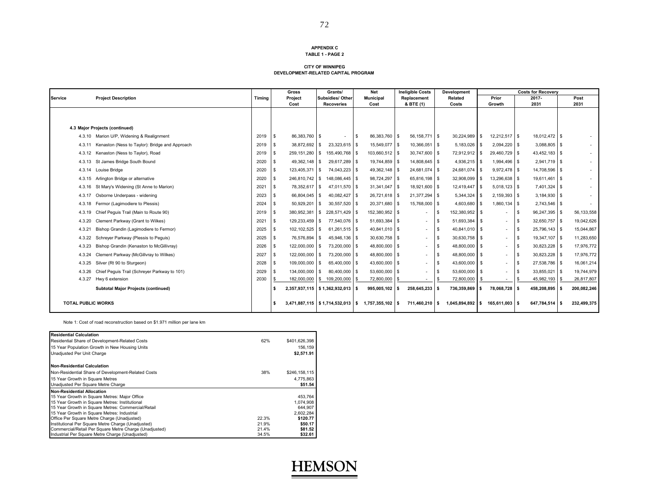#### **APPENDIX CTABLE 1 - PAGE 2**

#### **CITY OF WINNIPEGDEVELOPMENT-RELATED CAPITAL PROGRAM**

|                           |                                                     |        | Gross                | Grants/                       |     | <b>Net</b>       |          | <b>Ineligible Costs</b>  |      | <b>Development</b> |      |                          | <b>Costs for Recovery</b> |      |             |
|---------------------------|-----------------------------------------------------|--------|----------------------|-------------------------------|-----|------------------|----------|--------------------------|------|--------------------|------|--------------------------|---------------------------|------|-------------|
| <b>Service</b>            | <b>Project Description</b>                          | Timing | Project              | Subsidies/ Other              |     | <b>Municipal</b> |          | Replacement              |      | Related            |      | Prior                    | 2017-                     |      | Post        |
|                           |                                                     |        | Cost                 | <b>Recoveries</b>             |     | Cost             |          | & BTE (1)                |      | Costs              |      | Growth                   | 2031                      |      | 2031        |
|                           |                                                     |        |                      |                               |     |                  |          |                          |      |                    |      |                          |                           |      |             |
|                           | 4.3 Major Projects (continued)                      |        |                      |                               |     |                  |          |                          |      |                    |      |                          |                           |      |             |
|                           | 4.3.10 Marion U/P, Widening & Realignment           | 2019   | 86,383,760 \$<br>\$  |                               | l S | 86,383,760       | <b>S</b> | 56, 158, 771 \$          |      | 30,224,989         | - \$ | 12,212,517 \$            | 18,012,472 \$             |      |             |
| 4.3.11                    | Kenaston (Ness to Taylor): Bridge and Approach      | 2019   | 38,872,692 \$<br>\$  | 23,323,615 \$                 |     | 15,549,077 \$    |          | 10,366,051 \$            |      | 5,183,026          | l \$ | $2,094,220$ \$           | $3,088,805$ \$            |      |             |
| 4.3.12                    | Kenaston (Ness to Taylor), Road                     | 2019   | 259,151,280 \$<br>\$ | 155,490,768 \$                |     | 103,660,512 \$   |          | 30,747,600 \$            |      | 72,912,912 \$      |      | 29,460,729 \$            | 43,452,183 \$             |      |             |
| 4.3.13                    | St James Bridge South Bound                         | 2020   | 49,362,148 \$<br>\$  | 29,617,289 \$                 |     | 19,744,859 \$    |          | 14,808,645 \$            |      | 4,936,215 \$       |      | 1,994,496 \$             | 2,941,719 \$              |      |             |
| 4.3.14                    | Louise Bridge                                       | 2020   | 123.405.371 \$       | 74.043.223 \$                 |     | 49.362.148 \$    |          | 24.681.074 \$            |      | 24.681.074         | - \$ | 9.972.478 \$             | 14.708.596 \$             |      |             |
| 4.3.15                    | Arlington Bridge or alternative                     | 2020   | \$                   | 246,810,742 \$148,086,445 \$  |     | 98,724,297 \$    |          | 65,816,198 \$            |      | 32,908,099         | - \$ | 13,296,638 \$            | 19,611,461 \$             |      |             |
| 4.3.16                    | St Mary's Widening (St Anne to Marion)              | 2021   | 78,352,617 \$<br>\$  | 47,011,570 \$                 |     | 31,341,047 \$    |          | 18,921,600 \$            |      | 12,419,447 \$      |      | $5,018,123$ \$           | 7,401,324 \$              |      |             |
| 4.3.17                    | Osborne Underpass - widening                        | 2023   | 66,804,045 \$<br>\$  | 40,082,427 \$                 |     | 26,721,618 \$    |          | 21,377,294 \$            |      | 5,344,324 \$       |      | $2,159,393$ \$           | $3,184,930$ \$            |      |             |
| 4.3.18                    | Fermor (Lagimodiere to Plessis)                     | 2024   | 50,929,201 \$<br>\$  | 30.557.520 \$                 |     | 20,371,680 \$    |          | 15,768,000 \$            |      | 4,603,680 \$       |      | $1.860.134$ \ \$         | $2,743,546$ \$            |      |             |
| 4.3.19                    | Chief Peguis Trail (Main to Route 90)               | 2019   | \$.                  | 380,952,381 \$ 228,571,429 \$ |     | 152,380,952 \$   |          |                          |      | 152,380,952 \$     |      | ٠                        | 96,247,395 \$             |      | 56,133,558  |
| 4.3.20                    | Clement Parkway (Grant to Wilkes)                   | 2021   | 129,233,459 \$<br>\$ | 77,540,076 \$                 |     | 51,693,384 \$    |          | $\overline{\phantom{a}}$ |      | 51,693,384         | - \$ | $\overline{\phantom{0}}$ | 32,650,757 \$             |      | 19,042,626  |
| 4.3.21                    | Bishop Grandin (Lagimodiere to Fermor)              | 2025   | 102,102,525 \$<br>\$ | $61,261,515$ \$               |     | 40,841,010 \$    |          | $\sim$                   | - 5  | 40,841,010 \$      |      | $\overline{\phantom{a}}$ | 25,796,143 \$<br>l S      |      | 15,044,867  |
| 4.3.22                    | Schreyer Parkway (Plessis to Peguis)                | 2025   | 76,576,894 \$<br>\$. | 45,946,136 \$                 |     | 30,630,758 \$    |          | $\sim$                   |      | 30,630,758 \$      |      | $\overline{\phantom{a}}$ | 19,347,107 \$             |      | 11,283,650  |
| 4.3.23                    | Bishop Grandin (Kenaston to McGillivray)            | 2026   | 122,000,000 \$<br>\$ | 73.200.000 \$                 |     | 48,800,000 \$    |          | $\sim$                   | - \$ | 48,800,000 \$      |      | $\overline{\phantom{a}}$ | 30,823,228 \$<br>l \$     |      | 17,976,772  |
| 4.3.24                    | Clement Parkway (McGillvray to Wilkes)              | 2027   | 122,000,000 \$<br>\$ | 73.200.000 \$                 |     | 48,800,000 \$    |          | $\overline{\phantom{a}}$ | - \$ | 48,800,000         | l \$ | $\overline{\phantom{a}}$ | 30,823,228 \$<br>l \$     |      | 17,976,772  |
| 4.3.25                    | Silver (Rt 90 to Sturgeon)                          | 2028   | 109,000,000 \$<br>\$ | 65,400,000 \$                 |     | 43,600,000 \$    |          | $\sim$                   |      | 43,600,000 \$      |      | $\overline{\phantom{a}}$ | 27,538,786 \$             |      | 16,061,214  |
|                           | 4.3.26 Chief Peguis Trail (Schreyer Parkway to 101) | 2029   | 134,000,000 \$<br>\$ | 80,400,000 \$                 |     | 53,600,000 \$    |          | $\overline{\phantom{a}}$ |      | 53,600,000 \$      |      | ۰.                       | 33,855,021 \$             |      | 19,744,979  |
|                           | 4.3.27 Hwy 6 extension                              | 2030   | 182,000,000 \$       | 109,200,000                   |     | 72,800,000       | \$       | $\overline{\phantom{a}}$ |      | 72,800,000         |      | $\sim$                   | 45,982,193                | - \$ | 26,817,807  |
|                           | <b>Subtotal Major Projects (continued)</b>          |        | Ŝ.                   | 2,357,937,115 \$1,362,932,013 |     | 995,005,102 \$   |          | 258,645,233 \$           |      | 736,359,869        | -S   | 78,068,728 \$            | 458,208,895 \$            |      | 200,082,246 |
| <b>TOTAL PUBLIC WORKS</b> |                                                     |        | Ŝ.                   | 3,471,887,115 \$1,714,532,013 | s.  | 1.757.355.102    | - \$     | 711,460,210 \$           |      | 1.045.894.892      | s.   | 165.611.003 \$           | 647,784,514 \$            |      | 232,499,375 |

Note 1: Cost of road reconstruction based on \$1.971 million per lane km

| <b>Residential Calculation</b>                         |       |               |
|--------------------------------------------------------|-------|---------------|
| Residential Share of Development-Related Costs         | 62%   | \$401,626,398 |
| 15 Year Population Growth in New Housing Units         |       | 156.159       |
| Unadiusted Per Unit Charge                             |       | \$2.571.91    |
| <b>Non-Residential Calculation</b>                     |       |               |
| Non-Residential Share of Development-Related Costs     | 38%   | \$246,158,115 |
| 15 Year Growth in Square Metres                        |       | 4.775.863     |
| Unadjusted Per Square Metre Charge                     |       | \$51.54       |
| <b>Non-Residential Allocation</b>                      |       |               |
| 15 Year Growth in Square Metres: Major Office          |       | 453,764       |
| 15 Year Growth in Square Metres: Institutional         |       | 1.074.908     |
| 15 Year Growth in Square Metres: Commercial/Retail     |       | 644.907       |
| 15 Year Growth in Square Metres: Industrial            |       | 2.602.284     |
| Office Per Square Metre Charge (Unadiusted)            | 22.3% | \$120.77      |
| Institutional Per Square Metre Charge (Unadjusted)     | 21.9% | \$50.17       |
| Commercial/Retail Per Square Metre Charge (Unadjusted) | 21.4% | \$81.52       |
| Industrial Per Square Metre Charge (Unadjusted)        | 34.5% | \$32.61       |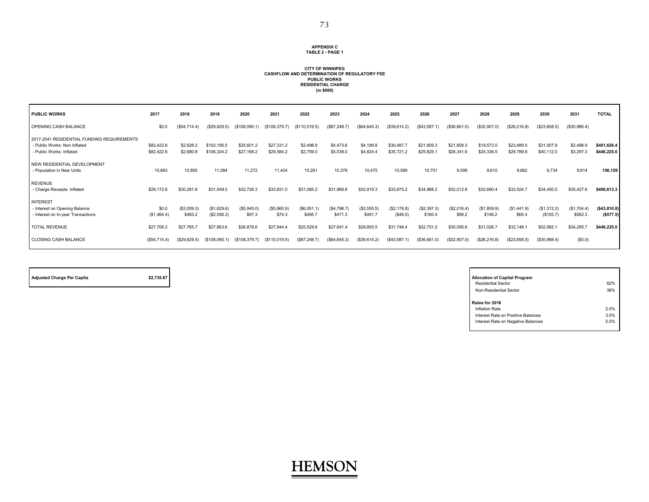#### **APPENDIX CTABLE 2 - PAGE 1**

#### **(in \$000) RESIDENTIAL CHARGE PUBLIC WORKS CITY OF WINNIPEGCASHFLOW AND DETERMINATION OF REGULATORY FEE**

| <b>PUBLIC WORKS</b>                                                                                    | 2017                     | 2018                   | 2019                       | 2020                    | 2021                     | 2022                   | 2023                   | 2024                   | 2025                    | 2026                    | 2027                     | 2028                     | 2029                     | 2030                     | 2031                   | <b>TOTAL</b>                |
|--------------------------------------------------------------------------------------------------------|--------------------------|------------------------|----------------------------|-------------------------|--------------------------|------------------------|------------------------|------------------------|-------------------------|-------------------------|--------------------------|--------------------------|--------------------------|--------------------------|------------------------|-----------------------------|
| OPENING CASH BALANCE                                                                                   | \$0.0                    | (\$54,714.4)           | (\$29,629.5)               | (\$108,090.1)           | (\$108,379.7)            | (\$110,019.5)          | (\$87,248.7)           | (\$64,645.3)           | (\$39,614.2)            | (\$43,587.              | (\$36,661.0)             | (\$32,907.0)             | (\$26,216.8)             | (\$23,858.5)             | (\$30,988.4)           |                             |
| 2017-2041 RESIDENTIAL FUNDING REQUIREMENTS<br>- Public Works: Non Inflated<br>- Public Works: Inflated | \$82,422.6<br>\$82,422.6 | \$2,628.2<br>\$2,680.8 | \$102,195.5<br>\$106,324.2 | \$25,601.<br>\$27,168.2 | \$27,331.2<br>\$29,584.2 | \$2,498.9<br>\$2,759.0 | \$4,473.6<br>\$5,038.0 | \$4,199.9<br>\$4,824.4 | \$30,487.<br>\$35,721.2 | \$21,609.3<br>\$25,825. | \$21,609.3<br>\$26,341.6 | \$19,573.0<br>\$24,336.5 | \$23,489.0<br>\$29,789.8 | \$31,007.9<br>\$40,112.0 | \$2,498.9<br>\$3,297.3 | \$401,626.4<br>\$446,225.0  |
| NEW RESIDENTIAL DEVELOPMENT<br>- Population in New Units                                               | 10,663                   | 10,855                 | 11,084                     | 11,272                  | 11,424                   | 10,291                 | 10,376                 | 10.475                 | 10,599                  | 10,701                  | 9.599                    | 9,610                    | 9,662                    | 9,734                    | 9,814                  | 156,159                     |
| <b>REVENUE</b><br>- Charge Receipts: Inflated                                                          | \$29,172.6               | \$30,291.8             | \$31,549.5                 | \$32,726.3              | \$33,831.0               | \$31,085.2             | \$31,968.8             | \$32,919.3             | \$33,975.2              | \$34,988.2              | \$32,012.8               | \$32,690.4               | \$33,524.7               | \$34,450.0               | \$35,427.8             | \$490,613.3                 |
| <b>INTEREST</b><br>- Interest on Opening Balance<br>- Interest on In-year Transactions                 | \$0.0<br>(\$1,464.4)     | (\$3,009.3)<br>\$483.2 | (\$1,629.6)<br>(\$2,056.3) | (\$5,945.0"<br>\$97.3   | (\$5,960.9)<br>\$74.3    | (\$6,051.1)<br>\$495.  | (\$4,798.7)<br>\$471.3 | (\$3,555.5)<br>\$491.7 | (\$2,178.8)<br>(\$48.0) | (\$2,397.3)<br>\$160.4  | (\$2,016.4)<br>\$99.2    | (\$1,809.9)<br>\$146.2   | (\$1,441.9)<br>\$65.4    | (\$1,312.2)<br>(\$155.7) | (\$1,704.4)<br>\$562.3 | ( \$43, 810.8)<br>(\$577.5) |
| <b>TOTAL REVENUE</b>                                                                                   | \$27,708.2               | \$27,765.7             | \$27,863.6                 | \$26,878.6              | \$27,944.4               | \$25,529.8             | \$27.641.4             | \$29.855.5             | \$31,748.4              | \$32,751.2              | \$30,095.6               | \$31,026.7               | \$32,148.1               | \$32,982.                | \$34,285.7             | \$446,225.0                 |
| <b>CLOSING CASH BALANCE</b>                                                                            | (\$54,714.4)             | (\$29,629.5)           | (\$108,090.1)              | (\$108,379.7)           | (\$110,019.5)            | (\$87,248.7)           | (\$64,645.3)           | (\$39,614.2)           | (\$43,587.1)            | (\$36,661.0)            | (\$32,907.0)             | (\$26,216.8)             | (\$23,858.5)             | (\$30,988.4)             | (S0.0)                 |                             |

Adjusted Charge Per Capita **by Capital Program** \$2,735.87

| <b>Allocation of Capital Program</b> |      |
|--------------------------------------|------|
| <b>Residential Sector</b>            | 62%  |
| Non-Residential Sector               | 38%  |
| Rates for 2016                       |      |
| <b>Inflation Rate</b>                | 2.0% |
| Interest Rate on Positive Balances   | 3.5% |
| Interest Rate on Negative Balances   | 5.5% |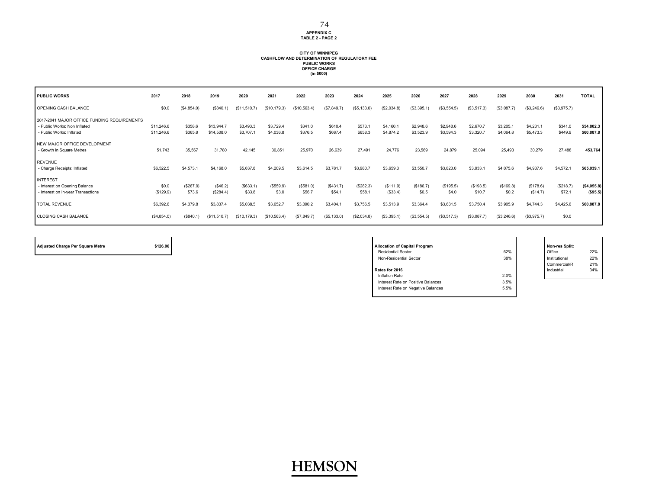**APPENDIX C TABLE 2 - PAGE 2**

## **CITY OF WINNIPEG CASHFLOW AND DETERMINATION OF REGULATORY FEE PUBLIC WORKS OFFICE CHARGE (in \$000)**

| <b>PUBLIC WORKS</b>                                                                                     | 2017                     | 2018                | 2019                     | 2020                   | 2021                   | 2022                | 2023               | 2024                | 2025                  | 2026                   | 2027                   | 2028                   | 2029                  | 2030                   | 2031                | <b>TOTAL</b>              |
|---------------------------------------------------------------------------------------------------------|--------------------------|---------------------|--------------------------|------------------------|------------------------|---------------------|--------------------|---------------------|-----------------------|------------------------|------------------------|------------------------|-----------------------|------------------------|---------------------|---------------------------|
| OPENING CASH BALANCE                                                                                    | \$0.0                    | (\$4,854.0)         | (\$840.1)                | (\$11,510.7)           | (S10, 179.3)           | (\$10,563.4)        | (\$7,849.7)        | (\$5,133.0)         | (\$2,034.8)           | (\$3,395.1)            | (\$3,554.5)            | (\$3,517.3)            | (\$3,087.7)           | (\$3,246.6)            | (\$3,975.7)         |                           |
| 2017-2041 MAJOR OFFICE FUNDING REQUIREMENTS<br>- Public Works: Non Inflated<br>- Public Works: Inflated | \$11,246.6<br>\$11,246.6 | \$358.6<br>\$365.8  | \$13,944.7<br>\$14,508.0 | \$3,493.3<br>\$3,707.1 | \$3,729.4<br>\$4,036.8 | \$341.0<br>\$376.5  | \$610.4<br>\$687.4 | \$573.1<br>\$658.3  | \$4,160.<br>\$4,874.2 | \$2,948.6<br>\$3,523.9 | \$2,948.6<br>\$3,594.3 | \$2,670.7<br>\$3,320.7 | \$3,205.<br>\$4,064.8 | \$4,231.1<br>\$5,473.3 | \$341.0<br>\$449.9  | \$54,802.3<br>\$60,887.8  |
| NEW MAJOR OFFICE DEVELOPMENT<br>- Growth in Square Metres                                               | 51,743                   | 35,567              | 31,780                   | 42,145                 | 30.851                 | 25,970              | 26,639             | 27.491              | 24,776                | 23,569                 | 24,879                 | 25,094                 | 25,493                | 30,279                 | 27,488              | 453,764                   |
| <b>REVENUE</b><br>- Charge Receipts: Inflated                                                           | \$6,522.5                | \$4,573.1           | \$4,168.0                | \$5,637.8              | \$4,209.5              | \$3,614.5           | \$3,781.7          | \$3,980.7           | \$3,659.3             | \$3,550.7              | \$3,823.0              | \$3,933.1              | \$4,075.6             | \$4,937.6              | \$4,572.1           | \$65,039.1                |
| <b>INTEREST</b><br>- Interest on Opening Balance<br>- Interest on In-year Transactions                  | \$0.0<br>(\$129.9)       | (\$267.0)<br>\$73.6 | (\$46.2)<br>(\$284.4)    | (\$633.1)<br>\$33.8    | (\$559.9)<br>\$3.0     | (\$581.0)<br>\$56.7 | (\$431.7)<br>\$54. | (\$282.3)<br>\$58.7 | (\$111.9)<br>(\$33.4) | (\$186.7)<br>\$0.5     | (\$195.5)<br>\$4.0     | (\$193.5)<br>\$10.7    | (\$169.8)<br>\$0.2    | (\$178.6)<br>(\$14.7)  | (\$218.7)<br>\$72.1 | ( \$4,055.8)<br>( \$95.5) |
| <b>TOTAL REVENUE</b>                                                                                    | \$6,392.6                | \$4,379.8           | \$3,837.4                | \$5,038.5              | \$3,652.7              | \$3,090.2           | \$3,404.1          | \$3,756.5           | \$3,513.9             | \$3,364.4              | \$3,631.5              | \$3,750.4              | \$3,905.9             | \$4,744.3              | \$4,425.6           | \$60,887.8                |
| CLOSING CASH BALANCE                                                                                    | (\$4,854.0)              | (\$840.1)           | (\$11,510.7)             | (\$10, 179.3)          | (S10, 563.4)           | (S7, 849.7)         | (\$5,133.0)        | (\$2,034.8)         | (\$3,395.1)           | (\$3,554.5)            | (\$3,517.3)            | (\$3,087.7)            | (\$3,246.6)           | (\$3,975.7)            | \$0.0               |                           |

| <b>Adjusted Charge Per Square Metre</b> | \$126.06 | <b>Allocation of Capital Program</b>       | Non-res Split: |
|-----------------------------------------|----------|--------------------------------------------|----------------|
|                                         |          | 62%<br><b>Residential Sector</b>           | Office         |
|                                         |          | 38%<br>Non-Residential Sector              | Institutional  |
|                                         |          |                                            | Commercial/R   |
|                                         |          | Rates for 2016                             | Industrial     |
|                                         |          | 2.0%<br>Inflation Rate                     |                |
|                                         |          | 3.5%<br>Interest Rate on Positive Balances |                |
|                                         |          | Interest Rate on Negative Balances<br>5.5% |                |
|                                         |          |                                            |                |

Office 22% Institutional 22% Commercial/R 21% Industrial  $34%$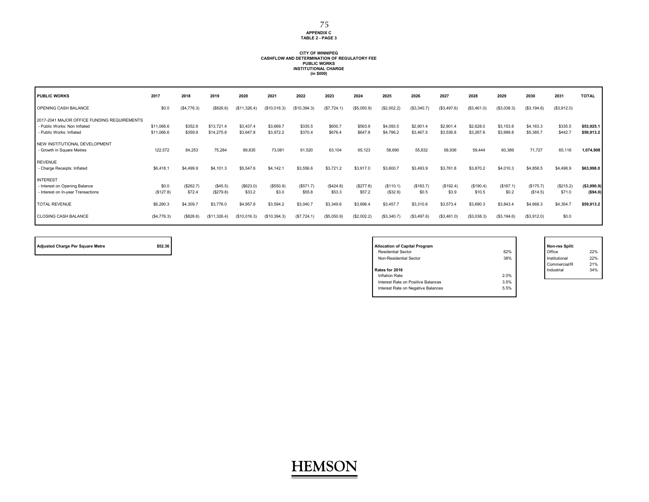#### **APPENDIX C TABLE 2 - PAGE 3** 75

## **CITY OF WINNIPEG CASHFLOW AND DETERMINATION OF REGULATORY FEE PUBLIC WORKS INSTITUTIONAL CHARGE (in \$000)**

| <b>PUBLIC WORKS</b>                                                                                     | 2017                     | 2018                | 2019                     | 2020                   | 2021                   | 2022               | 2023               | 2024                | 2025                   | 2026                   | 2027                   | 2028                   | 2029                   | 2030                   | 2031                | <b>TOTAL</b>             |
|---------------------------------------------------------------------------------------------------------|--------------------------|---------------------|--------------------------|------------------------|------------------------|--------------------|--------------------|---------------------|------------------------|------------------------|------------------------|------------------------|------------------------|------------------------|---------------------|--------------------------|
| OPENING CASH BALANCE                                                                                    | \$0.0                    | (\$4,776.3)         | (\$826.6)                | (\$11,326.4)           | (\$10,016.3)           | (\$10,394.3)       | (\$7,724.1)        | (\$5,050.9)         | (\$2,002.2)            | (\$3,340.7)            | (\$3,497.6)            | (\$3,461.0)            | (\$3,038.3)            | (\$3, 194.6)           | (\$3,912.0)         |                          |
| 2017-2041 MAJOR OFFICE FUNDING REQUIREMENTS<br>- Public Works: Non Inflated<br>- Public Works: Inflated | \$11,066.6<br>\$11,066.6 | \$352.9<br>\$359.9  | \$13,721.4<br>\$14,275.8 | \$3,437.4<br>\$3,647.8 | \$3,669.7<br>\$3,972.2 | \$335.5<br>\$370.4 | \$600.7<br>\$676.4 | \$563.9<br>\$647.8  | \$4,093.5<br>\$4,796.2 | \$2,901.4<br>\$3,467.5 | \$2,901.4<br>\$3,536.8 | \$2,628.0<br>\$3,267.6 | \$3,153.8<br>\$3,999.8 | \$4,163.3<br>\$5,385.7 | \$335.5<br>\$442.7  | \$53,925.1<br>\$59,913.2 |
| NEW INSTITUTIONAL DEVELOPMENT<br>- Growth in Square Metres                                              | 122,572                  | 84,253              | 75,284                   | 99,835                 | 73,081                 | 61,520             | 63.104             | 65,123              | 58,690                 | 55,832                 | 58,936                 | 59,444                 | 60,389                 | 71,727                 | 65,116              | 1,074,908                |
| <b>REVENUE</b><br>- Charge Receipts: Inflated                                                           | \$6,418.1                | \$4,499.9           | \$4,101.3                | \$5,547.6              | \$4,142.1              | \$3,556.6          | \$3,721.2          | \$3,917.0           | \$3,600.7              | \$3,493.9              | \$3,761.8              | \$3,870.2              | \$4,010.3              | \$4,858.5              | \$4,498.9           | \$63,998.0               |
| <b>INTEREST</b><br>Interest on Opening Balance<br>- Interest on In-year Transactions                    | \$0.0<br>(\$127.8)       | (\$262.7)<br>\$72.4 | (\$45.5)<br>(\$279.8)    | (\$623.0)<br>\$33.2    | (\$550.9)<br>\$3.0     | (S571.7)<br>\$55.8 | (S424.8)<br>\$53.3 | (\$277.8)<br>\$57.2 | (\$110.1)<br>(\$32.9)  | (\$183.7)<br>\$0.5     | (\$192.4)<br>\$3.9     | (\$190.4)<br>\$10.5    | (\$167.1)<br>\$0.2     | (\$175.7)<br>(\$14.5)  | (\$215.2)<br>\$71.0 | (\$3,990.9)<br>(\$94.0)  |
| <b>TOTAL REVENUE</b>                                                                                    | \$6,290.3                | \$4,309.7           | \$3,776.0                | \$4,957.8              | \$3,594.2              | \$3,040.7          | \$3,349.6          | \$3,696.4           | \$3,457.7              | \$3,310.6              | \$3,573.4              | \$3,690.3              | \$3,843.4              | \$4,668.3              | \$4,354.7           | \$59,913.2               |
| <b>CLOSING CASH BALANCE</b>                                                                             | (\$4,776.3)              | (\$826.6)           | (\$11,326.4)             | (\$10,016.3)           | (\$10,394.3)           | (S7, 724.1)        | (\$5,050.9)        | (\$2,002.2)         | (\$3,340.7)            | (\$3,497.6)            | (\$3,461.0)            | (\$3,038.3)            | (\$3,194.6)            | (\$3,912.0)            | \$0.0               |                          |

| <b>Adjusted Charge Per Square Metre</b> | \$52.36 | <b>Allocation of Capital Program</b> |      | Non-res Split: |
|-----------------------------------------|---------|--------------------------------------|------|----------------|
|                                         |         | <b>Residential Sector</b>            | 62%  | Office         |
|                                         |         | Non-Residential Sector               | 38%  | Institutional  |
|                                         |         |                                      |      | Commercial/R   |
|                                         |         | Rates for 2016                       |      | Industrial     |
|                                         |         | Inflation Rate                       | 2.0% |                |
|                                         |         | Interest Rate on Positive Balances   | 3.5% |                |
|                                         |         | Interest Rate on Negative Balances   | 5.5% |                |
|                                         |         |                                      |      |                |

Office 22%<br>Institutional 22% Institutional Commercial/R 21% Industrial  $34%$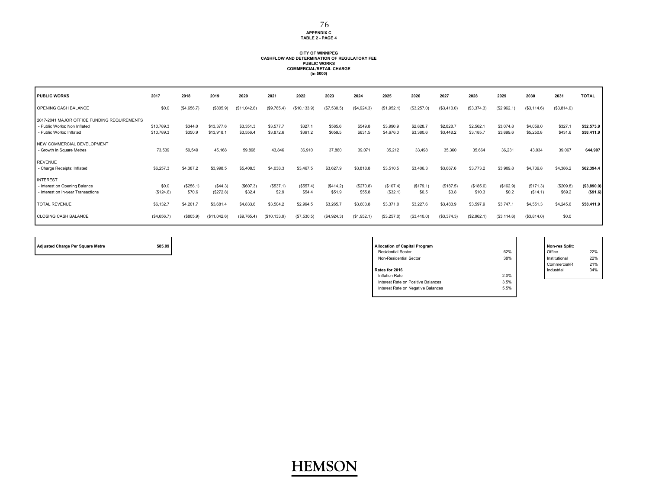### **APPENDIX C TABLE 2 - PAGE 4**

## **CITY OF WINNIPEG CASHFLOW AND DETERMINATION OF REGULATORY FEE PUBLIC WORKS COMMERCIAL/RETAIL CHARGE (in \$000)**

| <b>PUBLIC WORKS</b>                                                                                     | 2017                     | 2018                | 2019                     | 2020                   | 2021                   | 2022                | 2023                | 2024                | 2025                   | 2026                   | 2027                   | 2028                   | 2029                   | 2030                   | 2031                | <b>TOTAL</b>             |
|---------------------------------------------------------------------------------------------------------|--------------------------|---------------------|--------------------------|------------------------|------------------------|---------------------|---------------------|---------------------|------------------------|------------------------|------------------------|------------------------|------------------------|------------------------|---------------------|--------------------------|
| OPENING CASH BALANCE                                                                                    | \$0.0                    | (\$4,656.7)         | (\$805.9)                | (\$11,042.6)           | (\$9,765.4)            | (\$10, 133.9)       | (\$7,530.5)         | (\$4,924.3)         | (\$1,952.1)            | (\$3,257.0)            | (\$3,410.0)            | (\$3,374.3)            | (\$2,962.1)            | (\$3,114.6)            | (\$3,814.0)         |                          |
| 2017-2041 MAJOR OFFICE FUNDING REQUIREMENTS<br>- Public Works: Non Inflated<br>- Public Works: Inflated | \$10,789.3<br>\$10,789.3 | \$344.0<br>\$350.9  | \$13,377.6<br>\$13,918.1 | \$3,351.3<br>\$3,556.4 | \$3,577.7<br>\$3,872.6 | \$327.1<br>\$361.2  | \$585.6<br>\$659.5  | \$549.8<br>\$631.5  | \$3,990.9<br>\$4,676.0 | \$2,828.7<br>\$3,380.6 | \$2,828.7<br>\$3,448.2 | \$2,562.1<br>\$3,185.7 | \$3,074.8<br>\$3,899.6 | \$4,059.0<br>\$5,250.8 | \$327.<br>\$431.6   | \$52,573.9<br>\$58,411.9 |
| NEW COMMERCIAL DEVELOPMENT<br>- Growth in Square Metres                                                 | 73,539                   | 50,549              | 45,168                   | 59,898                 | 43,846                 | 36,910              | 37,860              | 39,071              | 35,212                 | 33,498                 | 35,360                 | 35,664                 | 36,231                 | 43,034                 | 39,067              | 644,907                  |
| <b>REVENUE</b><br>- Charge Receipts: Inflated                                                           | \$6,257.3                | \$4,387.2           | \$3,998.5                | \$5,408.5              | \$4,038.3              | \$3,467.5           | \$3,627.9           | \$3,818.8           | \$3,510.5              | \$3,406.3              | \$3,667.6              | \$3,773.2              | \$3,909.8              | \$4,736.8              | \$4,386.2           | \$62,394.4               |
| <b>INTEREST</b><br>- Interest on Opening Balance<br>- Interest on In-year Transactions                  | \$0.0<br>(\$124.6)       | (\$256.1)<br>\$70.6 | (\$44.3)<br>(\$272.8)    | (\$607.3)<br>\$32.4    | (\$537.1)<br>\$2.9     | (\$557.4)<br>\$54.4 | (\$414.2)<br>\$51.9 | (\$270.8)<br>\$55.8 | (\$107.4)<br>(\$32.1)  | (\$179.1)<br>\$0.5     | (\$187.5)<br>\$3.8     | (\$185.6)<br>\$10.3    | (\$162.9)<br>\$0.2     | (\$171.3)<br>(\$14.1)  | (\$209.8)<br>\$69.2 | (\$3,890.9)<br>(\$91.6)  |
| <b>TOTAL REVENUE</b>                                                                                    | \$6,132.7                | \$4,201.7           | \$3,681.4                | \$4,833.6              | \$3,504.2              | \$2,964.5           | \$3,265.7           | \$3,603.8           | \$3,371.0              | \$3,227.6              | \$3,483.9              | \$3,597.9              | \$3,747.1              | \$4,551.3              | \$4,245.6           | \$58,411.9               |
| CLOSING CASH BALANCE                                                                                    | (\$4,656.7)              | (\$805.9)           | (\$11,042.6)             | (\$9,765.4)            | (S10, 133.9)           | (S7, 530.5)         | (\$4,924.3)         | (\$1,952.1)         | (\$3,257.0)            | (\$3,410.0)            | (\$3,374.3)            | (\$2,962.1)            | (S3, 114.6)            | (\$3,814.0)            | \$0.0               |                          |

| <b>Adjusted Charge Per Square Metre</b> | \$85.09 | <b>Allocation of Capital Program</b> |      | Non-res Split: |
|-----------------------------------------|---------|--------------------------------------|------|----------------|
|                                         |         | <b>Residential Sector</b>            | 62%  | Office         |
|                                         |         | Non-Residential Sector               | 38%  | Institutional  |
|                                         |         |                                      |      | Commercial/R   |
|                                         |         | Rates for 2016                       |      | Industrial     |
|                                         |         | Inflation Rate                       | 2.0% |                |
|                                         |         | Interest Rate on Positive Balances   | 3.5% |                |
|                                         |         | Interest Rate on Negative Balances   | 5.5% |                |
|                                         |         |                                      |      |                |

Office 22%<br>Institutional 22% Institutional Commercial/R 21% Industrial  $34%$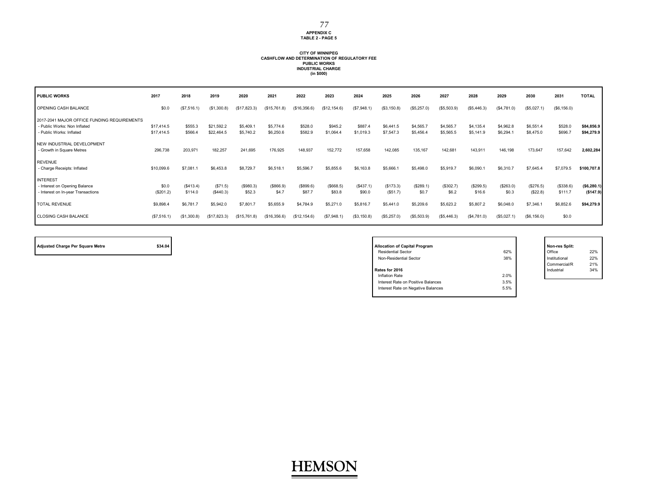## **APPENDIX C TABLE 2 - PAGE 5**

## **CITY OF WINNIPEG CASHFLOW AND DETERMINATION OF REGULATORY FEE PUBLIC WORKS INDUSTRIAL CHARGE (in \$000)**

| <b>PUBLIC WORKS</b>                                                                                     | 2017                     | 2018                 | 2019                     | 2020                   | 2021                   | 2022                | 2023                 | 2024                 | 2025                   | 2026                   | 2027                   | 2028                   | 2029                   | 2030                   | 2031                | <b>TOTAL</b>              |
|---------------------------------------------------------------------------------------------------------|--------------------------|----------------------|--------------------------|------------------------|------------------------|---------------------|----------------------|----------------------|------------------------|------------------------|------------------------|------------------------|------------------------|------------------------|---------------------|---------------------------|
| OPENING CASH BALANCE                                                                                    | \$0.0                    | (\$7,516.1)          | (\$1,300.8)              | (\$17,823.3)           | (\$15,761.8)           | (\$16,356.6)        | (\$12, 154.6)        | (\$7,948.1)          | (\$3,150.8)            | (\$5,257.0)            | (\$5,503.9)            | (\$5,446.3)            | (\$4,781.0)            | (\$5,027.1)            | (\$6, 156.0)        |                           |
| 2017-2041 MAJOR OFFICE FUNDING REQUIREMENTS<br>- Public Works: Non Inflated<br>- Public Works: Inflated | \$17,414.5<br>\$17,414.5 | \$555.3<br>\$566.4   | \$21,592.2<br>\$22,464.5 | \$5,409.1<br>\$5,740.2 | \$5,774.6<br>\$6,250.6 | \$528.0<br>\$582.9  | \$945.2<br>\$1,064.4 | \$887.4<br>\$1,019.3 | \$6,441.5<br>\$7,547.3 | \$4,565.7<br>\$5,456.4 | \$4,565.7<br>\$5,565.5 | \$4,135.4<br>\$5,141.9 | \$4,962.8<br>\$6,294.1 | \$6,551.4<br>\$8,475.0 | \$528.0<br>\$696.7  | \$84,856.9<br>\$94,279.9  |
| NEW INDUSTRIAL DEVELOPMENT<br>- Growth in Square Metres                                                 | 296,738                  | 203,971              | 182,257                  | 241,695                | 176,925                | 148,937             | 152,772              | 157,658              | 142,085                | 135,167                | 142,681                | 143,911                | 146,198                | 173,647                | 157,642             | 2,602,284                 |
| <b>REVENUE</b><br>- Charge Receipts: Inflated                                                           | \$10,099.6               | \$7,081.1            | \$6,453.8                | \$8,729.7              | \$6,518.1              | \$5,596.7           | \$5,855.6            | \$6,163.8            | \$5,666.1              | \$5,498.0              | \$5,919.7              | \$6,090.1              | \$6,310.7              | \$7,645.4              | \$7,079.5           | \$100,707.8               |
| <b>INTEREST</b><br>- Interest on Opening Balance<br>- Interest on In-year Transactions                  | \$0.0<br>(\$201.2)       | (\$413.4)<br>\$114.0 | (S71.5)<br>(\$440.3)     | (\$980.3)<br>\$52.3    | (\$866.9)<br>\$4.7     | (\$899.6)<br>\$87.7 | (\$668.5)<br>\$83.8  | (S437.1)<br>\$90.0   | (\$173.3)<br>(\$51.7)  | (\$289.1)<br>\$0.7     | (\$302.7)<br>\$6.2     | (\$299.5)<br>\$16.6    | (\$263.0)<br>\$0.3     | (\$276.5)<br>(\$22.8)  | (S338.6)<br>\$111.7 | (\$6, 280.1)<br>(\$147.9) |
| <b>TOTAL REVENUE</b>                                                                                    | \$9,898.4                | \$6,781.7            | \$5,942.0                | \$7,801.7              | \$5,655.9              | \$4,784.9           | \$5,271.0            | \$5,816.7            | \$5,441.0              | \$5,209.6              | \$5,623.2              | \$5,807.2              | \$6,048.0              | \$7,346.1              | \$6,852.6           | \$94,279.9                |
| <b>CLOSING CASH BALANCE</b>                                                                             | (\$7,516.1)              | (S1, 300.8)          | (\$17,823.3)             | (\$15,761.8)           | (\$16,356.6)           | (\$12, 154.6)       | (\$7,948.1)          | (\$3,150.8)          | (\$5,257.0)            | (\$5,503.9)            | (\$5,446.3)            | (\$4,781.0)            | (\$5,027.1)            | (\$6, 156.0)           | \$0.0               |                           |

| \$34.04<br><b>Adjusted Charge Per Square Metre</b> | <b>Allocation of Capital Program</b>       | Non-res Split: |
|----------------------------------------------------|--------------------------------------------|----------------|
|                                                    | 62%<br><b>Residential Sector</b>           | Office         |
|                                                    | 38%<br>Non-Residential Sector              | Institutional  |
|                                                    |                                            | Commercial/R   |
|                                                    | Rates for 2016                             | Industrial     |
|                                                    | 2.0%<br>Inflation Rate                     |                |
|                                                    | 3.5%<br>Interest Rate on Positive Balances |                |
|                                                    | Interest Rate on Negative Balances<br>5.5% |                |
|                                                    |                                            |                |

Office 22%<br>Institutional 22% Institutional Commercial/R 21% Industrial  $34%$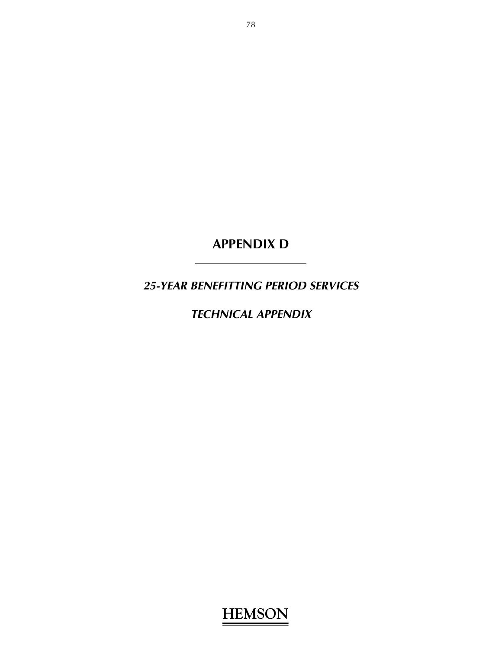**APPENDIX D** 

*25-YEAR BENEFITTING PERIOD SERVICES* 

*TECHNICAL APPENDIX*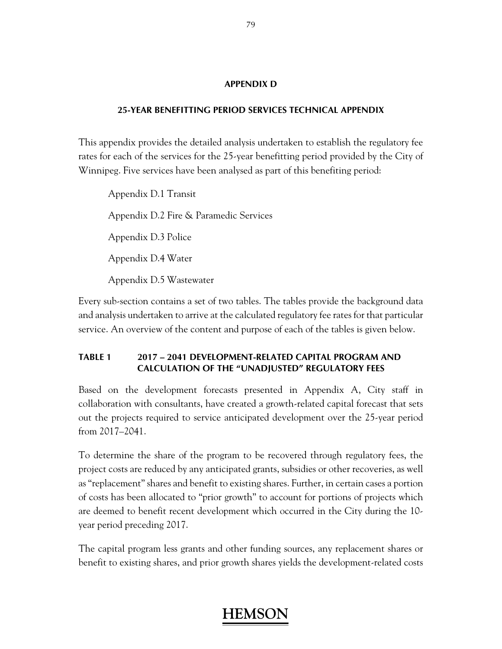#### **APPENDIX D**

#### **25-YEAR BENEFITTING PERIOD SERVICES TECHNICAL APPENDIX**

This appendix provides the detailed analysis undertaken to establish the regulatory fee rates for each of the services for the 25-year benefitting period provided by the City of Winnipeg. Five services have been analysed as part of this benefiting period:

 Appendix D.1 Transit Appendix D.2 Fire & Paramedic Services Appendix D.3 Police Appendix D.4 Water Appendix D.5 Wastewater

Every sub-section contains a set of two tables. The tables provide the background data and analysis undertaken to arrive at the calculated regulatory fee rates for that particular service. An overview of the content and purpose of each of the tables is given below.

#### **TABLE 1 2017 – 2041 DEVELOPMENT-RELATED CAPITAL PROGRAM AND CALCULATION OF THE "UNADJUSTED" REGULATORY FEES**

Based on the development forecasts presented in Appendix A, City staff in collaboration with consultants, have created a growth-related capital forecast that sets out the projects required to service anticipated development over the 25-year period from 2017–2041.

To determine the share of the program to be recovered through regulatory fees, the project costs are reduced by any anticipated grants, subsidies or other recoveries, as well as "replacement" shares and benefit to existing shares. Further, in certain cases a portion of costs has been allocated to "prior growth" to account for portions of projects which are deemed to benefit recent development which occurred in the City during the 10 year period preceding 2017.

The capital program less grants and other funding sources, any replacement shares or benefit to existing shares, and prior growth shares yields the development-related costs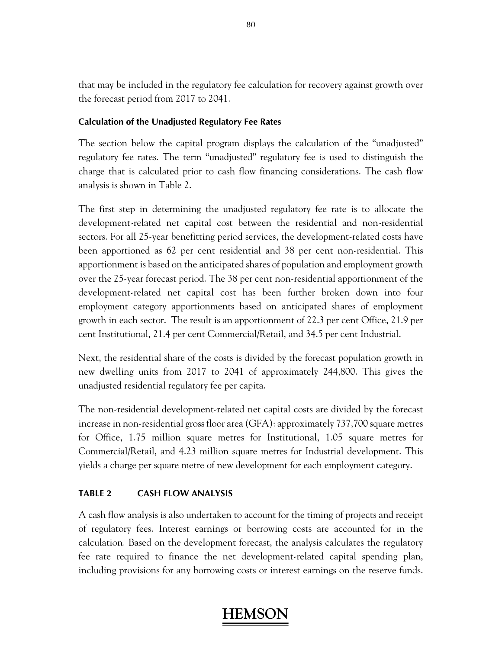that may be included in the regulatory fee calculation for recovery against growth over the forecast period from 2017 to 2041.

### **Calculation of the Unadjusted Regulatory Fee Rates**

The section below the capital program displays the calculation of the "unadjusted" regulatory fee rates. The term "unadjusted" regulatory fee is used to distinguish the charge that is calculated prior to cash flow financing considerations. The cash flow analysis is shown in Table 2.

The first step in determining the unadjusted regulatory fee rate is to allocate the development-related net capital cost between the residential and non-residential sectors. For all 25-year benefitting period services, the development-related costs have been apportioned as 62 per cent residential and 38 per cent non-residential. This apportionment is based on the anticipated shares of population and employment growth over the 25-year forecast period. The 38 per cent non-residential apportionment of the development-related net capital cost has been further broken down into four employment category apportionments based on anticipated shares of employment growth in each sector. The result is an apportionment of 22.3 per cent Office, 21.9 per cent Institutional, 21.4 per cent Commercial/Retail, and 34.5 per cent Industrial.

Next, the residential share of the costs is divided by the forecast population growth in new dwelling units from 2017 to 2041 of approximately 244,800. This gives the unadjusted residential regulatory fee per capita.

The non-residential development-related net capital costs are divided by the forecast increase in non-residential gross floor area (GFA): approximately 737,700 square metres for Office, 1.75 million square metres for Institutional, 1.05 square metres for Commercial/Retail, and 4.23 million square metres for Industrial development. This yields a charge per square metre of new development for each employment category.

### **TABLE 2 CASH FLOW ANALYSIS**

A cash flow analysis is also undertaken to account for the timing of projects and receipt of regulatory fees. Interest earnings or borrowing costs are accounted for in the calculation. Based on the development forecast, the analysis calculates the regulatory fee rate required to finance the net development-related capital spending plan, including provisions for any borrowing costs or interest earnings on the reserve funds.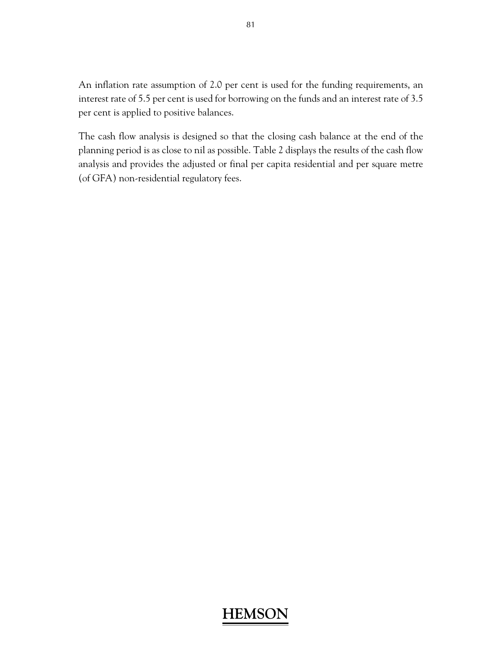An inflation rate assumption of 2.0 per cent is used for the funding requirements, an interest rate of 5.5 per cent is used for borrowing on the funds and an interest rate of 3.5 per cent is applied to positive balances.

The cash flow analysis is designed so that the closing cash balance at the end of the planning period is as close to nil as possible. Table 2 displays the results of the cash flow analysis and provides the adjusted or final per capita residential and per square metre (of GFA) non-residential regulatory fees.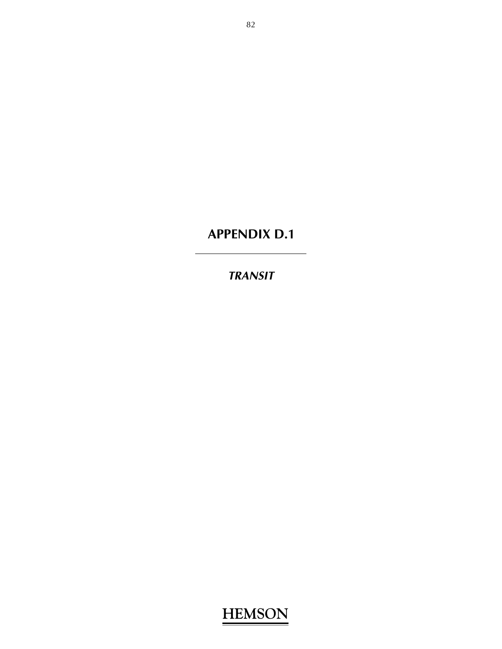# **APPENDIX D.1**

## *TRANSIT*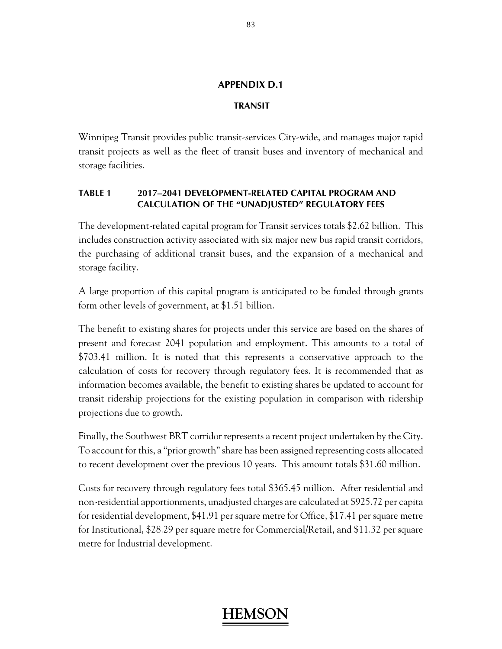### **APPENDIX D.1**

#### **TRANSIT**

Winnipeg Transit provides public transit-services City-wide, and manages major rapid transit projects as well as the fleet of transit buses and inventory of mechanical and storage facilities.

#### **TABLE 1 2017–2041 DEVELOPMENT-RELATED CAPITAL PROGRAM AND CALCULATION OF THE "UNADJUSTED" REGULATORY FEES**

The development-related capital program for Transit services totals \$2.62 billion. This includes construction activity associated with six major new bus rapid transit corridors, the purchasing of additional transit buses, and the expansion of a mechanical and storage facility.

A large proportion of this capital program is anticipated to be funded through grants form other levels of government, at \$1.51 billion.

The benefit to existing shares for projects under this service are based on the shares of present and forecast 2041 population and employment. This amounts to a total of \$703.41 million. It is noted that this represents a conservative approach to the calculation of costs for recovery through regulatory fees. It is recommended that as information becomes available, the benefit to existing shares be updated to account for transit ridership projections for the existing population in comparison with ridership projections due to growth.

Finally, the Southwest BRT corridor represents a recent project undertaken by the City. To account for this, a "prior growth" share has been assigned representing costs allocated to recent development over the previous 10 years. This amount totals \$31.60 million.

Costs for recovery through regulatory fees total \$365.45 million. After residential and non-residential apportionments, unadjusted charges are calculated at \$925.72 per capita for residential development, \$41.91 per square metre for Office, \$17.41 per square metre for Institutional, \$28.29 per square metre for Commercial/Retail, and \$11.32 per square metre for Industrial development.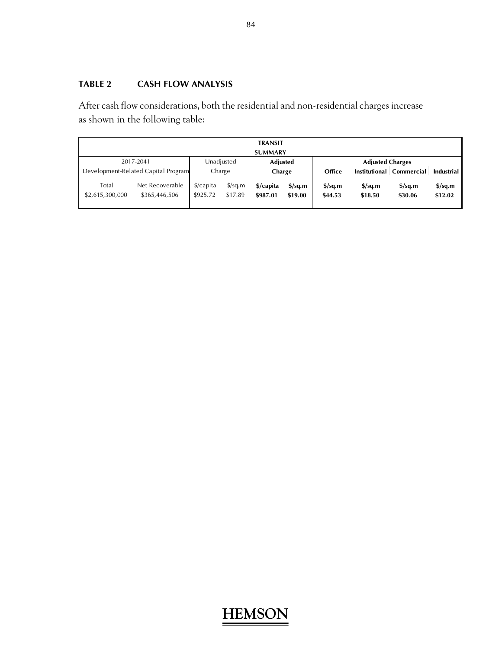## **TABLE 2 CASH FLOW ANALYSIS**

After cash flow considerations, both the residential and non-residential charges increase as shown in the following table:

| <b>TRANSIT</b>           |                                     |                                   |                                 |                       |                                             |                                             |                                             |                                    |                                    |  |
|--------------------------|-------------------------------------|-----------------------------------|---------------------------------|-----------------------|---------------------------------------------|---------------------------------------------|---------------------------------------------|------------------------------------|------------------------------------|--|
| <b>SUMMARY</b>           |                                     |                                   |                                 |                       |                                             |                                             |                                             |                                    |                                    |  |
|                          | 2017-2041                           | Unadjusted                        |                                 | Adjusted              |                                             |                                             | <b>Adjusted Charges</b>                     |                                    |                                    |  |
|                          | Development-Related Capital Program | Charge                            |                                 | Charge                |                                             | Office                                      |                                             | Institutional   Commercial         | Industrial                         |  |
| Total<br>\$2,615,300,000 | Net Recoverable<br>\$365,446,506    | $\frac{1}{2}$ /capita<br>\$925.72 | $\frac{\sqrt{2}}{2}$<br>\$17.89 | \$/capita<br>\$987.01 | $\frac{\text{S}}{\text{S}}$ sq.m<br>\$19.00 | $\frac{\text{S}}{\text{S}}$ sq.m<br>\$44.53 | $\frac{\text{S}}{\text{S}}$ sq.m<br>\$18.50 | $\frac{\sigma}{2}$ sq.m<br>\$30.06 | $\frac{\sigma}{2}$ sq.m<br>\$12.02 |  |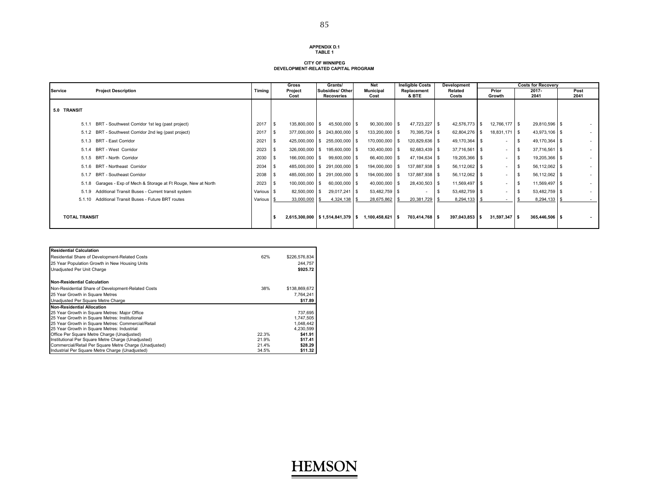#### **APPENDIX D.1TABLE 1**

#### **CITY OF WINNIPEG DEVELOPMENT-RELATED CAPITAL PROGRAM**

|                      |                                                                 |            | <b>Gross</b>    | Grants/                              | Net                      | <b>Ineligible Costs</b> | Development      |                          | <b>Costs for Recoverv</b> |              |
|----------------------|-----------------------------------------------------------------|------------|-----------------|--------------------------------------|--------------------------|-------------------------|------------------|--------------------------|---------------------------|--------------|
| Service              | <b>Project Description</b>                                      | Timing     | Project<br>Cost | Subsidies/Other<br><b>Recoveries</b> | <b>Municipal</b><br>Cost | Replacement<br>& BTE    | Related<br>Costs | Prior<br>Growth          | $2017 -$<br>2041          | Post<br>2041 |
|                      |                                                                 |            |                 |                                      |                          |                         |                  |                          |                           |              |
| 5.0 TRANSIT          |                                                                 |            |                 |                                      |                          |                         |                  |                          |                           |              |
| 5.1.1                | BRT - Southwest Corridor 1st leg (past project)                 | 2017       | 135,800,000 \$  | 45,500,000 \$                        | $90,300,000$ \$          | 47,723,227 \$           | 42,576,773 \$    | 12,766,177 \$            | 29,810,596 \$             |              |
|                      | 5.1.2 BRT - Southwest Corridor 2nd leg (past project)           | 2017       | - \$            | 377,000,000 \$ 243,800,000 \$        | 133,200,000 \$           | 70,395,724 \$           | 62,804,276 \$    | 18,831,171 \$            | 43,973,106 \$             |              |
|                      | 5.1.3 BRT - East Corridor                                       | 2021       |                 | 425,000,000 \$ 255,000,000 \$        | 170,000,000 \$           | 120,829,636 \$          | 49,170,364 \$    | $\sim$                   | 49,170,364 \$             |              |
| 5.1.4                | <b>BRT - West Corridor</b>                                      | 2023       |                 | 326,000,000 \$ 195,600,000 \$        | 130,400,000 \$           | 92,683,439 \$           | 37,716,561 \$    | $\sim$                   | $37,716,561$ \$           |              |
|                      | 5.1.5 BRT - North Corridor                                      | 2030       | 166,000,000 \$  | 99,600,000 \$                        | 66,400,000 \$            | 47,194,634 \$           | 19,205,366 \$    | $\sim$                   | 19,205,366 \$             |              |
| 5.1.6                | BRT - Northeast Corridor                                        | 2034       |                 | 485,000,000 \$ 291,000,000 \$        | 194,000,000 \$           | 137,887,938 \$          | 56,112,062 \$    | $\sim$                   | 56,112,062 \$             |              |
| 5.1.7                | <b>BRT - Southeast Corridor</b>                                 | 2038       |                 | 485,000,000 \$ 291,000,000 \$        | 194,000,000 \$           | 137,887,938 \$          | 56,112,062 \$    | $\sim$                   | 56,112,062 \$             |              |
|                      | 5.1.8 Garages - Exp of Mech & Storage at Ft Rouge, New at North | 2023       | 100,000,000 \$  | 60,000,000 \$                        | 40,000,000 \$            | 28,430,503 \$           | 11,569,497 \$    | $\sim$                   | 11,569,497 \$             |              |
| 5.1.9                | Additional Transit Buses - Current transit system               | Various \$ | 82,500,000 \$   | 29,017,241 \$                        | 53,482,759 \$            | $\sim$                  | 53,482,759 \$    | $\sim$                   | 53,482,759 \$             |              |
|                      | 5.1.10 Additional Transit Buses - Future BRT routes             | Various    | 33,000,000 \$   | $4,324,138$ \$                       | 28,675,862 \$            | 20,381,729 \$           | $8,294,133$ \$   | $\overline{\phantom{a}}$ | 8,294,133 \$              |              |
|                      |                                                                 |            |                 |                                      |                          |                         |                  |                          |                           |              |
| <b>TOTAL TRANSIT</b> |                                                                 |            |                 | 2,615,300,000 \$1,514,841,379 \$     | 1,100,458,621 \$         | 703,414,768 \$          | $397,043,853$ \$ | $31,597,347$ \$          | 365,446,506 \$            |              |

| <b>Residential Calculation</b>                         |       |               |
|--------------------------------------------------------|-------|---------------|
| Residential Share of Development-Related Costs         | 62%   | \$226,576,834 |
| 25 Year Population Growth in New Housing Units         |       | 244.757       |
| Unadjusted Per Unit Charge                             |       | \$925.72      |
| <b>Non-Residential Calculation</b>                     |       |               |
| Non-Residential Share of Development-Related Costs     | 38%   | \$138,869,672 |
| 25 Year Growth in Square Metres                        |       | 7.764.241     |
| Unadjusted Per Square Metre Charge                     |       | \$17.89       |
| <b>Non-Residential Allocation</b>                      |       |               |
| 25 Year Growth in Square Metres: Major Office          |       | 737.695       |
| 25 Year Growth in Square Metres: Institutional         |       | 1,747,505     |
| 25 Year Growth in Square Metres: Commercial/Retail     |       | 1.048.442     |
| 25 Year Growth in Square Metres: Industrial            |       | 4,230,599     |
| Office Per Square Metre Charge (Unadjusted)            | 22.3% | \$41.91       |
| Institutional Per Square Metre Charge (Unadjusted)     | 21.9% | \$17.41       |
| Commercial/Retail Per Square Metre Charge (Unadjusted) | 21.4% | \$28.29       |
| Industrial Per Square Metre Charge (Unadjusted)        | 34.5% | \$11.32       |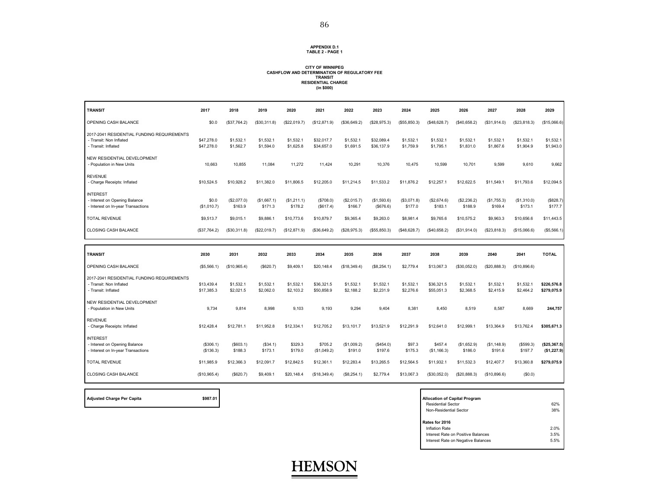#### **APPENDIX D.1 TABLE 2 - PAGE 1**

## **CITY OF WINNIPEG CASHFLOW AND DETERMINATION OF REGULATORY FEE TRANSIT RESIDENTIAL CHARGE (in \$000)**

| <b>TRANSIT</b>                                                                               | 2017                     | 2018                   | 2019                   | 2020                   | 2021                     | 2022                   | 2023                     | 2024                   | 2025                     | 2026                   | 2027                   | 2028                   | 2029                        |
|----------------------------------------------------------------------------------------------|--------------------------|------------------------|------------------------|------------------------|--------------------------|------------------------|--------------------------|------------------------|--------------------------|------------------------|------------------------|------------------------|-----------------------------|
| OPENING CASH BALANCE                                                                         | \$0.0                    | (\$37,764.2)           | (\$30,311.8)           | (\$22,019.7)           | (\$12,871.9)             | (\$36,649.2)           | (\$28,975.3)             | (\$55,850.3)           | (\$48,628.7)             | (S40, 658.2)           | (\$31,914.0)           | (\$23,818.3)           | (\$15,066.6)                |
| 2017-2041 RESIDENTIAL FUNDING REQUIREMENTS<br>- Transit: Non Inflated<br>- Transit: Inflated | \$47,278.0<br>\$47,278.0 | \$1,532.1<br>\$1,562.7 | \$1,532.1<br>\$1,594.0 | \$1,532.1<br>\$1,625.8 | \$32,017.7<br>\$34,657.0 | \$1,532.1<br>\$1,691.5 | \$32,089.4<br>\$36,137.9 | \$1,532.1<br>\$1,759.9 | \$1,532.1<br>\$1,795.1   | \$1,532.1<br>\$1,831.0 | \$1,532.1<br>\$1,867.6 | \$1,532.1<br>\$1,904.9 | \$1,532.1<br>\$1,943.0      |
| NEW RESIDENTIAL DEVELOPMENT<br>- Population in New Units                                     | 10.663                   | 10.855                 | 11,084                 | 11.272                 | 11.424                   | 10.291                 | 10,376                   | 10.475                 | 10.599                   | 10,701                 | 9.599                  | 9.610                  | 9,662                       |
| <b>REVENUE</b><br>- Charge Receipts: Inflated                                                | \$10.524.5               | \$10.928.2             | \$11.382.0             | \$11,806.5             | \$12,205.0               | \$11.214.5             | \$11.533.2               | \$11.876.2             | \$12,257.1               | \$12.622.5             | \$11,549.1             | \$11,793.6             | \$12.094.5                  |
| <b>INTEREST</b><br>- Interest on Opening Balance<br>- Interest on In-year Transactions       | \$0.0<br>(\$1,010.7)     | (\$2,077.0)<br>\$163.9 | (\$1,667.1)<br>\$171.3 | (\$1,211.1)<br>\$178.2 | (\$708.0)<br>(\$617.4)   | (\$2,015.7)<br>\$166.7 | (S1, 593.6)<br>(\$676.6) | (\$3,071.8)<br>\$177.0 | (\$2,674.6)<br>\$183.1   | (\$2,236.2)<br>\$188.9 | (\$1,755.3)<br>\$169.4 | (\$1,310.0)<br>\$173.1 | (\$828.7<br>\$177.7         |
| <b>TOTAL REVENUE</b>                                                                         | \$9,513.7                | \$9,015.1              | \$9,886.1              | \$10,773.6             | \$10,879.7               | \$9.365.4              | \$9,263.0                | \$8,981.4              | \$9,765.6                | \$10,575.2             | \$9,963.3              | \$10,656.6             | \$11,443.5                  |
| <b>CLOSING CASH BALANCE</b>                                                                  | (\$37,764.2)             | (\$30,311.8)           | (\$22,019.7)           | (\$12,871.9)           | (\$36,649.2)             | (\$28,975.3)           | (\$55,850.3)             | (\$48,628.7)           | (\$40,658.2)             | (\$31,914.0)           | (\$23,818.3)           | (\$15,066.6)           | (\$5,566.1)                 |
|                                                                                              |                          |                        |                        |                        |                          |                        |                          |                        |                          |                        |                        |                        |                             |
| <b>TRANSIT</b>                                                                               | 2030                     | 2031                   | 2032                   | 2033                   | 2034                     | 2035                   | 2036                     | 2037                   | 2038                     | 2039                   | 2040                   | 2041                   | <b>TOTAL</b>                |
| OPENING CASH BALANCE                                                                         | (\$5,566.1)              | (\$10,965.4)           | (\$620.7)              | \$9,409.1              | \$20,148.4               | (\$18,349.4)           | (\$8,254.1)              | \$2,779.4              | \$13,067.3               | (\$30,052.0)           | (\$20,888.3)           | (\$10,896.6)           |                             |
| 2017-2041 RESIDENTIAL FUNDING REQUIREMENTS<br>- Transit: Non Inflated<br>- Transit: Inflated | \$13,439.4<br>\$17,385.3 | \$1,532.1<br>\$2,021.5 | \$1,532.1<br>\$2,062.0 | \$1,532.1<br>\$2,103.2 | \$36,321.5<br>\$50,858.9 | \$1,532.1<br>\$2,188.2 | \$1,532.1<br>\$2,231.9   | \$1,532.1<br>\$2,276.6 | \$36,321.5<br>\$55,051.3 | \$1,532.1<br>\$2,368.5 | \$1,532.1<br>\$2,415.9 | \$1,532.1<br>\$2,464.2 | \$226,576.8<br>\$279,075.9  |
| NEW RESIDENTIAL DEVELOPMENT<br>- Population in New Units                                     | 9.734                    | 9,814                  | 8.998                  | 9.103                  | 9.193                    | 9,294                  | 9,404                    | 8.381                  | 8.450                    | 8,519                  | 8,587                  | 8.669                  | 244,757                     |
| <b>REVENUE</b><br>- Charge Receipts: Inflated                                                | \$12,428.4               | \$12,781.1             | \$11.952.8             | \$12,334.1             | \$12,705.2               | \$13,101.7             | \$13,521.9               | \$12.291.9             | \$12.641.0               | \$12,999.1             | \$13,364.9             | \$13,762.4             | \$305.671.3                 |
| <b>INTEREST</b><br>- Interest on Opening Balance<br>- Interest on In-year Transactions       | (\$306.1)<br>(\$136.3)   | (\$603.1)<br>\$188.3   | (\$34.1)<br>\$173.1    | \$329.3<br>\$179.0     | \$705.2<br>(\$1,049.2)   | (\$1,009.2)<br>\$191.0 | (\$454.0)<br>\$197.6     | \$97.3<br>\$175.3      | \$457.4<br>(\$1,166.3)   | (\$1,652.9)<br>\$186.0 | (S1, 148.9)<br>\$191.6 | (\$599.3)<br>\$197.7   | (\$25,367.5)<br>(\$1,227.9) |
| <b>TOTAL REVENUE</b>                                                                         | \$11,985.9               | \$12,366.3             | \$12,091.7             | \$12,842.5             | \$12,361.1               | \$12,283.4             | \$13,265.5               | \$12,564.5             | \$11,932.1               | \$11,532.3             | \$12,407.7             | \$13,360.8             | \$279,075.9                 |

**HEMSON**

Adjusted Charge Per Capita **by Capital Program** \$987.01

| <b>Allocation of Capital Program</b><br><b>Residential Sector</b><br>Non-Residential Sector                  | 62%<br>38%           |
|--------------------------------------------------------------------------------------------------------------|----------------------|
| Rates for 2016<br>Inflation Rate<br>Interest Rate on Positive Balances<br>Interest Rate on Negative Balances | 2.0%<br>3.5%<br>5.5% |

'n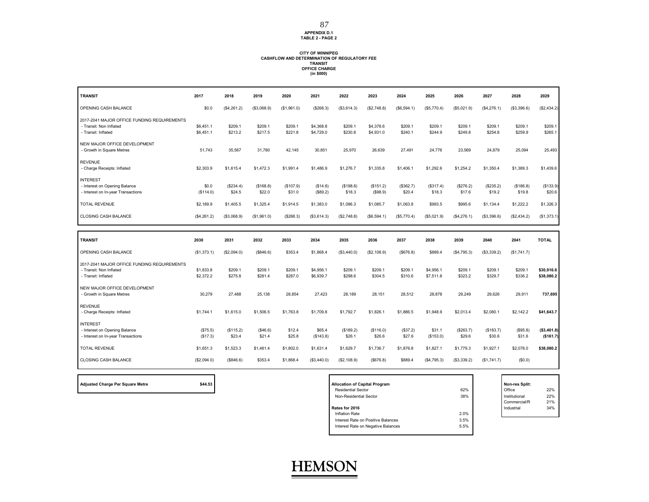#### **APPENDIX D.1 TABLE 2 - PAGE 2** 87

## **CITY OF WINNIPEG CASHFLOW AND DETERMINATION OF REGULATORY FEE TRANSIT OFFICE CHARGE (in \$000)**

| <b>TRANSIT</b>                                                                                | 2017                   | 2018                | 2019                | 2020                | 2021                   | 2022                | 2023                   | 2024                | 2025                   | 2026                | 2027                | 2028                | 2029                     |
|-----------------------------------------------------------------------------------------------|------------------------|---------------------|---------------------|---------------------|------------------------|---------------------|------------------------|---------------------|------------------------|---------------------|---------------------|---------------------|--------------------------|
| OPENING CASH BALANCE                                                                          | \$0.0                  | (\$4,261.2)         | (\$3,068.9)         | (\$1,961.0)         | (\$268.3)              | ( \$3,614.3)        | (\$2,748.8)            | (\$6,594.1)         | (\$5,770.4)            | (\$5,021.9)         | (\$4,276.1)         | (\$3,396.6)         | (\$2,434.2)              |
| 2017-2041 MAJOR OFFICE FUNDING REQUIREMENTS<br>- Transit: Non Inflated<br>- Transit: Inflated | \$6,451.1<br>\$6,451.1 | \$209.1<br>\$213.2  | \$209.1<br>\$217.5  | \$209.1<br>\$221.8  | \$4,368.8<br>\$4,729.0 | \$209.1<br>\$230.8  | \$4,378.6<br>\$4,931.0 | \$209.1<br>\$240.1  | \$209.1<br>\$244.9     | \$209.1<br>\$249.8  | \$209.1<br>\$254.8  | \$209.1<br>\$259.9  | \$209.1<br>\$265.1       |
| NEW MAJOR OFFICE DEVELOPMENT<br>- Growth in Square Metres                                     | 51,743                 | 35,567              | 31,780              | 42,145              | 30,851                 | 25,970              | 26,639                 | 27,491              | 24,776                 | 23,569              | 24,879              | 25,094              | 25,493                   |
| <b>REVENUE</b><br>- Charge Receipts: Inflated                                                 | \$2,303.9              | \$1,615.4           | \$1,472.3           | \$1,991.4           | \$1,486.9              | \$1,276.7           | \$1,335.8              | \$1,406.1           | \$1,292.6              | \$1,254.2           | \$1,350.4           | \$1,389.3           | \$1,439.6                |
| <b>INTEREST</b><br>- Interest on Opening Balance<br>- Interest on In-year Transactions        | \$0.0<br>(S114.0)      | (\$234.4)<br>\$24.5 | (\$168.8)<br>\$22.0 | (\$107.9)<br>\$31.0 | (\$14.8)<br>(\$89.2)   | (\$198.8)<br>\$18.3 | (\$151.2)<br>(S98.9)   | (\$362.7)<br>\$20.4 | (\$317.4)<br>\$18.3    | (\$276.2)<br>\$17.6 | (\$235.2)<br>\$19.2 | (\$186.8)<br>\$19.8 | (\$133.9)<br>\$20.6      |
| <b>TOTAL REVENUE</b>                                                                          | \$2,189.9              | \$1,405.5           | \$1,325.4           | \$1,914.5           | \$1,383.0              | \$1,096.3           | \$1,085.7              | \$1,063.8           | \$993.5                | \$995.6             | \$1,134.4           | \$1,222.2           | \$1,326.3                |
| CLOSING CASH BALANCE                                                                          | (\$4,261.2)            | (\$3,068.9)         | (\$1,961.0)         | (\$268.3)           | (\$3,614.3)            | (\$2,748.8)         | (\$6,594.1)            | (\$5,770.4)         | (\$5,021.9)            | (\$4,276.1)         | (\$3,396.6)         | (\$2,434.2)         | (\$1,373.1)              |
|                                                                                               |                        |                     |                     |                     |                        |                     |                        |                     |                        |                     |                     |                     |                          |
|                                                                                               |                        |                     |                     |                     |                        |                     |                        |                     |                        |                     |                     |                     |                          |
| <b>TRANSIT</b><br>OPENING CASH BALANCE                                                        | 2030<br>(S1, 373.1)    | 2031<br>(\$2,094.0) | 2032<br>(\$846.6)   | 2033<br>\$353.4     | 2034<br>\$1,868.4      | 2035<br>(\$3,440.0) | 2036<br>(\$2,108.9)    | 2037<br>(\$676.8)   | 2038<br>\$889.4        | 2039<br>(\$4,795.3) | 2040<br>(\$3,339.2) | 2041<br>(\$1,741.7) | <b>TOTAL</b>             |
| 2017-2041 MAJOR OFFICE FUNDING REQUIREMENTS<br>- Transit: Non Inflated<br>- Transit: Inflated | \$1,833.8<br>\$2,372.2 | \$209.1<br>\$275.8  | \$209.1<br>\$281.4  | \$209.1<br>\$287.0  | \$4,956.1<br>\$6,939.7 | \$209.1<br>\$298.6  | \$209.1<br>\$304.5     | \$209.1<br>\$310.6  | \$4,956.1<br>\$7.511.8 | \$209.1<br>\$323.2  | \$209.1<br>\$329.7  | \$209.1<br>\$336.2  | \$30,916.6<br>\$38,080.2 |
| NEW MAJOR OFFICE DEVELOPMENT<br>- Growth in Square Metres                                     | 30.279                 | 27.488              | 25.138              | 28.854              | 27.423                 | 28.189              | 28.151                 | 28.512              | 28.878                 | 29.249              | 29.626              | 29.911              | 737,695                  |
| <b>REVENUE</b><br>- Charge Receipts: Inflated                                                 | \$1,744.1              | \$1,615.0           | \$1,506.5           | \$1,763.8           | \$1,709.8              | \$1,792.7           | \$1,826.1              | \$1,886.5           | \$1,948.9              | \$2,013.4           | \$2,080.1           | \$2,142.2           | \$41,643.7               |
| <b>INTEREST</b><br>- Interest on Opening Balance<br>- Interest on In-year Transactions        | (\$75.5)<br>(\$17.3)   | (\$115.2)<br>\$23.4 | (\$46.6)<br>\$21.4  | \$12.4<br>\$25.8    | \$65.4<br>(S143.8)     | (\$189.2)<br>\$26.1 | (\$116.0)<br>\$26.6    | (\$37.2)<br>\$27.6  | \$31.1<br>(\$153.0)    | (\$263.7)<br>\$29.6 | (\$183.7)<br>\$30.6 | (\$95.8)<br>\$31.6  | (\$3,401.8)<br>(\$161.7) |
| <b>TOTAL REVENUE</b>                                                                          | \$1.651.3              | \$1,523.3           | \$1,481.4           | \$1,802.0           | \$1,631.4              | \$1,629.7           | \$1,736.7              | \$1,876.8           | \$1,827.1              | \$1,779.3           | \$1,927.1           | \$2,078.0           | \$38,080.2               |

| <b>Adjusted Charge Per Square Metre</b> |  |  |  |
|-----------------------------------------|--|--|--|

| \$44.53<br><b>Adjusted Charge Per Square Metre</b> | <b>Allocation of Capital Program</b>       | <b>Non-res Split:</b> |     |
|----------------------------------------------------|--------------------------------------------|-----------------------|-----|
|                                                    | 62%<br><b>Residential Sector</b>           | Office                | 22% |
|                                                    | 38%<br>Non-Residential Sector              | Institutional         | 22% |
|                                                    |                                            | Commercial/R          | 21% |
|                                                    | Rates for 2016                             | Industrial            | 34% |
|                                                    | 2.0%<br>Inflation Rate                     |                       |     |
|                                                    | 3.5%<br>Interest Rate on Positive Balances |                       |     |
|                                                    | 5.5%<br>Interest Rate on Negative Balances |                       |     |
|                                                    |                                            |                       |     |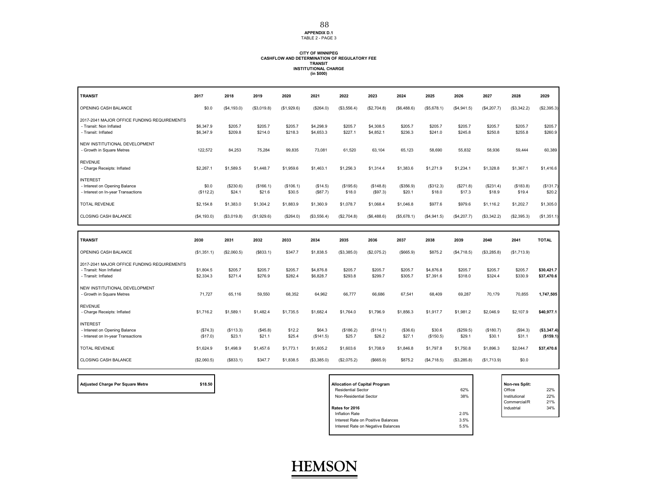**APPENDIX D.1** TABLE 2 - PAGE 3

## **CITY OF WINNIPEG CASHFLOW AND DETERMINATION OF REGULATORY FEE TRANSIT INSTITUTIONAL CHARGE (in \$000)**

| <b>TRANSIT</b>                                                                                | 2017                   | 2018                | 2019                | 2020                | 2021                   | 2022                | 2023                   | 2024                | 2025                   | 2026                | 2027                | 2028                | 2029                     |
|-----------------------------------------------------------------------------------------------|------------------------|---------------------|---------------------|---------------------|------------------------|---------------------|------------------------|---------------------|------------------------|---------------------|---------------------|---------------------|--------------------------|
| OPENING CASH BALANCE                                                                          | \$0.0                  | (\$4,193.0)         | (\$3,019.8)         | (\$1,929.6)         | (\$264.0)              | (\$3,556.4)         | (\$2,704.8)            | (\$6,488.6)         | (\$5,678.1)            | (\$4,941.5)         | (S4, 207.7)         | (\$3,342.2)         | (\$2,395.3)              |
| 2017-2041 MAJOR OFFICE FUNDING REQUIREMENTS<br>- Transit: Non Inflated<br>- Transit: Inflated | \$6,347.9<br>\$6,347.9 | \$205.7<br>\$209.8  | \$205.7<br>\$214.0  | \$205.7<br>\$218.3  | \$4,298.9<br>\$4,653.3 | \$205.7<br>\$227.1  | \$4,308.5<br>\$4,852.1 | \$205.7<br>\$236.3  | \$205.7<br>\$241.0     | \$205.7<br>\$245.8  | \$205.7<br>\$250.8  | \$205.7<br>\$255.8  | \$205.7<br>\$260.9       |
| NEW INSTITUTIONAL DEVELOPMENT<br>- Growth in Square Metres                                    | 122,572                | 84,253              | 75,284              | 99,835              | 73,081                 | 61,520              | 63,104                 | 65,123              | 58,690                 | 55,832              | 58,936              | 59,444              | 60,389                   |
| <b>REVENUE</b><br>- Charge Receipts: Inflated                                                 | \$2,267.1              | \$1,589.5           | \$1,448.7           | \$1,959.6           | \$1,463.1              | \$1,256.3           | \$1,314.4              | \$1,383.6           | \$1,271.9              | \$1,234.1           | \$1,328.8           | \$1,367.1           | \$1,416.6                |
| <b>INTEREST</b><br>- Interest on Opening Balance<br>- Interest on In-year Transactions        | \$0.0<br>(\$112.2)     | (\$230.6)<br>\$24.1 | (\$166.1)<br>\$21.6 | (\$106.1)<br>\$30.5 | (\$14.5)<br>(\$87.7)   | (\$195.6)<br>\$18.0 | (\$148.8)<br>(S97.3)   | (\$356.9)<br>\$20.1 | (\$312.3)<br>\$18.0    | (\$271.8)<br>\$17.3 | (\$231.4)<br>\$18.9 | (\$183.8)<br>\$19.4 | (\$131.7)<br>\$20.2      |
| <b>TOTAL REVENUE</b>                                                                          | \$2.154.8              | \$1,383.0           | \$1,304.2           | \$1,883.9           | \$1,360.9              | \$1,078.7           | \$1,068.4              | \$1,046.8           | \$977.6                | \$979.6             | \$1,116.2           | \$1,202.7           | \$1,305.0                |
| CLOSING CASH BALANCE                                                                          | (S4, 193.0)            | (\$3,019.8)         | (\$1,929.6)         | (\$264.0)           | (\$3,556.4)            | (\$2,704.8)         | (\$6,488.6)            | (\$5,678.1)         | (\$4,941.5)            | (\$4,207.7)         | (\$3,342.2)         | (\$2,395.3)         | (\$1,351.1)              |
|                                                                                               |                        |                     |                     |                     |                        |                     |                        |                     |                        |                     |                     |                     |                          |
|                                                                                               | 2030                   |                     |                     |                     |                        |                     |                        |                     |                        |                     |                     |                     | <b>TOTAL</b>             |
| <b>TRANSIT</b><br>OPENING CASH BALANCE                                                        | (\$1,351.1)            | 2031<br>(\$2,060.5) | 2032<br>(S833.1)    | 2033<br>\$347.7     | 2034<br>\$1,838.5      | 2035<br>(\$3,385.0) | 2036<br>(\$2,075.2)    | 2037<br>( \$665.9)  | 2038<br>\$875.2        | 2039<br>(\$4,718.5) | 2040<br>(\$3,285.8) | 2041<br>(\$1,713.9) |                          |
| 2017-2041 MAJOR OFFICE FUNDING REQUIREMENTS<br>- Transit: Non Inflated<br>- Transit: Inflated | \$1,804.5<br>\$2,334.3 | \$205.7<br>\$271.4  | \$205.7<br>\$276.9  | \$205.7<br>\$282.4  | \$4,876.8<br>\$6,828.7 | \$205.7<br>\$293.8  | \$205.7<br>\$299.7     | \$205.7<br>\$305.7  | \$4,876.8<br>\$7,391.6 | \$205.7<br>\$318.0  | \$205.7<br>\$324.4  | \$205.7<br>\$330.9  | \$30,421.7<br>\$37,470.6 |
| NEW INSTITUTIONAL DEVELOPMENT<br>- Growth in Square Metres                                    | 71.727                 | 65,116              | 59.550              | 68.352              | 64.962                 | 66,777              | 66.686                 | 67.541              | 68.409                 | 69,287              | 70,179              | 70,855              | 1,747,505                |
| <b>REVENUE</b><br>- Charge Receipts: Inflated                                                 | \$1,716.2              | \$1,589.1           | \$1,482.4           | \$1,735.5           | \$1,682.4              | \$1,764.0           | \$1,796.9              | \$1,856.3           | \$1,917.7              | \$1,981.2           | \$2,046.9           | \$2,107.9           | \$40,977.1               |
| <b>INTEREST</b><br>- Interest on Opening Balance<br>- Interest on In-year Transactions        | (\$74.3)<br>(\$17.0)   | (\$113.3)<br>\$23.1 | (\$45.8)<br>\$21.1  | \$12.2<br>\$25.4    | \$64.3<br>(S141.5)     | (\$186.2)<br>\$25.7 | (\$114.1)<br>\$26.2    | (\$36.6)<br>\$27.1  | \$30.6<br>(\$150.5)    | (\$259.5)<br>\$29.1 | (\$180.7)<br>\$30.1 | (\$94.3)<br>\$31.1  | (\$3,347.4)<br>(\$159.1) |
| <b>TOTAL REVENUE</b>                                                                          | \$1,624.9              | \$1,498.9           | \$1,457.6           | \$1,773.1           | \$1,605.2              | \$1,603.6           | \$1,708.9              | \$1,846.8           | \$1,797.8              | \$1,750.8           | \$1,896.3           | \$2,044.7           | \$37,470.6               |

| <b>Adjusted Charge Per Square Metre</b> |  |  |  |  |
|-----------------------------------------|--|--|--|--|
|-----------------------------------------|--|--|--|--|

| \$18.50<br>Adjusted Charge Per Square Metre | <b>Allocation of Capital Program</b> |      | Non-res Split: |     |
|---------------------------------------------|--------------------------------------|------|----------------|-----|
|                                             | <b>Residential Sector</b>            | 62%  | Office         | 22% |
|                                             | Non-Residential Sector               | 38%  | Institutional  | 22% |
|                                             |                                      |      | Commercial/R   | 21% |
|                                             | Rates for 2016                       |      | Industrial     | 34% |
|                                             | Inflation Rate                       | 2.0% |                |     |
|                                             | Interest Rate on Positive Balances   | 3.5% |                |     |
|                                             | Interest Rate on Negative Balances   | 5.5% |                |     |
|                                             |                                      |      |                |     |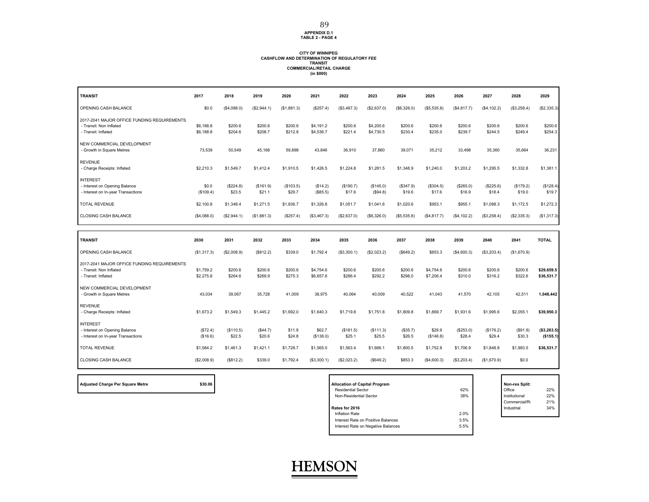### **APPENDIX D.1 TABLE 2 - PAGE 4**

89

## **CITY OF WINNIPEG CASHFLOW AND DETERMINATION OF REGULATORY FEE TRANSIT COMMERCIAL/RETAIL CHARGE (in \$000)**

| <b>TRANSIT</b>                                                                                | 2017                   | 2018                | 2019                | 2020                | 2021                   | 2022                | 2023                   | 2024                | 2025                   | 2026                | 2027                | 2028                | 2029                     |
|-----------------------------------------------------------------------------------------------|------------------------|---------------------|---------------------|---------------------|------------------------|---------------------|------------------------|---------------------|------------------------|---------------------|---------------------|---------------------|--------------------------|
| OPENING CASH BALANCE                                                                          | \$0.0                  | (S4,088.0)          | (\$2,944.1)         | (S1, 881.3)         | (\$257.4)              | (\$3,467.3)         | (\$2,637.0)            | (\$6,326.0)         | (S5, 535.8)            | (\$4,817.7)         | (S4, 102.2)         | (\$3,258.4)         | (\$2,335.3)              |
| 2017-2041 MAJOR OFFICE FUNDING REQUIREMENTS<br>- Transit: Non Inflated<br>- Transit: Inflated | \$6,188.8<br>\$6,188.8 | \$200.6<br>\$204.6  | \$200.6<br>\$208.7  | \$200.6<br>\$212.8  | \$4,191.2<br>\$4,536.7 | \$200.6<br>\$221.4  | \$4,200.6<br>\$4,730.5 | \$200.6<br>\$230.4  | \$200.6<br>\$235.0     | \$200.6<br>\$239.7  | \$200.6<br>\$244.5  | \$200.6<br>\$249.4  | \$200.6<br>\$254.3       |
| NEW COMMERCIAL DEVELOPMENT<br>- Growth in Square Metres                                       | 73,539                 | 50,549              | 45.168              | 59,898              | 43,846                 | 36,910              | 37,860                 | 39,071              | 35,212                 | 33,498              | 35,360              | 35,664              | 36,231                   |
| <b>REVENUE</b><br>- Charge Receipts: Inflated                                                 | \$2,210.3              | \$1,549.7           | \$1,412.4           | \$1,910.5           | \$1,426.5              | \$1,224.8           | \$1,281.5              | \$1,348.9           | \$1,240.0              | \$1,203.2           | \$1,295.5           | \$1,332.8           | \$1,381.1                |
| <b>INTEREST</b><br>- Interest on Opening Balance<br>- Interest on In-year Transactions        | \$0.0<br>(\$109.4)     | (\$224.8)<br>\$23.5 | (\$161.9)<br>\$21.1 | (\$103.5)<br>\$29.7 | (\$14.2)<br>(\$85.5)   | (\$190.7)<br>\$17.6 | (\$145.0)<br>(\$94.8)  | (\$347.9)<br>\$19.6 | (\$304.5)<br>\$17.6    | (\$265.0)<br>\$16.9 | (\$225.6)<br>\$18.4 | (\$179.2)<br>\$19.0 | (\$128.4)<br>\$19.7      |
| <b>TOTAL REVENUE</b>                                                                          | \$2,100.8              | \$1,348.4           | \$1,271.5           | \$1,836.7           | \$1,326.8              | \$1,051.7           | \$1,041.6              | \$1,020.6           | \$953.1                | \$955.1             | \$1,088.3           | \$1,172.5           | \$1,272.3                |
| <b>CLOSING CASH BALANCE</b>                                                                   | (\$4,088.0)            | (S2, 944.1)         | (\$1,881.3)         | (S257.4)            | (\$3,467.3)            | (\$2,637.0)         | (\$6,326.0)            | (\$5,535.8)         | (S4, 817.7)            | (\$4,102.2)         | (\$3,258.4)         | (\$2,335.3)         | (\$1,317.3)              |
|                                                                                               |                        |                     |                     |                     |                        |                     |                        |                     |                        |                     |                     |                     |                          |
|                                                                                               |                        |                     |                     |                     |                        |                     |                        |                     |                        |                     |                     |                     |                          |
| <b>TRANSIT</b>                                                                                | 2030                   | 2031                | 2032                | 2033                | 2034                   | 2035                | 2036                   | 2037                | 2038                   | 2039                | 2040                | 2041                | <b>TOTAL</b>             |
| OPENING CASH BALANCE                                                                          | (\$1,317.3)            | (\$2,008.9)         | (\$812.2)           | \$339.0             | \$1,792.4              | (\$3,300.1)         | (\$2,023.2)            | (\$649.2)           | \$853.3                | (\$4,600.3)         | (\$3,203.4)         | (\$1,670.9)         |                          |
| 2017-2041 MAJOR OFFICE FUNDING REQUIREMENTS<br>- Transit: Non Inflated<br>- Transit: Inflated | \$1,759.2<br>\$2,275.8 | \$200.6<br>\$264.6  | \$200.6<br>\$269.9  | \$200.6<br>\$275.3  | \$4,754.6<br>\$6,657.6 | \$200.6<br>\$286.4  | \$200.6<br>\$292.2     | \$200.6<br>\$298.0  | \$4,754.6<br>\$7,206.4 | \$200.6<br>\$310.0  | \$200.6<br>\$316.2  | \$200.6<br>\$322.6  | \$29,659.5<br>\$36,531.7 |
| NEW COMMERCIAL DEVELOPMENT<br>- Growth in Square Metres                                       | 43.034                 | 39.067              | 35.728              | 41.009              | 38.975                 | 40.064              | 40.009                 | 40.522              | 41.043                 | 41.570              | 42.105              | 42.511              | 1,048,442                |
| <b>REVENUE</b><br>- Charge Receipts: Inflated                                                 | \$1,673.2              | \$1,549.3           | \$1,445.2           | \$1,692.0           | \$1,640.3              | \$1,719.8           | \$1,751.8              | \$1,809.8           | \$1,869.7              | \$1,931.6           | \$1,995.6           | \$2.055.1           | \$39.950.3               |
| <b>INTEREST</b><br>- Interest on Opening Balance<br>- Interest on In-year Transactions        | (\$72.4)<br>(\$16.6)   | (\$110.5)<br>\$22.5 | (S44.7)<br>\$20.6   | \$11.9<br>\$24.8    | \$62.7<br>(\$138.0)    | (\$181.5)<br>\$25.1 | (\$111.3)<br>\$25.5    | (\$35.7)<br>\$26.5  | \$29.9<br>(\$146.8)    | (\$253.0)<br>\$28.4 | (\$176.2)<br>\$29.4 | (\$91.9)<br>\$30.3  | (\$3,263.5)<br>(\$155.1) |
| <b>TOTAL REVENUE</b>                                                                          | \$1,584.2              | \$1,461.3           | \$1,421.1           | \$1,728.7           | \$1,565.0              | \$1,563.4           | \$1,666.1              | \$1,800.5           | \$1,752.8              | \$1,706.9           | \$1,848.8           | \$1,993.5           | \$36,531.7               |

| <b>Adjusted Charge Per Square Metre</b> |  |
|-----------------------------------------|--|
|-----------------------------------------|--|

| \$30.06<br>Adjusted Charge Per Square Metre | <b>Allocation of Capital Program</b> |      | Non-res Split: |     |
|---------------------------------------------|--------------------------------------|------|----------------|-----|
|                                             | <b>Residential Sector</b>            | 62%  | Office         | 22% |
|                                             | Non-Residential Sector               | 38%  | Institutional  | 22% |
|                                             |                                      |      | Commercial/R   | 21% |
|                                             | Rates for 2016                       |      | Industrial     | 34% |
|                                             | Inflation Rate                       | 2.0% |                |     |
|                                             | Interest Rate on Positive Balances   | 3.5% |                |     |
|                                             | Interest Rate on Negative Balances   | 5.5% |                |     |
|                                             |                                      |      |                |     |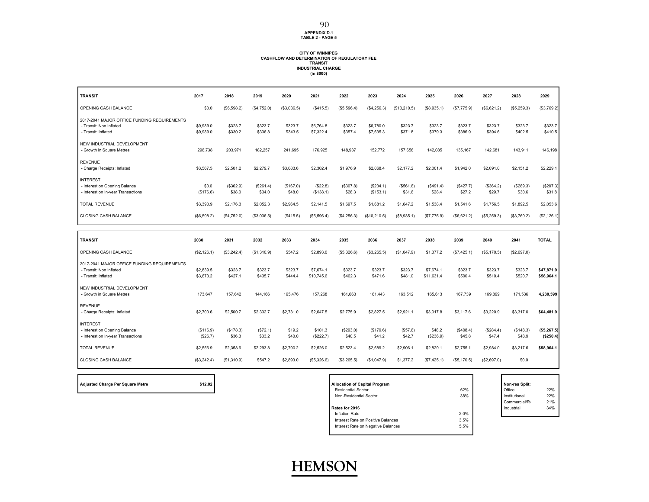## **APPENDIX D.1 TABLE 2 - PAGE 5**

90

## **CITY OF WINNIPEG CASHFLOW AND DETERMINATION OF REGULATORY FEE TRANSIT INDUSTRIAL CHARGE (in \$000)**

| <b>TRANSIT</b>                                                                                | 2017                   | 2018                | 2019                | 2020                | 2021                    | 2022                | 2023                   | 2024                | 2025                    | 2026                | 2027                | 2028                | 2029                     |
|-----------------------------------------------------------------------------------------------|------------------------|---------------------|---------------------|---------------------|-------------------------|---------------------|------------------------|---------------------|-------------------------|---------------------|---------------------|---------------------|--------------------------|
| OPENING CASH BALANCE                                                                          | \$0.0                  | (\$6,598.2)         | (\$4,752.0)         | (\$3,036.5)         | (\$415.5)               | (\$5,596.4)         | (\$4,256.3)            | (\$10,210.5)        | (\$8,935.1)             | (\$7,775.9)         | (\$6,621.2)         | (\$5,259.3)         | (\$3,769.2)              |
| 2017-2041 MAJOR OFFICE FUNDING REQUIREMENTS<br>- Transit: Non Inflated<br>- Transit: Inflated | \$9,989.0<br>\$9,989.0 | \$323.7<br>\$330.2  | \$323.7<br>\$336.8  | \$323.7<br>\$343.5  | \$6,764.8<br>\$7,322.4  | \$323.7<br>\$357.4  | \$6,780.0<br>\$7,635.3 | \$323.7<br>\$371.8  | \$323.7<br>\$379.3      | \$323.7<br>\$386.9  | \$323.7<br>\$394.6  | \$323.7<br>\$402.5  | \$323.7<br>\$410.5       |
| NEW INDUSTRIAL DEVELOPMENT<br>- Growth in Square Metres                                       | 296,738                | 203,971             | 182,257             | 241,695             | 176,925                 | 148,937             | 152,772                | 157,658             | 142,085                 | 135,167             | 142,681             | 143,911             | 146,198                  |
| <b>REVENUE</b><br>- Charge Receipts: Inflated                                                 | \$3,567.5              | \$2,501.2           | \$2,279.7           | \$3,083.6           | \$2,302.4               | \$1,976.9           | \$2,068.4              | \$2,177.2           | \$2,001.4               | \$1,942.0           | \$2,091.0           | \$2,151.2           | \$2,229.1                |
| <b>INTEREST</b><br>- Interest on Opening Balance<br>- Interest on In-year Transactions        | \$0.0<br>(\$176.6)     | (\$362.9)<br>\$38.0 | (\$261.4)<br>\$34.0 | (\$167.0)<br>\$48.0 | (\$22.8)<br>(\$138.1)   | (\$307.8)<br>\$28.3 | (\$234.1)<br>(\$153.1) | (\$561.6)<br>\$31.6 | (\$491.4)<br>\$28.4     | (\$427.7)<br>\$27.2 | (\$364.2)<br>\$29.7 | (\$289.3)<br>\$30.6 | (\$207.3)<br>\$31.8      |
| <b>TOTAL REVENUE</b>                                                                          | \$3,390.9              | \$2,176.3           | \$2,052.3           | \$2.964.5           | \$2,141.5               | \$1,697.5           | \$1,681.2              | \$1.647.2           | \$1,538.4               | \$1,541.6           | \$1,756.5           | \$1,892.5           | \$2,053.6                |
| <b>CLOSING CASH BALANCE</b>                                                                   | (\$6,598.2)            | (S4, 752.0)         | (\$3,036.5)         | (S415.5)            | (\$5,596.4)             | (\$4,256.3)         | (\$10,210.5)           | (\$8,935.1)         | (\$7,775.9)             | (\$6,621.2)         | (\$5,259.3)         | (\$3,769.2)         | (\$2,126.1)              |
|                                                                                               |                        |                     |                     |                     |                         |                     |                        |                     |                         |                     |                     |                     |                          |
|                                                                                               |                        |                     |                     |                     |                         |                     |                        |                     |                         |                     |                     |                     |                          |
| <b>TRANSIT</b>                                                                                | 2030                   | 2031                | 2032                | 2033                | 2034                    | 2035                | 2036                   | 2037                | 2038                    | 2039                | 2040                | 2041                | <b>TOTAL</b>             |
| OPENING CASH BALANCE                                                                          | (\$2,126.1)            | (\$3,242.4)         | (\$1,310.9)         | \$547.2             | \$2,893.0               | (\$5,326.6)         | (\$3,265.5)            | (\$1,047.9)         | \$1,377.2               | (\$7,425.1)         | (\$5, 170.5)        | (\$2,697.0)         |                          |
| 2017-2041 MAJOR OFFICE FUNDING REQUIREMENTS<br>- Transit: Non Inflated<br>- Transit: Inflated | \$2,839.5<br>\$3,673.2 | \$323.7<br>\$427.1  | \$323.7<br>\$435.7  | \$323.7<br>\$444.4  | \$7,674.1<br>\$10,745.6 | \$323.7<br>\$462.3  | \$323.7<br>\$471.6     | \$323.7<br>\$481.0  | \$7,674.1<br>\$11,631.4 | \$323.7<br>\$500.4  | \$323.7<br>\$510.4  | \$323.7<br>\$520.7  | \$47,871.9<br>\$58,964.1 |
| NEW INDUSTRIAL DEVELOPMENT<br>- Growth in Square Metres                                       | 173.647                | 157.642             | 144.166             | 165.476             | 157.268                 | 161.663             | 161,443                | 163.512             | 165.613                 | 167.739             | 169.899             | 171.536             | 4,230,599                |
| <b>REVENUE</b><br>- Charge Receipts: Inflated                                                 | \$2,700.6              | \$2,500.7           | \$2,332.7           | \$2,731.0           | \$2,647.5               | \$2,775.9           | \$2,827.5              | \$2.921.1           | \$3,017.8               | \$3,117.6           | \$3,220.9           | \$3,317.0           | \$64,481.9               |
| <b>INTEREST</b><br>- Interest on Opening Balance<br>- Interest on In-year Transactions        | (\$116.9)<br>(S26.7)   | (S178.3)<br>\$36.3  | (\$72.1)<br>\$33.2  | \$19.2<br>\$40.0    | \$101.3<br>(\$222.7)    | (\$293.0)<br>\$40.5 | (\$179.6)<br>\$41.2    | (S57.6)<br>\$42.7   | \$48.2<br>(\$236.9)     | (\$408.4)<br>\$45.8 | (\$284.4)<br>\$47.4 | (\$148.3)<br>\$48.9 | (\$5,267.5)<br>(\$250.4) |
| <b>TOTAL REVENUE</b>                                                                          | \$2,556.9              | \$2,358.6           | \$2,293.8           | \$2,790.2           | \$2,526.0               | \$2,523.4           | \$2,689.2              | \$2,906.1           | \$2,829.1               | \$2,755.1           | \$2,984.0           | \$3,217.6           | \$58,964.1               |

| \$12.02<br>Adjusted Charge Per Square Metre | <b>Allocation of Capital Program</b>       | Non-res Split: |     |
|---------------------------------------------|--------------------------------------------|----------------|-----|
|                                             | 62%<br><b>Residential Sector</b>           | Office         | 22% |
|                                             | 38%<br>Non-Residential Sector              | Institutional  | 22% |
|                                             |                                            | Commercial/R   | 21% |
|                                             | Rates for 2016                             | Industrial     | 34% |
|                                             | 2.0%<br>Inflation Rate                     |                |     |
|                                             | 3.5%<br>Interest Rate on Positive Balances |                |     |
|                                             | Interest Rate on Negative Balances<br>5.5% |                |     |
|                                             |                                            |                |     |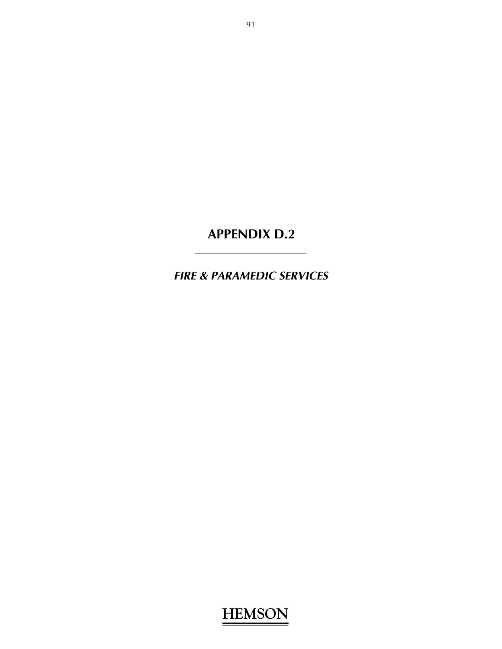# **APPENDIX D.2**

*FIRE & PARAMEDIC SERVICES*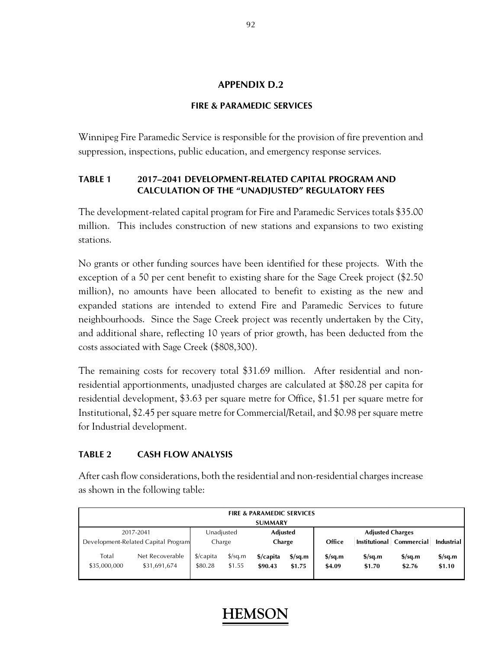#### **APPENDIX D.2**

### **FIRE & PARAMEDIC SERVICES**

Winnipeg Fire Paramedic Service is responsible for the provision of fire prevention and suppression, inspections, public education, and emergency response services.

#### **TABLE 1 2017–2041 DEVELOPMENT-RELATED CAPITAL PROGRAM AND CALCULATION OF THE "UNADJUSTED" REGULATORY FEES**

The development-related capital program for Fire and Paramedic Services totals \$35.00 million. This includes construction of new stations and expansions to two existing stations.

No grants or other funding sources have been identified for these projects. With the exception of a 50 per cent benefit to existing share for the Sage Creek project (\$2.50 million), no amounts have been allocated to benefit to existing as the new and expanded stations are intended to extend Fire and Paramedic Services to future neighbourhoods. Since the Sage Creek project was recently undertaken by the City, and additional share, reflecting 10 years of prior growth, has been deducted from the costs associated with Sage Creek (\$808,300).

The remaining costs for recovery total \$31.69 million. After residential and nonresidential apportionments, unadjusted charges are calculated at \$80.28 per capita for residential development, \$3.63 per square metre for Office, \$1.51 per square metre for Institutional, \$2.45 per square metre for Commercial/Retail, and \$0.98 per square metre for Industrial development.

### **TABLE 2 CASH FLOW ANALYSIS**

After cash flow considerations, both the residential and non-residential charges increase as shown in the following table:

| <b>FIRE &amp; PARAMEDIC SERVICES</b><br><b>SUMMARY</b> |                                                  |                                 |                                |                           |                                            |                                   |                                            |                                            |                                   |  |  |
|--------------------------------------------------------|--------------------------------------------------|---------------------------------|--------------------------------|---------------------------|--------------------------------------------|-----------------------------------|--------------------------------------------|--------------------------------------------|-----------------------------------|--|--|
|                                                        | 2017-2041<br>Development-Related Capital Program | Unadjusted<br>Charge            |                                | <b>Adjusted</b><br>Charge |                                            | Office                            | <b>Adjusted Charges</b>                    | Institutional Commercial                   | <b>Industrial</b>                 |  |  |
| Total<br>\$35,000,000                                  | Net Recoverable<br>\$31,691,674                  | $\frac{2}{2}$ capita<br>\$80.28 | $\frac{\sqrt{2}}{2}$<br>\$1.55 | \$/capita<br>\$90.43      | $\frac{\text{S}}{\text{S}}$ sq.m<br>\$1.75 | $\frac{\sigma}{2}$ sq.m<br>\$4.09 | $\frac{\text{S}}{\text{S}}$ sq.m<br>\$1.70 | $\frac{\text{S}}{\text{S}}$ sq.m<br>\$2.76 | $\frac{\sigma}{2}$ sq.m<br>\$1.10 |  |  |

#### 92

## **HEMS**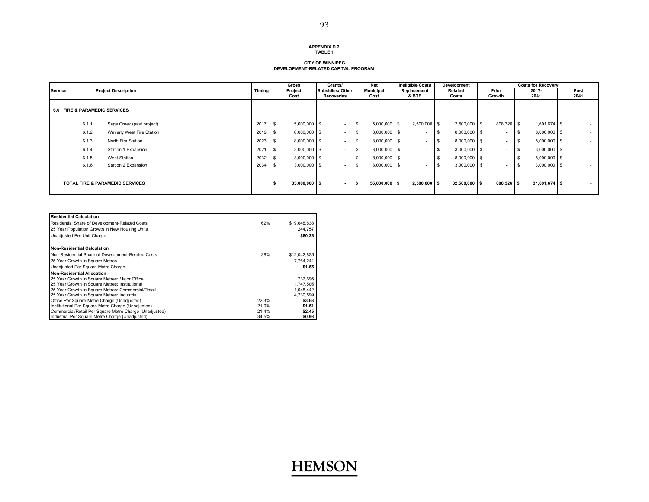#### **APPENDIX D.2TABLE 1**

### **CITY OF WINNIPEG DEVELOPMENT-RELATED CAPITAL PROGRAM**

|         |                                          |                                            |        | Gross           | Grants/                        | Net                      | <b>Ineligible Costs</b>  | Development           |                          | <b>Costs for Recovery</b> |              |
|---------|------------------------------------------|--------------------------------------------|--------|-----------------|--------------------------------|--------------------------|--------------------------|-----------------------|--------------------------|---------------------------|--------------|
| Service |                                          | <b>Project Description</b>                 | Timing | Project<br>Cost | Subsidies/ Other<br>Recoveries | <b>Municipal</b><br>Cost | Replacement<br>& BTE     | Related<br>Costs      | Prior<br>Growth          | $2017 -$<br>2041          | Post<br>2041 |
|         | <b>6.0 FIRE &amp; PARAMEDIC SERVICES</b> |                                            |        |                 |                                |                          |                          |                       |                          |                           |              |
|         | 6.1.1                                    | Sage Creek (past project)                  | 2017   | $5,000,000$ \$  | $\sim$                         | \$<br>$5,000,000$ \$     | $2,500,000$ \$           | $2,500,000$ \$        | 808,326 \$               | $1,691,674$ \$            | $\sim$       |
|         | 6.1.2                                    | Waverly West Fire Station                  | 2019   | $8,000,000$ \$  | $\sim$                         | 8,000,000 \$             | $\overline{\phantom{a}}$ | s<br>8,000,000 \$     | $\overline{\phantom{a}}$ | $8,000,000$ \$            | $\sim$       |
|         | 6.1.3                                    | North Fire Station                         | 2023   | $8,000,000$ \$  | $\blacksquare$                 | 8,000,000 \$             | $\overline{\phantom{a}}$ | 8,000,000 \$<br>-S    | $\sim$                   | $8,000,000$ \$            | $\sim$       |
|         | 6.1.4                                    | Station 1 Expansion                        | 2021   | $3,000,000$ \$  | $\sim$                         | $3,000,000$ \$           | $\overline{\phantom{a}}$ | s<br>$3,000,000$ \$   | $\overline{\phantom{a}}$ | $3,000,000$ \$            | $\sim$       |
|         | 6.1.5                                    | West Station                               | 2032   | $8,000,000$ \$  | $\sim$                         | 8,000,000 \$             | $\overline{\phantom{a}}$ | \$.<br>8,000,000 \$   | $\sim$                   | $8,000,000$ \$            | $\sim$       |
|         | 6.1.6                                    | Station 2 Expansion                        | 2034   | $3,000,000$ \$  | $\overline{\phantom{a}}$       | $3,000,000$ \$           | $\overline{\phantom{a}}$ | $3,000,000$ \$<br>\$. | $\overline{\phantom{0}}$ | $3,000,000$ \$            | $\sim$       |
|         |                                          | <b>TOTAL FIRE &amp; PARAMEDIC SERVICES</b> |        | $35,000,000$ \$ | $\sim$                         | $35,000,000$ \$          | $2,500,000$ \$           | $32,500,000$ \$       | 808,326 \$               | $31,691,674$ \$           | $\sim$       |

| <b>Residential Calculation</b>                         |       |              |
|--------------------------------------------------------|-------|--------------|
| Residential Share of Development-Related Costs         | 62%   | \$19,648,838 |
| 25 Year Population Growth in New Housing Units         |       | 244.757      |
| Unadjusted Per Unit Charge                             |       | \$80.28      |
| <b>Non-Residential Calculation</b>                     |       |              |
| Non-Residential Share of Development-Related Costs     | 38%   | \$12,042,836 |
| 25 Year Growth in Square Metres                        |       | 7.764.241    |
| Unadjusted Per Square Metre Charge                     |       | \$1.55       |
| <b>Non-Residential Allocation</b>                      |       |              |
| 25 Year Growth in Square Metres: Maior Office          |       | 737.695      |
| 25 Year Growth in Square Metres: Institutional         |       | 1,747,505    |
| 25 Year Growth in Square Metres: Commercial/Retail     |       | 1.048.442    |
| 25 Year Growth in Square Metres: Industrial            |       | 4,230,599    |
| Office Per Square Metre Charge (Unadjusted)            | 22.3% | \$3.63       |
| Institutional Per Square Metre Charge (Unadiusted)     | 21.9% | \$1.51       |
| Commercial/Retail Per Square Metre Charge (Unadjusted) | 21.4% | \$2.45       |
| Industrial Per Square Metre Charge (Unadjusted)        | 34.5% | \$0.98       |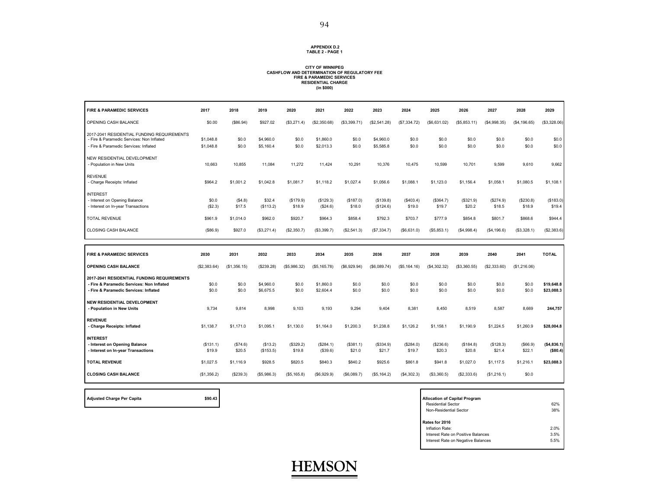#### **APPENDIX D.2 TABLE 2 - PAGE 1**

#### **CITY OF WINNIPEG CASHFLOWAND DETERMINATION OF REGULATORY FEE FIRE & PARAMEDIC SERVICES RESIDENTIAL CHARGE (in \$000)**

| <b>FIRE &amp; PARAMEDIC SERVICES</b>                                                                                             | 2017                   | 2018               | 2019                   | 2020                | 2021                   | 2022                | 2023                   | 2024                | 2025                | 2026                | 2027                | 2028                | 2029                     |
|----------------------------------------------------------------------------------------------------------------------------------|------------------------|--------------------|------------------------|---------------------|------------------------|---------------------|------------------------|---------------------|---------------------|---------------------|---------------------|---------------------|--------------------------|
| OPENING CASH BALANCE                                                                                                             | \$0.00                 | (\$86.94)          | \$927.02               | (\$3,271.4)         | (\$2,350.68)           | (\$3,399.71)        | (\$2,541.28)           | (\$7,334.72)        | (\$6,631.02)        | (S5, 853.11)        | (\$4,998.35)        | (\$4,196.65)        | (\$3,328.06)             |
| 2017-2041 RESIDENTIAL FUNDING REQUIREMENTS<br>- Fire & Paramedic Services: Non Inflated<br>- Fire & Paramedic Services: Inflated | \$1,048.8<br>\$1,048.8 | \$0.0<br>\$0.0     | \$4,960.0<br>\$5,160.4 | \$0.0<br>\$0.0      | \$1,860.0<br>\$2,013.3 | \$0.0<br>\$0.0      | \$4,960.0<br>\$5,585.8 | \$0.0<br>\$0.0      | \$0.0<br>\$0.0      | \$0.0<br>\$0.0      | \$0.0<br>\$0.0      | \$0.0<br>\$0.0      | \$0.0<br>\$0.0           |
| NEW RESIDENTIAL DEVELOPMENT                                                                                                      |                        |                    |                        |                     |                        |                     |                        |                     |                     |                     |                     |                     |                          |
| - Population in New Units                                                                                                        | 10,663                 | 10,855             | 11,084                 | 11,272              | 11,424                 | 10,291              | 10,376                 | 10,475              | 10,599              | 10,701              | 9,599               | 9,610               | 9,662                    |
| <b>REVENUE</b><br>- Charge Receipts: Inflated                                                                                    | \$964.2                | \$1,001.2          | \$1,042.8              | \$1,081.7           | \$1,118.2              | \$1,027.4           | \$1,056.6              | \$1,088.1           | \$1,123.0           | \$1,156.4           | \$1,058.1           | \$1,080.5           | \$1,108.1                |
| <b>INTEREST</b><br>- Interest on Opening Balance<br>- Interest on In-year Transactions                                           | \$0.0<br>(\$2.3)       | (\$4.8)<br>\$17.5  | \$32.4<br>(\$113.2)    | (\$179.9)<br>\$18.9 | (\$129.3)<br>(\$24.6)  | (\$187.0)<br>\$18.0 | (\$139.8)<br>(\$124.6) | (\$403.4)<br>\$19.0 | (\$364.7)<br>\$19.7 | (\$321.9)<br>\$20.2 | (\$274.9)<br>\$18.5 | (\$230.8)<br>\$18.9 | (\$183.0)<br>\$19.4      |
| <b>TOTAL REVENUE</b>                                                                                                             | \$961.9                | \$1,014.0          | \$962.0                | \$920.7             | \$964.3                | \$858.4             | \$792.3                | \$703.7             | \$777.9             | \$854.8             | \$801.7             | \$868.6             | \$944.4                  |
| <b>CLOSING CASH BALANCE</b>                                                                                                      | (\$86.9)               | \$927.0            | (\$3,271.4)            | (\$2,350.7)         | (\$3,399.7)            | (\$2,541.3)         | (S7, 334.7)            | (\$6,631.0)         | (\$5,853.1)         | (\$4,998.4)         | (\$4,196.6)         | (\$3,328.1)         | (\$2,383.6)              |
|                                                                                                                                  |                        |                    |                        |                     |                        |                     |                        |                     |                     |                     |                     |                     |                          |
|                                                                                                                                  |                        |                    |                        |                     |                        |                     |                        |                     |                     |                     |                     |                     |                          |
| <b>FIRE &amp; PARAMEDIC SERVICES</b>                                                                                             | 2030                   | 2031               | 2032                   | 2033                | 2034                   | 2035                | 2036                   | 2037                | 2038                | 2039                | 2040                | 2041                | <b>TOTAL</b>             |
| <b>OPENING CASH BALANCE</b>                                                                                                      | (\$2,383.64)           | (\$1,356.15)       | (\$239.28)             | (\$5,986.32)        | (\$5, 165.78)          | (\$6,929.94)        | (\$6,089.74)           | (\$5,164.16)        | (\$4,302.32)        | (\$3,360.55)        | (\$2,333.60)        | (\$1,216.06)        |                          |
| 2017-2041 RESIDENTIAL FUNDING REQUIREMENTS<br>- Fire & Paramedic Services: Non Inflated<br>- Fire & Paramedic Services: Inflated | \$0.0<br>\$0.0         | \$0.0<br>\$0.0     | \$4,960.0<br>\$6,675.5 | \$0.0<br>\$0.0      | \$1,860.0<br>\$2,604.4 | \$0.0<br>\$0.0      | \$0.0<br>\$0.0         | \$0.0<br>\$0.0      | \$0.0<br>\$0.0      | \$0.0<br>\$0.0      | \$0.0<br>\$0.0      | \$0.0<br>\$0.0      | \$19,648.8<br>\$23,088.3 |
| <b>NEW RESIDENTIAL DEVELOPMENT</b><br>- Population in New Units                                                                  | 9.734                  | 9,814              | 8.998                  | 9.103               | 9,193                  | 9,294               | 9,404                  | 8.381               | 8.450               | 8.519               | 8,587               | 8.669               | 244,757                  |
| <b>REVENUE</b><br>- Charge Receipts: Inflated                                                                                    | \$1,138.7              | \$1,171.0          | \$1,095.1              | \$1,130.0           | \$1,164.0              | \$1,200.3           | \$1,238.8              | \$1,126.2           | \$1,158.1           | \$1,190.9           | \$1,224.5           | \$1,260.9           | \$28,004.8               |
| <b>INTEREST</b><br>- Interest on Opening Balance<br>- Interest on In-year Transactions                                           | (\$131.1)<br>\$19.9    | (\$74.6)<br>\$20.5 | (\$13.2)<br>(\$153.5)  | (\$329.2)<br>\$19.8 | (\$284.1)<br>(\$39.6)  | (\$381.1)<br>\$21.0 | (\$334.9)<br>\$21.7    | (\$284.0)<br>\$19.7 | (\$236.6)<br>\$20.3 | (\$184.8)<br>\$20.8 | (\$128.3)<br>\$21.4 | ( \$66.9)<br>\$22.1 | ( \$4,836.1)<br>(\$80.4) |
| <b>TOTAL REVENUE</b>                                                                                                             | \$1,027.5              | \$1,116.9          | \$928.5                | \$820.5             | \$840.3                | \$840.2             | \$925.6                | \$861.8             | \$941.8             | \$1,027.0           | \$1,117.5           | \$1,216.1           | \$23,088.3               |

| <b>Allocation of Capital Program</b> |      |
|--------------------------------------|------|
| <b>Residential Sector</b>            | 62%  |
| Non-Residential Sector               | 38%  |
| Rates for 2016                       |      |
| Inflation Rate:                      | 2.0% |
| Interest Rate on Positive Balances   | 3.5% |
| Interest Rate on Negative Balances   | 5.5% |
|                                      |      |

'n



Adjusted Charge Per Capita **by Capital Program** \$90.43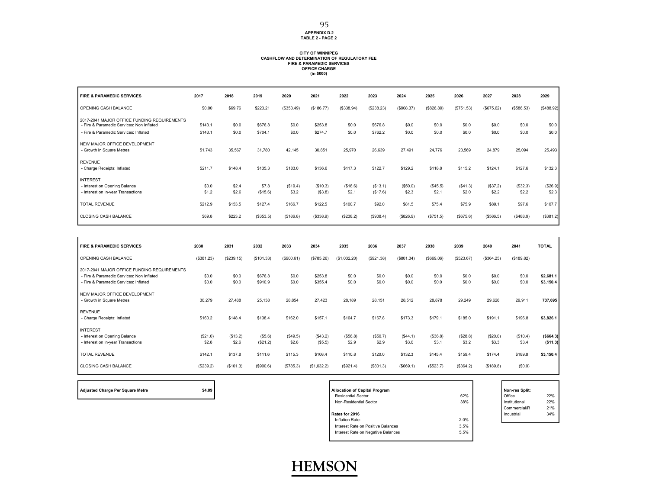#### **APPENDIX D.2 TABLE 2 - PAGE 2**

## **CITY OF WINNIPEG CASHFLOW AND DETERMINATION OF REGULATORY FEE FIRE & PARAMEDIC SERVICES OFFICE CHARGE (in \$000)**

| <b>FIRE &amp; PARAMEDIC SERVICES</b>                                                     | 2017           | 2018           | 2019              | 2020              | 2021                | 2022              | 2023                | 2024              | 2025              | 2026              | 2027              | 2028              | 2029              |
|------------------------------------------------------------------------------------------|----------------|----------------|-------------------|-------------------|---------------------|-------------------|---------------------|-------------------|-------------------|-------------------|-------------------|-------------------|-------------------|
| OPENING CASH BALANCE                                                                     | \$0.00         | \$69.76        | \$223.21          | (\$353.49)        | (\$186.77)          | (\$338.94)        | (\$238.23)          | (\$908.37)        | (\$826.89)        | (\$751.53)        | (\$675.62)        | (\$586.53)        | $($ \$488.92)     |
| 2017-2041 MAJOR OFFICE FUNDING REQUIREMENTS<br>- Fire & Paramedic Services: Non Inflated | \$143.1        | \$0.0          | \$676.8           | \$0.0             | \$253.8             | \$0.0             | \$676.8             | \$0.0             | \$0.0             | \$0.0             | \$0.0             | \$0.0             | \$0.0             |
| - Fire & Paramedic Services: Inflated                                                    | \$143.1        | \$0.0          | \$704.1           | \$0.0             | \$274.7             | \$0.0             | \$762.2             | \$0.0             | \$0.0             | \$0.0             | \$0.0             | \$0.0             | \$0.0             |
| NEW MAJOR OFFICE DEVELOPMENT<br>- Growth in Square Metres                                | 51,743         | 35,567         | 31,780            | 42,145            | 30,851              | 25,970            | 26,639              | 27,491            | 24,776            | 23,569            | 24,879            | 25,094            | 25,493            |
| <b>REVENUE</b><br>- Charge Receipts: Inflated                                            | \$211.7        | \$148.4        | \$135.3           | \$183.0           | \$136.6             | \$117.3           | \$122.7             | \$129.2           | \$118.8           | \$115.2           | \$124.1           | \$127.6           | \$132.3           |
| <b>INTEREST</b><br>- Interest on Opening Balance<br>- Interest on In-year Transactions   | \$0.0<br>\$1.2 | \$2.4<br>\$2.6 | \$7.8<br>(\$15.6) | (\$19.4)<br>\$3.2 | (\$10.3)<br>(\$3.8) | (\$18.6)<br>\$2.1 | (S13.1)<br>(\$17.6) | (\$50.0)<br>\$2.3 | (\$45.5)<br>\$2.1 | (\$41.3)<br>\$2.0 | (\$37.2)<br>\$2.2 | (\$32.3)<br>\$2.2 | (\$26.9)<br>\$2.3 |
|                                                                                          |                |                |                   |                   |                     |                   |                     |                   |                   |                   |                   |                   |                   |
| <b>TOTAL REVENUE</b>                                                                     | \$212.9        | \$153.5        | \$127.4           | \$166.7           | \$122.5             | \$100.7           | \$92.0              | \$81.5            | \$75.4            | \$75.9            | \$89.1            | \$97.6            | \$107.7           |
| <b>CLOSING CASH BALANCE</b>                                                              | \$69.8         | \$223.2        | (\$353.5)         | (\$186.8)         | (\$338.9)           | (\$238.2)         | (\$908.4)           | (\$826.9)         | (\$751.5)         | (S675.6)          | ( \$586.5)        | (\$488.9)         | (\$381.2)         |

| <b>FIRE &amp; PARAMEDIC SERVICES</b>                                                                                              | 2030              | 2031              | 2032                | 2033              | 2034                | 2035              | 2036             | 2037              | 2038              | 2039              | 2040              | 2041              | <b>TOTAL</b>           |
|-----------------------------------------------------------------------------------------------------------------------------------|-------------------|-------------------|---------------------|-------------------|---------------------|-------------------|------------------|-------------------|-------------------|-------------------|-------------------|-------------------|------------------------|
| OPENING CASH BALANCE                                                                                                              | (\$381.23)        | (\$239.15)        | (\$101.33)          | (\$900.61)        | (\$785.26)          | (\$1,032.20)      | (\$921.38)       | (\$801.34)        | ( \$669.06)       | (\$523.67)        | (\$364.25)        | (\$189.82)        |                        |
| 2017-2041 MAJOR OFFICE FUNDING REQUIREMENTS<br>- Fire & Paramedic Services: Non Inflated<br>- Fire & Paramedic Services: Inflated | \$0.0<br>\$0.0    | \$0.0<br>\$0.0    | \$676.8<br>\$910.9  | \$0.0<br>\$0.0    | \$253.8<br>\$355.4  | \$0.0<br>\$0.0    | \$0.0<br>\$0.0   | \$0.0<br>\$0.0    | \$0.0<br>\$0.0    | \$0.0<br>\$0.0    | \$0.0<br>\$0.0    | \$0.0<br>\$0.0    | \$2,681.1<br>\$3,150.4 |
| NEW MAJOR OFFICE DEVELOPMENT<br>- Growth in Square Metres                                                                         | 30,279            | 27,488            | 25,138              | 28,854            | 27,423              | 28,189            | 28,151           | 28,512            | 28,878            | 29,249            | 29,626            | 29,911            | 737,695                |
| <b>REVENUE</b><br>- Charge Receipts: Inflated                                                                                     | \$160.2           | \$148.4           | \$138.4             | \$162.0           | \$157.1             | \$164.7           | \$167.8          | \$173.3           | \$179.1           | \$185.0           | \$191.1           | \$196.8           | \$3,826.1              |
| <b>INTEREST</b><br>- Interest on Opening Balance<br>- Interest on In-year Transactions                                            | (\$21.0)<br>\$2.8 | (\$13.2)<br>\$2.6 | (\$5.6)<br>(\$21.2) | (\$49.5)<br>\$2.8 | (\$43.2)<br>(\$5.5) | (\$56.8)<br>\$2.9 | (S50.7)<br>\$2.9 | (\$44.1)<br>\$3.0 | (\$36.8)<br>\$3.1 | (\$28.8)<br>\$3.2 | (\$20.0)<br>\$3.3 | (\$10.4)<br>\$3.4 | (\$664.3)<br>(\$11.3)  |
| <b>TOTAL REVENUE</b>                                                                                                              | \$142.1           | \$137.8           | \$111.6             | \$115.3           | \$108.4             | \$110.8           | \$120.0          | \$132.3           | \$145.4           | \$159.4           | \$174.4           | \$189.8           | \$3,150.4              |
| <b>CLOSING CASH BALANCE</b>                                                                                                       | (\$239.2)         | (\$101.3)         | (\$900.6)           | (\$785.3)         | (\$1,032.2)         | (S921.4)          | (\$801.3)        | (S669.1)          | (\$523.7)         | (\$364.2)         | (\$189.8)         | (\$0.0)           |                        |

**Adjusted Charge Per Square Metre \$4.09 Allocation of Capital Program Non-res Split:**

| <b>Allocation of Capital Program</b> |      | Non-res Split: |     |
|--------------------------------------|------|----------------|-----|
| <b>Residential Sector</b>            | 62%  | Office         | 22% |
| Non-Residential Sector               | 38%  | Institutional  | 22% |
|                                      |      | Commercial/R   | 21% |
| Rates for 2016                       |      | Industrial     | 34% |
| Inflation Rate:                      | 2.0% |                |     |
| Interest Rate on Positive Balances   | 3.5% |                |     |
| Interest Rate on Negative Balances   | 5.5% |                |     |
|                                      |      |                |     |

Office 22%

22% 21%

34%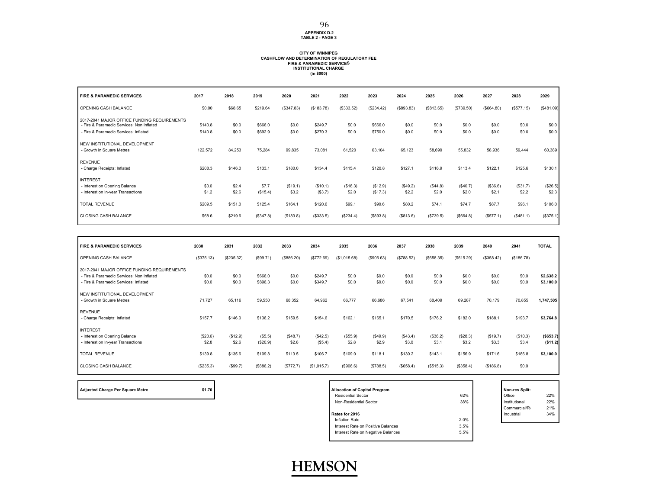## **APPENDIX D.2 TABLE 2 - PAGE 3**

## **CITY OF WINNIPEG CASHFLOW AND DETERMINATION OF REGULATORY FEEFIRE & PARAMEDIC SERVICES INSTITUTIONAL CHARGE (in \$000)**

| <b>FIRE &amp; PARAMEDIC SERVICES</b>                                                     | 2017           | 2018           | 2019              | 2020              | 2021                | 2022              | 2023                 | 2024              | 2025              | 2026              | 2027              | 2028              | 2029              |
|------------------------------------------------------------------------------------------|----------------|----------------|-------------------|-------------------|---------------------|-------------------|----------------------|-------------------|-------------------|-------------------|-------------------|-------------------|-------------------|
| OPENING CASH BALANCE                                                                     | \$0.00         | \$68.65        | \$219.64          | (\$347.83)        | (\$183.78)          | (\$333.52)        | (\$234.42)           | (\$893.83)        | (S813.65)         | (\$739.50)        | (\$664.80)        | (\$577.15)        | (\$481.09)        |
| 2017-2041 MAJOR OFFICE FUNDING REQUIREMENTS<br>- Fire & Paramedic Services: Non Inflated | \$140.8        | \$0.0          | \$666.0           | \$0.0             | \$249.7             | \$0.0             | \$666.0              | \$0.0             | \$0.0             | \$0.0             | \$0.0             | \$0.0             | \$0.0             |
| - Fire & Paramedic Services: Inflated                                                    | \$140.8        | \$0.0          | \$692.9           | \$0.0             | \$270.3             | \$0.0             | \$750.0              | \$0.0             | \$0.0             | \$0.0             | \$0.0             | \$0.0             | \$0.0             |
| NEW INSTITUTIONAL DEVELOPMENT<br>- Growth in Square Metres                               | 122,572        | 84,253         | 75,284            | 99,835            | 73,081              | 61,520            | 63,104               | 65,123            | 58,690            | 55,832            | 58,936            | 59,444            | 60,389            |
| <b>REVENUE</b><br>- Charge Receipts: Inflated                                            | \$208.3        | \$146.0        | \$133.1           | \$180.0           | \$134.4             | \$115.4           | \$120.8              | \$127.1           | \$116.9           | \$113.4           | \$122.1           | \$125.6           | \$130.1           |
| <b>INTEREST</b>                                                                          |                |                |                   |                   |                     |                   |                      |                   |                   |                   |                   |                   |                   |
| - Interest on Opening Balance<br>- Interest on In-year Transactions                      | \$0.0<br>\$1.2 | \$2.4<br>\$2.6 | \$7.7<br>(\$15.4) | (\$19.1)<br>\$3.2 | (\$10.1)<br>(\$3.7) | (\$18.3)<br>\$2.0 | (\$12.9)<br>(\$17.3) | (\$49.2)<br>\$2.2 | (\$44.8)<br>\$2.0 | (\$40.7)<br>\$2.0 | (\$36.6)<br>\$2.1 | (\$31.7)<br>\$2.2 | (\$26.5)<br>\$2.3 |
| <b>TOTAL REVENUE</b>                                                                     | \$209.5        | \$151.0        | \$125.4           | \$164.1           | \$120.6             | \$99.1            | \$90.6               | \$80.2            | \$74.1            | \$74.7            | \$87.7            | \$96.1            | \$106.0           |
| <b>CLOSING CASH BALANCE</b>                                                              | \$68.6         | \$219.6        | (\$347.8)         | (S183.8)          | (\$333.5)           | (\$234.4)         | (\$893.8)            | (\$813.6)         | (S739.5)          | (\$664.8)         | (S577.1)          | (\$481.1)         | (\$375.1)         |

| <b>FIRE &amp; PARAMEDIC SERVICES</b>                                                                                              | 2030              | 2031              | 2032               | 2033              | 2034                | 2035             | 2036              | 2037             | 2038              | 2039              | 2040              | 2041              | <b>TOTAL</b>           |
|-----------------------------------------------------------------------------------------------------------------------------------|-------------------|-------------------|--------------------|-------------------|---------------------|------------------|-------------------|------------------|-------------------|-------------------|-------------------|-------------------|------------------------|
| OPENING CASH BALANCE                                                                                                              | (\$375.13)        | (\$235.32)        | (\$99.71)          | (\$886.20)        | (\$772.69)          | (\$1,015.68)     | (\$906.63)        | (\$788.52)       | (\$658.35)        | (\$515.29)        | (\$358.42)        | (\$186.78)        |                        |
| 2017-2041 MAJOR OFFICE FUNDING REQUIREMENTS<br>- Fire & Paramedic Services: Non Inflated<br>- Fire & Paramedic Services: Inflated | \$0.0<br>\$0.0    | \$0.0<br>\$0.0    | \$666.0<br>\$896.3 | \$0.0<br>\$0.0    | \$249.7<br>\$349.7  | \$0.0<br>\$0.0   | \$0.0<br>\$0.0    | \$0.0<br>\$0.0   | \$0.0<br>\$0.0    | \$0.0<br>\$0.0    | \$0.0<br>\$0.0    | \$0.0<br>\$0.0    | \$2,638.2<br>\$3,100.0 |
| NEW INSTITUTIONAL DEVELOPMENT<br>- Growth in Square Metres                                                                        | 71,727            | 65,116            | 59,550             | 68,352            | 64,962              | 66,777           | 66,686            | 67,541           | 68,409            | 69,287            | 70,179            | 70,855            | 1,747,505              |
| <b>REVENUE</b><br>- Charge Receipts: Inflated                                                                                     | \$157.7           | \$146.0           | \$136.2            | \$159.5           | \$154.6             | \$162.1          | \$165.1           | \$170.5          | \$176.2           | \$182.0           | \$188.1           | \$193.7           | \$3,764.8              |
| <b>INTEREST</b><br>- Interest on Opening Balance<br>- Interest on In-year Transactions                                            | (\$20.6)<br>\$2.8 | (\$12.9)<br>\$2.6 | (S5.5)<br>(\$20.9) | (\$48.7)<br>\$2.8 | (\$42.5)<br>(\$5.4) | (S55.9)<br>\$2.8 | (\$49.9)<br>\$2.9 | (S43.4)<br>\$3.0 | (\$36.2)<br>\$3.1 | (\$28.3)<br>\$3.2 | (\$19.7)<br>\$3.3 | (\$10.3)<br>\$3.4 | ( \$653.7)<br>(\$11.2) |
| <b>TOTAL REVENUE</b>                                                                                                              | \$139.8           | \$135.6           | \$109.8            | \$113.5           | \$106.7             | \$109.0          | \$118.1           | \$130.2          | \$143.1           | \$156.9           | \$171.6           | \$186.8           | \$3,100.0              |
| <b>CLOSING CASH BALANCE</b>                                                                                                       | (\$235.3)         | (\$99.7)          | (\$886.2)          | (\$772.7)         | (\$1,015.7)         | (\$906.6)        | (\$788.5)         | (\$658.4)        | (S515.3)          | (\$358.4)         | (S186.8)          | \$0.0             |                        |

Adjusted Charge Per Square Metre **by Capital Program** \$1.70

| <b>Allocation of Capital Program</b> |      | Non-res Split: |     |
|--------------------------------------|------|----------------|-----|
| <b>Residential Sector</b>            | 62%  | Office         | 22% |
| Non-Residential Sector               | 38%  | Institutional  | 22% |
|                                      |      | Commercial/R   | 21% |
| Rates for 2016                       |      | Industrial     | 34% |
| Inflation Rate                       | 2.0% |                |     |
| Interest Rate on Positive Balances   | 3.5% |                |     |
| Interest Rate on Negative Balances   | 5.5% |                |     |
|                                      |      |                |     |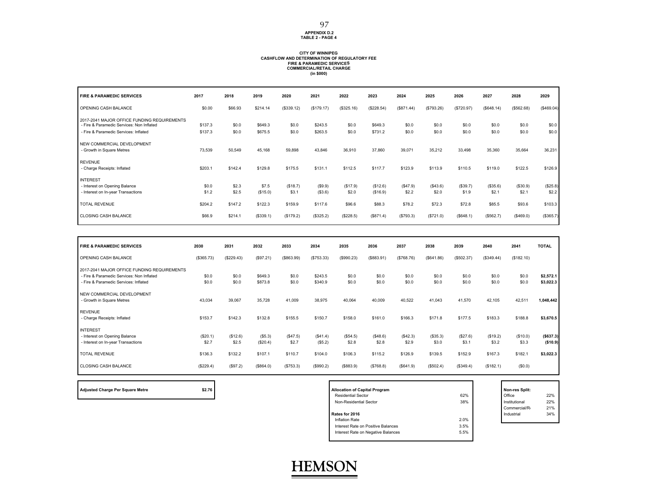#### **APPENDIX D.2 TABLE 2 - PAGE 4** 97

## **CITY OF WINNIPEG CASHFLOW AND DETERMINATION OF REGULATORY FEEFIRE & PARAMEDIC SERVICES COMMERCIAL/RETAIL CHARGE (in \$000)**

| <b>FIRE &amp; PARAMEDIC SERVICES</b>                                                     | 2017           | 2018           | 2019              | 2020              | 2021              | 2022              | 2023                 | 2024              | 2025              | 2026              | 2027              | 2028              | 2029              |
|------------------------------------------------------------------------------------------|----------------|----------------|-------------------|-------------------|-------------------|-------------------|----------------------|-------------------|-------------------|-------------------|-------------------|-------------------|-------------------|
| OPENING CASH BALANCE                                                                     | \$0.00         | \$66.93        | \$214.14          | (\$339.12)        | (\$179.17)        | (\$325.16)        | (\$228.54)           | (\$871.44)        | (S793.26)         | (\$720.97)        | (\$648.14)        | (\$562.68)        | (\$469.04)        |
| 2017-2041 MAJOR OFFICE FUNDING REQUIREMENTS<br>- Fire & Paramedic Services: Non Inflated | \$137.3        | \$0.0          | \$649.3           | \$0.0             | \$243.5           | \$0.0             | \$649.3              | \$0.0             | \$0.0             | \$0.0             | \$0.0             | \$0.0             | \$0.0             |
| - Fire & Paramedic Services: Inflated                                                    | \$137.3        | \$0.0          | \$675.5           | \$0.0             | \$263.5           | \$0.0             | \$731.2              | \$0.0             | \$0.0             | \$0.0             | \$0.0             | \$0.0             | \$0.0             |
| NEW COMMERCIAL DEVELOPMENT<br>- Growth in Square Metres                                  | 73,539         | 50,549         | 45,168            | 59,898            | 43,846            | 36,910            | 37,860               | 39,071            | 35,212            | 33,498            | 35,360            | 35,664            | 36,231            |
| <b>REVENUE</b><br>- Charge Receipts: Inflated                                            | \$203.1        | \$142.4        | \$129.8           | \$175.5           | \$131.1           | \$112.5           | \$117.7              | \$123.9           | \$113.9           | \$110.5           | \$119.0           | \$122.5           | \$126.9           |
| <b>INTEREST</b>                                                                          |                |                |                   |                   |                   |                   |                      |                   |                   |                   |                   |                   |                   |
| - Interest on Opening Balance<br>- Interest on In-year Transactions                      | \$0.0<br>\$1.2 | \$2.3<br>\$2.5 | \$7.5<br>(\$15.0) | (\$18.7)<br>\$3.1 | (S9.9)<br>(\$3.6) | (\$17.9)<br>\$2.0 | (\$12.6)<br>(\$16.9) | (\$47.9)<br>\$2.2 | (\$43.6)<br>\$2.0 | (\$39.7)<br>\$1.9 | (\$35.6)<br>\$2.1 | (\$30.9)<br>\$2.1 | (\$25.8)<br>\$2.2 |
| <b>TOTAL REVENUE</b>                                                                     | \$204.2        | \$147.2        | \$122.3           | \$159.9           | \$117.6           | \$96.6            | \$88.3               | \$78.2            | \$72.3            | \$72.8            | \$85.5            | \$93.6            | \$103.3           |
| <b>CLOSING CASH BALANCE</b>                                                              | \$66.9         | \$214.1        | (\$339.1)         | (\$179.2)         | (\$325.2)         | (\$228.5)         | (\$871.4)            | (\$793.3)         | (\$721.0)         | (\$648.1)         | (\$562.7)         | (\$469.0)         | (\$365.7)         |

| <b>FIRE &amp; PARAMEDIC SERVICES</b>                                                                                              | 2030              | 2031              | 2032               | 2033              | 2034                | 2035             | 2036              | 2037              | 2038              | 2039              | 2040              | 2041              | <b>TOTAL</b>           |
|-----------------------------------------------------------------------------------------------------------------------------------|-------------------|-------------------|--------------------|-------------------|---------------------|------------------|-------------------|-------------------|-------------------|-------------------|-------------------|-------------------|------------------------|
| OPENING CASH BALANCE                                                                                                              | (\$365.73)        | (\$229.43)        | (\$97.21)          | (\$663.99)        | (S753.33)           | (\$990.23)       | ( \$883.91)       | (\$768.76)        | (\$641.86)        | (\$502.37)        | (\$349.44)        | (\$182.10)        |                        |
| 2017-2041 MAJOR OFFICE FUNDING REQUIREMENTS<br>- Fire & Paramedic Services: Non Inflated<br>- Fire & Paramedic Services: Inflated | \$0.0<br>\$0.0    | \$0.0<br>\$0.0    | \$649.3<br>\$873.8 | \$0.0<br>\$0.0    | \$243.5<br>\$340.9  | \$0.0<br>\$0.0   | \$0.0<br>\$0.0    | \$0.0<br>\$0.0    | \$0.0<br>\$0.0    | \$0.0<br>\$0.0    | \$0.0<br>\$0.0    | \$0.0<br>\$0.0    | \$2,572.1<br>\$3,022.3 |
| NEW COMMERCIAL DEVELOPMENT<br>- Growth in Square Metres                                                                           | 43,034            | 39,067            | 35,728             | 41,009            | 38,975              | 40,064           | 40,009            | 40,522            | 41,043            | 41,570            | 42,105            | 42,511            | 1,048,442              |
| <b>REVENUE</b><br>- Charge Receipts: Inflated                                                                                     | \$153.7           | \$142.3           | \$132.8            | \$155.5           | \$150.7             | \$158.0          | \$161.0           | \$166.3           | \$171.8           | \$177.5           | \$183.3           | \$188.8           | \$3,670.5              |
| <b>INTEREST</b><br>- Interest on Opening Balance<br>- Interest on In-year Transactions                                            | (\$20.1)<br>\$2.7 | (\$12.6)<br>\$2.5 | (S5.3)<br>(\$20.4) | (\$47.5)<br>\$2.7 | (\$41.4)<br>(\$5.2) | (S54.5)<br>\$2.8 | (\$48.6)<br>\$2.8 | (\$42.3)<br>\$2.9 | (\$35.3)<br>\$3.0 | (\$27.6)<br>\$3.1 | (\$19.2)<br>\$3.2 | (\$10.0)<br>\$3.3 | (S637.3)<br>(\$10.9)   |
| <b>TOTAL REVENUE</b>                                                                                                              | \$136.3           | \$132.2           | \$107.1            | \$110.7           | \$104.0             | \$106.3          | \$115.2           | \$126.9           | \$139.5           | \$152.9           | \$167.3           | \$182.1           | \$3,022.3              |
| <b>CLOSING CASH BALANCE</b>                                                                                                       | (\$229.4)         | (\$97.2)          | (\$64.0)           | (\$753.3)         | (\$990.2)           | (\$883.9)        | (\$768.8)         | (\$641.9)         | (\$502.4)         | (\$349.4)         | (\$182.1)         | (S0.0)            |                        |

**Adjusted Charge Per Square Metre \$2.76 Allocation of Capital Program Non-res Split:**

| <b>Allocation of Capital Program</b> |      | Non-res Split: |     |
|--------------------------------------|------|----------------|-----|
| <b>Residential Sector</b>            | 62%  | Office         | 22% |
| Non-Residential Sector               | 38%  | Institutional  | 22% |
|                                      |      | Commercial/R   | 21% |
| Rates for 2016                       |      | Industrial     | 34% |
| <b>Inflation Rate</b>                | 2.0% |                |     |
| Interest Rate on Positive Balances   | 3.5% |                |     |
| Interest Rate on Negative Balances   | 5.5% |                |     |
|                                      |      |                |     |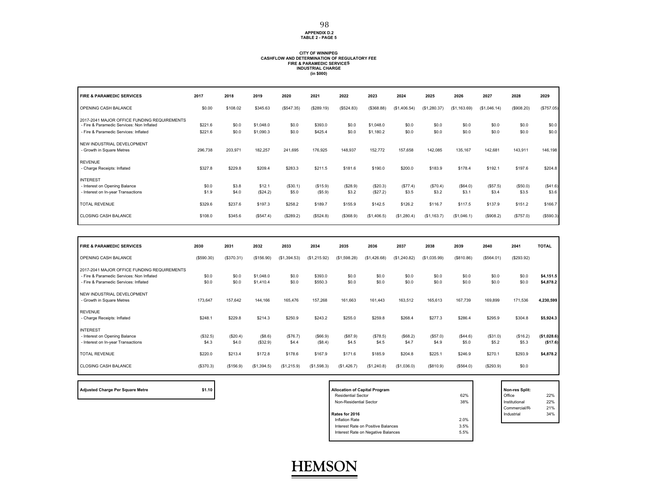## **APPENDIX D.2 TABLE 2 - PAGE 5**

## **CITY OF WINNIPEG CASHFLOW AND DETERMINATION OF REGULATORY FEEFIRE & PARAMEDIC SERVICES INDUSTRIAL CHARGE (in \$000)**

| <b>FIRE &amp; PARAMEDIC SERVICES</b>                                                                                              | 2017               | 2018           | 2019                   | 2020              | 2021                | 2022              | 2023                   | 2024             | 2025              | 2026             | 2027              | 2028              | 2029              |
|-----------------------------------------------------------------------------------------------------------------------------------|--------------------|----------------|------------------------|-------------------|---------------------|-------------------|------------------------|------------------|-------------------|------------------|-------------------|-------------------|-------------------|
| OPENING CASH BALANCE                                                                                                              | \$0.00             | \$108.02       | \$345.63               | (\$547.35)        | (\$289.19)          | (\$524.83)        | (\$368.88)             | (\$1,406.54)     | (\$1,280.37)      | (\$1,163.69)     | (\$1,046.14)      | (\$908.20)        | (\$757.05)        |
| 2017-2041 MAJOR OFFICE FUNDING REQUIREMENTS<br>- Fire & Paramedic Services: Non Inflated<br>- Fire & Paramedic Services: Inflated | \$221.6<br>\$221.6 | \$0.0<br>\$0.0 | \$1,048.0<br>\$1,090.3 | \$0.0<br>\$0.0    | \$393.0<br>\$425.4  | \$0.0<br>\$0.0    | \$1,048.0<br>\$1,180.2 | \$0.0<br>\$0.0   | \$0.0<br>\$0.0    | \$0.0<br>\$0.0   | \$0.0<br>\$0.0    | \$0.0<br>\$0.0    | \$0.0<br>\$0.0    |
| NEW INDUSTRIAL DEVELOPMENT<br>- Growth in Square Metres                                                                           | 296,738            | 203,971        | 182,257                | 241,695           | 176,925             | 148,937           | 152,772                | 157,658          | 142,085           | 135,167          | 142,681           | 143,911           | 146,198           |
| <b>REVENUE</b><br>- Charge Receipts: Inflated                                                                                     | \$327.8            | \$229.8        | \$209.4                | \$283.3           | \$211.5             | \$181.6           | \$190.0                | \$200.0          | \$183.9           | \$178.4          | \$192.1           | \$197.6           | \$204.8           |
| <b>INTEREST</b><br>- Interest on Opening Balance<br>- Interest on In-year Transactions                                            | \$0.0<br>\$1.9     | \$3.8<br>\$4.0 | \$12.1<br>(\$24.2)     | (\$30.1)<br>\$5.0 | (\$15.9)<br>(\$5.9) | (\$28.9)<br>\$3.2 | (\$20.3)<br>(\$27.2)   | (S77.4)<br>\$3.5 | (\$70.4)<br>\$3.2 | (S64.0)<br>\$3.1 | (\$57.5)<br>\$3.4 | (\$50.0)<br>\$3.5 | (\$41.6)<br>\$3.6 |
| <b>TOTAL REVENUE</b>                                                                                                              | \$329.6            | \$237.6        | \$197.3                | \$258.2           | \$189.7             | \$155.9           | \$142.5                | \$126.2          | \$116.7           | \$117.5          | \$137.9           | \$151.2           | \$166.7           |
| <b>CLOSING CASH BALANCE</b>                                                                                                       | \$108.0            | \$345.6        | (\$547.4)              | (\$289.2)         | (\$524.8)           | (\$368.9)         | (\$1,406.5)            | (\$1,280.4)      | (S1, 163.7)       | (\$1,046.1)      | (\$908.2)         | (\$757.0)         | (\$590.3)         |

| <b>FIRE &amp; PARAMEDIC SERVICES</b>                                                                                              | 2030              | 2031              | 2032                   | 2033              | 2034                 | 2035              | 2036              | 2037             | 2038              | 2039              | 2040              | 2041              | <b>TOTAL</b>            |
|-----------------------------------------------------------------------------------------------------------------------------------|-------------------|-------------------|------------------------|-------------------|----------------------|-------------------|-------------------|------------------|-------------------|-------------------|-------------------|-------------------|-------------------------|
| OPENING CASH BALANCE                                                                                                              | (\$590.30)        | (\$370.31)        | (\$156.90)             | (\$1,394.53)      | (\$1,215.92)         | (\$1,598.28)      | (\$1,426.68)      | (\$1,240.82)     | (\$1,035.99)      | (\$810.86)        | (\$564.01)        | (\$293.92)        |                         |
| 2017-2041 MAJOR OFFICE FUNDING REQUIREMENTS<br>- Fire & Paramedic Services: Non Inflated<br>- Fire & Paramedic Services: Inflated | \$0.0<br>\$0.0    | \$0.0<br>\$0.0    | \$1,048.0<br>\$1,410.4 | \$0.0<br>\$0.0    | \$393.0<br>\$550.3   | \$0.0<br>\$0.0    | \$0.0<br>\$0.0    | \$0.0<br>\$0.0   | \$0.0<br>\$0.0    | \$0.0<br>\$0.0    | \$0.0<br>\$0.0    | \$0.0<br>\$0.0    | \$4,151.5<br>\$4,878.2  |
| NEW INDUSTRIAL DEVELOPMENT<br>- Growth in Square Metres                                                                           | 173,647           | 157,642           | 144,166                | 165,476           | 157,268              | 161,663           | 161,443           | 163,512          | 165,613           | 167,739           | 169,899           | 171,536           | 4,230,599               |
| <b>REVENUE</b><br>- Charge Receipts: Inflated                                                                                     | \$248.1           | \$229.8           | \$214.3                | \$250.9           | \$243.2              | \$255.0           | \$259.8           | \$268.4          | \$277.3           | \$286.4           | \$295.9           | \$304.8           | \$5,924.3               |
| <b>INTEREST</b><br>- Interest on Opening Balance<br>- Interest on In-year Transactions                                            | (\$32.5)<br>\$4.3 | (\$20.4)<br>\$4.0 | (S8.6)<br>(\$32.9)     | (\$76.7)<br>\$4.4 | ( \$66.9)<br>(\$8.4) | (\$87.9)<br>\$4.5 | (\$78.5)<br>\$4.5 | (S68.2)<br>\$4.7 | (\$57.0)<br>\$4.9 | (\$44.6)<br>\$5.0 | (\$31.0)<br>\$5.2 | (\$16.2)<br>\$5.3 | (\$1,028.6)<br>(\$17.6) |
| <b>TOTAL REVENUE</b>                                                                                                              | \$220.0           | \$213.4           | \$172.8                | \$178.6           | \$167.9              | \$171.6           | \$185.9           | \$204.8          | \$225.1           | \$246.9           | \$270.1           | \$293.9           | \$4,878.2               |
| <b>CLOSING CASH BALANCE</b>                                                                                                       | (\$370.3)         | (\$156.9)         | (\$1,394.5)            | (\$1,215.9)       | (\$1,598.3)          | (\$1,426.7)       | (\$1,240.8)       | (\$1,036.0)      | (\$810.9)         | (\$564.0)         | (S293.9)          | \$0.0             |                         |

**Adjusted Charge Per Square Metre 120 <b>Adjusted Charge Per Square Metre Allocation of State** 

| <b>Allocation of Capital Program</b> |      | Non-res Split: |     |
|--------------------------------------|------|----------------|-----|
| <b>Residential Sector</b>            | 62%  | Office         | 22% |
| Non-Residential Sector               | 38%  | Institutional  | 22% |
|                                      |      | Commercial/R   | 21% |
| Rates for 2016                       |      | Industrial     | 34% |
| Inflation Rate                       | 2.0% |                |     |
| Interest Rate on Positive Balances   | 3.5% |                |     |
| Interest Rate on Negative Balances   | 5.5% |                |     |
|                                      |      |                |     |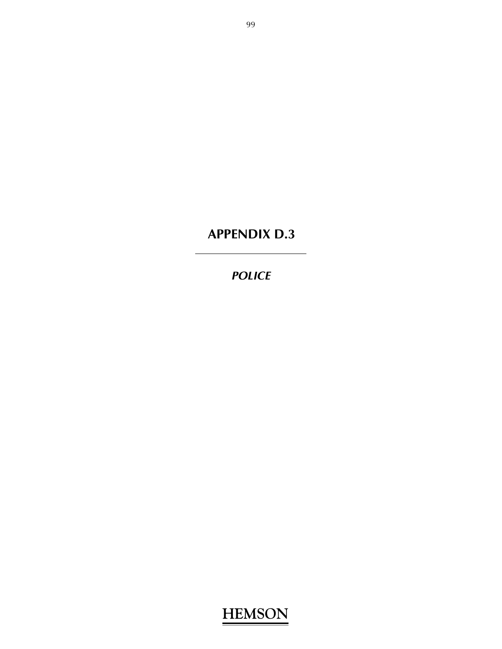# **APPENDIX D.3**

## *POLICE*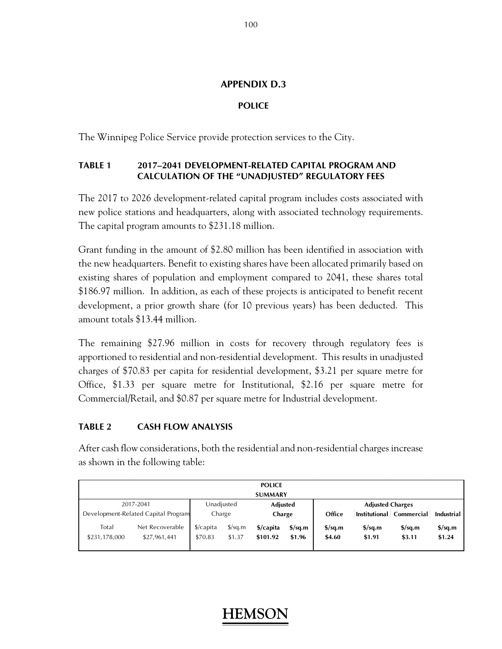### **APPENDIX D.3**

### **POLICE**

The Winnipeg Police Service provide protection services to the City.

### **TABLE 1 2017–2041 DEVELOPMENT-RELATED CAPITAL PROGRAM AND CALCULATION OF THE "UNADJUSTED" REGULATORY FEES**

The 2017 to 2026 development-related capital program includes costs associated with new police stations and headquarters, along with associated technology requirements. The capital program amounts to \$231.18 million.

Grant funding in the amount of \$2.80 million has been identified in association with the new headquarters. Benefit to existing shares have been allocated primarily based on existing shares of population and employment compared to 2041, these shares total \$186.97 million. In addition, as each of these projects is anticipated to benefit recent development, a prior growth share (for 10 previous years) has been deducted. This amount totals \$13.44 million.

The remaining \$27.96 million in costs for recovery through regulatory fees is apportioned to residential and non-residential development. This results in unadjusted charges of \$70.83 per capita for residential development, \$3.21 per square metre for Office, \$1.33 per square metre for Institutional, \$2.16 per square metre for Commercial/Retail, and \$0.87 per square metre for Industrial development.

### **TABLE 2 CASH FLOW ANALYSIS**

After cash flow considerations, both the residential and non-residential charges increase as shown in the following table:

| <b>POLICE</b>           |                                               |                                  |                                |                       |                            |                                   |                                            |                                            |                                   |  |  |  |  |
|-------------------------|-----------------------------------------------|----------------------------------|--------------------------------|-----------------------|----------------------------|-----------------------------------|--------------------------------------------|--------------------------------------------|-----------------------------------|--|--|--|--|
|                         | <b>SUMMARY</b>                                |                                  |                                |                       |                            |                                   |                                            |                                            |                                   |  |  |  |  |
| 2017-2041<br>Unadjusted |                                               |                                  |                                | <b>Adjusted</b>       |                            |                                   | <b>Adjusted Charges</b>                    |                                            |                                   |  |  |  |  |
|                         | Development-Related Capital Program<br>Charge |                                  |                                | Charge                |                            | Office                            |                                            | Institutional Commercial                   | Industrial                        |  |  |  |  |
| Total<br>\$231,178,000  | Net Recoverable<br>\$27,961,441               | $\frac{2}{2}$ /capita<br>\$70.83 | $\frac{\sqrt{2}}{2}$<br>\$1.37 | \$/capita<br>\$101.92 | $\frac{s}{sa.m}$<br>\$1.96 | $\frac{\sigma}{2}$ sq.m<br>\$4.60 | $\frac{\text{S}}{\text{S}}$ sq.m<br>\$1.91 | $\frac{\text{S}}{\text{S}}$ sq.m<br>\$3.11 | $\frac{\sigma}{2}$ sq.m<br>\$1.24 |  |  |  |  |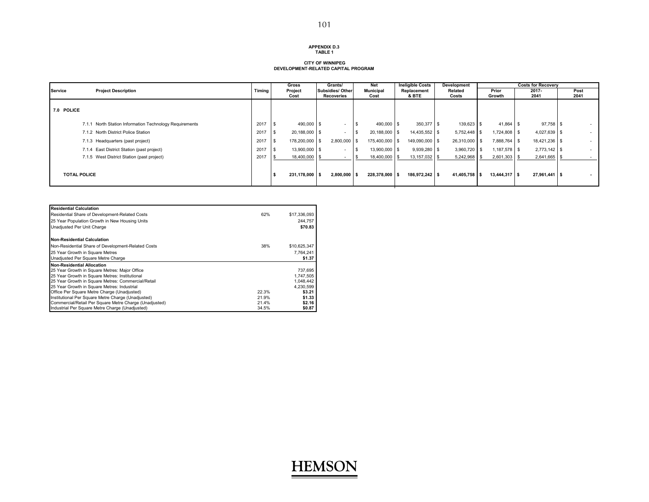#### **APPENDIX D.3TABLE 1**

### **CITY OF WINNIPEG DEVELOPMENT-RELATED CAPITAL PROGRAM**

|                     |                                                         |        | Gross              | Grants/                               |  | Net                      |  | <b>Ineligible Costs</b> | Development             |  |                 | <b>Costs for Recoverv</b> |  |              |  |
|---------------------|---------------------------------------------------------|--------|--------------------|---------------------------------------|--|--------------------------|--|-------------------------|-------------------------|--|-----------------|---------------------------|--|--------------|--|
| Service             | <b>Project Description</b>                              | Timing | Project<br>Cost    | <b>Subsidies/ Other</b><br>Recoveries |  | <b>Municipal</b><br>Cost |  | Replacement<br>& BTE    | <b>Related</b><br>Costs |  | Prior<br>Growth | 2017-<br>2041             |  | Post<br>2041 |  |
|                     |                                                         |        |                    |                                       |  |                          |  |                         |                         |  |                 |                           |  |              |  |
| 7.0 POLICE          |                                                         |        |                    |                                       |  |                          |  |                         |                         |  |                 |                           |  |              |  |
|                     |                                                         |        |                    |                                       |  |                          |  |                         |                         |  |                 |                           |  |              |  |
|                     | 7.1.1 North Station Information Technology Requirements | 2017   | 490,000 \$<br>l \$ | $\sim$                                |  | 490,000 \$               |  | 350,377 \$              | 139,623 \$              |  | 41,864 \$       | $97,758$ \$               |  | $\sim$       |  |
|                     | 7.1.2 North District Police Station                     | 2017   | 20,188,000 \$      | $\overline{\phantom{a}}$              |  | 20,188,000 \$            |  | 14,435,552 \$           | 5,752,448 \$            |  | 1,724,808 \$    | 4,027,639 \$              |  | $\sim$       |  |
|                     | 7.1.3 Headquarters (past project)                       | 2017   | 178,200,000 \$     | $2,800,000$ \$                        |  | 175,400,000 \$           |  | 149,090,000 \$          | 26,310,000 \$           |  | 7,888,764 \$    | 18,421,236 \$             |  | $\sim$       |  |
|                     | 7.1.4 East District Station (past project)              | 2017   | 13,900,000 \$      | $\sim$                                |  | 13,900,000 \$            |  | 9,939,280 \$            | 3,960,720 \$            |  | 1,187,578 \$    | $2,773,142$ \$            |  | $\sim$       |  |
|                     | 7.1.5 West District Station (past project)              | 2017   | 18,400,000 \$      |                                       |  | 18,400,000 \$            |  | 13,157,032 \$           | 5,242,968 \$            |  | $2,601,303$ \$  | 2,641,665                 |  | $\sim$       |  |
|                     |                                                         |        |                    |                                       |  |                          |  |                         |                         |  |                 |                           |  |              |  |
| <b>TOTAL POLICE</b> |                                                         |        | 231,178,000 \$     | $2.800.000$ S                         |  | 228.378.000 \$           |  | 186.972.242 \$          | 41,405,758 \$           |  | 13.444.317 S    | $27,961,441$ \$           |  | $\sim$       |  |
|                     |                                                         |        |                    |                                       |  |                          |  |                         |                         |  |                 |                           |  |              |  |

| <b>Residential Calculation</b>                         |       |              |
|--------------------------------------------------------|-------|--------------|
| Residential Share of Development-Related Costs         | 62%   | \$17,336,093 |
| 25 Year Population Growth in New Housing Units         |       | 244.757      |
| Unadiusted Per Unit Charge                             |       | \$70.83      |
| <b>Non-Residential Calculation</b>                     |       |              |
| Non-Residential Share of Development-Related Costs     | 38%   | \$10,625,347 |
| 25 Year Growth in Square Metres                        |       | 7.764.241    |
| Unadiusted Per Square Metre Charge                     |       | \$1.37       |
| <b>Non-Residential Allocation</b>                      |       |              |
| 25 Year Growth in Square Metres: Maior Office          |       | 737.695      |
| 25 Year Growth in Square Metres: Institutional         |       | 1.747.505    |
| 25 Year Growth in Square Metres: Commercial/Retail     |       | 1.048.442    |
| 25 Year Growth in Square Metres: Industrial            |       | 4,230,599    |
| Office Per Square Metre Charge (Unadjusted)            | 22.3% | \$3.21       |
| Institutional Per Square Metre Charge (Unadjusted)     | 21.9% | \$1.33       |
| Commercial/Retail Per Square Metre Charge (Unadjusted) | 21.4% | \$2.16       |
| Industrial Per Square Metre Charge (Unadjusted)        | 34.5% | \$0.87       |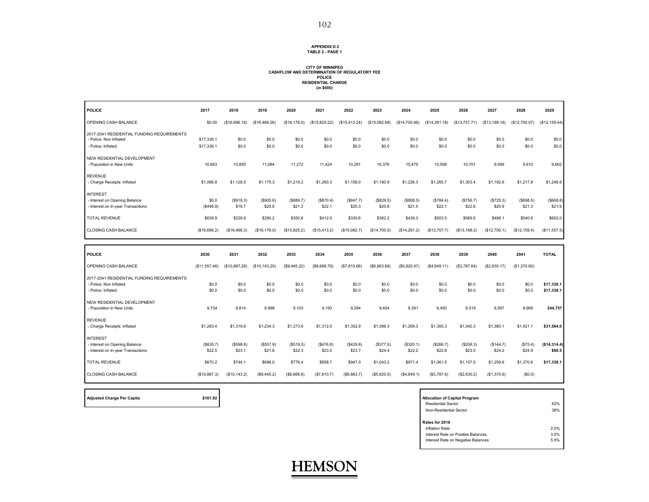#### **APPENDIX D.3 TABLE 2 - PAGE 1**

## **CITY OF WINNIPEG CASHFLOW AND DETERMINATION OF REGULATORY FEE POLICE RESIDENTIAL CHARGE (in \$000)**

| <b>POLICE</b>                                                                          | 2017                | 2018                | 2019                | 2020                | 2021                | 2022                | 2023                | 2024                | 2025                | 2026                | 2027                | 2028                | 2029                     |
|----------------------------------------------------------------------------------------|---------------------|---------------------|---------------------|---------------------|---------------------|---------------------|---------------------|---------------------|---------------------|---------------------|---------------------|---------------------|--------------------------|
| OPENING CASH BALANCE                                                                   | \$0.00              | (\$16,696.18)       | (\$16,466.26)       | (\$16, 176.0)       | (\$15,825.22)       | (\$15,413.24)       | (\$15,082.68)       | (\$14,700.46)       | (\$14,261.18)       | (\$13,757.71)       | (\$13,188.16)       | (\$12,700.07)       | (\$12,159.44)            |
| 2017-2041 RESIDENTIAL FUNDING REQUIREMENTS<br>- Police: Non Inflated                   | \$17,336.1          | \$0.0               | \$0.0               | \$0.0               | \$0.0               | \$0.0               | \$0.0               | \$0.0               | \$0.0               | \$0.0               | \$0.0               | \$0.0               | \$0.0                    |
| - Police: Inflated                                                                     | \$17,336.1          | \$0.0               | \$0.0               | \$0.0               | \$0.0               | \$0.0               | \$0.0               | \$0.0               | \$0.0               | \$0.0               | \$0.0               | \$0.0               | \$0.0                    |
| NEW RESIDENTIAL DEVELOPMENT<br>- Population in New Units                               | 10,663              | 10,855              | 11,084              | 11.272              | 11.424              | 10,291              | 10,376              | 10,475              | 10,599              | 10,701              | 9.599               | 9.610               | 9,662                    |
| <b>REVENUE</b><br>- Charge Receipts: Inflated                                          | \$1,086.8           | \$1,128.5           | \$1,175.3           | \$1,219.2           | \$1,260.3           | \$1,158.0           | \$1,190.9           | \$1,226.3           | \$1,265.7           | \$1,303.4           | \$1,192.6           | \$1,217.8           | \$1,248.9                |
| <b>INTEREST</b><br>- Interest on Opening Balance<br>- Interest on In-year Transactions | \$0.0<br>(\$446.9)  | (\$918.3)<br>\$19.7 | (\$905.6)<br>\$20.6 | (\$889.7)<br>\$21.3 | (\$870.4)<br>\$22.1 | (\$847.7)<br>\$20.3 | (\$829.5)<br>\$20.8 | (\$808.5)<br>\$21.5 | (\$784.4)<br>\$22.1 | (\$756.7)<br>\$22.8 | (\$725.3)<br>\$20.9 | (\$698.5)<br>\$21.3 | (\$668.8)<br>\$21.9      |
| <b>TOTAL REVENUE</b>                                                                   | \$639.9             | \$229.9             | \$290.2             | \$350.8             | \$412.0             | \$330.6             | \$382.2             | \$439.3             | \$503.5             | \$569.6             | \$488.1             | \$540.6             | \$602.0                  |
| CLOSING CASH BALANCE                                                                   | (\$16,696.2)        | (\$16,466.3)        | (\$16, 176.0)       | (\$15,825.2)        | (\$15,413.2)        | (\$15,082.7)        | (\$14,700.5)        | (\$14,261.2)        | (\$13,757.7)        | (\$13,188.2)        | (\$12,700.1)        | (\$12, 159.4)       | (\$11,557.5)             |
|                                                                                        |                     |                     |                     |                     |                     |                     |                     |                     |                     |                     |                     |                     |                          |
|                                                                                        |                     |                     |                     |                     |                     |                     |                     |                     |                     |                     |                     |                     |                          |
| <b>POLICE</b>                                                                          | 2030                | 2031                | 2032                | 2033                | 2034                | 2035                | 2036                | 2037                | 2038                | 2039                | 2040                | 2041                | <b>TOTAL</b>             |
| OPENING CASH BALANCE                                                                   | (\$11,557.46)       | (\$10,887.29)       | (\$10, 143.20)      | (\$9,445.22)        | (\$8,668.79)        | (\$7,810.66)        | ( \$6,863.68)       | (\$5,820.47)        | (\$4,849.11)        | (\$3,787.64)        | (\$2,630.17)        | (\$1,370.60)        |                          |
| 2017-2041 RESIDENTIAL FUNDING REQUIREMENTS                                             |                     |                     |                     |                     |                     |                     |                     |                     |                     |                     |                     |                     |                          |
| - Police: Non Inflated<br>- Police: Inflated                                           | \$0.0<br>\$0.0      | \$0.0<br>\$0.0      | \$0.0<br>\$0.0      | \$0.0<br>\$0.0      | \$0.0<br>\$0.0      | \$0.0<br>\$0.0      | \$0.0<br>\$0.0      | \$0.0<br>\$0.0      | \$0.0<br>\$0.0      | \$0.0<br>\$0.0      | \$0.0<br>\$0.0      | \$0.0<br>\$0.0      | \$17,336.1<br>\$17,336.1 |
| NEW RESIDENTIAL DEVELOPMENT<br>- Population in New Units                               | 9,734               | 9,814               | 8,998               | 9.103               | 9.193               | 9,294               | 9,404               | 8,381               | 8,450               | 8,519               | 8,587               | 8.669               | 244,757                  |
| <b>REVENUE</b><br>- Charge Receipts: Inflated                                          | \$1,283.4           | \$1,319.8           | \$1,234.3           | \$1,273.6           | \$1,312.0           | \$1,352.9           | \$1,396.3           | \$1,269.3           | \$1,305.3           | \$1,342.3           | \$1,380.1           | \$1,421.1           | \$31,564.0               |
| <b>INTEREST</b><br>- Interest on Opening Balance<br>- Interest on In-year Transactions | (\$635.7)<br>\$22.5 | (\$598.8)<br>\$23.1 | (\$557.9)<br>\$21.6 | (\$519.5)<br>\$22.3 | (\$476.8)<br>\$23.0 | (\$429.6)<br>\$23.7 | (\$377.5)<br>\$24.4 | (\$320.1)<br>\$22.2 | (\$266.7)<br>\$22.8 | (\$208.3)<br>\$23.5 | (\$144.7)<br>\$24.2 | (\$75.4)<br>\$24.9  | (\$14,314.4]<br>\$86.5   |
| <b>TOTAL REVENUE</b>                                                                   | \$670.2             | \$744.1             | \$698.0             | \$776.4             | \$858.1             | \$947.0             | \$1,043.2           | \$971.4             | \$1,061.5           | \$1,157.5           | \$1,259.6           | \$1,370.6           | \$17,336.1               |

| <b>Adjusted Charge Per Capita</b> | \$101.92 | <b>Allocation of Capital Program</b> |
|-----------------------------------|----------|--------------------------------------|
|                                   |          | <b>Residential Sector</b>            |

| <b>Allocation of Capital Program</b> |      |
|--------------------------------------|------|
| <b>Residential Sector</b>            | 62%  |
| Non-Residential Sector               | 38%  |
| Rates for 2016                       |      |
| Inflation Rate:                      | 2.0% |
| Interest Rate on Positive Balances   | 3.5% |
| Interest Rate on Negative Balances   | 5.5% |
|                                      |      |

Ē

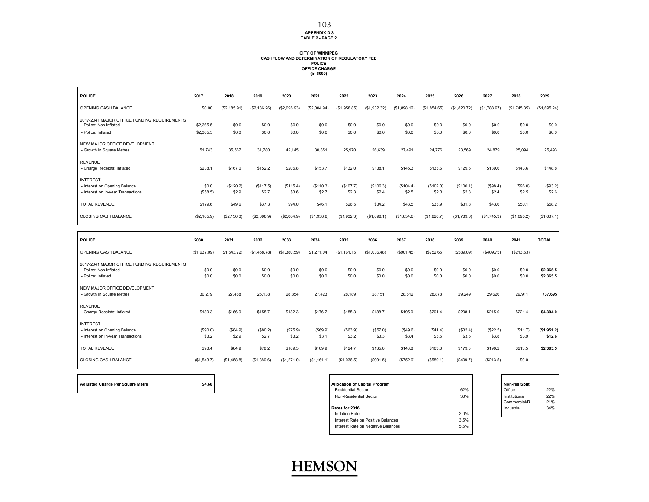**APPENDIX D.3 TABLE 2 - PAGE 2**

## **CITY OF WINNIPEG CASHFLOW AND DETERMINATION OF REGULATORY FEE POLICE OFFICE CHARGE (in \$000)**

| <b>POLICE</b>                                                         | 2017              | 2018               | 2019               | 2020               | 2021               | 2022               | 2023               | 2024               | 2025               | 2026               | 2027              | 2028              | 2029                   |
|-----------------------------------------------------------------------|-------------------|--------------------|--------------------|--------------------|--------------------|--------------------|--------------------|--------------------|--------------------|--------------------|-------------------|-------------------|------------------------|
| OPENING CASH BALANCE                                                  | \$0.00            | (S2, 185.91)       | (\$2,136.26)       | (\$2,098.93)       | (\$2,004.94)       | (\$1,958.85)       | (S1, 932.32)       | (\$1,898.12)       | (S1, 854.65)       | (\$1,820.72)       | (\$1,788.97)      | (\$1,745.35)      | (\$1,695.24)           |
| 2017-2041 MAJOR OFFICE FUNDING REQUIREMENTS<br>- Police: Non Inflated | \$2,365.5         | \$0.0              | \$0.0              | \$0.0              | \$0.0              | \$0.0              | \$0.0              | \$0.0              | \$0.0              | \$0.0              | \$0.0             | \$0.0             | \$0.0                  |
| - Police: Inflated                                                    | \$2,365.5         | \$0.0              | \$0.0              | \$0.0              | \$0.0              | \$0.0              | \$0.0              | \$0.0              | \$0.0              | \$0.0              | \$0.0             | \$0.0             | \$0.0                  |
| NEW MAJOR OFFICE DEVELOPMENT<br>- Growth in Square Metres             | 51,743            | 35,567             | 31.780             | 42,145             | 30,851             | 25,970             | 26,639             | 27,491             | 24,776             | 23,569             | 24,879            | 25,094            | 25,493                 |
|                                                                       |                   |                    |                    |                    |                    |                    |                    |                    |                    |                    |                   |                   |                        |
| <b>REVENUE</b><br>- Charge Receipts: Inflated                         | \$238.1           | \$167.0            | \$152.2            | \$205.8            | \$153.7            | \$132.0            | \$138.1            | \$145.3            | \$133.6            | \$129.6            | \$139.6           | \$143.6           | \$148.8                |
| <b>INTEREST</b>                                                       |                   |                    |                    |                    |                    |                    |                    |                    |                    |                    |                   |                   |                        |
| - Interest on Opening Balance<br>- Interest on In-year Transactions   | \$0.0<br>(\$58.5) | (\$120.2)<br>\$2.9 | (\$117.5)<br>\$2.7 | (\$115.4)<br>\$3.6 | (\$110.3)<br>\$2.7 | (\$107.7)<br>\$2.3 | (\$106.3)<br>\$2.4 | (\$104.4)<br>\$2.5 | (\$102.0)<br>\$2.3 | (\$100.1)<br>\$2.3 | (\$98.4)<br>\$2.4 | (\$96.0)<br>\$2.5 | (\$93.2)<br>\$2.6      |
| <b>TOTAL REVENUE</b>                                                  | \$179.6           | \$49.6             | \$37.3             | \$94.0             | \$46.1             | \$26.5             | \$34.2             | \$43.5             | \$33.9             | \$31.8             | \$43.6            | \$50.1            | \$58.2                 |
| CLOSING CASH BALANCE                                                  | (\$2,185.9)       | (S2, 136.3)        | (\$2,098.9)        | (S2,004.9)         | (\$1,958.8)        | (\$1,932.3)        | (\$1,898.1)        | (\$1,854.6)        | (\$1,820.7)        | (\$1,789.0)        | (\$1,745.3)       | (\$1,695.2)       | (\$1,637.1)            |
|                                                                       |                   |                    |                    |                    |                    |                    |                    |                    |                    |                    |                   |                   |                        |
|                                                                       |                   |                    |                    |                    |                    |                    |                    |                    |                    |                    |                   |                   |                        |
| <b>POLICE</b>                                                         | 2030              | 2031               | 2032               | 2033               | 2034               | 2035               | 2036               | 2037               | 2038               | 2039               | 2040              | 2041              | <b>TOTAL</b>           |
| OPENING CASH BALANCE                                                  | (\$1,637.09)      | (\$1,543.72)       | (\$1,458.78)       | (\$1,380.59)       | (\$1,271.04)       | (\$1,161.15)       | (\$1,036.48)       | (\$901.45)         | (\$752.65)         | (\$589.09)         | (\$409.75)        | (\$213.53)        |                        |
| 2017-2041 MAJOR OFFICE FUNDING REQUIREMENTS                           |                   |                    |                    |                    |                    |                    |                    |                    |                    |                    |                   |                   |                        |
| - Police: Non Inflated<br>- Police: Inflated                          | \$0.0<br>\$0.0    | \$0.0<br>\$0.0     | \$0.0<br>\$0.0     | \$0.0<br>\$0.0     | \$0.0<br>\$0.0     | \$0.0<br>\$0.0     | \$0.0<br>\$0.0     | \$0.0<br>\$0.0     | \$0.0<br>\$0.0     | \$0.0<br>\$0.0     | \$0.0<br>\$0.0    | \$0.0<br>\$0.0    | \$2,365.5<br>\$2,365.5 |
| NEW MAJOR OFFICE DEVELOPMENT                                          |                   |                    |                    |                    |                    |                    |                    |                    |                    |                    |                   |                   |                        |
| - Growth in Square Metres                                             | 30,279            | 27,488             | 25,138             | 28,854             | 27,423             | 28,189             | 28,151             | 28,512             | 28,878             | 29,249             | 29,626            | 29,911            | 737,695                |
| <b>REVENUE</b><br>- Charge Receipts: Inflated                         | \$180.3           | \$166.9            | \$155.7            | \$182.3            | \$176.7            | \$185.3            | \$188.7            | \$195.0            | \$201.4            | \$208.1            | \$215.0           | \$221.4           | \$4,304.0              |
| <b>INTEREST</b>                                                       |                   |                    |                    |                    |                    |                    |                    |                    |                    |                    |                   |                   |                        |
| - Interest on Opening Balance<br>- Interest on In-year Transactions   | (\$90.0)<br>\$3.2 | (\$84.9)<br>\$2.9  | (\$80.2)<br>\$2.7  | (\$75.9)<br>\$3.2  | (S69.9)<br>\$3.1   | (\$63.9)<br>\$3.2  | (\$57.0)<br>\$3.3  | (\$49.6)<br>\$3.4  | (\$41.4)<br>\$3.5  | (\$32.4)<br>\$3.6  | (\$22.5)<br>\$3.8 | (\$11.7)<br>\$3.9 | (\$1,951.2)<br>\$12.6  |
| <b>TOTAL REVENUE</b>                                                  | \$93.4            | \$84.9             | \$78.2             | \$109.5            | \$109.9            | \$124.7            | \$135.0            | \$148.8            | \$163.6            | \$179.3            | \$196.2           | \$213.5           | \$2,365.5              |

| <b>Adjusted Charge Per Square Metre</b> |  |  |  |
|-----------------------------------------|--|--|--|

| \$4.60<br>Adjusted Charge Per Square Metre | <b>Allocation of Capital Program</b> |      | Non-res Split: |     |
|--------------------------------------------|--------------------------------------|------|----------------|-----|
|                                            | <b>Residential Sector</b>            | 62%  | Office         | 22% |
|                                            | Non-Residential Sector               | 38%  | Institutional  | 22% |
|                                            |                                      |      | Commercial/R   | 21% |
|                                            | Rates for 2016                       |      | Industrial     | 34% |
|                                            | Inflation Rate:                      | 2.0% |                |     |
|                                            | Interest Rate on Positive Balances   | 3.5% |                |     |
|                                            | Interest Rate on Negative Balances   | 5.5% |                |     |
|                                            |                                      |      |                |     |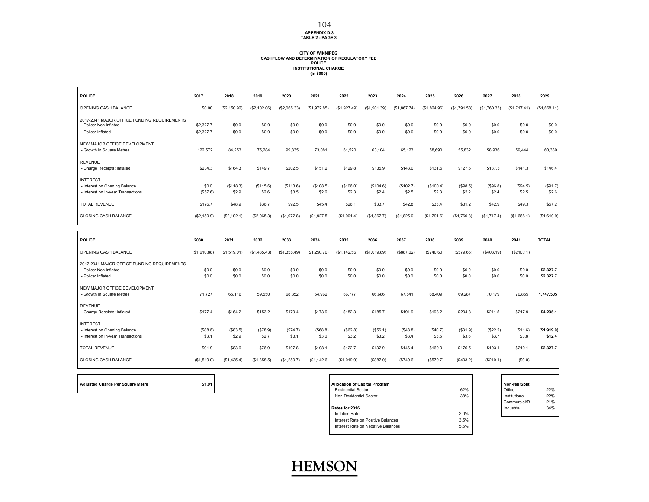#### **APPENDIX D.3 TABLE 2 - PAGE 3** 104

## **CITY OF WINNIPEG CASHFLOW AND DETERMINATION OF REGULATORY FEEPOLICE INSTITUTIONAL CHARGE (in \$000)**

| <b>POLICE</b>                                                                                                       | 2017                           | 2018                           | 2019                           | 2020                           | 2021                           | 2022                           | 2023                           | 2024                         | 2025                         | 2026                         | 2027                         | 2028                         | 2029                     |
|---------------------------------------------------------------------------------------------------------------------|--------------------------------|--------------------------------|--------------------------------|--------------------------------|--------------------------------|--------------------------------|--------------------------------|------------------------------|------------------------------|------------------------------|------------------------------|------------------------------|--------------------------|
| OPENING CASH BALANCE                                                                                                | \$0.00                         | (\$2,150.92)                   | (\$2,102.06)                   | (\$2,065.33)                   | (\$1,972.85)                   | (\$1,927.49)                   | (\$1,901.39)                   | (\$1,867.74)                 | (\$1,824.96)                 | (\$1,791.58)                 | (\$1,760.33)                 | (\$1,717.41)                 | (\$1,668.11)             |
| 2017-2041 MAJOR OFFICE FUNDING REQUIREMENTS<br>- Police: Non Inflated<br>- Police: Inflated                         | \$2,327.7<br>\$2,327.7         | \$0.0<br>\$0.0                 | \$0.0<br>\$0.0                 | \$0.0<br>\$0.0                 | \$0.0<br>\$0.0                 | \$0.0<br>\$0.0                 | \$0.0<br>\$0.0                 | \$0.0<br>\$0.0               | \$0.0<br>\$0.0               | \$0.0<br>\$0.0               | \$0.0<br>\$0.0               | \$0.0<br>\$0.0               | \$0.0<br>\$0.0           |
| NEW MAJOR OFFICE DEVELOPMENT<br>- Growth in Square Metres                                                           | 122,572                        | 84,253                         | 75,284                         | 99,835                         | 73,081                         | 61,520                         | 63,104                         | 65,123                       | 58,690                       | 55,832                       | 58,936                       | 59,444                       | 60,389                   |
| <b>REVENUE</b><br>- Charge Receipts: Inflated                                                                       | \$234.3                        | \$164.3                        | \$149.7                        | \$202.5                        | \$151.2                        | \$129.8                        | \$135.9                        | \$143.0                      | \$131.5                      | \$127.6                      | \$137.3                      | \$141.3                      | \$146.4                  |
| <b>INTEREST</b><br>- Interest on Opening Balance<br>- Interest on In-year Transactions                              | \$0.0<br>(\$57.6)              | (\$118.3)<br>\$2.9             | (\$115.6)<br>\$2.6             | (\$113.6)<br>\$3.5             | (\$108.5)<br>\$2.6             | (\$106.0)<br>\$2.3             | (\$104.6)<br>\$2.4             | (\$102.7)<br>\$2.5           | (\$100.4)<br>\$2.3           | (\$98.5)<br>\$2.2            | (\$96.8)<br>\$2.4            | (\$94.5)<br>\$2.5            | (\$91.7)<br>\$2.6        |
| <b>TOTAL REVENUE</b>                                                                                                | \$176.7                        | \$48.9                         | \$36.7                         | \$92.5                         | \$45.4                         | \$26.1                         | \$33.7                         | \$42.8                       | \$33.4                       | \$31.2                       | \$42.9                       | \$49.3                       | \$57.2                   |
| CLOSING CASH BALANCE                                                                                                | (\$2,150.9)                    | (\$2,102.1)                    | (\$2,065.3)                    | (\$1,972.8)                    | (\$1,927.5)                    | (\$1,901.4)                    | (\$1,867.7)                    | (\$1,825.0)                  | (S1,791.6)                   | (\$1,760.3)                  | (\$1,717.4)                  | (\$1,668.1)                  | (\$1,610.9)              |
|                                                                                                                     |                                |                                |                                |                                |                                |                                |                                |                              |                              |                              |                              |                              |                          |
|                                                                                                                     |                                |                                |                                |                                |                                |                                |                                |                              |                              |                              |                              |                              |                          |
| <b>POLICE</b>                                                                                                       | 2030                           | 2031                           | 2032                           | 2033                           | 2034                           | 2035                           | 2036                           | 2037                         | 2038                         | 2039                         | 2040                         | 2041                         | <b>TOTAL</b>             |
| OPENING CASH BALANCE<br>2017-2041 MAJOR OFFICE FUNDING REQUIREMENTS<br>- Police: Non Inflated<br>- Police: Inflated | (\$1,610.88)<br>\$0.0<br>\$0.0 | (\$1,519.01)<br>\$0.0<br>\$0.0 | (S1, 435.43)<br>\$0.0<br>\$0.0 | (\$1,358.49)<br>\$0.0<br>\$0.0 | (\$1,250.70)<br>\$0.0<br>\$0.0 | (\$1,142.56)<br>\$0.0<br>\$0.0 | (\$1,019.89)<br>\$0.0<br>\$0.0 | (\$887.02)<br>\$0.0<br>\$0.0 | (\$740.60)<br>\$0.0<br>\$0.0 | (\$579.66)<br>\$0.0<br>\$0.0 | (\$403.19)<br>\$0.0<br>\$0.0 | (\$210.11)<br>\$0.0<br>\$0.0 | \$2,327.7<br>\$2,327.7   |
| NEW MAJOR OFFICE DEVELOPMENT<br>- Growth in Square Metres                                                           | 71,727                         | 65,116                         | 59,550                         | 68,352                         | 64,962                         | 66,777                         | 66,686                         | 67,541                       | 68,409                       | 69,287                       | 70,179                       | 70,855                       | 1,747,505                |
| <b>REVENUE</b><br>- Charge Receipts: Inflated                                                                       | \$177.4                        | \$164.2                        | \$153.2                        | \$179.4                        | \$173.9                        | \$182.3                        | \$185.7                        | \$191.9                      | \$198.2                      | \$204.8                      | \$211.5                      | \$217.9                      | \$4,235.1                |
| <b>INTEREST</b><br>- Interest on Opening Balance<br>- Interest on In-year Transactions                              | (\$88.6)<br>\$3.1              | (\$83.5)<br>\$2.9              | (\$78.9)<br>\$2.7              | (\$74.7)<br>\$3.1              | (\$68.8)<br>\$3.0              | (S62.8)<br>\$3.2               | (\$56.1)<br>\$3.2              | (S48.8)<br>\$3.4             | (\$40.7)<br>\$3.5            | (\$31.9)<br>\$3.6            | (\$22.2)<br>\$3.7            | (\$11.6)<br>\$3.8            | \$12.4                   |
| <b>TOTAL REVENUE</b>                                                                                                | \$91.9                         | \$83.6                         | \$76.9                         | \$107.8                        | \$108.1                        | \$122.7                        | \$132.9                        | \$146.4                      | \$160.9                      | \$176.5                      | \$193.1                      | \$210.1                      | (\$1,919.9)<br>\$2,327.7 |

| \$1.91<br>Adjusted Charge Per Square Metre | <b>Allocation of Capital Program</b>       | Non-res Split: |     |
|--------------------------------------------|--------------------------------------------|----------------|-----|
|                                            | 62%<br><b>Residential Sector</b>           | Office         | 22% |
|                                            | 38%<br>Non-Residential Sector              | Institutional  | 22% |
|                                            |                                            | Commercial/R   | 21% |
|                                            | Rates for 2016                             | Industrial     | 34% |
|                                            | 2.0%<br>Inflation Rate:                    |                |     |
|                                            | 3.5%<br>Interest Rate on Positive Balances |                |     |
|                                            | 5.5%<br>Interest Rate on Negative Balances |                |     |
|                                            |                                            |                |     |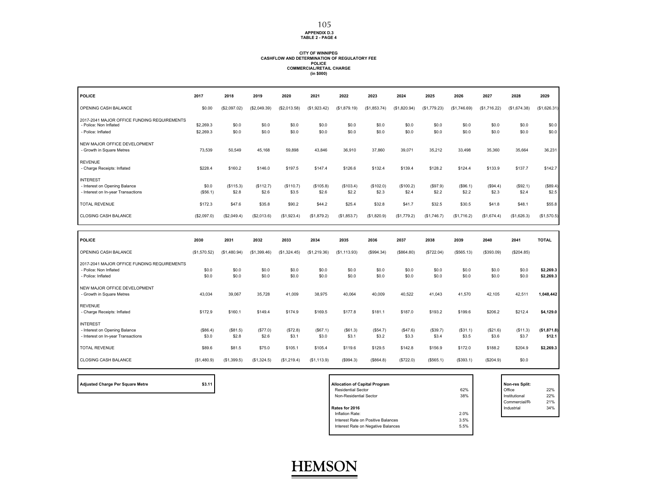#### **APPENDIX D.3 TABLE 2 - PAGE 4**

#### **CITY OF WINNIPEG CASHFLOW AND DETERMINATION OF REGULATORY FEEPOLICE COMMERCIAL/RETAIL CHARGE (in \$000)**

| <b>POLICE</b>                                                         | 2017              | 2018              | 2019               | 2020              | 2021               | 2022               | 2023               | 2024               | 2025              | 2026              | 2027              | 2028              | 2029                   |
|-----------------------------------------------------------------------|-------------------|-------------------|--------------------|-------------------|--------------------|--------------------|--------------------|--------------------|-------------------|-------------------|-------------------|-------------------|------------------------|
| OPENING CASH BALANCE                                                  | \$0.00            | (\$2,097.02)      | (\$2,049.39)       | (\$2,013.58)      | (S1, 923.42)       | (\$1,879.19)       | (\$1,853.74)       | (\$1,820.94)       | (\$1,779.23)      | (\$1,746.69)      | (\$1,716.22)      | (\$1,674.38)      | (\$1,626.31)           |
| 2017-2041 MAJOR OFFICE FUNDING REQUIREMENTS<br>- Police: Non Inflated | \$2,269.3         | \$0.0             | \$0.0              | \$0.0             | \$0.0              | \$0.0              | \$0.0              | \$0.0              | \$0.0             | \$0.0             | \$0.0             | \$0.0             | \$0.0                  |
| - Police: Inflated                                                    | \$2,269.3         | \$0.0             | \$0.0              | \$0.0             | \$0.0              | \$0.0              | \$0.0              | \$0.0              | \$0.0             | \$0.0             | \$0.0             | \$0.0             | \$0.0                  |
| NEW MAJOR OFFICE DEVELOPMENT<br>- Growth in Square Metres             | 73,539            | 50,549            | 45,168             | 59,898            | 43,846             | 36,910             | 37,860             | 39,071             | 35,212            | 33,498            | 35,360            | 35,664            | 36,231                 |
|                                                                       |                   |                   |                    |                   |                    |                    |                    |                    |                   |                   |                   |                   |                        |
| <b>REVENUE</b><br>- Charge Receipts: Inflated                         | \$228.4           | \$160.2           | \$146.0            | \$197.5           | \$147.4            | \$126.6            | \$132.4            | \$139.4            | \$128.2           | \$124.4           | \$133.9           | \$137.7           | \$142.7                |
| <b>INTEREST</b>                                                       |                   |                   |                    |                   |                    |                    |                    |                    |                   |                   |                   |                   |                        |
| - Interest on Opening Balance<br>- Interest on In-year Transactions   | \$0.0<br>(\$56.1) | (S115.3)<br>\$2.8 | (\$112.7)<br>\$2.6 | (S110.7)<br>\$3.5 | (\$105.8)<br>\$2.6 | (\$103.4)<br>\$2.2 | (\$102.0)<br>\$2.3 | (\$100.2)<br>\$2.4 | (\$97.9)<br>\$2.2 | (\$96.1)<br>\$2.2 | (\$94.4)<br>\$2.3 | (S92.1)<br>\$2.4  | (\$89.4)<br>\$2.5      |
| <b>TOTAL REVENUE</b>                                                  | \$172.3           | \$47.6            | \$35.8             | \$90.2            | \$44.2             | \$25.4             | \$32.8             | \$41.7             | \$32.5            | \$30.5            | \$41.8            | \$48.1            | \$55.8                 |
| <b>CLOSING CASH BALANCE</b>                                           | (\$2,097.0)       | (\$2,049.4)       | (\$2,013.6)        | (\$1,923.4)       | (\$1,879.2)        | (\$1,853.7)        | (\$1,820.9)        | (\$1,779.2)        | (\$1,746.7)       | (\$1,716.2)       | (\$1,674.4)       | (\$1,626.3)       | (\$1,570.5)            |
|                                                                       |                   |                   |                    |                   |                    |                    |                    |                    |                   |                   |                   |                   |                        |
|                                                                       |                   |                   |                    |                   |                    |                    |                    |                    |                   |                   |                   |                   |                        |
| <b>POLICE</b>                                                         | 2030              | 2031              | 2032               | 2033              | 2034               | 2035               | 2036               | 2037               | 2038              | 2039              | 2040              | 2041              | <b>TOTAL</b>           |
| OPENING CASH BALANCE                                                  | (\$1,570.52)      | (\$1,480.94)      | (\$1,399.46)       | (\$1,324.45)      | (\$1,219.36)       | (\$1,113.93)       | (\$994.34)         | (\$64.80)          | (\$722.04)        | (\$565.13)        | (\$393.09)        | (\$204.85)        |                        |
| 2017-2041 MAJOR OFFICE FUNDING REQUIREMENTS                           |                   |                   |                    |                   |                    |                    |                    |                    |                   |                   |                   |                   |                        |
| - Police: Non Inflated<br>- Police: Inflated                          | \$0.0<br>\$0.0    | \$0.0<br>\$0.0    | \$0.0<br>\$0.0     | \$0.0<br>\$0.0    | \$0.0<br>\$0.0     | \$0.0<br>\$0.0     | \$0.0<br>\$0.0     | \$0.0<br>\$0.0     | \$0.0<br>\$0.0    | \$0.0<br>\$0.0    | \$0.0<br>\$0.0    | \$0.0<br>\$0.0    | \$2,269.3<br>\$2,269.3 |
| NEW MAJOR OFFICE DEVELOPMENT                                          |                   |                   |                    |                   |                    |                    |                    |                    |                   |                   |                   |                   |                        |
| - Growth in Square Metres                                             | 43,034            | 39,067            | 35,728             | 41,009            | 38,975             | 40,064             | 40,009             | 40,522             | 41,043            | 41,570            | 42,105            | 42,511            | 1,048,442              |
| <b>REVENUE</b><br>- Charge Receipts: Inflated                         | \$172.9           | \$160.1           | \$149.4            | \$174.9           | \$169.5            | \$177.8            | \$181.1            | \$187.0            | \$193.2           | \$199.6           | \$206.2           | \$212.4           | \$4,129.0              |
| <b>INTEREST</b>                                                       |                   |                   |                    |                   |                    |                    |                    |                    |                   |                   |                   |                   |                        |
| - Interest on Opening Balance<br>- Interest on In-year Transactions   | (\$86.4)<br>\$3.0 | (\$81.5)<br>\$2.8 | (\$77.0)<br>\$2.6  | (\$72.8)<br>\$3.1 | (\$67.1)<br>\$3.0  | (\$61.3)<br>\$3.1  | (\$54.7)<br>\$3.2  | (\$47.6)<br>\$3.3  | (\$39.7)<br>\$3.4 | (\$31.1)<br>\$3.5 | (\$21.6)<br>\$3.6 | (\$11.3)<br>\$3.7 | (\$1,871.8)<br>\$12.1  |
| <b>TOTAL REVENUE</b>                                                  | \$89.6            | \$81.5            | \$75.0             | \$105.1           | \$105.4            | \$119.6            | \$129.5            | \$142.8            | \$156.9           | \$172.0           | \$188.2           | \$204.9           | \$2,269.3              |

| <b>Adjusted Charge Per Square Metre</b> |  |  |  |
|-----------------------------------------|--|--|--|

| \$3.11<br><b>Adjusted Charge Per Square Metre</b> | <b>Allocation of Capital Program</b>       | Non-res Split: |     |
|---------------------------------------------------|--------------------------------------------|----------------|-----|
|                                                   | 62%<br><b>Residential Sector</b>           | Office         | 22% |
|                                                   | 38%<br>Non-Residential Sector              | Institutional  | 22% |
|                                                   |                                            | Commercial/R   | 21% |
|                                                   | Rates for 2016                             | Industrial     | 34% |
|                                                   | 2.0%<br>Inflation Rate:                    |                |     |
|                                                   | 3.5%<br>Interest Rate on Positive Balances |                |     |
|                                                   | 5.5%<br>Interest Rate on Negative Balances |                |     |
|                                                   |                                            |                |     |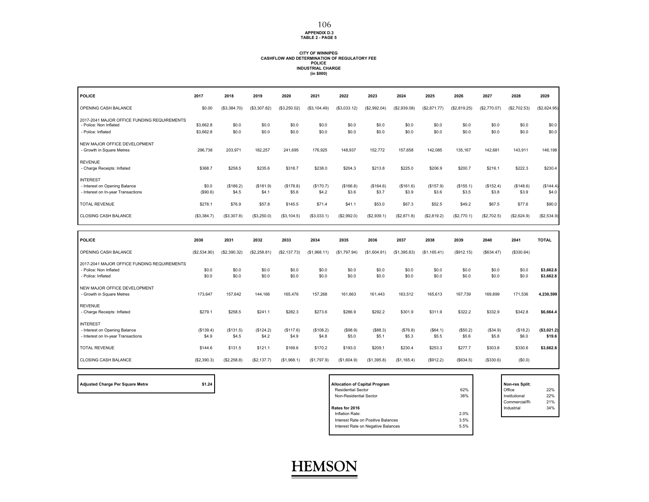#### **APPENDIX D.3 TABLE 2 - PAGE 5** 106

#### **CITY OF WINNIPEG CASHFLOW AND DETERMINATION OF REGULATORY FEEPOLICE INDUSTRIAL CHARGE (in \$000)**

| <b>POLICE</b>                                                                               | 2017              | 2018               | 2019               | 2020              | 2021               | 2022               | 2023               | 2024               | 2025               | 2026               | 2027               | 2028               | 2029                   |
|---------------------------------------------------------------------------------------------|-------------------|--------------------|--------------------|-------------------|--------------------|--------------------|--------------------|--------------------|--------------------|--------------------|--------------------|--------------------|------------------------|
| OPENING CASH BALANCE                                                                        | \$0.00            | (\$3,384.70)       | (\$3,307.82)       | (\$3,250.02)      | (\$3,104.49)       | (\$3,033.12)       | (S2.992.04)        | (\$2,939.08)       | (\$2,871.77)       | (\$2,819.25)       | (\$2,770.07)       | (\$2,702.53)       | (\$2,624.95)           |
| 2017-2041 MAJOR OFFICE FUNDING REQUIREMENTS<br>- Police: Non Inflated                       | \$3,662.8         | \$0.0              | \$0.0              | \$0.0             | \$0.0              | \$0.0              | \$0.0              | \$0.0              | \$0.0              | \$0.0              | \$0.0              | \$0.0              | \$0.0                  |
| - Police: Inflated                                                                          | \$3,662.8         | \$0.0              | \$0.0              | \$0.0             | \$0.0              | \$0.0              | \$0.0              | \$0.0              | \$0.0              | \$0.0              | \$0.0              | \$0.0              | \$0.0                  |
| NEW MAJOR OFFICE DEVELOPMENT<br>- Growth in Square Metres                                   | 296,738           | 203,971            | 182,257            | 241,695           | 176,925            | 148,937            | 152,772            | 157,658            | 142,085            | 135,167            | 142,681            | 143,911            | 146,198                |
| <b>REVENUE</b><br>- Charge Receipts: Inflated                                               | \$368.7           | \$258.5            | \$235.6            | \$318.7           | \$238.0            | \$204.3            | \$213.8            | \$225.0            | \$206.9            | \$200.7            | \$216.1            | \$222.3            | \$230.4                |
| <b>INTEREST</b><br>- Interest on Opening Balance<br>- Interest on In-year Transactions      | \$0.0<br>(\$90.6) | (\$186.2)<br>\$4.5 | (\$181.9)<br>\$4.1 | (S178.8)<br>\$5.6 | (\$170.7)<br>\$4.2 | (\$166.8)<br>\$3.6 | (\$164.6)<br>\$3.7 | (\$161.6)<br>\$3.9 | (\$157.9)<br>\$3.6 | (\$155.1)<br>\$3.5 | (\$152.4)<br>\$3.8 | (\$148.6)<br>\$3.9 | (\$144.4)<br>\$4.0     |
|                                                                                             |                   |                    |                    |                   |                    |                    |                    |                    |                    |                    |                    |                    |                        |
| <b>TOTAL REVENUE</b>                                                                        | \$278.1           | \$76.9             | \$57.8             | \$145.5           | \$71.4             | \$41.1             | \$53.0             | \$67.3             | \$52.5             | \$49.2             | \$67.5             | \$77.6             | \$90.0                 |
| CLOSING CASH BALANCE                                                                        | (\$3,384.7)       | (\$3,307.8)        | (\$3,250.0)        | (\$3,104.5)       | (\$3,033.1)        | (\$2,992.0)        | (\$2,939.1)        | (\$2,871.8)        | (\$2,819.2)        | (\$2,770.1)        | (\$2,702.5)        | (\$2,624.9)        | (\$2,534.9)            |
|                                                                                             |                   |                    |                    |                   |                    |                    |                    |                    |                    |                    |                    |                    |                        |
|                                                                                             |                   |                    |                    |                   |                    |                    |                    |                    |                    |                    |                    |                    |                        |
| <b>POLICE</b>                                                                               | 2030              | 2031               | 2032               | 2033              | 2034               | 2035               | 2036               | 2037               | 2038               | 2039               | 2040               | 2041               | <b>TOTAL</b>           |
| OPENING CASH BALANCE                                                                        | (\$2,534.90)      | (\$2,390.32)       | (\$2,258.81)       | (\$2,137.73)      | (\$1,968.11)       | (\$1,797.94)       | (\$1,604.91)       | (S1, 395.83)       | (\$1,165.41)       | (\$912.15)         | (\$634.47)         | (\$330.64)         |                        |
| 2017-2041 MAJOR OFFICE FUNDING REQUIREMENTS<br>- Police: Non Inflated<br>- Police: Inflated | \$0.0<br>\$0.0    | \$0.0<br>\$0.0     | \$0.0<br>\$0.0     | \$0.0<br>\$0.0    | \$0.0<br>\$0.0     | \$0.0<br>\$0.0     | \$0.0<br>\$0.0     | \$0.0<br>\$0.0     | \$0.0<br>\$0.0     | \$0.0<br>\$0.0     | \$0.0<br>\$0.0     | \$0.0<br>\$0.0     | \$3,662.8              |
| NEW MAJOR OFFICE DEVELOPMENT<br>- Growth in Square Metres                                   | 173,647           | 157,642            | 144,166            | 165,476           | 157,268            | 161,663            | 161,443            | 163,512            | 165,613            | 167,739            | 169,899            | 171,536            | \$3,662.8<br>4,230,599 |
| <b>REVENUE</b><br>- Charge Receipts: Inflated                                               | \$279.1           | \$258.5            | \$241.1            | \$282.3           | \$273.6            | \$286.9            | \$292.2            | \$301.9            | \$311.9            | \$322.2            | \$332.9            | \$342.8            | \$6,664.4              |
| <b>INTEREST</b><br>- Interest on Opening Balance                                            | (\$139.4)         | (\$131.5)          | (\$124.2)          | (S117.6)          | (\$108.2)          | (S98.9)            | (\$88.3)           | (\$76.8)           | (\$64.1)           | (\$50.2)           | (\$34.9)           | (\$18.2)           | (\$3,021.2)            |
| - Interest on In-year Transactions                                                          | \$4.9             | \$4.5              | \$4.2              | \$4.9             | \$4.8              | \$5.0              | \$5.1              | \$5.3              | \$5.5              | \$5.6              | \$5.8              | \$6.0              | \$19.6                 |
| <b>TOTAL REVENUE</b>                                                                        | \$144.6           | \$131.5            | \$121.1            | \$169.6           | \$170.2            | \$193.0            | \$209.1            | \$230.4            | \$253.3            | \$277.7            | \$303.8            | \$330.6            | \$3,662.8              |

| <b>Adjusted Charge Per Square Metre</b> |  |
|-----------------------------------------|--|
|-----------------------------------------|--|

| \$1.24<br>Adjusted Charge Per Square Metre | <b>Allocation of Capital Program</b> |      | Non-res Split: |     |
|--------------------------------------------|--------------------------------------|------|----------------|-----|
|                                            | <b>Residential Sector</b>            | 62%  | Office         | 22% |
|                                            | Non-Residential Sector               | 38%  | Institutional  | 22% |
|                                            |                                      |      | Commercial/R   | 21% |
|                                            | Rates for 2016                       |      | Industrial     | 34% |
|                                            | Inflation Rate:                      | 2.0% |                |     |
|                                            | Interest Rate on Positive Balances   | 3.5% |                |     |
|                                            | Interest Rate on Negative Balances   | 5.5% |                |     |
|                                            |                                      |      |                |     |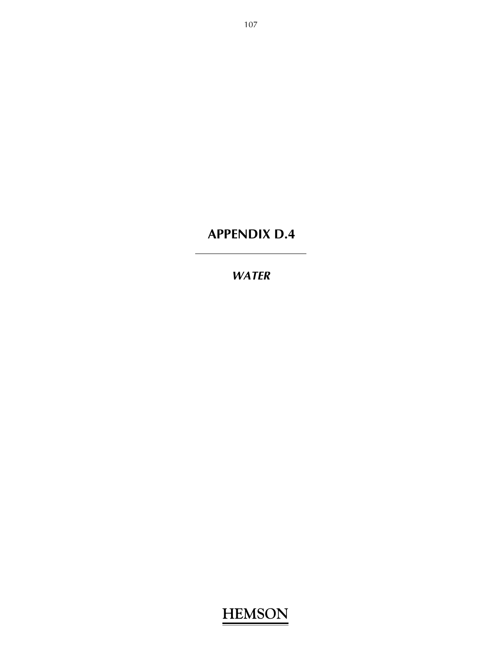#### *WATER*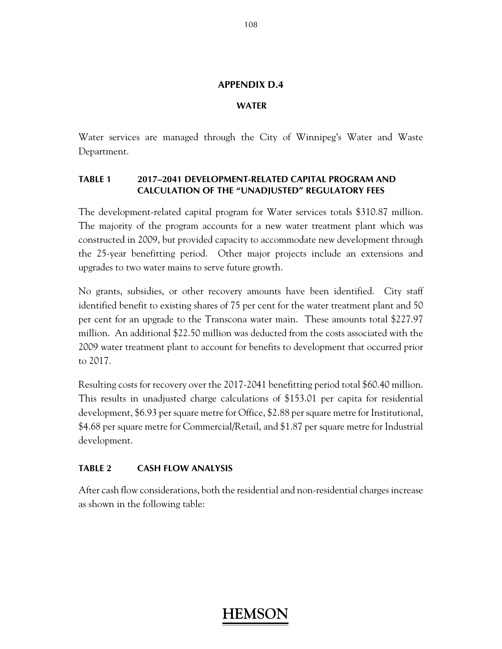#### **WATER**

Water services are managed through the City of Winnipeg's Water and Waste Department.

#### **TABLE 1 2017–2041 DEVELOPMENT-RELATED CAPITAL PROGRAM AND CALCULATION OF THE "UNADJUSTED" REGULATORY FEES**

The development-related capital program for Water services totals \$310.87 million. The majority of the program accounts for a new water treatment plant which was constructed in 2009, but provided capacity to accommodate new development through the 25-year benefitting period. Other major projects include an extensions and upgrades to two water mains to serve future growth.

No grants, subsidies, or other recovery amounts have been identified. City staff identified benefit to existing shares of 75 per cent for the water treatment plant and 50 per cent for an upgrade to the Transcona water main. These amounts total \$227.97 million. An additional \$22.50 million was deducted from the costs associated with the 2009 water treatment plant to account for benefits to development that occurred prior to 2017.

Resulting costs for recovery over the 2017-2041 benefitting period total \$60.40 million. This results in unadjusted charge calculations of \$153.01 per capita for residential development, \$6.93 per square metre for Office, \$2.88 per square metre for Institutional, \$4.68 per square metre for Commercial/Retail, and \$1.87 per square metre for Industrial development.

#### **TABLE 2 CASH FLOW ANALYSIS**

After cash flow considerations, both the residential and non-residential charges increase as shown in the following table: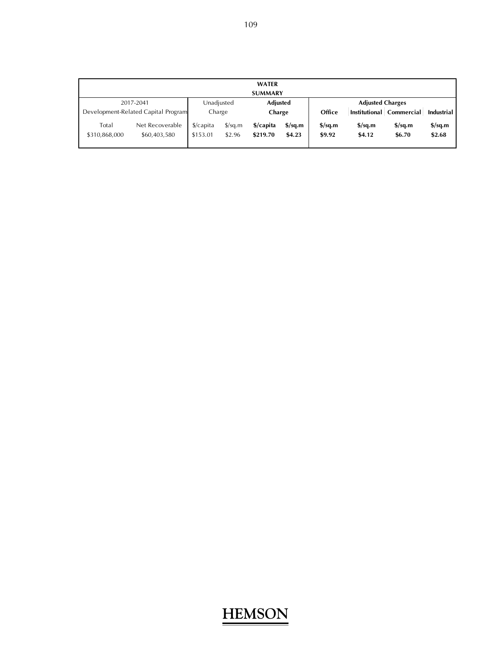|                        |                                     |                                  |                                | <b>WATER</b>          |                                   |                                   |                                            |                                            |                                   |
|------------------------|-------------------------------------|----------------------------------|--------------------------------|-----------------------|-----------------------------------|-----------------------------------|--------------------------------------------|--------------------------------------------|-----------------------------------|
|                        |                                     |                                  |                                | <b>SUMMARY</b>        |                                   |                                   |                                            |                                            |                                   |
|                        | 2017-2041                           | Unadjusted                       |                                | <b>Adjusted</b>       |                                   |                                   | <b>Adjusted Charges</b>                    |                                            |                                   |
|                        | Development-Related Capital Program | Charge                           |                                | Charge                |                                   | Office                            |                                            | Institutional Commercial                   | Industrial                        |
| Total<br>\$310,868,000 | Net Recoverable<br>\$60,403,580     | $\frac{1}{2}$ capita<br>\$153.01 | $\frac{\sqrt{2}}{2}$<br>\$2.96 | \$/capita<br>\$219.70 | $\frac{\sigma}{2}$ sq.m<br>\$4.23 | $\frac{\sigma}{2}$ sq.m<br>\$9.92 | $\frac{\text{S}}{\text{S}}$ sq.m<br>\$4.12 | $\frac{\text{S}}{\text{S}}$ sq.m<br>\$6.70 | $\frac{\sigma}{2}$ sq.m<br>\$2.68 |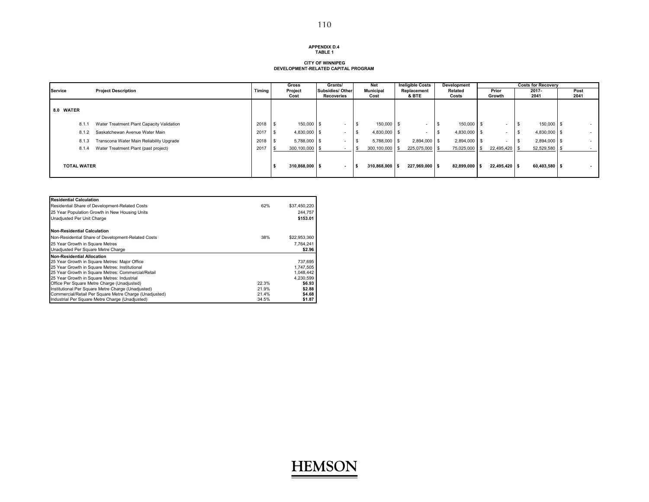#### **APPENDIX D.4TABLE 1**

#### **CITY OF WINNIPEG DEVELOPMENT-RELATED CAPITAL PROGRAM**

|                    |                                           |        | Gross           | Grants/        |                                       | Net    | <b>Ineligible Costs</b>  | Development              |  |                  |  | <b>Costs for Recoverv</b> |                    |  |              |
|--------------------|-------------------------------------------|--------|-----------------|----------------|---------------------------------------|--------|--------------------------|--------------------------|--|------------------|--|---------------------------|--------------------|--|--------------|
| Service            | <b>Project Description</b>                | Timing | Project<br>Cost |                | <b>Subsidies/ Other</b><br>Recoveries |        | <b>Municipal</b><br>Cost | Replacement<br>& BTE     |  | Related<br>Costs |  | Prior<br>Growth           | 2017-<br>2041      |  | Post<br>2041 |
| 8.0 WATER          |                                           |        |                 |                |                                       |        |                          |                          |  |                  |  |                           |                    |  |              |
| 8.1.               | Water Treatment Plant Capacity Validation | 2018   |                 | 150,000 \$     | .                                     |        | 150,000 \$<br>- \$       | $\sim$                   |  | 150,000 \$       |  | $\sim$                    | 150,000 \$<br>- \$ |  | $\sim$       |
| 8.1.2              | Saskatchewan Avenue Water Main            | 2017   |                 | 4,830,000 \$   |                                       |        | 4,830,000 \$             | $\overline{\phantom{a}}$ |  | 4,830,000 \$     |  | $\sim$                    | 4,830,000 \$       |  | $\sim$       |
| 8.1.3              | Transcona Water Main Reliability Upgrade  | 2018   |                 | $5,788,000$ \$ | .                                     |        | 5,788,000 \$             | 2,894,000 \$             |  | 2,894,000 \$     |  | $\overline{\phantom{0}}$  | 2,894,000 \$       |  | $\sim$       |
| 8.1.4              | Water Treatment Plant (past project)      | 2017   | 300,100,000 \$  |                |                                       |        | $300,100,000$ \$         | 225,075,000 \$           |  | 75,025,000       |  | 22,495,420                | 52,529,580         |  |              |
| <b>TOTAL WATER</b> |                                           |        | 310,868,000 \$  |                |                                       | $\sim$ | 310,868,000 \$           | 227,969,000 \$           |  | 82,899,000 \$    |  | 22,495,420 \$             | 60.403.580 \$      |  | $\sim$       |

| <b>Residential Calculation</b>                         |       |              |
|--------------------------------------------------------|-------|--------------|
| Residential Share of Development-Related Costs         | 62%   | \$37,450,220 |
| 25 Year Population Growth in New Housing Units         |       | 244.757      |
| Unadiusted Per Unit Charge                             |       | \$153.01     |
| <b>Non-Residential Calculation</b>                     |       |              |
| Non-Residential Share of Development-Related Costs     | 38%   | \$22,953,360 |
| 25 Year Growth in Square Metres                        |       | 7.764.241    |
| Unadjusted Per Square Metre Charge                     |       | \$2.96       |
| <b>Non-Residential Allocation</b>                      |       |              |
| 25 Year Growth in Square Metres: Major Office          |       | 737,695      |
| 25 Year Growth in Square Metres: Institutional         |       | 1,747,505    |
| 25 Year Growth in Square Metres: Commercial/Retail     |       | 1,048,442    |
| 25 Year Growth in Square Metres: Industrial            |       | 4.230.599    |
| Office Per Square Metre Charge (Unadjusted)            | 22.3% | \$6.93       |
| Institutional Per Square Metre Charge (Unadjusted)     | 21.9% | \$2.88       |
| Commercial/Retail Per Square Metre Charge (Unadjusted) | 21.4% | \$4.68       |
| Industrial Per Square Metre Charge (Unadjusted)        | 34.5% | \$1.87       |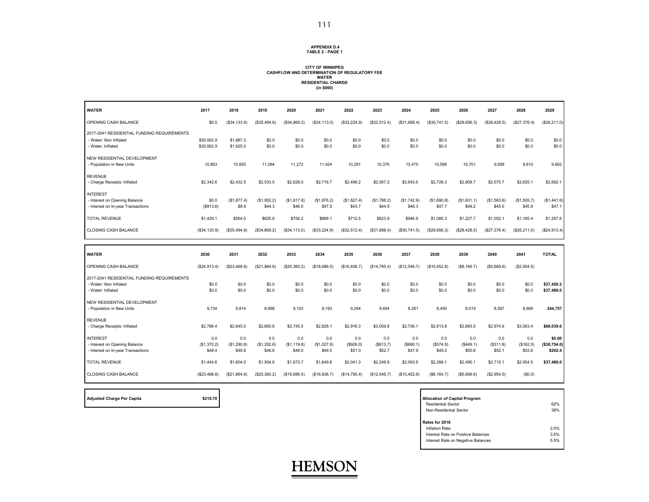#### **APPENDIX D.4TABLE 2 - PAGE 1**

#### **CITY OF WINNIPEG CASHFLOW AND DETERMINATION OF REGULATORY FEE WATER RESIDENTIAL CHARGE (in \$000)**

| <b>WATER</b>                                                                             | 2017                         | 2018                         | 2019                         | 2020                         | 2021                         | 2022                       | 2023                       | 2024                       | 2025                       | 2026                       | 2027                       | 2028                       | 2029                              |
|------------------------------------------------------------------------------------------|------------------------------|------------------------------|------------------------------|------------------------------|------------------------------|----------------------------|----------------------------|----------------------------|----------------------------|----------------------------|----------------------------|----------------------------|-----------------------------------|
| OPENING CASH BALANCE                                                                     | \$0.0                        | (\$34, 133.9)                | (\$35,494.8)                 | (\$34,869.2)                 | (\$34, 113.0)                | (\$33,224.9)               | (\$32,512.4)               | (\$31,688.4)               | (\$30,741.5)               | (\$29,656.3)               | (\$28,428.5)               | (\$27,376.4)               | (\$26,211.0)                      |
| 2017-2041 RESIDENTIAL FUNDING REQUIREMENTS<br>- Water: Non Inflated<br>- Water: Inflated | \$35,562.9<br>\$35,562.9     | \$1,887.3<br>\$1,925.0       | \$0.0<br>\$0.0               | \$0.0<br>\$0.0               | \$0.0<br>\$0.0               | \$0.0<br>\$0.0             | \$0.0<br>\$0.0             | \$0.0<br>\$0.0             | \$0.0<br>\$0.0             | \$0.0<br>\$0.0             | \$0.0<br>\$0.0             | \$0.0<br>\$0.0             | \$0.0<br>\$0.0                    |
| NEW RESIDENTIAL DEVELOPMENT<br>- Population in New Units                                 | 10,663                       | 10,855                       | 11,084                       | 11,272                       | 11,424                       | 10,291                     | 10,376                     | 10,475                     | 10,599                     | 10,701                     | 9,599                      | 9,610                      | 9,662                             |
| <b>REVENUE</b><br>- Charge Receipts: Inflated                                            | \$2,342.6                    | \$2,432.5                    | \$2,533.5                    | \$2,628.0                    | \$2,716.7                    | \$2,496.2                  | \$2,567.2                  | \$2,643.5                  | \$2,728.3                  | \$2,809.7                  | \$2,570.7                  | \$2,625.1                  | \$2,692.1                         |
| <b>INTEREST</b><br>- Interest on Opening Balance<br>- Interest on In-year Transactions   | \$0.0<br>( \$913.6)          | (\$1,877.4)<br>\$8.9         | (\$1,952.2)<br>\$44.3        | (\$1,917.8)<br>\$46.0        | (\$1,876.2)<br>\$47.5        | (\$1,827.4)<br>\$43.7      | (\$1,788.2)<br>\$44.9      | (\$1,742.9)<br>\$46.3      | (\$1,690.8)<br>\$47.7      | (\$1,631.1)<br>\$49.2      | (\$1,563.6)<br>\$45.0      | (\$1,505.7)<br>\$45.9      | (\$1,441.6)<br>\$47.1             |
| <b>TOTAL REVENUE</b>                                                                     | \$1,429.1                    | \$564.0                      | \$625.6                      | \$756.2                      | \$888.1                      | \$712.5                    | \$823.9                    | \$946.9                    | \$1,085.3                  | \$1,227.7                  | \$1,052.1                  | \$1,165.4                  | \$1,297.6                         |
| CLOSING CASH BALANCE                                                                     | (S34, 133.9)                 | (\$35,494.8)                 | (\$34,869.2)                 | (\$34, 113.0)                | (\$33,224.9)                 | (\$32,512.4)               | (\$31,688.4)               | (\$30,741.5)               | \$29,656.3                 | (\$28,428.5)               | (\$27,376.4)               | (\$26,211.0)               | (\$24,913.4)                      |
|                                                                                          |                              |                              |                              |                              |                              |                            |                            |                            |                            |                            |                            |                            |                                   |
|                                                                                          |                              |                              |                              |                              |                              |                            |                            |                            |                            |                            |                            |                            |                                   |
| <b>WATER</b>                                                                             | 2030                         | 2031                         | 2032                         | 2033                         | 2034                         | 2035                       | 2036                       | 2037                       | 2038                       | 2039                       | 2040                       | 2041                       | <b>TOTAL</b>                      |
| OPENING CASH BALANCE                                                                     | (\$24,913.4)                 | (\$23,468.8)                 | (S21, 864.8)                 | (\$20,360.2)                 | (\$18,686.5)                 | (\$16,836.7)               | (\$14,795.4)               | (S12, 546.7)               | (\$10,452.8)               | (\$8, 164.7)               | (\$5,669.6)                | (\$2,954.5)                |                                   |
| 2017-2041 RESIDENTIAL FUNDING REQUIREMENTS<br>- Water: Non Inflated<br>- Water: Inflated | \$0.0<br>\$0.0               | \$0.0<br>\$0.0               | \$0.0<br>\$0.0               | \$0.0<br>\$0.0               | \$0.0<br>\$0.0               | \$0.0<br>\$0.0             | \$0.0<br>\$0.0             | \$0.0<br>\$0.0             | \$0.0<br>\$0.0             | \$0.0<br>\$0.0             | \$0.0<br>\$0.0             | \$0.0<br>\$0.0             | \$37,450.2<br>\$37,488.0          |
| NEW RESIDENTIAL DEVELOPMENT<br>- Population in New Units                                 | 9,734                        | 9,814                        | 8,998                        | 9,103                        | 9,193                        | 9,294                      | 9,404                      | 8,381                      | 8,450                      | 8,519                      | 8,587                      | 8,669                      | 244,757                           |
| <b>REVENUE</b><br>- Charge Receipts: Inflated                                            | \$2,766.4                    | \$2,845.0                    | \$2,660.6                    | \$2,745.5                    | \$2,828.1                    | \$2,916.3                  | \$3,009.8                  | \$2,736.1                  | \$2,813.8                  | \$2,893.5                  | \$2,974.9                  | \$3,063.4                  | \$68,039.6                        |
| <b>INTEREST</b><br>- Interest on Opening Balance<br>- Interest on In-year Transactions   | 0.0<br>(\$1,370.2)<br>\$48.4 | 0.0<br>(\$1,290.8)<br>\$49.8 | 0.0<br>(\$1,202.6)<br>\$46.6 | 0.0<br>(\$1,119.8)<br>\$48.0 | 0.0<br>(\$1,027.8)<br>\$49.5 | 0.0<br>(\$926.0)<br>\$51.0 | 0.0<br>(\$813.7)<br>\$52.7 | 0.0<br>(\$690.1)<br>\$47.9 | 0.0<br>(\$574.9)<br>\$49.2 | 0.0<br>(\$449.1)<br>\$50.6 | 0.0<br>(\$311.8)<br>\$52.1 | 0.0<br>(\$162.5)<br>\$53.6 | \$0.00<br>(\$30,754.0)<br>\$202.4 |

| <b>Adjusted Charge Per Capita</b> | \$2 |
|-----------------------------------|-----|
|-----------------------------------|-----|

CLOSING CASH BALANCE

**Adjusted Charge Per Capita \$219.70 Allocation of Capital Program** Residential Sector 62%<u>a</u> a strong and the strong strong strong strong strong strong strong strong strong strong strong strong strong strong strong strong strong strong strong strong strong strong strong strong strong strong strong strong stron Non-Residential Sector**Rates for 2016** Inflation Rate 2.0% 3.5%Interest Rate on Positive Balances $5.5%$ Interest Rate on Negative Balances



(\$23,468.8) (\$21,864.8) (\$20,360.2) (\$18,686.5) (\$16,836.7) (\$14,795.4) (\$12,546.7) (\$10,452.8) (\$8,164.7) (\$5,669.6) (\$2,954.5) (\$0.0)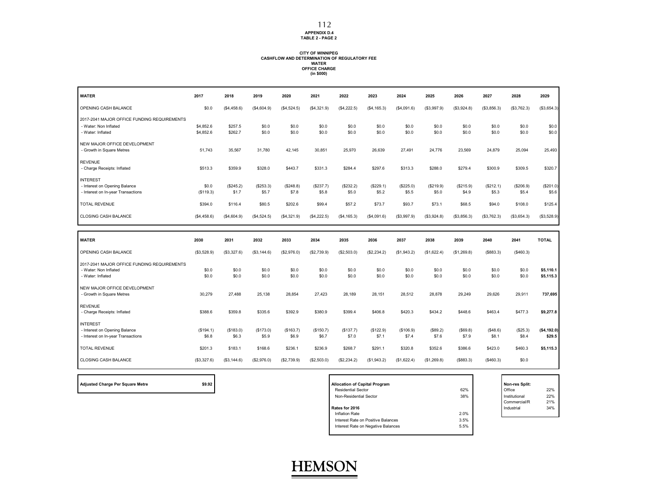**APPENDIX D.4 TABLE 2 - PAGE 2**

### **CITY OF WINNIPEG CASHFLOW AND DETERMINATION OF REGULATORY FEE WATER OFFICE CHARGE (in \$000)**

| <b>WATER</b>                                                                              | 2017                   | 2018               | 2019               | 2020               | 2021               | 2022               | 2023               | 2024               | 2025               | 2026               | 2027               | 2028               | 2029                   |
|-------------------------------------------------------------------------------------------|------------------------|--------------------|--------------------|--------------------|--------------------|--------------------|--------------------|--------------------|--------------------|--------------------|--------------------|--------------------|------------------------|
| OPENING CASH BALANCE                                                                      | \$0.0                  | (\$4,458.6)        | (\$4,604.9)        | (\$4,524.5)        | (\$4,321.9)        | (\$4,222.5)        | (\$4, 165.3)       | (\$4,091.6)        | (\$3,997.9)        | (\$3,924.8)        | (\$3,856.3)        | (\$3,762.3)        | (\$3,654.3)            |
| 2017-2041 MAJOR OFFICE FUNDING REQUIREMENTS<br>- Water: Non Inflated<br>- Water: Inflated | \$4,852.6<br>\$4,852.6 | \$257.5<br>\$262.7 | \$0.0<br>\$0.0     | \$0.0<br>\$0.0     | \$0.0<br>\$0.0     | \$0.0<br>\$0.0     | \$0.0<br>\$0.0     | \$0.0<br>\$0.0     | \$0.0<br>\$0.0     | \$0.0<br>\$0.0     | \$0.0<br>\$0.0     | \$0.0<br>\$0.0     | \$0.0<br>\$0.0         |
| NEW MAJOR OFFICE DEVELOPMENT<br>- Growth in Square Metres                                 | 51.743                 | 35,567             | 31.780             | 42.145             | 30.851             | 25,970             | 26.639             | 27.491             | 24.776             | 23.569             | 24,879             | 25,094             | 25,493                 |
| <b>REVENUE</b><br>- Charge Receipts: Inflated                                             | \$513.3                | \$359.9            | \$328.0            | \$443.7            | \$331.3            | \$284.4            | \$297.6            | \$313.3            | \$288.0            | \$279.4            | \$300.9            | \$309.5            | \$320.7                |
| <b>INTEREST</b><br>- Interest on Opening Balance<br>- Interest on In-year Transactions    | \$0.0<br>(\$119.3)     | (\$245.2)<br>\$1.7 | (\$253.3)<br>\$5.7 | (\$248.8)<br>\$7.8 | (\$237.7)<br>\$5.8 | (\$232.2)<br>\$5.0 | (\$229.1)<br>\$5.2 | (\$225.0)<br>\$5.5 | (\$219.9)<br>\$5.0 | (\$215.9)<br>\$4.9 | (\$212.1)<br>\$5.3 | (\$206.9)<br>\$5.4 | (\$201.0)<br>\$5.6     |
| TOTAL REVENUE                                                                             | \$394.0                | \$116.4            | \$80.5             | \$202.6            | \$99.4             | \$57.2             | \$73.7             | \$93.7             | \$73.1             | \$68.5             | \$94.0             | \$108.0            | \$125.4                |
| <b>CLOSING CASH BALANCE</b>                                                               | (\$4,458.6)            | (\$4,604.9)        | (\$4,524.5)        | (\$4,321.9)        | (\$4,222.5)        | (S4, 165.3)        | (\$4,091.6)        | (\$3,997.9)        | (\$3,924.8)        | (\$3,856.3)        | (\$3,762.3)        | (\$3,654.3)        | (\$3,528.9)            |
|                                                                                           |                        |                    |                    |                    |                    |                    |                    |                    |                    |                    |                    |                    |                        |
|                                                                                           |                        |                    |                    |                    |                    |                    |                    |                    |                    |                    |                    |                    |                        |
| <b>WATER</b>                                                                              | 2030                   | 2031               | 2032               | 2033               | 2034               | 2035               | 2036               | 2037               | 2038               | 2039               | 2040               | 2041               | <b>TOTAL</b>           |
| OPENING CASH BALANCE                                                                      | (\$3,528.9)            | (\$3,327.6)        | (\$3,144.6)        | (\$2,976.0)        | (\$2,739.9)        | (\$2,503.0)        | (\$2,234.2)        | (\$1,943.2)        | (\$1,622.4)        | (\$1,269.8)        | (S883.3)           | (\$460.3)          |                        |
| 2017-2041 MAJOR OFFICE FUNDING REQUIREMENTS<br>- Water: Non Inflated<br>- Water: Inflated | \$0.0<br>\$0.0         | \$0.0<br>\$0.0     | \$0.0<br>\$0.0     | \$0.0<br>\$0.0     | \$0.0<br>\$0.0     | \$0.0<br>\$0.0     | \$0.0<br>\$0.0     | \$0.0<br>\$0.0     | \$0.0<br>\$0.0     | \$0.0<br>\$0.0     | \$0.0<br>\$0.0     | \$0.0<br>\$0.0     | \$5,110.1<br>\$5,115.3 |
| NEW MAJOR OFFICE DEVELOPMENT<br>- Growth in Square Metres                                 | 30,279                 | 27,488             | 25,138             | 28,854             | 27,423             | 28,189             | 28,151             | 28,512             | 28,878             | 29,249             | 29,626             | 29,911             | 737,695                |
| <b>REVENUE</b><br>- Charge Receipts: Inflated                                             | \$388.6                | \$359.8            | \$335.6            | \$392.9            | \$380.9            | \$399.4            | \$406.8            | \$420.3            | \$434.2            | \$448.6            | \$463.4            | \$477.3            | \$9,277.8              |
| <b>INTEREST</b><br>- Interest on Opening Balance<br>- Interest on In-year Transactions    | (S194.1)<br>\$6.8      | (\$183.0)<br>\$6.3 | (\$173.0)<br>\$5.9 | (S163.7)<br>\$6.9  | (\$150.7)<br>\$6.7 | (S137.7)<br>\$7.0  | (\$122.9)<br>\$7.1 | (\$106.9)<br>\$7.4 | (\$89.2)<br>\$7.6  | (S69.8)<br>\$7.9   | (\$48.6)<br>\$8.1  | (\$25.3)<br>\$8.4  | (\$4,192.0)<br>\$29.5  |
| <b>TOTAL REVENUE</b>                                                                      | \$201.3                | \$183.1            | \$168.6            | \$236.1            | \$236.9            | \$268.7            | \$291.1            | \$320.8            | \$352.6            | \$386.6            | \$423.0            | \$460.3            | \$5,115.3              |

| <b>Adjusted Charge Per Square Metre</b> |  |  |  |  |  |  |
|-----------------------------------------|--|--|--|--|--|--|
|-----------------------------------------|--|--|--|--|--|--|

| \$9.92<br><b>Adjusted Charge Per Square Metre</b> | <b>Allocation of Capital Program</b> |      | Non-res Split: |     |
|---------------------------------------------------|--------------------------------------|------|----------------|-----|
|                                                   | <b>Residential Sector</b>            | 62%  | Office         | 22% |
|                                                   | Non-Residential Sector               | 38%  | Institutional  | 22% |
|                                                   |                                      |      | Commercial/R   | 21% |
|                                                   | Rates for 2016                       |      | Industrial     | 34% |
|                                                   | Inflation Rate                       | 2.0% |                |     |
|                                                   | Interest Rate on Positive Balances   | 3.5% |                |     |
|                                                   | Interest Rate on Negative Balances   | 5.5% |                |     |
|                                                   |                                      |      |                |     |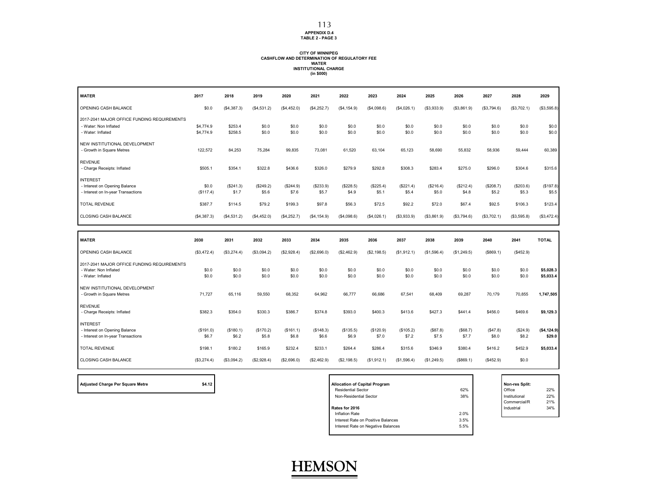#### **APPENDIX D.4 TABLE 2 - PAGE 3**

### **CITY OF WINNIPEG CASHFLOW AND DETERMINATION OF REGULATORY FEE WATER INSTITUTIONAL CHARGE (in \$000)**

| <b>WATER</b>                                     | 2017        | 2018        | 2019        | 2020        | 2021         | 2022        | 2023        | 2024        | 2025        | 2026        | 2027        | 2028        | 2029         |
|--------------------------------------------------|-------------|-------------|-------------|-------------|--------------|-------------|-------------|-------------|-------------|-------------|-------------|-------------|--------------|
| OPENING CASH BALANCE                             | \$0.0       | (\$4,387.3) | (\$4,531.2) | (S4, 452.0) | (\$4,252.7)  | (S4, 154.9) | (\$4,098.6) | (\$4,026.1) | (\$3,933.9) | (\$3,861.9) | (\$3,794.6) | (\$3,702.1) | (\$3,595.8)  |
| 2017-2041 MAJOR OFFICE FUNDING REQUIREMENTS      |             |             |             |             |              |             |             |             |             |             |             |             |              |
| - Water: Non Inflated                            | \$4,774.9   | \$253.4     | \$0.0       | \$0.0       | \$0.0        | \$0.0       | \$0.0       | \$0.0       | \$0.0       | \$0.0       | \$0.0       | \$0.0       | \$0.0        |
| - Water: Inflated                                | \$4,774.9   | \$258.5     | \$0.0       | \$0.0       | \$0.0        | \$0.0       | \$0.0       | \$0.0       | \$0.0       | \$0.0       | \$0.0       | \$0.0       | \$0.0        |
| NEW INSTITUTIONAL DEVELOPMENT                    |             |             |             |             |              |             |             |             |             |             |             |             |              |
| - Growth in Square Metres                        | 122,572     | 84,253      | 75,284      | 99,835      | 73,081       | 61,520      | 63.104      | 65,123      | 58.690      | 55,832      | 58,936      | 59,444      | 60,389       |
| <b>REVENUE</b>                                   |             |             |             |             |              |             |             |             |             |             |             |             |              |
| - Charge Receipts: Inflated                      | \$505.1     | \$354.1     | \$322.8     | \$436.6     | \$326.0      | \$279.9     | \$292.8     | \$308.3     | \$283.4     | \$275.0     | \$296.0     | \$304.6     | \$315.6      |
| <b>INTEREST</b>                                  |             |             |             |             |              |             |             |             |             |             |             |             |              |
| - Interest on Opening Balance                    | \$0.0       | (\$241.3)   | (\$249.2)   | (\$244.9)   | (\$233.9)    | (\$228.5)   | (\$225.4)   | (\$221.4)   | (\$216.4)   | (\$212.4)   | (\$208.7)   | (\$203.6)   | (\$197.8)    |
| - Interest on In-year Transactions               | (\$117.4)   | \$1.7       | \$5.6       | \$7.6       | \$5.7        | \$4.9       | \$5.1       | \$5.4       | \$5.0       | \$4.8       | \$5.2       | \$5.3       | \$5.5        |
| <b>TOTAL REVENUE</b>                             | \$387.7     | \$114.5     | \$79.2      | \$199.3     | \$97.8       | \$56.3      | \$72.5      | \$92.2      | \$72.0      | \$67.4      | \$92.5      | \$106.3     | \$123.4      |
| CLOSING CASH BALANCE                             | (\$4,387.3) | (S4, 531.2) | (\$4,452.0) | (\$4,252.7) | (\$4, 154.9) | (S4,098.6)  | (\$4,026.1) | (\$3,933.9) | (\$3,861.9) | (\$3,794.6) | (\$3,702.1) | (\$3,595.8) | (\$3,472.4)  |
|                                                  |             |             |             |             |              |             |             |             |             |             |             |             |              |
|                                                  |             |             |             |             |              |             |             |             |             |             |             |             |              |
| <b>WATER</b>                                     | 2030        | 2031        | 2032        | 2033        | 2034         | 2035        | 2036        | 2037        | 2038        | 2039        | 2040        | 2041        | <b>TOTAL</b> |
| OPENING CASH BALANCE                             | (\$3,472.4) | (\$3,274.4) | (\$3,094.2) | (\$2,928.4) | (\$2,696.0)  | (\$2,462.9) | (\$2,198.5) | (\$1,912.1) | (S1, 596.4) | (\$1,249.5) | (\$869.1)   | (\$452.9)   |              |
| 2017-2041 MAJOR OFFICE FUNDING REQUIREMENTS      |             |             |             |             |              |             |             |             |             |             |             |             |              |
| - Water: Non Inflated                            | \$0.0       | \$0.0       | \$0.0       | \$0.0       | \$0.0        | \$0.0       | \$0.0       | \$0.0       | \$0.0       | \$0.0       | \$0.0       | \$0.0       | \$5,028.3    |
| - Water: Inflated                                | \$0.0       | \$0.0       | \$0.0       | \$0.0       | \$0.0        | \$0.0       | \$0.0       | \$0.0       | \$0.0       | \$0.0       | \$0.0       | \$0.0       | \$5,033.4    |
| NEW INSTITUTIONAL DEVELOPMENT                    |             |             |             |             |              |             |             |             |             |             |             |             |              |
| - Growth in Square Metres                        | 71.727      | 65.116      | 59.550      | 68.352      | 64.962       | 66.777      | 66.686      | 67.541      | 68.409      | 69.287      | 70,179      | 70.855      | 1,747,505    |
| <b>REVENUE</b>                                   |             |             |             |             |              |             |             |             |             |             |             |             |              |
| - Charge Receipts: Inflated                      | \$382.3     | \$354.0     | \$330.3     | \$386.7     | \$374.8      | \$393.0     | \$400.3     | \$413.6     | \$427.3     | \$441.4     | \$456.0     | \$469.6     | \$9,129.3    |
|                                                  |             |             |             |             |              |             |             |             |             |             |             |             |              |
| <b>INTEREST</b><br>- Interest on Opening Balance | (S191.0)    | (\$180.1)   | (\$170.2)   | (S161.1)    | (\$148.3)    | (\$135.5)   | (\$120.9)   | (\$105.2)   | (\$87.8)    | (S68.7)     | (\$47.8)    | (\$24.9)    | (\$4,124.9)  |
| - Interest on In-year Transactions               | \$6.7       | \$6.2       | \$5.8       | \$6.8       | \$6.6        | \$6.9       | \$7.0       | \$7.2       | \$7.5       | \$7.7       | \$8.0       | \$8.2       | \$29.0       |
| <b>TOTAL REVENUE</b>                             | \$198.1     | \$180.2     | \$165.9     | \$232.4     | \$233.1      | \$264.4     | \$286.4     | \$315.6     | \$346.9     | \$380.4     | \$416.2     | \$452.9     | \$5,033.4    |
| CLOSING CASH BALANCE                             | (\$3,274.4) | (\$3,094.2) | (\$2,928.4) | (\$2,696.0) | (\$2,462.9)  | (\$2,198.5) | (\$1,912.1) | (\$1,596.4) | (\$1,249.5) | (\$669.1)   | (\$452.9)   | \$0.0       |              |

| <b>Adjusted Charge Per Square Metre</b> |  |
|-----------------------------------------|--|
|-----------------------------------------|--|

| \$4.12<br>Adjusted Charge Per Square Metre | <b>Allocation of Capital Program</b> |      | Non-res Split: |     |
|--------------------------------------------|--------------------------------------|------|----------------|-----|
|                                            | <b>Residential Sector</b>            | 62%  | Office         | 22% |
|                                            | Non-Residential Sector               | 38%  | Institutional  | 22% |
|                                            |                                      |      | Commercial/R   | 21% |
|                                            | Rates for 2016                       |      | Industrial     | 34% |
|                                            | Inflation Rate                       | 2.0% |                |     |
|                                            | Interest Rate on Positive Balances   | 3.5% |                |     |
|                                            | Interest Rate on Negative Balances   | 5.5% |                |     |
|                                            |                                      |      |                |     |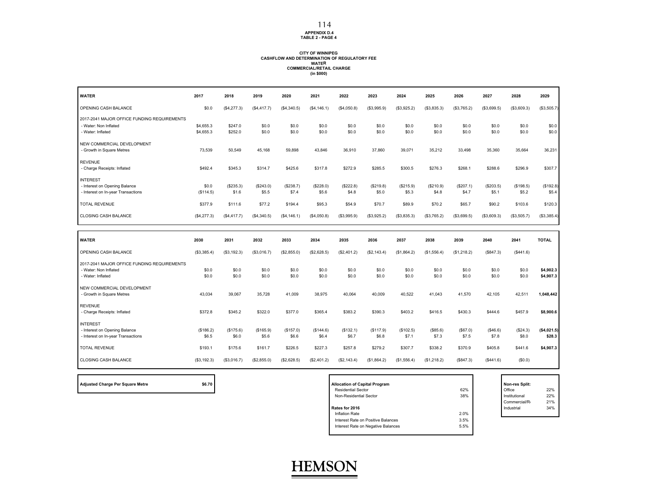#### **APPENDIX D.4 TABLE 2 - PAGE 4**

#### **CITY OF WINNIPEG CASHFLOW AND DETERMINATION OF REGULATORY FEEWATER COMMERCIAL/RETAIL CHARGE (in \$000)**

| <b>WATER</b>                                                                              | 2017                   | 2018               | 2019               | 2020               | 2021               | 2022               | 2023               | 2024               | 2025               | 2026               | 2027               | 2028               | 2029                   |
|-------------------------------------------------------------------------------------------|------------------------|--------------------|--------------------|--------------------|--------------------|--------------------|--------------------|--------------------|--------------------|--------------------|--------------------|--------------------|------------------------|
| OPENING CASH BALANCE                                                                      | \$0.0                  | (\$4,277.3)        | (\$4,417.7)        | (\$4,340.5)        | (\$4, 146.1)       | (\$4,050.8)        | (\$3,995.9)        | (\$3,925.2)        | (\$3,835.3)        | (\$3,765.2)        | (\$3,699.5)        | (\$3,609.3)        | (\$3,505.7)            |
| 2017-2041 MAJOR OFFICE FUNDING REQUIREMENTS<br>- Water: Non Inflated<br>- Water: Inflated | \$4,655.3<br>\$4,655.3 | \$247.0<br>\$252.0 | \$0.0<br>\$0.0     | \$0.0<br>\$0.0     | \$0.0<br>\$0.0     | \$0.0<br>\$0.0     | \$0.0<br>\$0.0     | \$0.0<br>\$0.0     | \$0.0<br>\$0.0     | \$0.0<br>\$0.0     | \$0.0<br>\$0.0     | \$0.0<br>\$0.0     | \$0.0<br>\$0.0         |
| NEW COMMERCIAL DEVELOPMENT<br>- Growth in Square Metres                                   | 73.539                 | 50.549             | 45.168             | 59.898             | 43.846             | 36,910             | 37,860             | 39.071             | 35.212             | 33.498             | 35.360             | 35.664             | 36,231                 |
| <b>REVENUE</b><br>- Charge Receipts: Inflated                                             | \$492.4                | \$345.3            | \$314.7            | \$425.6            | \$317.8            | \$272.9            | \$285.5            | \$300.5            | \$276.3            | \$268.1            | \$288.6            | \$296.9            | \$307.7                |
| <b>INTEREST</b><br>- Interest on Opening Balance<br>- Interest on In-year Transactions    | \$0.0<br>(\$114.5)     | (\$235.3)<br>\$1.6 | (\$243.0)<br>\$5.5 | (\$238.7)<br>\$7.4 | (\$228.0)<br>\$5.6 | (\$222.8)<br>\$4.8 | (\$219.8)<br>\$5.0 | (\$215.9)<br>\$5.3 | (\$210.9)<br>\$4.8 | (\$207.1)<br>\$4.7 | (\$203.5)<br>\$5.1 | (\$198.5)<br>\$5.2 | (\$192.8)<br>\$5.4     |
| <b>TOTAL REVENUE</b>                                                                      | \$377.9                | \$111.6            | \$77.2             | \$194.4            | \$95.3             | \$54.9             | \$70.7             | \$89.9             | \$70.2             | \$65.7             | \$90.2             | \$103.6            | \$120.3                |
| CLOSING CASH BALANCE                                                                      | (\$4,277.3)            | (S4, 417.7)        | (\$4,340.5)        | (\$4, 146.1)       | (\$4,050.8)        | (\$3,995.9)        | (\$3,925.2)        | (\$3,835.3)        | (\$3,765.2)        | (\$3,699.5)        | (\$3,609.3)        | (\$3,505.7)        | (\$3,385.4)            |
|                                                                                           |                        |                    |                    |                    |                    |                    |                    |                    |                    |                    |                    |                    |                        |
|                                                                                           |                        |                    |                    |                    |                    |                    |                    |                    |                    |                    |                    |                    |                        |
| <b>WATER</b>                                                                              | 2030                   | 2031               | 2032               | 2033               | 2034               | 2035               | 2036               | 2037               | 2038               | 2039               | 2040               | 2041               | <b>TOTAL</b>           |
| OPENING CASH BALANCE                                                                      | (\$3,385.4)            | (\$3,192.3)        | (\$3,016.7)        | (\$2,855.0)        | (\$2,628.5)        | (\$2,401.2)        | (\$2,143.4)        | (\$1,864.2)        | (\$1,556.4)        | (\$1,218.2)        | (\$847.3)          | (\$441.6)          |                        |
| 2017-2041 MAJOR OFFICE FUNDING REQUIREMENTS<br>- Water: Non Inflated<br>- Water: Inflated | \$0.0<br>\$0.0         | \$0.0<br>\$0.0     | \$0.0<br>\$0.0     | \$0.0<br>\$0.0     | \$0.0<br>\$0.0     | \$0.0<br>\$0.0     | \$0.0<br>\$0.0     | \$0.0<br>\$0.0     | \$0.0<br>\$0.0     | \$0.0<br>\$0.0     | \$0.0<br>\$0.0     | \$0.0<br>\$0.0     | \$4,902.3<br>\$4,907.3 |
| NEW COMMERCIAL DEVELOPMENT<br>- Growth in Square Metres                                   | 43.034                 | 39,067             | 35.728             | 41,009             | 38.975             | 40,064             | 40.009             | 40.522             | 41,043             | 41,570             | 42,105             | 42,511             | 1,048,442              |
| <b>REVENUE</b><br>- Charge Receipts: Inflated                                             | \$372.8                | \$345.2            | \$322.0            | \$377.0            | \$365.4            | \$383.2            | \$390.3            | \$403.2            | \$416.5            | \$430.3            | \$444.6            | \$457.9            | \$8,900.6              |
| <b>INTEREST</b><br>- Interest on Opening Balance<br>- Interest on In-year Transactions    | (\$186.2)<br>\$6.5     | (\$175.6)<br>\$6.0 | (\$165.9)<br>\$5.6 | (\$157.0)<br>\$6.6 | (\$144.6)<br>\$6.4 | (\$132.1)<br>\$6.7 | (\$117.9)<br>\$6.8 | (\$102.5)<br>\$7.1 | (\$85.6)<br>\$7.3  | (S67.0)<br>\$7.5   | (\$46.6)<br>\$7.8  | (\$24.3)<br>\$8.0  | ( \$4,021.5)<br>\$28.3 |
| <b>TOTAL REVENUE</b>                                                                      | \$193.1                | \$175.6            | \$161.7            | \$226.5            | \$227.3            | \$257.8            | \$279.2            | \$307.7            | \$338.2            | \$370.9            | \$405.8            | \$441.6            | \$4,907.3              |

| 62%  | Office        | 22%            |
|------|---------------|----------------|
| 38%  | Institutional | 22%            |
|      | Commercial/R  | 21%            |
|      | Industrial    | 34%            |
| 2.0% |               |                |
| 3.5% |               |                |
| 5.5% |               |                |
|      |               | Non-res Split: |

### **HEMSON**

**Adjusted Charge Per Square Metre \$6.70 Allocation of Capital Program Non-res Split:**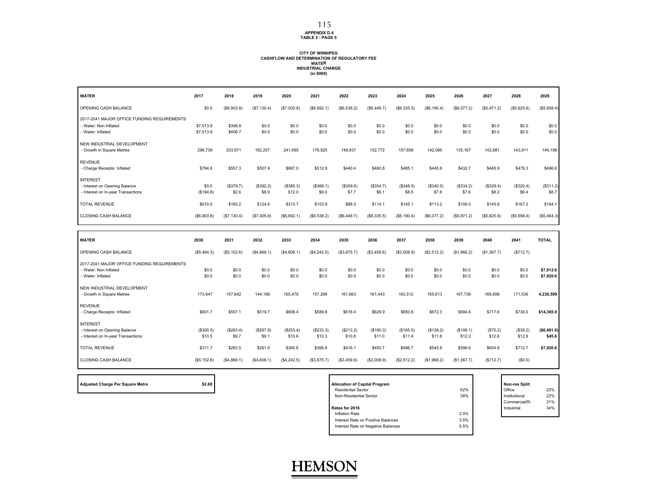#### **APPENDIX D.4 TABLE 2 - PAGE 5**

#### **CITY OF WINNIPEG CASHFLOW AND DETERMINATION OF REGULATORY FEEWATER INDUSTRIAL CHARGE (in \$000)**

| <b>WATER</b>                                                                              | 2017                   | 2018               | 2019               | 2020                | 2021                | 2022                | 2023                | 2024                | 2025                | 2026                | 2027               | 2028               | 2029                   |
|-------------------------------------------------------------------------------------------|------------------------|--------------------|--------------------|---------------------|---------------------|---------------------|---------------------|---------------------|---------------------|---------------------|--------------------|--------------------|------------------------|
| OPENING CASH BALANCE                                                                      | \$0.0                  | (S6, 903.8)        | (\$7,130.4)        | (\$7,005.8)         | (\$6,692.1)         | (\$6,538.2)         | (\$6,449.7)         | (\$6,335.5)         | (S6, 190.4)         | (\$6,077.2)         | (\$5,971.2)        | (\$5,825.6)        | (\$5,658.4)            |
| 2017-2041 MAJOR OFFICE FUNDING REQUIREMENTS<br>- Water: Non Inflated<br>- Water: Inflated | \$7,513.9<br>\$7,513.9 | \$398.8<br>\$406.7 | \$0.0<br>\$0.0     | \$0.0<br>\$0.0      | \$0.0<br>\$0.0      | \$0.0<br>\$0.0      | \$0.0<br>\$0.0      | \$0.0<br>\$0.0      | \$0.0<br>\$0.0      | \$0.0<br>\$0.0      | \$0.0<br>\$0.0     | \$0.0<br>\$0.0     | \$0.0<br>\$0.0         |
| NEW INDUSTRIAL DEVELOPMENT<br>- Growth in Square Metres                                   | 296,738                | 203,971            | 182,257            | 241,695             | 176,925             | 148,937             | 152,772             | 157,658             | 142,085             | 135,167             | 142,681            | 143,911            | 146,198                |
| <b>REVENUE</b><br>- Charge Receipts: Inflated                                             | \$794.8                | \$557.3            | \$507.9            | \$687.0             | \$512.9             | \$440.4             | \$460.8             | \$485.1             | \$445.9             | \$432.7             | \$465.9            | \$479.3            | \$496.6                |
| <b>INTEREST</b><br>- Interest on Opening Balance<br>- Interest on In-year Transactions    | \$0.0<br>(\$184.8)     | (\$379.7)<br>\$2.6 | (\$392.2)<br>\$8.9 | (\$385.3)<br>\$12.0 | (\$368.1)<br>\$9.0  | (\$359.6)<br>\$7.7  | (\$354.7)<br>\$8.1  | (\$348.5)<br>\$8.5  | (\$340.5)<br>\$7.8  | (\$334.2)<br>\$7.6  | (\$328.4)<br>\$8.2 | (\$320.4)<br>\$8.4 | (\$311.2)<br>\$8.7     |
| <b>TOTAL REVENUE</b>                                                                      | \$610.0                | \$180.2            | \$124.6            | \$313.7             | \$153.9             | \$88.5              | \$114.1             | \$145.1             | \$113.2             | \$106.0             | \$145.6            | \$167.2            | \$194.1                |
| <b>CLOSING CASH BALANCE</b>                                                               | (\$6,903.8)            | (S7, 130.4)        | (\$7,005.8)        | (\$6,692.1)         | (\$6,538.2)         | (\$6,449.7)         | (S6, 335.5)         | (\$6, 190.4)        | (\$6,077.2)         | (\$5,971.2)         | (\$5,825.6)        | (\$5,658.4)        | (\$5,464.3)            |
|                                                                                           |                        |                    |                    |                     |                     |                     |                     |                     |                     |                     |                    |                    |                        |
|                                                                                           |                        |                    |                    |                     |                     |                     |                     |                     |                     |                     |                    |                    |                        |
| <b>WATER</b>                                                                              | 2030                   | 2031               | 2032               | 2033                | 2034                | 2035                | 2036                | 2037                | 2038                | 2039                | 2040               | 2041               | <b>TOTAL</b>           |
| OPENING CASH BALANCE                                                                      | (\$5,464.3)            | ( \$5, 152.6)      | (\$4,869.1)        | (\$4,608.1)         | (\$4,242.5)         | (\$3,875.7)         | (\$3,459.6)         | (\$3,008.9)         | (\$2,512.2)         | (\$1,966.2)         | (\$1,367.7)        | (\$712.7)          |                        |
| 2017-2041 MAJOR OFFICE FUNDING REQUIREMENTS<br>- Water: Non Inflated<br>- Water: Inflated | \$0.0<br>\$0.0         | \$0.0<br>\$0.0     | \$0.0<br>\$0.0     | \$0.0<br>\$0.0      | \$0.0<br>\$0.0      | \$0.0<br>\$0.0      | \$0.0<br>\$0.0      | \$0.0<br>\$0.0      | \$0.0<br>\$0.0      | \$0.0<br>\$0.0      | \$0.0<br>\$0.0     | \$0.0<br>\$0.0     | \$7,912.6<br>\$7,920.6 |
| NEW INDUSTRIAL DEVELOPMENT<br>- Growth in Square Metres                                   | 173,647                | 157,642            | 144,166            | 165,476             | 157,268             | 161,663             | 161,443             | 163,512             | 165,613             | 167,739             | 169,899            | 171,536            | 4,230,599              |
| <b>REVENUE</b><br>- Charge Receipts: Inflated                                             | \$601.7                | \$557.1            | \$519.7            | \$608.4             | \$589.8             | \$618.4             | \$629.9             | \$650.8             | \$672.3             | \$694.6             | \$717.6            | \$739.0            | \$14,365.9             |
| <b>INTEREST</b><br>- Interest on Opening Balance<br>- Interest on In-year Transactions    | (\$300.5)<br>\$10.5    | (\$283.4)<br>\$9.7 | (\$267.8)<br>\$9.1 | (\$253.4)<br>\$10.6 | (\$233.3)<br>\$10.3 | (\$213.2)<br>\$10.8 | (\$190.3)<br>\$11.0 | (\$165.5)<br>\$11.4 | (\$138.2)<br>\$11.8 | (\$108.1)<br>\$12.2 | (\$75.2)<br>\$12.6 | (\$39.2)<br>\$12.9 | ( \$6,491.0)<br>\$45.6 |
| <b>TOTAL REVENUE</b>                                                                      | \$311.7                | \$283.5            | \$261.0            | \$365.6             | \$366.8             | \$416.1             | \$450.7             | \$496.7             | \$545.9             | \$598.6             | \$654.9            | \$712.7            | \$7,920.6              |

| Adjusted Charge Per Square Metre |  |
|----------------------------------|--|
|----------------------------------|--|

Г

| Adjusted Charge Per Square Metre | \$2.68 | <b>Allocation of Capital Program</b> |      | Non-res Split: |     |
|----------------------------------|--------|--------------------------------------|------|----------------|-----|
|                                  |        | <b>Residential Sector</b>            | 62%  | Office         | 22% |
|                                  |        | Non-Residential Sector               | 38%  | Institutional  | 22% |
|                                  |        |                                      |      | Commercial/R   | 21% |
|                                  |        | Rates for 2016                       |      | Industrial     | 34% |
|                                  |        | Inflation Rate                       | 2.0% |                |     |
|                                  |        | Interest Rate on Positive Balances   | 3.5% |                |     |
|                                  |        | Interest Rate on Negative Balances   | 5.5% |                |     |
|                                  |        |                                      |      |                |     |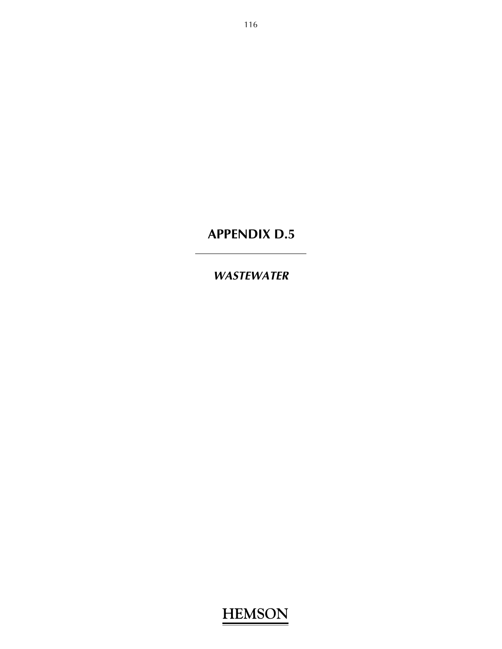### *WASTEWATER*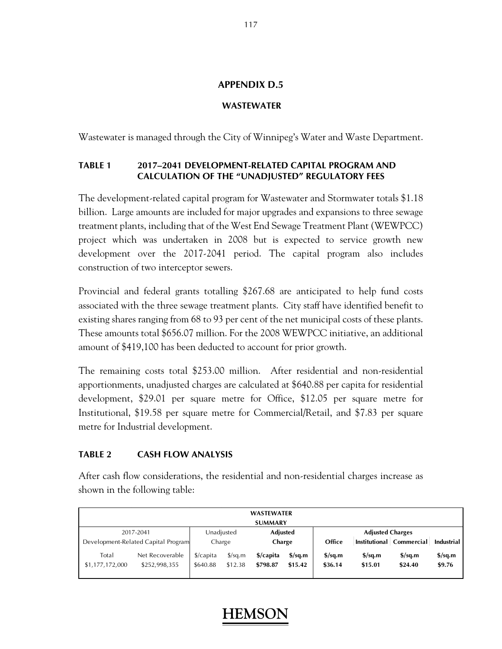#### **WASTEWATER**

Wastewater is managed through the City of Winnipeg's Water and Waste Department.

#### **TABLE 1 2017–2041 DEVELOPMENT-RELATED CAPITAL PROGRAM AND CALCULATION OF THE "UNADJUSTED" REGULATORY FEES**

The development-related capital program for Wastewater and Stormwater totals \$1.18 billion. Large amounts are included for major upgrades and expansions to three sewage treatment plants, including that of the West End Sewage Treatment Plant (WEWPCC) project which was undertaken in 2008 but is expected to service growth new development over the 2017-2041 period. The capital program also includes construction of two interceptor sewers.

Provincial and federal grants totalling \$267.68 are anticipated to help fund costs associated with the three sewage treatment plants. City staff have identified benefit to existing shares ranging from 68 to 93 per cent of the net municipal costs of these plants. These amounts total \$656.07 million. For the 2008 WEWPCC initiative, an additional amount of \$419,100 has been deducted to account for prior growth.

The remaining costs total \$253.00 million. After residential and non-residential apportionments, unadjusted charges are calculated at \$640.88 per capita for residential development, \$29.01 per square metre for Office, \$12.05 per square metre for Institutional, \$19.58 per square metre for Commercial/Retail, and \$7.83 per square metre for Industrial development.

#### **TABLE 2 CASH FLOW ANALYSIS**

After cash flow considerations, the residential and non-residential charges increase as shown in the following table:

| <b>WASTEWATER</b>                                              |                                     |                                  |                                 |                       |                                             |                                             |                                             |                                             |                                           |  |  |  |
|----------------------------------------------------------------|-------------------------------------|----------------------------------|---------------------------------|-----------------------|---------------------------------------------|---------------------------------------------|---------------------------------------------|---------------------------------------------|-------------------------------------------|--|--|--|
|                                                                | <b>SUMMARY</b>                      |                                  |                                 |                       |                                             |                                             |                                             |                                             |                                           |  |  |  |
| Unadjusted<br>2017-2041<br><b>Adjusted Charges</b><br>Adjusted |                                     |                                  |                                 |                       |                                             |                                             |                                             |                                             |                                           |  |  |  |
|                                                                | Development-Related Capital Program | Charge                           |                                 | Charge                |                                             | Office                                      |                                             | Institutional   Commercial                  | <b>Industrial</b>                         |  |  |  |
| Total<br>\$1,177,172,000                                       | Net Recoverable<br>\$252,998,355    | $\frac{1}{2}$ capita<br>\$640.88 | $\frac{\sqrt{2}}{2}$<br>\$12.38 | \$/capita<br>\$798.87 | $\frac{\text{S}}{\text{S}}$ sq.m<br>\$15.42 | $\frac{\text{S}}{\text{S}}$ sq.m<br>\$36.14 | $\frac{\text{S}}{\text{S}}$ sq.m<br>\$15.01 | $\frac{\text{S}}{\text{S}}$ sq.m<br>\$24.40 | $\frac{\text{S}}{\text{S}}$ , m<br>\$9.76 |  |  |  |

#### 117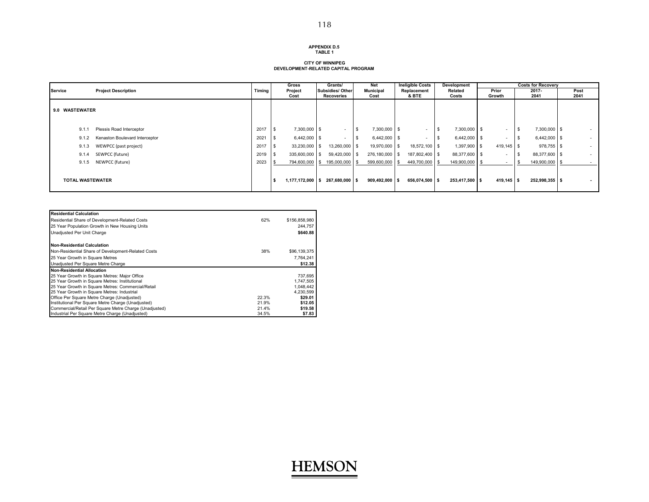#### **APPENDIX D.5TABLE 1**

#### **CITY OF WINNIPEG DEVELOPMENT-RELATED CAPITAL PROGRAM**

|                         |                                |        | Gross           | Grants/                               |      | Net                      | <b>Ineligible Costs</b>  |      | Development      |                 |                |               | <b>Costs for Recoverv</b> |              |        |
|-------------------------|--------------------------------|--------|-----------------|---------------------------------------|------|--------------------------|--------------------------|------|------------------|-----------------|----------------|---------------|---------------------------|--------------|--------|
| <b>Service</b>          | <b>Project Description</b>     | Timing | Project<br>Cost | <b>Subsidies/ Other</b><br>Recoveries |      | <b>Municipal</b><br>Cost | Replacement<br>& BTE     |      | Related<br>Costs | Prior<br>Growth |                | 2017-<br>2041 |                           | Post<br>2041 |        |
| 9.0 WASTEWATER          |                                |        |                 |                                       |      |                          |                          |      |                  |                 |                |               |                           |              |        |
| 9.1.1                   | Plessis Road Interceptor       | 2017   | 7,300,000 \$    | $\sim$                                | - 56 | 7,300,000 \$             | $\overline{\phantom{a}}$ | l S  | 7,300,000 \$     |                 | $\sim$         | - 35          | 7,300,000 \$              |              | $\sim$ |
| 9.1.2                   | Kenaston Boulevard Interceptor | 202    | $6,442,000$ \$  | $\overline{\phantom{a}}$              |      | 6,442,000 \$             |                          | - \$ | 6,442,000 \$     |                 | $\blacksquare$ |               | 6,442,000 \$              |              | $\sim$ |
| 9.1.3                   | WEWPCC (past project)          | 2017   | 33,230,000 \$   | 13,260,000 \$                         |      | 19,970,000 \$            | 18,572,100 \$            |      | 1,397,900 \$     |                 | 419,145 \$     |               | 978,755 \$                |              | $\sim$ |
| 9.1.4                   | SEWPCC (future)                | 2019   | 335,600,000 \$  | 59,420,000 \$                         |      | 276,180,000 \$           | 187,802,400 \$           |      | 88,377,600 \$    |                 | $\blacksquare$ |               | 88,377,600 \$             |              | $\sim$ |
| 9.1.5                   | NEWPCC (future)                | 2023   | 794,600,000 \$  | 195,000,000 \$                        |      | 599,600,000 \$           | 449,700,000 \$           |      | 149,900,000 \$   |                 | $\blacksquare$ |               | 149,900,000               |              | $\sim$ |
| <b>TOTAL WASTEWATER</b> |                                |        | 1,177,172,000   | 267,680,000 \$<br>-S                  |      | $909,492,000$ \$         | 656,074,500 \$           |      | 253,417,500 \$   |                 | $419.145$ \$   |               | 252,998,355 \$            |              | $\sim$ |

| <b>Residential Calculation</b>                         |       |               |
|--------------------------------------------------------|-------|---------------|
| Residential Share of Development-Related Costs         | 62%   | \$156,858,980 |
| 25 Year Population Growth in New Housing Units         |       | 244.757       |
| Unadjusted Per Unit Charge                             |       | \$640.88      |
| <b>Non-Residential Calculation</b>                     |       |               |
| Non-Residential Share of Development-Related Costs     | 38%   | \$96,139,375  |
| 25 Year Growth in Square Metres                        |       | 7.764.241     |
| Unadjusted Per Square Metre Charge                     |       | \$12.38       |
| <b>Non-Residential Allocation</b>                      |       |               |
| 25 Year Growth in Square Metres: Major Office          |       | 737,695       |
| 25 Year Growth in Square Metres: Institutional         |       | 1.747.505     |
| 25 Year Growth in Square Metres: Commercial/Retail     |       | 1.048.442     |
| 25 Year Growth in Square Metres: Industrial            |       | 4,230,599     |
| Office Per Square Metre Charge (Unadjusted)            | 22.3% | \$29.01       |
| Institutional Per Square Metre Charge (Unadjusted)     | 21.9% | \$12.05       |
| Commercial/Retail Per Square Metre Charge (Unadjusted) | 21.4% | \$19.58       |
| Industrial Per Square Metre Charge (Unadjusted)        | 34.5% | \$7.83        |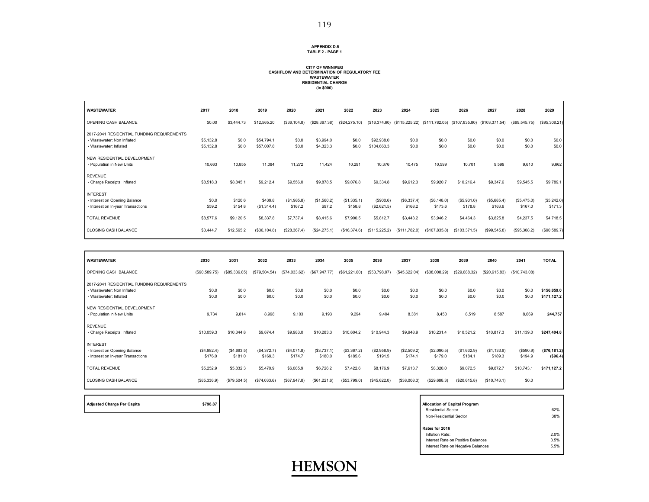#### **APPENDIX D.5 TABLE 2 - PAGE 1**

### **CITY OF WINNIPEG CASHFLOW AND DETERMINATION OF REGULATORY FEE WASTEWATER RESIDENTIAL CHARGE (in \$000)**

| <b>WASTEWATER</b>                          | 2017      | 2018       | 2019         | 2020         | 2021          | 2022          | 2023          | 2024                                         | 2025          | 2026          | 2027           | 2028          | 2029          |
|--------------------------------------------|-----------|------------|--------------|--------------|---------------|---------------|---------------|----------------------------------------------|---------------|---------------|----------------|---------------|---------------|
| OPENING CASH BALANCE                       | \$0.00    | \$3,444.73 | \$12,565.20  | (\$36,104.8) | (\$28,367.38) | (\$24,275.10) | (\$16,374.60) | (\$115,225.22) (\$111,782.05) (\$107,835.80) |               |               | (\$103,371.54) | (\$99,545.75) | (\$95,308.21) |
| 2017-2041 RESIDENTIAL FUNDING REQUIREMENTS |           |            |              |              |               |               |               |                                              |               |               |                |               |               |
| - Wastewater: Non Inflated                 | \$5,132.8 | \$0.0      | \$54,794.1   | \$0.0        | \$3,994.0     | \$0.0         | \$92,938.0    | \$0.0                                        | \$0.0         | \$0.0         | \$0.0          | \$0.0         | \$0.0         |
| - Wastewater: Inflated                     | \$5,132.8 | \$0.0      | \$57,007.8   | \$0.0        | \$4,323.3     | \$0.0         | \$104,663.3   | \$0.0                                        | \$0.0         | \$0.0         | \$0.0          | \$0.0         | \$0.0         |
| NEW RESIDENTIAL DEVELOPMENT                |           |            |              |              |               |               |               |                                              |               |               |                |               |               |
| - Population in New Units                  | 10,663    | 10,855     | 11,084       | 11,272       | 11,424        | 10,291        | 10,376        | 10,475                                       | 10,599        | 10,701        | 9,599          | 9,610         | 9,662         |
| <b>REVENUE</b>                             |           |            |              |              |               |               |               |                                              |               |               |                |               |               |
| - Charge Receipts: Inflated                | \$8,518.3 | \$8,845.1  | \$9,212.4    | \$9,556.0    | \$9,878.5     | \$9,076.8     | \$9,334.8     | \$9,612.3                                    | \$9,920.7     | \$10,216.4    | \$9,347.6      | \$9,545.5     | \$9,789.1     |
| <b>INTEREST</b>                            |           |            |              |              |               |               |               |                                              |               |               |                |               |               |
| - Interest on Opening Balance              | \$0.0     | \$120.6    | \$439.8      | (\$1,985.8)  | (\$1,560.2)   | (\$1,335.1)   | (\$900.6)     | (\$6,337.4)                                  | (\$6,148.0)   | (\$5,931.0)   | (\$5,685.4)    | (\$5,475.0)   | (\$5,242.0)   |
| - Interest on In-year Transactions         | \$59.2    | \$154.8    | (\$1,314.4)  | \$167.2      | \$97.2        | \$158.8       | (\$2,621.5)   | \$168.2                                      | \$173.6       | \$178.8       | \$163.6        | \$167.0       | \$171.3       |
| <b>TOTAL REVENUE</b>                       | \$8,577.6 | \$9,120.5  | \$8,337.8    | \$7,737.4    | \$8,415.6     | \$7,900.5     | \$5,812.7     | \$3,443.2                                    | \$3,946.2     | \$4,464.3     | \$3,825.8      | \$4,237.5     | \$4,718.5     |
| <b>CLOSING CASH BALANCE</b>                | \$3,444.7 | \$12,565.2 | (\$36,104.8) | (\$28,367.4) | (\$24,275.1)  | (\$16,374.6)  | (\$115,225.2) | (\$111,782.0)                                | (\$107,835.8) | (\$103,371.5) | (\$99,545.8)   | (\$95,308.2)  | (\$90,589.7)  |

| <b>WASTEWATER</b>                                                                                  | 2030                  | 2031                   | 2032                   | 2033                   | 2034                   | 2035                   | 2036                   | 2037                   | 2038                   | 2039                   | 2040                   | 2041                 | <b>TOTAL</b>               |
|----------------------------------------------------------------------------------------------------|-----------------------|------------------------|------------------------|------------------------|------------------------|------------------------|------------------------|------------------------|------------------------|------------------------|------------------------|----------------------|----------------------------|
| OPENING CASH BALANCE                                                                               | (\$90,589.75)         | (\$85,336.85)          | (\$79,504.54)          | (\$74,033.62)          | (S67, 947.77)          | (\$61,221.60)          | (\$53,798.97)          | (\$45,622.04)          | (\$38,008.29)          | (\$29,688.32)          | (\$20,615.83)          | (\$10,743.08)        |                            |
| 2017-2041 RESIDENTIAL FUNDING REQUIREMENTS<br>- Wastewater: Non Inflated<br>- Wastewater: Inflated | \$0.0<br>\$0.0        | \$0.0<br>\$0.0         | \$0.0<br>\$0.0         | \$0.0<br>\$0.0         | \$0.0<br>\$0.0         | \$0.0<br>\$0.0         | \$0.0<br>\$0.0         | \$0.0<br>\$0.0         | \$0.0<br>\$0.0         | \$0.0<br>\$0.0         | \$0.0<br>\$0.0         | \$0.0<br>\$0.0       | \$156,859.0<br>\$171,127.2 |
| NEW RESIDENTIAL DEVELOPMENT<br>- Population in New Units                                           | 9,734                 | 9,814                  | 8,998                  | 9,103                  | 9,193                  | 9,294                  | 9,404                  | 8,381                  | 8,450                  | 8,519                  | 8,587                  | 8,669                | 244,757                    |
| <b>REVENUE</b><br>- Charge Receipts: Inflated                                                      | \$10,059.3            | \$10,344.8             | \$9,674.4              | \$9,983.0              | \$10,283.3             | \$10,604.2             | \$10,944.3             | \$9,948.9              | \$10,231.4             | \$10,521.2             | \$10,817.3             | \$11,139.0           | \$247,404.8                |
| <b>INTEREST</b><br>- Interest on Opening Balance<br>- Interest on In-year Transactions             | (S4,982.4)<br>\$176.0 | (\$4,693.5)<br>\$181.0 | (\$4,372.7)<br>\$169.3 | (\$4,071.8)<br>\$174.7 | (\$3,737.1)<br>\$180.0 | (\$3,367.2)<br>\$185.6 | (\$2,958.9)<br>\$191.5 | (\$2,509.2)<br>\$174.1 | (\$2,090.5)<br>\$179.0 | (\$1,632.9)<br>\$184.1 | (\$1,133.9)<br>\$189.3 | (\$590.9)<br>\$194.9 | (\$76, 181.2)<br>(\$96.4)  |
| <b>TOTAL REVENUE</b>                                                                               | \$5,252.9             | \$5,832.3              | \$5,470.9              | \$6,085.9              | \$6,726.2              | \$7,422.6              | \$8,176.9              | \$7,613.7              | \$8,320.0              | \$9,072.5              | \$9,872.7              | \$10,743.1           | \$171,127.2                |
| <b>CLOSING CASH BALANCE</b>                                                                        | (\$85,336.9)          | (\$79,504.5)           | (\$74,033.6)           | (\$67,947.8)           | (\$61,221.6)           | (\$53,799.0)           | (\$45,622.0)           | (\$38,008.3)           | (\$29,688.3)           | (\$20,615.8)           | (\$10,743.1)           | \$0.0                |                            |

**HEMSON**

Adjusted Charge Per Capita **by Capital Program** \$798.87

| <b>Allocation of Capital Program</b> |      |
|--------------------------------------|------|
| <b>Residential Sector</b>            | 62%  |
| Non-Residential Sector               | 38%  |
| Rates for 2016                       |      |
| Inflation Rate:                      | 2.0% |
| Interest Rate on Positive Balances   | 3.5% |
| Interest Rate on Negative Balances   | 5.5% |
|                                      |      |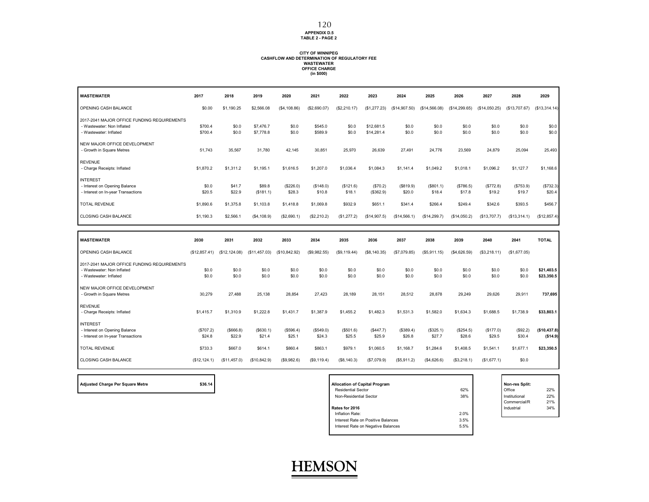**APPENDIX D.5 TABLE 2 - PAGE 2**

### **CITY OF WINNIPEG CASHFLOW AND DETERMINATION OF REGULATORY FEE WASTEWATER OFFICE CHARGE (in \$000)**

| <b>WASTEWATER</b>                                                                                   | 2017                | 2018                 | 2019                   | 2020                | 2021                | 2022                | 2023                     | 2024                | 2025                | 2026                | 2027                | 2028                | 2029                                   |
|-----------------------------------------------------------------------------------------------------|---------------------|----------------------|------------------------|---------------------|---------------------|---------------------|--------------------------|---------------------|---------------------|---------------------|---------------------|---------------------|----------------------------------------|
| OPENING CASH BALANCE                                                                                | \$0.00              | \$1,190.25           | \$2,566.08             | (\$4, 108.86)       | (\$2,690.07)        | (\$2,210.17)        | (\$1,277.23)             | (\$14,907.50)       | (\$14,566.08)       | (\$14,299.65)       | (S14.050.25)        | (\$13,707.67)       | (\$13,314.14)                          |
| 2017-2041 MAJOR OFFICE FUNDING REQUIREMENTS<br>- Wastewater: Non Inflated<br>- Wastewater: Inflated | \$700.4<br>\$700.4  | \$0.0<br>\$0.0       | \$7,476.7<br>\$7,778.8 | \$0.0<br>\$0.0      | \$545.0<br>\$589.9  | \$0.0<br>\$0.0      | \$12,681.5<br>\$14,281.4 | \$0.0<br>\$0.0      | \$0.0<br>\$0.0      | \$0.0<br>\$0.0      | \$0.0<br>\$0.0      | \$0.0<br>\$0.0      | \$0.0<br>\$0.0                         |
| NEW MAJOR OFFICE DEVELOPMENT<br>- Growth in Square Metres                                           | 51,743              | 35,567               | 31,780                 | 42,145              | 30,851              | 25,970              | 26,639                   | 27,491              | 24,776              | 23,569              | 24,879              | 25,094              | 25,493                                 |
| <b>REVENUE</b><br>- Charge Receipts: Inflated                                                       | \$1,870.2           | \$1,311.2            | \$1,195.1              | \$1,616.5           | \$1,207.0           | \$1,036.4           | \$1,084.3                | \$1,141.4           | \$1,049.2           | \$1,018.1           | \$1,096.2           | \$1,127.7           | \$1,168.6                              |
| <b>INTEREST</b><br>- Interest on Opening Balance<br>- Interest on In-year Transactions              | \$0.0<br>\$20.5     | \$41.7<br>\$22.9     | \$89.8<br>(\$181.1)    | (\$226.0)<br>\$28.3 | (\$148.0)<br>\$10.8 | (\$121.6)<br>\$18.1 | (S70.2)<br>(\$362.9)     | (\$819.9)<br>\$20.0 | (\$801.1)<br>\$18.4 | (\$786.5)<br>\$17.8 | (\$772.8)<br>\$19.2 | (\$753.9)<br>\$19.7 | (\$732.3)<br>\$20.4                    |
| <b>TOTAL REVENUE</b>                                                                                | \$1,890.6           | \$1,375.8            | \$1,103.8              | \$1,418.8           | \$1,069.8           | \$932.9             | \$651.1                  | \$341.4             | \$266.4             | \$249.4             | \$342.6             | \$393.5             | \$456.7                                |
| <b>CLOSING CASH BALANCE</b>                                                                         | \$1,190.3           | \$2,566.1            | (\$4,108.9)            | (\$2,690.1)         | (\$2,210.2)         | (\$1,277.2)         | (\$14,907.5)             | (\$14,566.1)        | (\$14,299.7)        | (\$14,050.2)        | (\$13,707.7)        | (\$13,314.1)        | (\$12,857.4)                           |
|                                                                                                     |                     |                      |                        |                     |                     |                     |                          |                     |                     |                     |                     |                     |                                        |
| <b>WASTEWATER</b>                                                                                   | 2030                | 2031                 | 2032                   | 2033                | 2034                | 2035                | 2036                     | 2037                | 2038                | 2039                | 2040                | 2041                | <b>TOTAL</b>                           |
| OPENING CASH BALANCE                                                                                | (\$12,857.41)       | (\$12, 124.08)       | (\$11,457.03)          | (\$10,842.92)       | (\$9,982.55)        | (\$9,119.44)        | (\$8, 140.35)            | (\$7,079.85)        | (\$5,911.15)        | (\$4,626.59)        | (\$3,218.11)        | (\$1,677.05)        |                                        |
| 2017-2041 MAJOR OFFICE FUNDING REQUIREMENTS<br>- Wastewater: Non Inflated<br>- Wastewater: Inflated | \$0.0<br>\$0.0      | \$0.0<br>\$0.0       | \$0.0<br>\$0.0         | \$0.0<br>\$0.0      | \$0.0<br>\$0.0      | \$0.0<br>\$0.0      | \$0.0<br>\$0.0           | \$0.0<br>\$0.0      | \$0.0<br>\$0.0      | \$0.0<br>\$0.0      | \$0.0<br>\$0.0      | \$0.0<br>\$0.0      | \$21,403.5<br>\$23,350.5               |
| NEW MAJOR OFFICE DEVELOPMENT<br>- Growth in Square Metres                                           | 30.279              | 27.488               | 25.138                 | 28.854              | 27.423              | 28,189              | 28.151                   | 28.512              | 28.878              | 29.249              | 29.626              | 29.911              | 737,695                                |
| <b>REVENUE</b><br>- Charge Receipts: Inflated                                                       | \$1,415.7           | \$1,310.9            | \$1,222.8              | \$1,431.7           | \$1,387.9           | \$1,455.2           | \$1,482.3                | \$1,531.3           | \$1,582.0           | \$1,634.3           | \$1,688.5           | \$1,738.9           | \$33,803.1                             |
| <b>INTEREST</b><br>- Interest on Opening Balance<br>- Interest on In-year Transactions              | (\$707.2)<br>\$24.8 | ( \$666.8)<br>\$22.9 | (\$630.1)<br>\$21.4    | (\$596.4)<br>\$25.1 | (\$549.0)<br>\$24.3 | (\$501.6)<br>\$25.5 | (\$447.7)<br>\$25.9      | (\$389.4)<br>\$26.8 | (\$325.1)<br>\$27.7 | (\$254.5)<br>\$28.6 | (\$177.0)<br>\$29.5 | (\$92.2)<br>\$30.4  |                                        |
| <b>TOTAL REVENUE</b>                                                                                | \$733.3             | \$667.0              | \$614.1                | \$860.4             | \$863.1             | \$979.1             | \$1,060.5                | \$1,168.7           | \$1,284.6           | \$1,408.5           | \$1.541.1           | \$1,677.1           | (\$10,437.8)<br>(\$14.9)<br>\$23,350.5 |

**Adjusted Charge Per Square Metre \$36.14 Allocation of Capital Program Non-res Split:**

| <b>Allocation of Capital Program</b> |      | Non-res Split: |     |
|--------------------------------------|------|----------------|-----|
| <b>Residential Sector</b>            | 62%  | Office         | 22% |
| Non-Residential Sector               | 38%  | Institutional  | 22% |
|                                      |      | Commercial/R   | 21% |
| Rates for 2016                       |      | Industrial     | 34% |
| Inflation Rate:                      | 2.0% |                |     |
| Interest Rate on Positive Balances   | 3.5% |                |     |
| Interest Rate on Negative Balances   | 5.5% |                |     |
|                                      |      |                |     |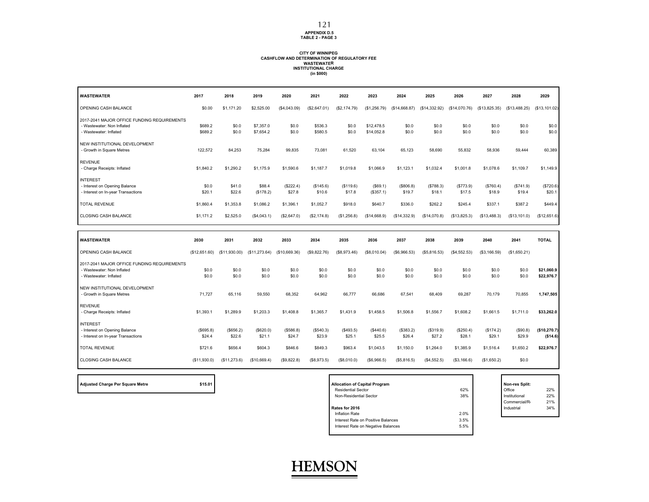#### **APPENDIX D.5 TABLE 2 - PAGE 3**

#### **CITY OF WINNIPEG CASHFLOW AND DETERMINATION OF REGULATORY FEEWASTEWATER INSTITUTIONAL CHARGE (in \$000)**

| <b>WASTEWATER</b>                                                                                   | 2017                  | 2018                  | 2019                   | 2020                  | 2021                 | 2022                 | 2023                     | 2024                | 2025                 | 2026                 | 2027                 | 2028                 | 2029                     |
|-----------------------------------------------------------------------------------------------------|-----------------------|-----------------------|------------------------|-----------------------|----------------------|----------------------|--------------------------|---------------------|----------------------|----------------------|----------------------|----------------------|--------------------------|
| OPENING CASH BALANCE                                                                                | \$0.00                | \$1,171.20            | \$2,525.00             | (\$4,043.09)          | (S2, 647.01)         | (\$2,174.79)         | (\$1,256.79)             | (\$14,668.87)       | (\$14,332.92)        | (\$14,070.76)        | (\$13,825.35)        | (\$13,488.25)        | (\$13,101.02)            |
| 2017-2041 MAJOR OFFICE FUNDING REQUIREMENTS<br>- Wastewater: Non Inflated<br>- Wastewater: Inflated | \$689.2<br>\$689.2    | \$0.0<br>\$0.0        | \$7,357.0<br>\$7,654.2 | \$0.0<br>\$0.0        | \$536.3<br>\$580.5   | \$0.0<br>\$0.0       | \$12,478.5<br>\$14,052.8 | \$0.0<br>\$0.0      | \$0.0<br>\$0.0       | \$0.0<br>\$0.0       | \$0.0<br>\$0.0       | \$0.0<br>\$0.0       | \$0.0<br>\$0.0           |
| NEW INSTITUTIONAL DEVELOPMENT<br>- Growth in Square Metres                                          | 122,572               | 84,253                | 75,284                 | 99,835                | 73,081               | 61,520               | 63,104                   | 65,123              | 58,690               | 55,832               | 58,936               | 59,444               | 60,389                   |
| <b>REVENUE</b><br>- Charge Receipts: Inflated                                                       | \$1,840.2             | \$1,290.2             | \$1,175.9              | \$1,590.6             | \$1,187.7            | \$1,019.8            | \$1,066.9                | \$1,123.1           | \$1,032.4            | \$1,001.8            | \$1,078.6            | \$1,109.7            | \$1,149.9                |
| <b>INTEREST</b><br>- Interest on Opening Balance<br>- Interest on In-year Transactions              | \$0.0<br>\$20.1       | \$41.0<br>\$22.6      | \$88.4<br>(\$178.2)    | (\$222.4)<br>\$27.8   | (\$145.6)<br>\$10.6  | (\$119.6)<br>\$17.8  | (\$69.1)<br>(\$357.1)    | (\$806.8)<br>\$19.7 | (\$788.3)<br>\$18.1  | (\$773.9)<br>\$17.5  | (\$760.4)<br>\$18.9  | (\$741.9)<br>\$19.4  | (\$720.6)<br>\$20.1      |
| <b>TOTAL REVENUE</b>                                                                                | \$1,860.4             | \$1,353.8             | \$1,086.2              | \$1,396.1             | \$1,052.7            | \$918.0              | \$640.7                  | \$336.0             | \$262.2              | \$245.4              | \$337.1              | \$387.2              | \$449.4                  |
| <b>CLOSING CASH BALANCE</b>                                                                         | \$1,171.2             | \$2,525.0             | (\$4,043.1)            | (\$2,647.0)           | (\$2,174.8)          | (\$1,256.8)          | (\$14,668.9)             | (\$14,332.9)        | (\$14,070.8)         | (\$13,825.3)         | (\$13,488.3)         | (S13, 101.0)         | (\$12,651.6)             |
|                                                                                                     |                       |                       |                        |                       |                      |                      |                          |                     |                      |                      |                      |                      |                          |
|                                                                                                     |                       |                       |                        |                       |                      |                      |                          |                     |                      |                      |                      |                      |                          |
| <b>WASTEWATER</b><br>OPENING CASH BALANCE                                                           | 2030<br>(\$12,651.60) | 2031<br>(\$11,930.00) | 2032<br>(\$11,273.64)  | 2033<br>(\$10,669.36) | 2034<br>(\$9,822.76) | 2035<br>(\$8,973.46) | 2036<br>(\$8,010.04)     | 2037<br>(S6,966.53) | 2038<br>(\$5,816.53) | 2039<br>(S4, 552.53) | 2040<br>(\$3,166.59) | 2041<br>(\$1,650.21) | <b>TOTAL</b>             |
| 2017-2041 MAJOR OFFICE FUNDING REQUIREMENTS<br>- Wastewater: Non Inflated<br>- Wastewater: Inflated | \$0.0<br>\$0.0        | \$0.0<br>\$0.0        | \$0.0<br>\$0.0         | \$0.0<br>\$0.0        | \$0.0<br>\$0.0       | \$0.0<br>\$0.0       | \$0.0<br>\$0.0           | \$0.0<br>\$0.0      | \$0.0<br>\$0.0       | \$0.0<br>\$0.0       | \$0.0<br>\$0.0       | \$0.0<br>\$0.0       | \$21,060.9<br>\$22,976.7 |
| NEW INSTITUTIONAL DEVELOPMENT<br>- Growth in Square Metres                                          | 71,727                | 65,116                | 59,550                 | 68,352                | 64,962               | 66,777               | 66,686                   | 67,541              | 68,409               | 69,287               | 70,179               | 70,855               | 1,747,505                |
| <b>REVENUE</b><br>- Charge Receipts: Inflated                                                       | \$1,393.1             | \$1,289.9             | \$1,203.3              | \$1,408.8             | \$1,365.7            | \$1,431.9            | \$1,458.5                | \$1,506.8           | \$1,556.7            | \$1,608.2            | \$1,661.5            | \$1,711.0            | \$33,262.0               |
| <b>INTEREST</b><br>- Interest on Opening Balance<br>- Interest on In-year Transactions              | (\$695.8)<br>\$24.4   | (\$656.2)<br>\$22.6   | (\$620.0)<br>\$21.1    | ( \$586.8)<br>\$24.7  | (\$540.3)<br>\$23.9  | (\$493.5)<br>\$25.1  | (\$440.6)<br>\$25.5      | (\$383.2)<br>\$26.4 | (S319.9)<br>\$27.2   | (\$250.4)<br>\$28.1  | (\$174.2)<br>\$29.1  | (\$90.8)<br>\$29.9   | (\$10,270.7)<br>(\$14.6) |
| <b>TOTAL REVENUE</b>                                                                                | \$721.6               | \$656.4               | \$604.3                | \$846.6               | \$849.3              | \$963.4              | \$1,043.5                | \$1,150.0           | \$1,264.0            | \$1,385.9            | \$1,516.4            | \$1,650.2            | \$22,976.7               |

| <b>Adjusted Charge Per Square Metre</b> |  |  |  |
|-----------------------------------------|--|--|--|

| \$15.01<br>Adjusted Charge Per Square Metre | <b>Allocation of Capital Program</b> |      | Non-res Split: |     |
|---------------------------------------------|--------------------------------------|------|----------------|-----|
|                                             | <b>Residential Sector</b>            | 62%  | Office         | 22% |
|                                             | Non-Residential Sector               | 38%  | Institutional  | 22% |
|                                             |                                      |      | Commercial/R   | 21% |
|                                             | Rates for 2016                       |      | Industrial     | 34% |
|                                             | Inflation Rate                       | 2.0% |                |     |
|                                             | Interest Rate on Positive Balances   | 3.5% |                |     |
|                                             | Interest Rate on Negative Balances   | 5.5% |                |     |
|                                             |                                      |      |                |     |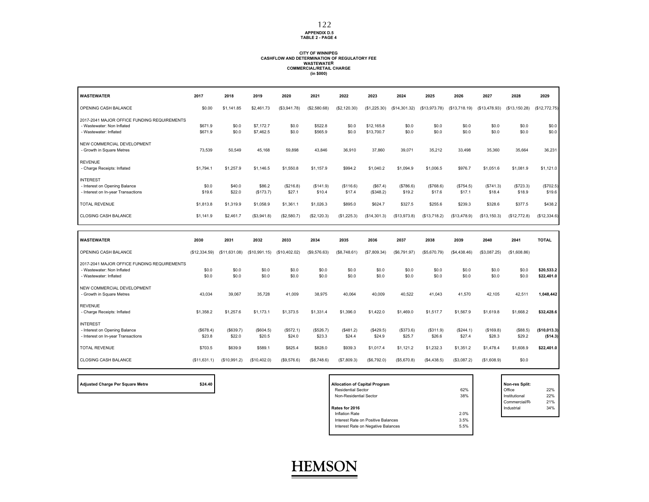**APPENDIX D.5 TABLE 2 - PAGE 4**

#### **CITY OF WINNIPEG CASHFLOW AND DETERMINATION OF REGULATORY FEEWASTEWATER COMMERCIAL/RETAIL CHARGE (in \$000)**

| <b>WASTEWATER</b>                                                                                   | 2017                  | 2018                  | 2019                   | 2020                  | 2021                 | 2022                 | 2023                     | 2024                 | 2025                 | 2026                 | 2027                 | 2028                 | 2029                     |
|-----------------------------------------------------------------------------------------------------|-----------------------|-----------------------|------------------------|-----------------------|----------------------|----------------------|--------------------------|----------------------|----------------------|----------------------|----------------------|----------------------|--------------------------|
| OPENING CASH BALANCE                                                                                | \$0.00                | \$1,141.85            | \$2,461.73             | (\$3,941.78)          | (\$2,580.68)         | (\$2,120.30)         | (\$1,225.30)             | (\$14,301.32)        | (\$13,973.78)        | (\$13,718.19)        | (\$13,478.93)        | (\$13,150.28)        | (\$12,772.75)            |
| 2017-2041 MAJOR OFFICE FUNDING REQUIREMENTS<br>- Wastewater: Non Inflated<br>- Wastewater: Inflated | \$671.9<br>\$671.9    | \$0.0<br>\$0.0        | \$7,172.7<br>\$7,462.5 | \$0.0<br>\$0.0        | \$522.8<br>\$565.9   | \$0.0<br>\$0.0       | \$12,165.8<br>\$13,700.7 | \$0.0<br>\$0.0       | \$0.0<br>\$0.0       | \$0.0<br>\$0.0       | \$0.0<br>\$0.0       | \$0.0<br>\$0.0       | \$0.0<br>\$0.0           |
| NEW COMMERCIAL DEVELOPMENT<br>- Growth in Square Metres                                             | 73,539                | 50,549                | 45.168                 | 59,898                | 43.846               | 36,910               | 37,860                   | 39,071               | 35,212               | 33.498               | 35,360               | 35.664               | 36,231                   |
| <b>REVENUE</b><br>- Charge Receipts: Inflated                                                       | \$1,794.1             | \$1,257.9             | \$1,146.5              | \$1,550.8             | \$1,157.9            | \$994.2              | \$1,040.2                | \$1,094.9            | \$1,006.5            | \$976.7              | \$1,051.6            | \$1,081.9            | \$1,121.0                |
| <b>INTEREST</b><br>- Interest on Opening Balance<br>- Interest on In-year Transactions              | \$0.0<br>\$19.6       | \$40.0<br>\$22.0      | \$86.2<br>(\$173.7)    | (\$216.8)<br>\$27.1   | (\$141.9)<br>\$10.4  | (\$116.6)<br>\$17.4  | (\$67.4)<br>(\$348.2)    | (\$786.6)<br>\$19.2  | (\$768.6)<br>\$17.6  | (\$754.5)<br>\$17.1  | (S741.3)<br>\$18.4   | (\$723.3)<br>\$18.9  | (\$702.5)<br>\$19.6      |
| <b>TOTAL REVENUE</b>                                                                                | \$1,813.8             | \$1,319.9             | \$1,058.9              | \$1.361.1             | \$1,026.3            | \$895.0              | \$624.7                  | \$327.5              | \$255.6              | \$239.3              | \$328.6              | \$377.5              | \$438.2                  |
| <b>CLOSING CASH BALANCE</b>                                                                         | \$1,141.9             | \$2,461.7             | (\$3,941.8)            | (\$2,580.7)           | (\$2, 120.3)         | (\$1,225.3)          | (\$14,301.3)             | (\$13,973.8)         | (\$13,718.2)         | (\$13,478.9)         | (\$13, 150.3)        | (\$12,772.8)         | (\$12,334.6)             |
|                                                                                                     |                       |                       |                        |                       |                      |                      |                          |                      |                      |                      |                      |                      |                          |
|                                                                                                     |                       |                       |                        |                       |                      |                      |                          |                      |                      |                      |                      |                      |                          |
| <b>WASTEWATER</b><br>OPENING CASH BALANCE                                                           | 2030<br>(\$12,334.59) | 2031<br>(\$11,631.08) | 2032<br>(\$10,991.15)  | 2033<br>(\$10,402.02) | 2034<br>(S9, 576.63) | 2035<br>(\$8,748.61) | 2036<br>(\$7,809.34)     | 2037<br>(S6, 791.97) | 2038<br>(\$5,670.79) | 2039<br>(S4, 438.46) | 2040<br>(\$3,087.25) | 2041<br>(\$1,608.86) | <b>TOTAL</b>             |
| 2017-2041 MAJOR OFFICE FUNDING REQUIREMENTS<br>- Wastewater: Non Inflated<br>- Wastewater: Inflated | \$0.0<br>\$0.0        | \$0.0<br>\$0.0        | \$0.0<br>\$0.0         | \$0.0<br>\$0.0        | \$0.0<br>\$0.0       | \$0.0<br>\$0.0       | \$0.0<br>\$0.0           | \$0.0<br>\$0.0       | \$0.0<br>\$0.0       | \$0.0<br>\$0.0       | \$0.0<br>\$0.0       | \$0.0<br>\$0.0       | \$20,533.2<br>\$22,401.0 |
| NEW COMMERCIAL DEVELOPMENT<br>- Growth in Square Metres                                             | 43,034                | 39,067                | 35,728                 | 41,009                | 38,975               | 40,064               | 40,009                   | 40,522               | 41,043               | 41,570               | 42,105               | 42,511               | 1,048,442                |
| <b>REVENUE</b><br>- Charge Receipts: Inflated                                                       | \$1,358.2             | \$1,257.6             | \$1,173.1              | \$1,373.5             | \$1,331.4            | \$1,396.0            | \$1,422.0                | \$1,469.0            | \$1,517.7            | \$1,567.9            | \$1,619.8            | \$1,668.2            | \$32,428.6               |
| <b>INTEREST</b><br>- Interest on Opening Balance<br>- Interest on In-year Transactions              | (\$678.4)<br>\$23.8   | (\$639.7)<br>\$22.0   | (\$604.5)<br>\$20.5    | (\$572.1)<br>\$24.0   | (\$526.7)<br>\$23.3  | (\$481.2)<br>\$24.4  | (\$429.5)<br>\$24.9      | (\$373.6)<br>\$25.7  | (\$311.9)<br>\$26.6  | (\$244.1)<br>\$27.4  | (\$169.8)<br>\$28.3  | (\$88.5)<br>\$29.2   | (\$10,013.3)<br>(\$14.3) |
| <b>TOTAL REVENUE</b>                                                                                | \$703.5               | \$639.9               | \$589.1                | \$825.4               | \$828.0              | \$939.3              | \$1,017.4                | \$1,121.2            | \$1,232.3            | \$1,351.2            | \$1,478.4            | \$1,608.9            | \$22,401.0               |

**Adjusted Charge Per Square Metre 624.40** 

| <b>Allocation of Capital Program</b> |      | Non-res Split: |     |
|--------------------------------------|------|----------------|-----|
| <b>Residential Sector</b>            | 62%  | Office         | 22% |
| Non-Residential Sector               | 38%  | Institutional  | 22% |
|                                      |      | Commercial/R   | 21% |
| Rates for 2016                       |      | Industrial     | 34% |
| Inflation Rate                       | 2.0% |                |     |
| Interest Rate on Positive Balances   | 3.5% |                |     |
| Interest Rate on Negative Balances   | 5.5% |                |     |
|                                      |      |                |     |